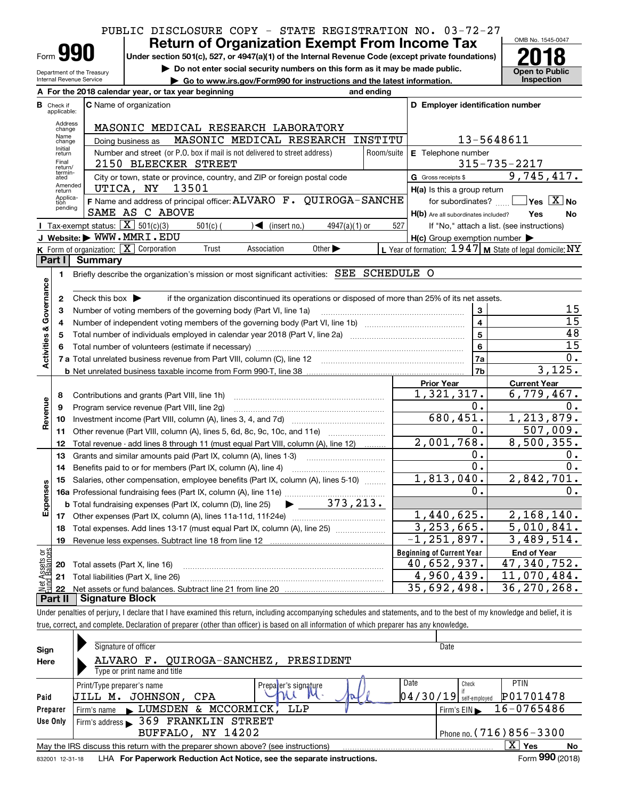### PUBLIC DISCLOSURE COPY - STATE REGISTRATION NO. 03-72-27

| -orm |  |  |
|------|--|--|

Department of the Treasury Internal Revenue Service

## **Return of Organization Exempt From Income Tax**

**Under section 501(c), 527, or 4947(a)(1) of the Internal Revenue Code (except private foundations) 2018**

**| Do not enter social security numbers on this form as it may be made public. | Go to www.irs.gov/Form990 for instructions and the latest information. Inspection**



|                         |                                  | A For the 2018 calendar year, or tax year beginning                                                                                     | and ending |                                                     |                                                           |
|-------------------------|----------------------------------|-----------------------------------------------------------------------------------------------------------------------------------------|------------|-----------------------------------------------------|-----------------------------------------------------------|
|                         | <b>B</b> Check if<br>applicable: | <b>C</b> Name of organization                                                                                                           |            | D Employer identification number                    |                                                           |
|                         | Address<br>change                | MASONIC MEDICAL RESEARCH LABORATORY                                                                                                     |            |                                                     |                                                           |
|                         | Name<br>change                   | MASONIC MEDICAL RESEARCH<br>Doing business as                                                                                           | INSTITU    |                                                     | 13-5648611                                                |
|                         | Initial<br>return                | Number and street (or P.O. box if mail is not delivered to street address)                                                              | Room/suite | $E$ Telephone number                                |                                                           |
|                         | Final<br>return/                 | 2150 BLEECKER STREET                                                                                                                    |            |                                                     | $315 - 735 - 2217$                                        |
|                         | termin-<br>ated                  | City or town, state or province, country, and ZIP or foreign postal code                                                                |            | G Gross receipts \$                                 | 9,745,417.                                                |
|                         | Amended<br>return                | UTICA, NY<br>13501                                                                                                                      |            | H(a) Is this a group return                         |                                                           |
|                         | Applica-<br>tion<br>pending      | F Name and address of principal officer: ALVARO F. QUIROGA-SANCHE                                                                       |            | for subordinates?                                   | $\sqrt{}$ Yes $\sqrt{}$ X $\sqrt{}$ No                    |
|                         |                                  | SAME AS C ABOVE                                                                                                                         |            | H(b) Are all subordinates included?                 | <b>Yes</b><br>No                                          |
|                         |                                  | <b>I</b> Tax-exempt status: $\overline{X}$ 501(c)(3)<br>$\sqrt{\frac{1}{1}}$ (insert no.)<br>$501(c)$ (<br>$4947(a)(1)$ or              | 527        |                                                     | If "No," attach a list. (see instructions)                |
|                         |                                  | J Website: WWW.MMRI.EDU                                                                                                                 |            | $H(c)$ Group exemption number $\blacktriangleright$ |                                                           |
|                         |                                  | K Form of organization: $X$ Corporation<br>Trust<br>Other $\blacktriangleright$<br>Association                                          |            |                                                     | L Year of formation: $1947$ M State of legal domicile: NY |
|                         | Part I                           | <b>Summary</b>                                                                                                                          |            |                                                     |                                                           |
|                         | 1                                | Briefly describe the organization's mission or most significant activities: SEE SCHEDULE O                                              |            |                                                     |                                                           |
| Governance              | $\mathbf{2}$                     | if the organization discontinued its operations or disposed of more than 25% of its net assets.<br>Check this box $\blacktriangleright$ |            |                                                     |                                                           |
|                         | 3                                | Number of voting members of the governing body (Part VI, line 1a)                                                                       |            | 3                                                   | 15                                                        |
|                         | 4                                |                                                                                                                                         |            | $\overline{\mathbf{4}}$                             | 15                                                        |
|                         | 5                                |                                                                                                                                         |            | 5                                                   | 48                                                        |
|                         | 6                                |                                                                                                                                         |            | 6                                                   | $\overline{15}$                                           |
| <b>Activities &amp;</b> |                                  |                                                                                                                                         |            | 7a                                                  | $\overline{0}$ .                                          |
|                         |                                  |                                                                                                                                         |            | 7 <sub>b</sub>                                      | 3,125.                                                    |
|                         |                                  |                                                                                                                                         |            | <b>Prior Year</b>                                   | <b>Current Year</b>                                       |
|                         | 8                                | Contributions and grants (Part VIII, line 1h)                                                                                           |            | 1,321,317.                                          | 6,779,467.                                                |
| Revenue                 | 9                                | Program service revenue (Part VIII, line 2g)                                                                                            |            | 0.                                                  | 0.                                                        |
|                         | 10                               |                                                                                                                                         |            | 680, 451.                                           | 1, 213, 879.                                              |
|                         | 11                               | Other revenue (Part VIII, column (A), lines 5, 6d, 8c, 9c, 10c, and 11e)                                                                |            | 0.                                                  | $\overline{507}$ , 009.                                   |
|                         | 12                               | Total revenue - add lines 8 through 11 (must equal Part VIII, column (A), line 12)                                                      |            | 2,001,768.                                          | 8,500,355.                                                |
|                         | 13                               | Grants and similar amounts paid (Part IX, column (A), lines 1-3) <i>manumanonononononon</i>                                             |            | 0.                                                  | 0.                                                        |
|                         | 14                               | Benefits paid to or for members (Part IX, column (A), line 4)                                                                           |            | $\overline{0}$ .                                    | 0.                                                        |
|                         | 15                               | Salaries, other compensation, employee benefits (Part IX, column (A), lines 5-10)                                                       |            | 1,813,040.                                          | 2,842,701.                                                |
| Expenses                |                                  |                                                                                                                                         |            | 0.                                                  | 0.                                                        |
|                         |                                  | <b>b</b> Total fundraising expenses (Part IX, column (D), line 25)                                                                      |            |                                                     |                                                           |
|                         |                                  |                                                                                                                                         |            | 1,440,625.                                          | 2,168,140.                                                |
|                         | 18                               | Total expenses. Add lines 13-17 (must equal Part IX, column (A), line 25)                                                               |            | 3, 253, 665.                                        | 5,010,841.                                                |
|                         | 19                               |                                                                                                                                         |            | $-1, 251, 897.$                                     | 3,489,514.                                                |
| កម្ព                    |                                  |                                                                                                                                         |            | <b>Beginning of Current Year</b>                    | <b>End of Year</b>                                        |
| Assets<br>1 Balanc      | 20                               | Total assets (Part X, line 16)                                                                                                          |            | 40,652,937.<br>4,960,439.                           | 47,340,752.<br>11,070,484.                                |
| jari<br>I               | 21                               | Total liabilities (Part X, line 26)                                                                                                     |            | 35,692,498.                                         | 36, 270, 268.                                             |
|                         | 22<br>Part II                    | <b>Signature Block</b>                                                                                                                  |            |                                                     |                                                           |
|                         |                                  |                                                                                                                                         |            |                                                     |                                                           |

Under penalties of perjury, I declare that I have examined this return, including accompanying schedules and statements, and to the best of my knowledge and belief, it is true, correct, and complete. Declaration of preparer (other than officer) is based on all information of which preparer has any knowledge.

| Sign<br>Here                 | Signature of officer<br>ALVARO F. QUIROGA-SANCHEZ, PRESIDENT<br>Type or print name and title                                                                                              | Date                                                                             |
|------------------------------|-------------------------------------------------------------------------------------------------------------------------------------------------------------------------------------------|----------------------------------------------------------------------------------|
| Paid<br>Preparer<br>Use Only | Date<br>Print/Type preparer's name<br>Prepater's signature<br> 04/30/19 <br>JOHNSON, CPA<br>JILL M.<br>LUMSDEN & MCCORMICK,<br>LLP<br>Firm's name<br>Firm's address > 369 FRANKLIN STREET | <b>PTIN</b><br>Check<br>P01701478<br>self-emploved<br>16-0765486<br>Firm's $EIN$ |
| 832001 12-31-18              | BUFFALO, NY 14202<br>May the IRS discuss this return with the preparer shown above? (see instructions)<br>LHA For Paperwork Reduction Act Notice, see the separate instructions.          | Phone no. $(716)856 - 3300$<br>ΧI<br>Yes<br><b>No</b><br>Form 990 (2018)         |
|                              |                                                                                                                                                                                           |                                                                                  |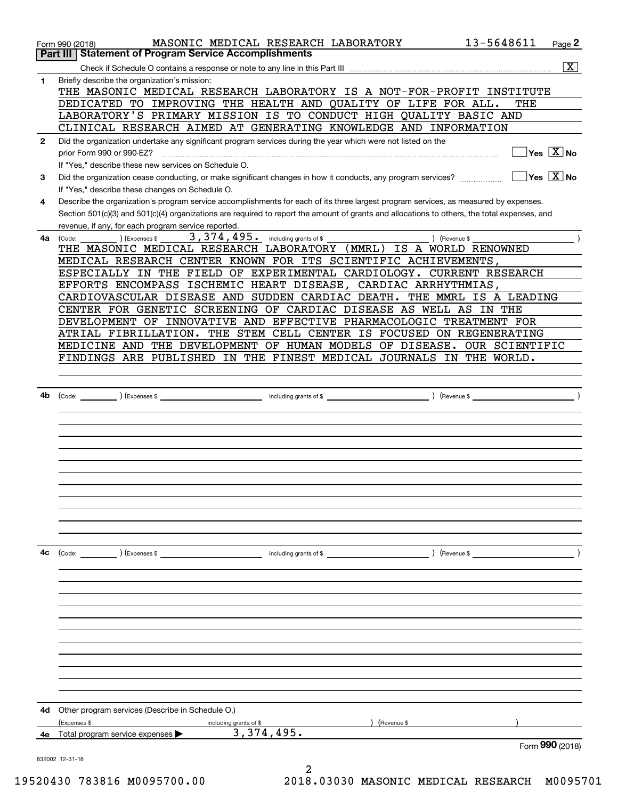|              | MASONIC MEDICAL RESEARCH LABORATORY<br>Form 990 (2018)                                                                                       | 13-5648611           | Page 2                                    |
|--------------|----------------------------------------------------------------------------------------------------------------------------------------------|----------------------|-------------------------------------------|
|              | <b>Statement of Program Service Accomplishments</b><br>Part III                                                                              |                      |                                           |
|              |                                                                                                                                              |                      | $\overline{\mathbf{x}}$                   |
| 1            | Briefly describe the organization's mission:<br>THE MASONIC MEDICAL RESEARCH LABORATORY IS A NOT-FOR-PROFIT INSTITUTE                        |                      |                                           |
|              | DEDICATED TO IMPROVING THE HEALTH AND QUALITY OF LIFE FOR ALL.                                                                               | THE                  |                                           |
|              | LABORATORY'S PRIMARY MISSION IS TO CONDUCT HIGH QUALITY BASIC AND                                                                            |                      |                                           |
|              | CLINICAL RESEARCH AIMED AT GENERATING KNOWLEDGE AND INFORMATION                                                                              |                      |                                           |
| $\mathbf{2}$ | Did the organization undertake any significant program services during the year which were not listed on the<br>prior Form 990 or 990-EZ?    |                      | $\overline{\ }$ Yes $\overline{\rm X}$ No |
|              | If "Yes," describe these new services on Schedule O.                                                                                         |                      |                                           |
| 3            | Did the organization cease conducting, or make significant changes in how it conducts, any program services?                                 |                      | $\Box$ Yes $\boxed{\text{X}}$ No          |
|              | If "Yes," describe these changes on Schedule O.                                                                                              |                      |                                           |
| 4            | Describe the organization's program service accomplishments for each of its three largest program services, as measured by expenses.         |                      |                                           |
|              | Section 501(c)(3) and 501(c)(4) organizations are required to report the amount of grants and allocations to others, the total expenses, and |                      |                                           |
|              | revenue, if any, for each program service reported.                                                                                          |                      |                                           |
| 4a           | 3, 374, 495. including grants of \$<br>) (Revenue \$<br>(Expenses \$<br>(Code:                                                               |                      |                                           |
|              | THE MASONIC MEDICAL RESEARCH LABORATORY (MMRL) IS A WORLD RENOWNED                                                                           |                      |                                           |
|              | MEDICAL RESEARCH CENTER KNOWN FOR ITS SCIENTIFIC ACHIEVEMENTS,                                                                               |                      |                                           |
|              | ESPECIALLY IN THE FIELD OF EXPERIMENTAL CARDIOLOGY. CURRENT RESEARCH                                                                         |                      |                                           |
|              | EFFORTS ENCOMPASS ISCHEMIC HEART DISEASE, CARDIAC ARRHYTHMIAS,                                                                               |                      |                                           |
|              | CARDIOVASCULAR DISEASE AND SUDDEN CARDIAC DEATH. THE MMRL IS A LEADING                                                                       |                      |                                           |
|              | CENTER FOR GENETIC SCREENING OF CARDIAC DISEASE AS WELL AS IN THE                                                                            |                      |                                           |
|              | DEVELOPMENT OF INNOVATIVE AND EFFECTIVE PHARMACOLOGIC TREATMENT FOR                                                                          |                      |                                           |
|              | ATRIAL FIBRILLATION. THE STEM CELL CENTER IS FOCUSED ON REGENERATING                                                                         |                      |                                           |
|              | MEDICINE AND THE DEVELOPMENT OF HUMAN MODELS OF DISEASE. OUR SCIENTIFIC                                                                      |                      |                                           |
|              | FINDINGS ARE PUBLISHED IN THE FINEST MEDICAL JOURNALS IN THE WORLD.                                                                          |                      |                                           |
|              |                                                                                                                                              |                      |                                           |
|              |                                                                                                                                              |                      |                                           |
| 4b           |                                                                                                                                              |                      |                                           |
|              |                                                                                                                                              |                      |                                           |
|              |                                                                                                                                              |                      |                                           |
|              |                                                                                                                                              |                      |                                           |
|              |                                                                                                                                              |                      |                                           |
|              |                                                                                                                                              |                      |                                           |
|              |                                                                                                                                              |                      |                                           |
|              |                                                                                                                                              |                      |                                           |
|              |                                                                                                                                              |                      |                                           |
|              |                                                                                                                                              |                      |                                           |
|              |                                                                                                                                              |                      |                                           |
|              |                                                                                                                                              |                      |                                           |
| 4c           | (Code: ) (Expenses \$<br>including grants of \$                                                                                              | ) (Revenue \$ ______ |                                           |
|              |                                                                                                                                              |                      |                                           |
|              |                                                                                                                                              |                      |                                           |
|              |                                                                                                                                              |                      |                                           |
|              |                                                                                                                                              |                      |                                           |
|              |                                                                                                                                              |                      |                                           |
|              |                                                                                                                                              |                      |                                           |
|              |                                                                                                                                              |                      |                                           |
|              |                                                                                                                                              |                      |                                           |
|              |                                                                                                                                              |                      |                                           |
|              |                                                                                                                                              |                      |                                           |
|              |                                                                                                                                              |                      |                                           |
|              |                                                                                                                                              |                      |                                           |
| 4d           | Other program services (Describe in Schedule O.)                                                                                             |                      |                                           |
|              | (Expenses \$<br>(Revenue \$<br>including grants of \$<br>3,374,495.                                                                          |                      |                                           |
| 4e           | Total program service expenses                                                                                                               |                      | Form 990 (2018)                           |
|              | 832002 12-31-18                                                                                                                              |                      |                                           |
|              | 2                                                                                                                                            |                      |                                           |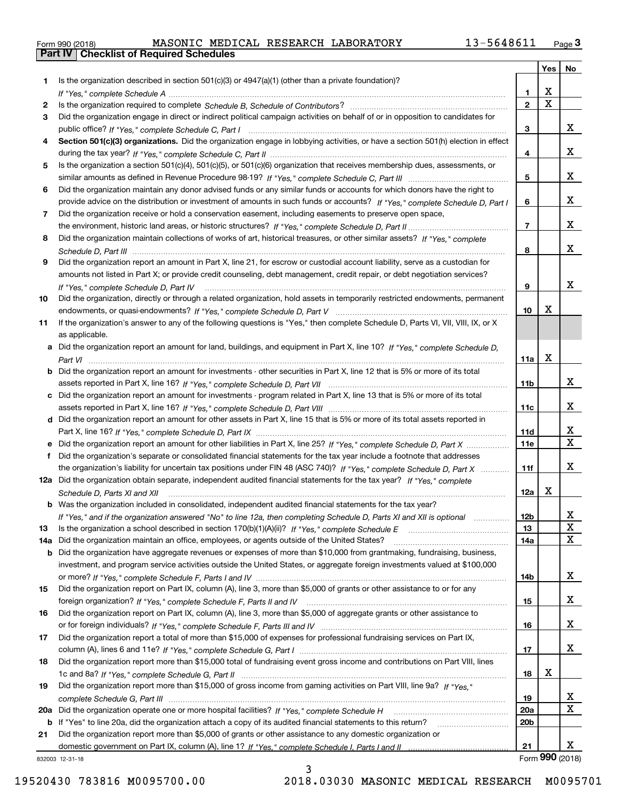| Form 990 (2018) |  |  |
|-----------------|--|--|

|     |                                                                                                                                                                         |                 | Yes                     | No              |
|-----|-------------------------------------------------------------------------------------------------------------------------------------------------------------------------|-----------------|-------------------------|-----------------|
| 1   | Is the organization described in section $501(c)(3)$ or $4947(a)(1)$ (other than a private foundation)?                                                                 |                 |                         |                 |
|     |                                                                                                                                                                         | 1.              | X                       |                 |
| 2   |                                                                                                                                                                         | $\overline{2}$  | $\overline{\mathbf{x}}$ |                 |
| 3   | Did the organization engage in direct or indirect political campaign activities on behalf of or in opposition to candidates for                                         |                 |                         |                 |
|     |                                                                                                                                                                         | 3               |                         | x               |
| 4   | Section 501(c)(3) organizations. Did the organization engage in lobbying activities, or have a section 501(h) election in effect                                        |                 |                         |                 |
|     |                                                                                                                                                                         | 4               |                         | x               |
| 5   | Is the organization a section 501(c)(4), 501(c)(5), or 501(c)(6) organization that receives membership dues, assessments, or                                            |                 |                         |                 |
|     |                                                                                                                                                                         | 5               |                         | x               |
| 6   | Did the organization maintain any donor advised funds or any similar funds or accounts for which donors have the right to                                               |                 |                         |                 |
|     | provide advice on the distribution or investment of amounts in such funds or accounts? If "Yes," complete Schedule D, Part I                                            | 6               |                         | x               |
| 7   | Did the organization receive or hold a conservation easement, including easements to preserve open space,                                                               | $\overline{7}$  |                         | х               |
|     |                                                                                                                                                                         |                 |                         |                 |
| 8   | Did the organization maintain collections of works of art, historical treasures, or other similar assets? If "Yes," complete                                            | 8               |                         | х               |
| 9   | Did the organization report an amount in Part X, line 21, for escrow or custodial account liability, serve as a custodian for                                           |                 |                         |                 |
|     | amounts not listed in Part X; or provide credit counseling, debt management, credit repair, or debt negotiation services?                                               |                 |                         |                 |
|     |                                                                                                                                                                         | 9               |                         | x               |
| 10  | If "Yes," complete Schedule D, Part IV<br>Did the organization, directly or through a related organization, hold assets in temporarily restricted endowments, permanent |                 |                         |                 |
|     |                                                                                                                                                                         | 10              | Х                       |                 |
| 11  | If the organization's answer to any of the following questions is "Yes," then complete Schedule D, Parts VI, VIII, VIII, IX, or X                                       |                 |                         |                 |
|     | as applicable.                                                                                                                                                          |                 |                         |                 |
|     | a Did the organization report an amount for land, buildings, and equipment in Part X, line 10? If "Yes," complete Schedule D,                                           |                 |                         |                 |
|     |                                                                                                                                                                         | 11a             | X                       |                 |
|     | Did the organization report an amount for investments - other securities in Part X, line 12 that is 5% or more of its total                                             |                 |                         |                 |
|     |                                                                                                                                                                         | 11 <sub>b</sub> |                         | x               |
|     | Did the organization report an amount for investments - program related in Part X, line 13 that is 5% or more of its total                                              |                 |                         |                 |
|     |                                                                                                                                                                         | 11c             |                         | x               |
| d   | Did the organization report an amount for other assets in Part X, line 15 that is 5% or more of its total assets reported in                                            |                 |                         |                 |
|     |                                                                                                                                                                         | 11d             |                         | х               |
|     | Did the organization report an amount for other liabilities in Part X, line 25? If "Yes," complete Schedule D, Part X                                                   | 11e             |                         | $\mathbf X$     |
|     | Did the organization's separate or consolidated financial statements for the tax year include a footnote that addresses                                                 |                 |                         |                 |
|     | the organization's liability for uncertain tax positions under FIN 48 (ASC 740)? If "Yes," complete Schedule D, Part X                                                  | 11f             |                         | x               |
|     | 12a Did the organization obtain separate, independent audited financial statements for the tax year? If "Yes," complete                                                 |                 |                         |                 |
|     | Schedule D, Parts XI and XII                                                                                                                                            | 12a             | X                       |                 |
|     | <b>b</b> Was the organization included in consolidated, independent audited financial statements for the tax year?                                                      |                 |                         |                 |
|     | If "Yes," and if the organization answered "No" to line 12a, then completing Schedule D, Parts XI and XII is optional                                                   | 12b             |                         | ᅀ               |
| 13  |                                                                                                                                                                         | 13              |                         | $\mathbf X$     |
| 14a | Did the organization maintain an office, employees, or agents outside of the United States?                                                                             | 14a             |                         | X               |
| b   | Did the organization have aggregate revenues or expenses of more than \$10,000 from grantmaking, fundraising, business,                                                 |                 |                         |                 |
|     | investment, and program service activities outside the United States, or aggregate foreign investments valued at \$100,000                                              |                 |                         |                 |
|     | Did the organization report on Part IX, column (A), line 3, more than \$5,000 of grants or other assistance to or for any                                               | 14b             |                         | x               |
| 15  |                                                                                                                                                                         |                 |                         | x               |
| 16  | Did the organization report on Part IX, column (A), line 3, more than \$5,000 of aggregate grants or other assistance to                                                | 15              |                         |                 |
|     |                                                                                                                                                                         | 16              |                         | x               |
| 17  | Did the organization report a total of more than \$15,000 of expenses for professional fundraising services on Part IX,                                                 |                 |                         |                 |
|     |                                                                                                                                                                         | 17              |                         | x               |
| 18  | Did the organization report more than \$15,000 total of fundraising event gross income and contributions on Part VIII, lines                                            |                 |                         |                 |
|     |                                                                                                                                                                         | 18              | х                       |                 |
| 19  | Did the organization report more than \$15,000 of gross income from gaming activities on Part VIII, line 9a? If "Yes."                                                  |                 |                         |                 |
|     |                                                                                                                                                                         | 19              |                         | x               |
| 20a |                                                                                                                                                                         | 20a             |                         | X               |
| b   | If "Yes" to line 20a, did the organization attach a copy of its audited financial statements to this return?                                                            | 20 <sub>b</sub> |                         |                 |
| 21  | Did the organization report more than \$5,000 of grants or other assistance to any domestic organization or                                                             |                 |                         |                 |
|     |                                                                                                                                                                         | 21              |                         | x               |
|     | 832003 12-31-18                                                                                                                                                         |                 |                         | Form 990 (2018) |
|     | ર                                                                                                                                                                       |                 |                         |                 |

3

832003 12-31-18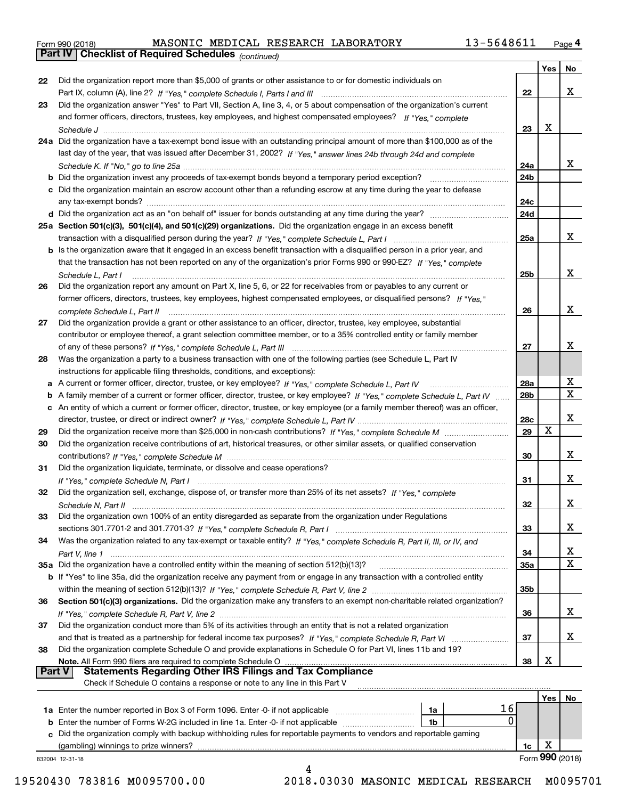|  | Form 990 (2018) |
|--|-----------------|
|  |                 |

*(continued)*

|        |                                                                                                                                   |                 | Yes         | No          |
|--------|-----------------------------------------------------------------------------------------------------------------------------------|-----------------|-------------|-------------|
| 22     | Did the organization report more than \$5,000 of grants or other assistance to or for domestic individuals on                     |                 |             |             |
|        |                                                                                                                                   | 22              |             | X           |
| 23     | Did the organization answer "Yes" to Part VII, Section A, line 3, 4, or 5 about compensation of the organization's current        |                 |             |             |
|        | and former officers, directors, trustees, key employees, and highest compensated employees? If "Yes," complete                    |                 |             |             |
|        |                                                                                                                                   | 23              | X           |             |
|        | 24a Did the organization have a tax-exempt bond issue with an outstanding principal amount of more than \$100,000 as of the       |                 |             |             |
|        | last day of the year, that was issued after December 31, 2002? If "Yes," answer lines 24b through 24d and complete                |                 |             |             |
|        |                                                                                                                                   | 24a             |             | x           |
|        | <b>b</b> Did the organization invest any proceeds of tax-exempt bonds beyond a temporary period exception?                        | 24 <sub>b</sub> |             |             |
|        | c Did the organization maintain an escrow account other than a refunding escrow at any time during the year to defease            |                 |             |             |
|        | any tax-exempt bonds?                                                                                                             | 24c             |             |             |
|        |                                                                                                                                   | 24d             |             |             |
|        | 25a Section 501(c)(3), 501(c)(4), and 501(c)(29) organizations. Did the organization engage in an excess benefit                  |                 |             |             |
|        |                                                                                                                                   | 25a             |             | x           |
|        | b Is the organization aware that it engaged in an excess benefit transaction with a disqualified person in a prior year, and      |                 |             |             |
|        | that the transaction has not been reported on any of the organization's prior Forms 990 or 990-EZ? If "Yes," complete             |                 |             |             |
|        | Schedule L, Part I                                                                                                                | 25b             |             | х           |
| 26     | Did the organization report any amount on Part X, line 5, 6, or 22 for receivables from or payables to any current or             |                 |             |             |
|        | former officers, directors, trustees, key employees, highest compensated employees, or disqualified persons? If "Yes."            |                 |             |             |
|        | complete Schedule L. Part II                                                                                                      | 26              |             | X           |
| 27     | Did the organization provide a grant or other assistance to an officer, director, trustee, key employee, substantial              |                 |             |             |
|        | contributor or employee thereof, a grant selection committee member, or to a 35% controlled entity or family member               |                 |             |             |
|        |                                                                                                                                   | 27              |             | х           |
| 28     | Was the organization a party to a business transaction with one of the following parties (see Schedule L, Part IV                 |                 |             |             |
|        | instructions for applicable filing thresholds, conditions, and exceptions):                                                       |                 |             |             |
| а      |                                                                                                                                   | 28a             |             | х           |
| b      | A family member of a current or former officer, director, trustee, or key employee? If "Yes," complete Schedule L, Part IV        | 28 <sub>b</sub> |             | $\mathbf x$ |
|        | c An entity of which a current or former officer, director, trustee, or key employee (or a family member thereof) was an officer, |                 |             |             |
|        |                                                                                                                                   | 28c             |             | х           |
| 29     |                                                                                                                                   | 29              | $\mathbf X$ |             |
| 30     | Did the organization receive contributions of art, historical treasures, or other similar assets, or qualified conservation       |                 |             |             |
|        |                                                                                                                                   | 30              |             | x           |
| 31     | Did the organization liquidate, terminate, or dissolve and cease operations?                                                      |                 |             |             |
|        |                                                                                                                                   | 31              |             | x           |
| 32     | Did the organization sell, exchange, dispose of, or transfer more than 25% of its net assets? If "Yes," complete                  |                 |             |             |
|        | Schedule N, Part II <u>www.communication.communication.communication.com</u>                                                      | 32              |             | x           |
| 33     | Did the organization own 100% of an entity disregarded as separate from the organization under Regulations                        |                 |             |             |
|        |                                                                                                                                   | 33              |             | x           |
| 34     | Was the organization related to any tax-exempt or taxable entity? If "Yes," complete Schedule R, Part II, III, or IV, and         |                 |             |             |
|        |                                                                                                                                   | 34              |             | х           |
|        |                                                                                                                                   | 35a             |             | $\mathbf X$ |
|        | b If "Yes" to line 35a, did the organization receive any payment from or engage in any transaction with a controlled entity       |                 |             |             |
|        |                                                                                                                                   | 35 <sub>b</sub> |             |             |
| 36     | Section 501(c)(3) organizations. Did the organization make any transfers to an exempt non-charitable related organization?        |                 |             |             |
|        |                                                                                                                                   | 36              |             | x           |
| 37     | Did the organization conduct more than 5% of its activities through an entity that is not a related organization                  |                 |             |             |
|        |                                                                                                                                   | 37              |             | x           |
| 38     | Did the organization complete Schedule O and provide explanations in Schedule O for Part VI, lines 11b and 19?                    |                 |             |             |
|        |                                                                                                                                   | 38              | X           |             |
| Part V | <b>Statements Regarding Other IRS Filings and Tax Compliance</b>                                                                  |                 |             |             |
|        | Check if Schedule O contains a response or note to any line in this Part V                                                        |                 |             |             |
|        |                                                                                                                                   |                 | Yes         | No          |
|        | 16<br>1a                                                                                                                          |                 |             |             |
| b      | 0<br>Enter the number of Forms W-2G included in line 1a. Enter -0- if not applicable<br>1b                                        |                 |             |             |
|        | c Did the organization comply with backup withholding rules for reportable payments to vendors and reportable gaming              |                 |             |             |

832004 12-31-18

(gambling) winnings to prize winners?

Form (2018) **990** 4 19520430 783816 M0095700.00 2018.03030 MASONIC MEDICAL RESEARCH M0095701

**1c** X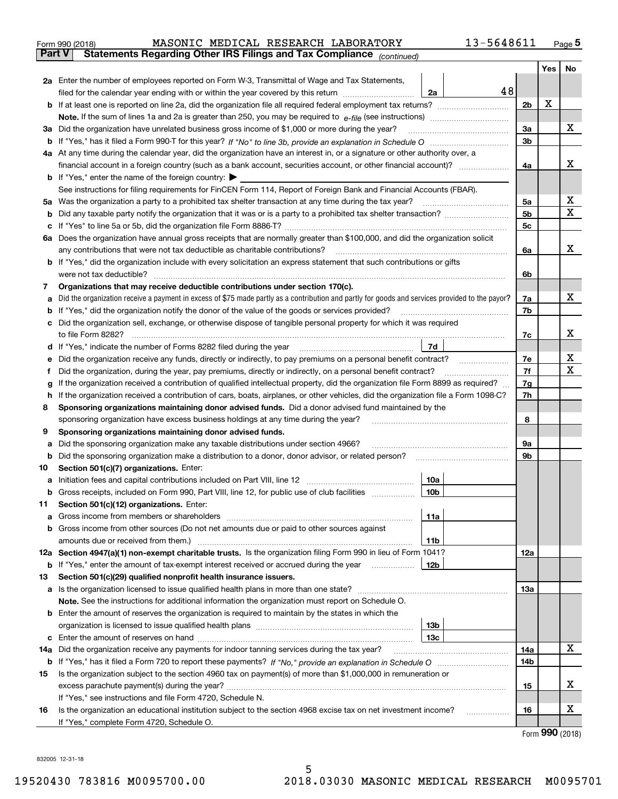|     | MASONIC MEDICAL RESEARCH LABORATORY<br>Form 990 (2018)                                                                                                                                                                               | 13-5648611 |                |     | Page $5$        |
|-----|--------------------------------------------------------------------------------------------------------------------------------------------------------------------------------------------------------------------------------------|------------|----------------|-----|-----------------|
|     | <b>Part V</b><br>Statements Regarding Other IRS Filings and Tax Compliance (continued)                                                                                                                                               |            |                |     |                 |
|     |                                                                                                                                                                                                                                      |            |                | Yes | No              |
|     | 2a Enter the number of employees reported on Form W-3, Transmittal of Wage and Tax Statements,                                                                                                                                       |            |                |     |                 |
|     | filed for the calendar year ending with or within the year covered by this return<br>2a                                                                                                                                              | 48         |                |     |                 |
|     |                                                                                                                                                                                                                                      |            | 2b             | х   |                 |
|     |                                                                                                                                                                                                                                      |            |                |     |                 |
| За  | Did the organization have unrelated business gross income of \$1,000 or more during the year?                                                                                                                                        |            | 3a             |     | x               |
|     |                                                                                                                                                                                                                                      |            | 3 <sub>b</sub> |     |                 |
|     | 4a At any time during the calendar year, did the organization have an interest in, or a signature or other authority over, a                                                                                                         |            |                |     |                 |
|     |                                                                                                                                                                                                                                      |            | 4a             |     | х               |
|     | <b>b</b> If "Yes," enter the name of the foreign country: $\blacktriangleright$                                                                                                                                                      |            |                |     |                 |
|     | See instructions for filing requirements for FinCEN Form 114, Report of Foreign Bank and Financial Accounts (FBAR).                                                                                                                  |            |                |     |                 |
| 5a  | Was the organization a party to a prohibited tax shelter transaction at any time during the tax year?                                                                                                                                |            | 5a             |     | х               |
| b   |                                                                                                                                                                                                                                      |            | 5 <sub>b</sub> |     | X               |
| с   |                                                                                                                                                                                                                                      |            | 5c             |     |                 |
|     | 6a Does the organization have annual gross receipts that are normally greater than \$100,000, and did the organization solicit                                                                                                       |            |                |     |                 |
|     | any contributions that were not tax deductible as charitable contributions?                                                                                                                                                          |            | 6a             |     | x               |
|     | <b>b</b> If "Yes," did the organization include with every solicitation an express statement that such contributions or gifts                                                                                                        |            |                |     |                 |
|     | were not tax deductible?                                                                                                                                                                                                             |            | 6b             |     |                 |
| 7   | Organizations that may receive deductible contributions under section 170(c).                                                                                                                                                        |            |                |     |                 |
| а   | Did the organization receive a payment in excess of \$75 made partly as a contribution and partly for goods and services provided to the payor?                                                                                      |            | 7a             |     | x               |
| b   | If "Yes," did the organization notify the donor of the value of the goods or services provided?                                                                                                                                      |            | 7b             |     |                 |
| с   | Did the organization sell, exchange, or otherwise dispose of tangible personal property for which it was required                                                                                                                    |            |                |     |                 |
|     |                                                                                                                                                                                                                                      |            | 7c             |     | х               |
|     | 7d<br>d If "Yes," indicate the number of Forms 8282 filed during the year manufactured in the second of the second structure of Forms 8282 filed during the year manufactured in the Second Structure of the Second Structure of the |            |                |     |                 |
| е   |                                                                                                                                                                                                                                      |            | 7e             |     | х               |
| f   | Did the organization, during the year, pay premiums, directly or indirectly, on a personal benefit contract?                                                                                                                         |            | 7f             |     | х               |
| g   | If the organization received a contribution of qualified intellectual property, did the organization file Form 8899 as required?                                                                                                     |            | 7g             |     |                 |
| h   | If the organization received a contribution of cars, boats, airplanes, or other vehicles, did the organization file a Form 1098-C?                                                                                                   |            | 7h             |     |                 |
| 8   | Sponsoring organizations maintaining donor advised funds. Did a donor advised fund maintained by the                                                                                                                                 |            |                |     |                 |
|     | sponsoring organization have excess business holdings at any time during the year?                                                                                                                                                   |            | 8              |     |                 |
| 9   | Sponsoring organizations maintaining donor advised funds.                                                                                                                                                                            |            |                |     |                 |
| а   | Did the sponsoring organization make any taxable distributions under section 4966?                                                                                                                                                   |            | 9а             |     |                 |
| b   | Did the sponsoring organization make a distribution to a donor, donor advisor, or related person?                                                                                                                                    |            | 9b             |     |                 |
| 10  | Section 501(c)(7) organizations. Enter:                                                                                                                                                                                              |            |                |     |                 |
| а   | 10a<br>Initiation fees and capital contributions included on Part VIII, line 12 [111] [11] [12] [11] [12] [11] [12] [                                                                                                                |            |                |     |                 |
|     | 10b <br>Gross receipts, included on Form 990, Part VIII, line 12, for public use of club facilities                                                                                                                                  |            |                |     |                 |
| 11  | Section 501(c)(12) organizations. Enter:                                                                                                                                                                                             |            |                |     |                 |
| a   | Gross income from members or shareholders<br>11a                                                                                                                                                                                     |            |                |     |                 |
| b   | Gross income from other sources (Do not net amounts due or paid to other sources against                                                                                                                                             |            |                |     |                 |
|     | 11 <sub>b</sub>                                                                                                                                                                                                                      |            |                |     |                 |
|     | 12a Section 4947(a)(1) non-exempt charitable trusts. Is the organization filing Form 990 in lieu of Form 1041?                                                                                                                       |            | 12a            |     |                 |
|     | 12b<br><b>b</b> If "Yes," enter the amount of tax-exempt interest received or accrued during the year <i>manument</i>                                                                                                                |            |                |     |                 |
| 13  | Section 501(c)(29) qualified nonprofit health insurance issuers.                                                                                                                                                                     |            |                |     |                 |
|     | a Is the organization licensed to issue qualified health plans in more than one state?                                                                                                                                               |            | <b>13a</b>     |     |                 |
|     | Note. See the instructions for additional information the organization must report on Schedule O.                                                                                                                                    |            |                |     |                 |
| b   | Enter the amount of reserves the organization is required to maintain by the states in which the                                                                                                                                     |            |                |     |                 |
|     | 13 <sub>b</sub>                                                                                                                                                                                                                      |            |                |     |                 |
| с   | 13c                                                                                                                                                                                                                                  |            |                |     | X               |
| 14a | Did the organization receive any payments for indoor tanning services during the tax year?                                                                                                                                           |            | 14a            |     |                 |
|     |                                                                                                                                                                                                                                      |            | 14b            |     |                 |
| 15  | Is the organization subject to the section 4960 tax on payment(s) of more than \$1,000,000 in remuneration or                                                                                                                        |            |                |     | х               |
|     |                                                                                                                                                                                                                                      |            | 15             |     |                 |
|     | If "Yes," see instructions and file Form 4720, Schedule N.                                                                                                                                                                           |            |                |     | х               |
| 16  | Is the organization an educational institution subject to the section 4968 excise tax on net investment income?                                                                                                                      |            | 16             |     |                 |
|     | If "Yes," complete Form 4720, Schedule O.                                                                                                                                                                                            |            |                |     | Form 990 (2018) |

Form (2018) **990**

832005 12-31-18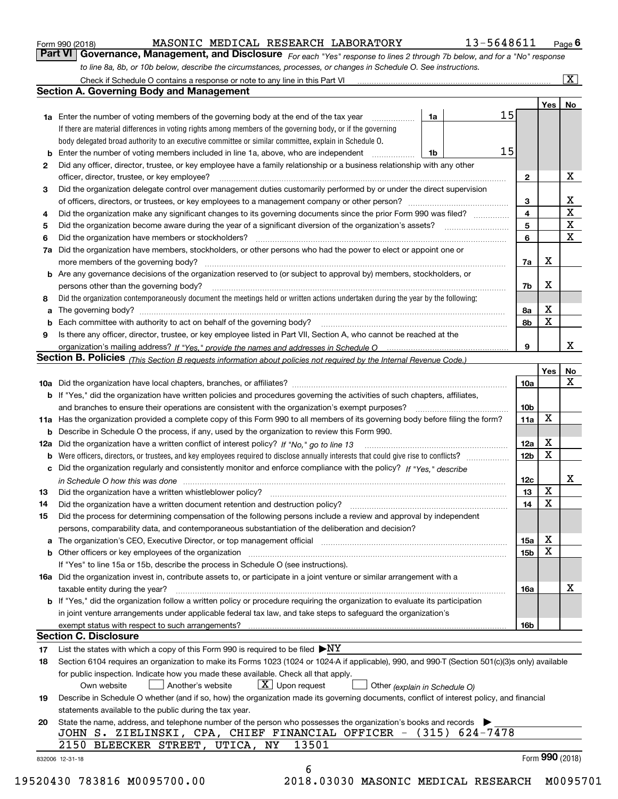| Form 990 (2018) |  |  |
|-----------------|--|--|
|                 |  |  |

### MASONIC MEDICAL RESEARCH LABORATORY 13-5648611

*For each "Yes" response to lines 2 through 7b below, and for a "No" response to line 8a, 8b, or 10b below, describe the circumstances, processes, or changes in Schedule O. See instructions.* Form 990 (2018) **MASONIC MEDICAL RESEARCH LABORATORY** 13-5648611 <sub>Page</sub> 6<br>**Part VI** | Governance, Management, and Disclosure *For each "Yes" response to lines 2 through 7b below, and for a "No" response* 

|    |                                                                                                                                                                                                                                        |                 | <b>Yes</b>      | No                |
|----|----------------------------------------------------------------------------------------------------------------------------------------------------------------------------------------------------------------------------------------|-----------------|-----------------|-------------------|
|    | 15<br><b>1a</b> Enter the number of voting members of the governing body at the end of the tax year<br>1a<br>.                                                                                                                         |                 |                 |                   |
|    | If there are material differences in voting rights among members of the governing body, or if the governing                                                                                                                            |                 |                 |                   |
|    | body delegated broad authority to an executive committee or similar committee, explain in Schedule O.<br>15                                                                                                                            |                 |                 |                   |
| b  | Enter the number of voting members included in line 1a, above, who are independent<br>1b                                                                                                                                               |                 |                 |                   |
| 2  | Did any officer, director, trustee, or key employee have a family relationship or a business relationship with any other                                                                                                               |                 |                 |                   |
|    | officer, director, trustee, or key employee?                                                                                                                                                                                           | $\mathbf{2}$    |                 | X                 |
| 3  | Did the organization delegate control over management duties customarily performed by or under the direct supervision                                                                                                                  |                 |                 |                   |
|    |                                                                                                                                                                                                                                        | 3               |                 | X<br>$\mathbf{X}$ |
| 4  | Did the organization make any significant changes to its governing documents since the prior Form 990 was filed?                                                                                                                       | 4               |                 | X                 |
| 5  | Did the organization become aware during the year of a significant diversion of the organization's assets? <i>manageranian</i> entity                                                                                                  | 5               |                 | $\mathbf X$       |
| 6  |                                                                                                                                                                                                                                        | 6               |                 |                   |
| 7a | Did the organization have members, stockholders, or other persons who had the power to elect or appoint one or                                                                                                                         |                 |                 |                   |
|    | more members of the governing body?                                                                                                                                                                                                    | 7a              | x               |                   |
|    | <b>b</b> Are any governance decisions of the organization reserved to (or subject to approval by) members, stockholders, or                                                                                                            |                 |                 |                   |
|    | persons other than the governing body?                                                                                                                                                                                                 | 7b              | х               |                   |
| 8  | Did the organization contemporaneously document the meetings held or written actions undertaken during the year by the following:                                                                                                      |                 |                 |                   |
| a  |                                                                                                                                                                                                                                        | 8a              | X               |                   |
| b  |                                                                                                                                                                                                                                        | 8b              | Х               |                   |
| 9  | Is there any officer, director, trustee, or key employee listed in Part VII, Section A, who cannot be reached at the                                                                                                                   |                 |                 |                   |
|    |                                                                                                                                                                                                                                        | 9               |                 | x                 |
|    | Section B. Policies (This Section B requests information about policies not required by the Internal Revenue Code.)                                                                                                                    |                 |                 |                   |
|    |                                                                                                                                                                                                                                        |                 | Yes             | No                |
|    |                                                                                                                                                                                                                                        | <b>10a</b>      |                 | X                 |
|    | <b>b</b> If "Yes," did the organization have written policies and procedures governing the activities of such chapters, affiliates,                                                                                                    |                 |                 |                   |
|    |                                                                                                                                                                                                                                        | 10 <sub>b</sub> |                 |                   |
|    | 11a Has the organization provided a complete copy of this Form 990 to all members of its governing body before filing the form?                                                                                                        | 11a             | X               |                   |
|    | <b>b</b> Describe in Schedule O the process, if any, used by the organization to review this Form 990.                                                                                                                                 |                 |                 |                   |
|    |                                                                                                                                                                                                                                        | 12a             | X               |                   |
|    | <b>b</b> Were officers, directors, or trustees, and key employees required to disclose annually interests that could give rise to conflicts?                                                                                           | 12 <sub>b</sub> | Х               |                   |
|    | c Did the organization regularly and consistently monitor and enforce compliance with the policy? If "Yes," describe                                                                                                                   |                 |                 |                   |
|    | in Schedule O how this was done measured and contained a strategie of the state of the state of the strategie o                                                                                                                        | 12c             | $\mathbf X$     | х                 |
| 13 |                                                                                                                                                                                                                                        | 13              |                 |                   |
| 14 |                                                                                                                                                                                                                                        | 14              | X               |                   |
| 15 | Did the process for determining compensation of the following persons include a review and approval by independent                                                                                                                     |                 |                 |                   |
|    | persons, comparability data, and contemporaneous substantiation of the deliberation and decision?                                                                                                                                      |                 |                 |                   |
|    | a The organization's CEO, Executive Director, or top management official manufactured content content of the organization's CEO, Executive Director, or top management official manufactured content of the state of the state         | 15a             | Х               |                   |
|    |                                                                                                                                                                                                                                        | 15b             | X               |                   |
|    | If "Yes" to line 15a or 15b, describe the process in Schedule O (see instructions).                                                                                                                                                    |                 |                 |                   |
|    | 16a Did the organization invest in, contribute assets to, or participate in a joint venture or similar arrangement with a                                                                                                              |                 |                 |                   |
|    | taxable entity during the year?                                                                                                                                                                                                        | 16a             |                 | х                 |
|    | b If "Yes," did the organization follow a written policy or procedure requiring the organization to evaluate its participation                                                                                                         |                 |                 |                   |
|    | in joint venture arrangements under applicable federal tax law, and take steps to safeguard the organization's                                                                                                                         |                 |                 |                   |
|    | exempt status with respect to such arrangements?<br><b>Section C. Disclosure</b>                                                                                                                                                       | 16b             |                 |                   |
|    |                                                                                                                                                                                                                                        |                 |                 |                   |
| 17 | List the states with which a copy of this Form 990 is required to be filed $\blacktriangleright$ NY                                                                                                                                    |                 |                 |                   |
| 18 | Section 6104 requires an organization to make its Forms 1023 (1024 or 1024 A if applicable), 990, and 990-T (Section 501(c)(3)s only) available<br>for public inspection. Indicate how you made these available. Check all that apply. |                 |                 |                   |
|    | $\lfloor x \rfloor$ Upon request<br>Another's website<br>Own website<br>Other (explain in Schedule O)                                                                                                                                  |                 |                 |                   |
| 19 | Describe in Schedule O whether (and if so, how) the organization made its governing documents, conflict of interest policy, and financial                                                                                              |                 |                 |                   |
|    | statements available to the public during the tax year.                                                                                                                                                                                |                 |                 |                   |
| 20 | State the name, address, and telephone number of the person who possesses the organization's books and records                                                                                                                         |                 |                 |                   |
|    | JOHN S. ZIELINSKI, CPA, CHIEF FINANCIAL OFFICER - (315) 624-7478                                                                                                                                                                       |                 |                 |                   |
|    | 13501<br>2150 BLEECKER STREET, UTICA, NY                                                                                                                                                                                               |                 |                 |                   |
|    | 832006 12-31-18                                                                                                                                                                                                                        |                 | Form 990 (2018) |                   |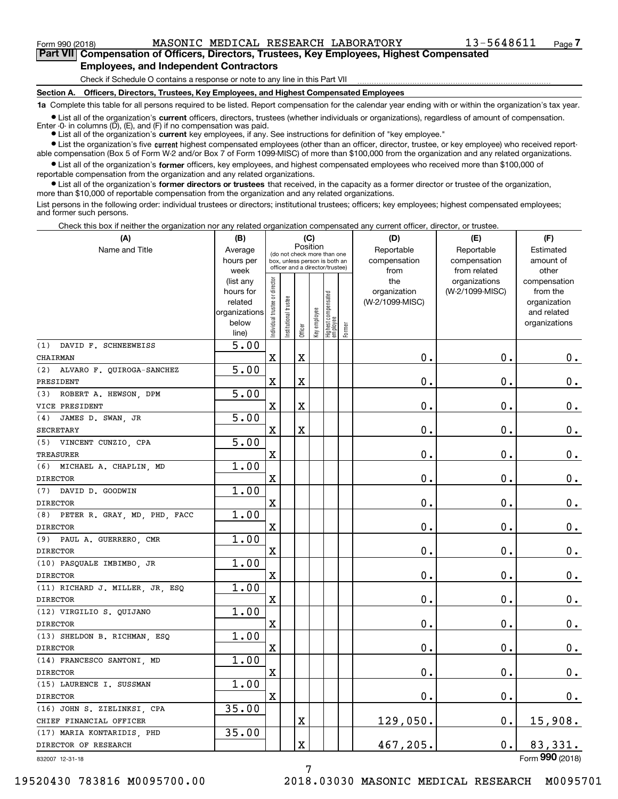**7Part VII Compensation of Officers, Directors, Trustees, Key Employees, Highest Compensated Employees, and Independent Contractors**

Check if Schedule O contains a response or note to any line in this Part VII

**Section A. Officers, Directors, Trustees, Key Employees, and Highest Compensated Employees**

**1a**  Complete this table for all persons required to be listed. Report compensation for the calendar year ending with or within the organization's tax year.

**•** List all of the organization's current officers, directors, trustees (whether individuals or organizations), regardless of amount of compensation. Enter -0- in columns  $(D)$ ,  $(E)$ , and  $(F)$  if no compensation was paid.

● List all of the organization's **current** key employees, if any. See instructions for definition of "key employee."

**•** List the organization's five current highest compensated employees (other than an officer, director, trustee, or key employee) who received report-<br>compensation (Box 5 of Form W-2 and/or Box 7 of Form 1099-MISC) of mor able compensation (Box 5 of Form W-2 and/or Box 7 of Form 1099-MISC) of more than \$100,000 from the organization and any related organizations.

 $\bullet$  List all of the organization's **former** officers, key employees, and highest compensated employees who received more than \$100,000 of reportable compensation from the organization and any related organizations.

**•** List all of the organization's former directors or trustees that received, in the capacity as a former director or trustee of the organization, more than \$10,000 of reportable compensation from the organization and any related organizations.

List persons in the following order: individual trustees or directors; institutional trustees; officers; key employees; highest compensated employees; and former such persons.

Check this box if neither the organization nor any related organization compensated any current officer, director, or trustee.

| (A)                              | (B)               |                                |                                                                  | (C)                     |              |                                   |        | (D)                  | (E)                          | (F)                |
|----------------------------------|-------------------|--------------------------------|------------------------------------------------------------------|-------------------------|--------------|-----------------------------------|--------|----------------------|------------------------------|--------------------|
| Name and Title                   | Average           |                                | (do not check more than one                                      | Position                |              |                                   |        | Reportable           | Reportable                   | Estimated          |
|                                  | hours per<br>week |                                | box, unless person is both an<br>officer and a director/trustee) |                         |              |                                   |        | compensation<br>from | compensation<br>from related | amount of<br>other |
|                                  | (list any         |                                |                                                                  |                         |              |                                   |        | the                  | organizations                | compensation       |
|                                  | hours for         |                                |                                                                  |                         |              |                                   |        | organization         | (W-2/1099-MISC)              | from the           |
|                                  | related           |                                |                                                                  |                         |              |                                   |        | (W-2/1099-MISC)      |                              | organization       |
|                                  | organizations     |                                |                                                                  |                         |              |                                   |        |                      |                              | and related        |
|                                  | below             | Individual trustee or director | Institutional trustee                                            | Officer                 | Key employee | Highest compensated<br>  employee | Former |                      |                              | organizations      |
| DAVID F. SCHNEEWEISS<br>(1)      | line)<br>5.00     |                                |                                                                  |                         |              |                                   |        |                      |                              |                    |
| CHAIRMAN                         |                   | $\mathbf X$                    |                                                                  | $\overline{\textbf{X}}$ |              |                                   |        | 0.                   | 0.                           | $0_{.}$            |
| (2)<br>ALVARO F. QUIROGA-SANCHEZ | 5.00              |                                |                                                                  |                         |              |                                   |        |                      |                              |                    |
| PRESIDENT                        |                   | X                              |                                                                  | $\overline{\textbf{X}}$ |              |                                   |        | 0.                   | 0.                           | $\mathbf 0$ .      |
| (3) ROBERT A. HEWSON, DPM        | 5.00              |                                |                                                                  |                         |              |                                   |        |                      |                              |                    |
| VICE PRESIDENT                   |                   | $\mathbf x$                    |                                                                  | $\overline{\textbf{X}}$ |              |                                   |        | 0.                   | $\mathbf 0$ .                | $\mathbf 0$ .      |
| (4) JAMES D. SWAN, JR            | 5.00              |                                |                                                                  |                         |              |                                   |        |                      |                              |                    |
| SECRETARY                        |                   | $\mathbf x$                    |                                                                  | $\overline{\textbf{X}}$ |              |                                   |        | 0.                   | $\mathbf 0$ .                | $\mathbf 0$ .      |
| (5) VINCENT CUNZIO, CPA          | 5.00              |                                |                                                                  |                         |              |                                   |        |                      |                              |                    |
| TREASURER                        |                   | $\mathbf x$                    |                                                                  |                         |              |                                   |        | 0.                   | $\mathbf 0$ .                | $\mathbf 0$ .      |
| (6) MICHAEL A. CHAPLIN, MD       | 1.00              |                                |                                                                  |                         |              |                                   |        |                      |                              |                    |
| <b>DIRECTOR</b>                  |                   | $\mathbf x$                    |                                                                  |                         |              |                                   |        | 0.                   | $\mathbf 0$ .                | $\mathbf 0$ .      |
| (7) DAVID D. GOODWIN             | 1.00              |                                |                                                                  |                         |              |                                   |        |                      |                              |                    |
| <b>DIRECTOR</b>                  |                   | $\mathbf X$                    |                                                                  |                         |              |                                   |        | 0.                   | $\mathbf 0$ .                | $0_{\cdot}$        |
| (8) PETER R. GRAY, MD, PHD, FACC | 1.00              |                                |                                                                  |                         |              |                                   |        |                      |                              |                    |
| <b>DIRECTOR</b>                  |                   | X                              |                                                                  |                         |              |                                   |        | 0.                   | $\mathbf 0$ .                | $0_{\cdot}$        |
| (9) PAUL A. GUERRERO, CMR        | 1.00              |                                |                                                                  |                         |              |                                   |        |                      |                              |                    |
| <b>DIRECTOR</b>                  |                   | $\mathbf X$                    |                                                                  |                         |              |                                   |        | 0.                   | $\mathbf 0$ .                | $\mathbf 0$ .      |
| (10) PASQUALE IMBIMBO, JR        | 1.00              |                                |                                                                  |                         |              |                                   |        |                      |                              |                    |
| <b>DIRECTOR</b>                  |                   | $\mathbf X$                    |                                                                  |                         |              |                                   |        | 0.                   | $\mathbf 0$ .                | $0_{.}$            |
| (11) RICHARD J. MILLER, JR, ESQ  | 1.00              |                                |                                                                  |                         |              |                                   |        |                      |                              |                    |
| <b>DIRECTOR</b>                  |                   | X                              |                                                                  |                         |              |                                   |        | 0.                   | $\mathbf 0$ .                | $0_{.}$            |
| (12) VIRGILIO S. QUIJANO         | 1.00              |                                |                                                                  |                         |              |                                   |        |                      |                              |                    |
| <b>DIRECTOR</b>                  |                   | X                              |                                                                  |                         |              |                                   |        | 0.                   | $\mathbf 0$ .                | $0_{.}$            |
| (13) SHELDON B. RICHMAN, ESQ     | 1.00              |                                |                                                                  |                         |              |                                   |        |                      |                              |                    |
| <b>DIRECTOR</b>                  |                   | $\mathbf x$                    |                                                                  |                         |              |                                   |        | 0.                   | $\mathbf 0$ .                | $\mathbf 0$ .      |
| (14) FRANCESCO SANTONI, MD       | 1.00              |                                |                                                                  |                         |              |                                   |        |                      |                              |                    |
| <b>DIRECTOR</b>                  |                   | X                              |                                                                  |                         |              |                                   |        | 0.                   | 0.                           | 0.                 |
| (15) LAURENCE I. SUSSMAN         | 1.00              |                                |                                                                  |                         |              |                                   |        |                      |                              |                    |
| <b>DIRECTOR</b>                  |                   | $\mathbf X$                    |                                                                  |                         |              |                                   |        | 0.                   | 0.                           | 0.                 |
| (16) JOHN S. ZIELINKSI, CPA      | 35.00             |                                |                                                                  |                         |              |                                   |        |                      |                              |                    |
| CHIEF FINANCIAL OFFICER          |                   |                                |                                                                  | X                       |              |                                   |        | 129,050.             | $\mathbf 0$ .                | 15,908.            |
| (17) MARIA KONTARIDIS, PHD       | 35.00             |                                |                                                                  |                         |              |                                   |        |                      |                              |                    |
| DIRECTOR OF RESEARCH             |                   |                                |                                                                  | X                       |              |                                   |        | 467,205.             | $\mathbf 0$ .                | 83,331.            |

832007 12-31-18

19520430 783816 M0095700.00 2018.03030 MASONIC MEDICAL RESEARCH M0095701

7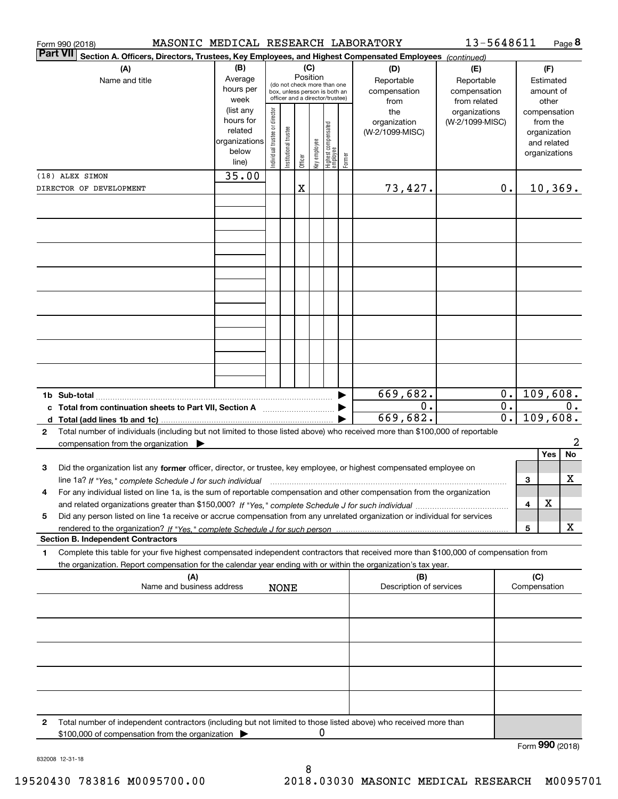|              | MASONIC MEDICAL RESEARCH LABORATORY<br>Form 990 (2018)                                                                                                                                                                         |                |                                |                       |          |              |                                                              |        |                         | 13-5648611      |                  |              |                           | Page 8 |
|--------------|--------------------------------------------------------------------------------------------------------------------------------------------------------------------------------------------------------------------------------|----------------|--------------------------------|-----------------------|----------|--------------|--------------------------------------------------------------|--------|-------------------------|-----------------|------------------|--------------|---------------------------|--------|
|              | <b>Part VII</b><br>Section A. Officers, Directors, Trustees, Key Employees, and Highest Compensated Employees (continued)                                                                                                      |                |                                |                       |          |              |                                                              |        |                         |                 |                  |              |                           |        |
|              | (A)                                                                                                                                                                                                                            | (B)            |                                |                       |          | (C)          |                                                              |        | (D)                     | (E)             |                  |              | (F)                       |        |
|              | Name and title                                                                                                                                                                                                                 | Average        |                                |                       | Position |              |                                                              |        | Reportable              | Reportable      |                  |              | Estimated                 |        |
|              |                                                                                                                                                                                                                                | hours per      |                                |                       |          |              | (do not check more than one<br>box, unless person is both an |        | compensation            | compensation    |                  |              | amount of                 |        |
|              |                                                                                                                                                                                                                                | week           |                                |                       |          |              | officer and a director/trustee)                              |        | from                    | from related    |                  |              | other                     |        |
|              |                                                                                                                                                                                                                                | (list any      |                                |                       |          |              |                                                              |        | the                     | organizations   |                  |              | compensation              |        |
|              |                                                                                                                                                                                                                                | hours for      |                                |                       |          |              |                                                              |        | organization            | (W-2/1099-MISC) |                  |              | from the                  |        |
|              |                                                                                                                                                                                                                                | related        |                                |                       |          |              |                                                              |        | (W-2/1099-MISC)         |                 |                  |              | organization              |        |
|              |                                                                                                                                                                                                                                | organizations  |                                |                       |          |              |                                                              |        |                         |                 |                  |              | and related               |        |
|              |                                                                                                                                                                                                                                | below<br>line) | Individual trustee or director | Institutional trustee | Officer  | Key employee | Highest compensated<br> employee                             | Former |                         |                 |                  |              | organizations             |        |
|              | (18) ALEX SIMON                                                                                                                                                                                                                | 35.00          |                                |                       |          |              |                                                              |        |                         |                 |                  |              |                           |        |
|              | DIRECTOR OF DEVELOPMENT                                                                                                                                                                                                        |                |                                |                       | X        |              |                                                              |        | 73,427.                 |                 | 0.               |              | 10, 369.                  |        |
|              |                                                                                                                                                                                                                                |                |                                |                       |          |              |                                                              |        |                         |                 |                  |              |                           |        |
|              |                                                                                                                                                                                                                                |                |                                |                       |          |              |                                                              |        |                         |                 |                  |              |                           |        |
|              |                                                                                                                                                                                                                                |                |                                |                       |          |              |                                                              |        |                         |                 |                  |              |                           |        |
|              |                                                                                                                                                                                                                                |                |                                |                       |          |              |                                                              |        |                         |                 |                  |              |                           |        |
|              |                                                                                                                                                                                                                                |                |                                |                       |          |              |                                                              |        |                         |                 |                  |              |                           |        |
|              |                                                                                                                                                                                                                                |                |                                |                       |          |              |                                                              |        |                         |                 |                  |              |                           |        |
|              |                                                                                                                                                                                                                                |                |                                |                       |          |              |                                                              |        |                         |                 |                  |              |                           |        |
|              |                                                                                                                                                                                                                                |                |                                |                       |          |              |                                                              |        |                         |                 |                  |              |                           |        |
|              |                                                                                                                                                                                                                                |                |                                |                       |          |              |                                                              |        |                         |                 |                  |              |                           |        |
|              |                                                                                                                                                                                                                                |                |                                |                       |          |              |                                                              |        |                         |                 |                  |              |                           |        |
|              |                                                                                                                                                                                                                                |                |                                |                       |          |              |                                                              |        |                         |                 |                  |              |                           |        |
|              |                                                                                                                                                                                                                                |                |                                |                       |          |              |                                                              |        |                         |                 |                  |              |                           |        |
|              |                                                                                                                                                                                                                                |                |                                |                       |          |              |                                                              |        |                         |                 |                  |              |                           |        |
|              |                                                                                                                                                                                                                                |                |                                |                       |          |              |                                                              |        |                         |                 |                  |              |                           |        |
|              |                                                                                                                                                                                                                                |                |                                |                       |          |              |                                                              |        |                         |                 |                  |              |                           |        |
|              |                                                                                                                                                                                                                                |                |                                |                       |          |              |                                                              |        |                         |                 |                  |              |                           |        |
|              |                                                                                                                                                                                                                                |                |                                |                       |          |              |                                                              |        | 669,682.                |                 | 0.               |              | 109,608.                  |        |
|              | c Total from continuation sheets to Part VII, Section A                                                                                                                                                                        |                |                                |                       |          |              |                                                              |        | 0.                      |                 | $\overline{0}$ . |              |                           | 0.     |
|              |                                                                                                                                                                                                                                |                |                                |                       |          |              |                                                              |        | 669,682.                |                 | $\overline{0}$ . |              | 109,608.                  |        |
| $\mathbf{2}$ | Total number of individuals (including but not limited to those listed above) who received more than \$100,000 of reportable                                                                                                   |                |                                |                       |          |              |                                                              |        |                         |                 |                  |              |                           |        |
|              | compensation from the organization                                                                                                                                                                                             |                |                                |                       |          |              |                                                              |        |                         |                 |                  |              |                           | 2      |
|              |                                                                                                                                                                                                                                |                |                                |                       |          |              |                                                              |        |                         |                 |                  |              | Yes                       | No     |
| 3            | Did the organization list any former officer, director, or trustee, key employee, or highest compensated employee on                                                                                                           |                |                                |                       |          |              |                                                              |        |                         |                 |                  |              |                           |        |
|              | line 1a? If "Yes," complete Schedule J for such individual manufactured contained and the manufactured manufactured in the line of the line of the line of the line of the line of the line of the line of the line of the lin |                |                                |                       |          |              |                                                              |        |                         |                 |                  | 3            |                           | х      |
|              | For any individual listed on line 1a, is the sum of reportable compensation and other compensation from the organization                                                                                                       |                |                                |                       |          |              |                                                              |        |                         |                 |                  |              |                           |        |
|              |                                                                                                                                                                                                                                |                |                                |                       |          |              |                                                              |        |                         |                 |                  | 4            | X                         |        |
| 5            | Did any person listed on line 1a receive or accrue compensation from any unrelated organization or individual for services                                                                                                     |                |                                |                       |          |              |                                                              |        |                         |                 |                  |              |                           |        |
|              |                                                                                                                                                                                                                                |                |                                |                       |          |              |                                                              |        |                         |                 |                  | 5            |                           | х      |
|              | <b>Section B. Independent Contractors</b>                                                                                                                                                                                      |                |                                |                       |          |              |                                                              |        |                         |                 |                  |              |                           |        |
| 1            | Complete this table for your five highest compensated independent contractors that received more than \$100,000 of compensation from                                                                                           |                |                                |                       |          |              |                                                              |        |                         |                 |                  |              |                           |        |
|              | the organization. Report compensation for the calendar year ending with or within the organization's tax year.                                                                                                                 |                |                                |                       |          |              |                                                              |        |                         |                 |                  |              |                           |        |
|              | (A)                                                                                                                                                                                                                            |                |                                |                       |          |              |                                                              |        | (B)                     |                 |                  | (C)          |                           |        |
|              | Name and business address                                                                                                                                                                                                      |                |                                | <b>NONE</b>           |          |              |                                                              |        | Description of services |                 |                  | Compensation |                           |        |
|              |                                                                                                                                                                                                                                |                |                                |                       |          |              |                                                              |        |                         |                 |                  |              |                           |        |
|              |                                                                                                                                                                                                                                |                |                                |                       |          |              |                                                              |        |                         |                 |                  |              |                           |        |
|              |                                                                                                                                                                                                                                |                |                                |                       |          |              |                                                              |        |                         |                 |                  |              |                           |        |
|              |                                                                                                                                                                                                                                |                |                                |                       |          |              |                                                              |        |                         |                 |                  |              |                           |        |
|              |                                                                                                                                                                                                                                |                |                                |                       |          |              |                                                              |        |                         |                 |                  |              |                           |        |
|              |                                                                                                                                                                                                                                |                |                                |                       |          |              |                                                              |        |                         |                 |                  |              |                           |        |
|              |                                                                                                                                                                                                                                |                |                                |                       |          |              |                                                              |        |                         |                 |                  |              |                           |        |
|              |                                                                                                                                                                                                                                |                |                                |                       |          |              |                                                              |        |                         |                 |                  |              |                           |        |
|              |                                                                                                                                                                                                                                |                |                                |                       |          |              |                                                              |        |                         |                 |                  |              |                           |        |
|              |                                                                                                                                                                                                                                |                |                                |                       |          |              |                                                              |        |                         |                 |                  |              |                           |        |
| 2            | Total number of independent contractors (including but not limited to those listed above) who received more than                                                                                                               |                |                                |                       |          |              |                                                              |        |                         |                 |                  |              |                           |        |
|              | \$100,000 of compensation from the organization                                                                                                                                                                                |                |                                |                       |          | 0            |                                                              |        |                         |                 |                  |              |                           |        |
|              |                                                                                                                                                                                                                                |                |                                |                       |          |              |                                                              |        |                         |                 |                  |              | $F_{\text{c}}$ 990 (2019) |        |

Form (2018) **990**

832008 12-31-18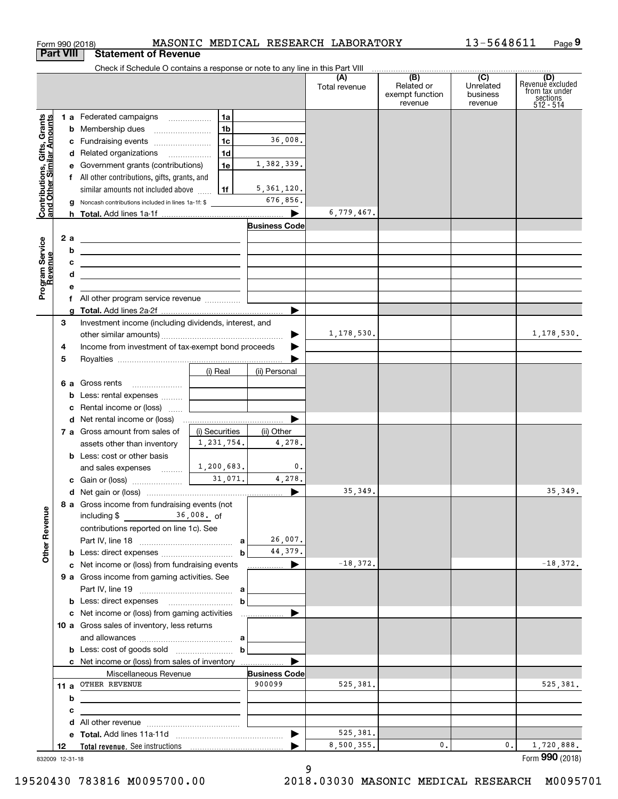|                                               |     |   | Form 990 (2018)                                                                                                       |                |                            | MASONIC MEDICAL RESEARCH LABORATORY |                                                 | 13-5648611                                         | Page 9                                                             |
|-----------------------------------------------|-----|---|-----------------------------------------------------------------------------------------------------------------------|----------------|----------------------------|-------------------------------------|-------------------------------------------------|----------------------------------------------------|--------------------------------------------------------------------|
| <b>Part VIII</b>                              |     |   | <b>Statement of Revenue</b>                                                                                           |                |                            |                                     |                                                 |                                                    |                                                                    |
|                                               |     |   | Check if Schedule O contains a response or note to any line in this Part VIII                                         |                |                            |                                     |                                                 |                                                    |                                                                    |
|                                               |     |   |                                                                                                                       |                |                            | (A)<br>Total revenue                | (B)<br>Related or<br>exempt function<br>revenue | $\overline{C}$<br>Unrelated<br>business<br>revenue | (D)<br>Revenue excluded<br>from tax under<br>sections<br>512 - 514 |
|                                               |     |   | 1 a Federated campaigns                                                                                               | 1a             |                            |                                     |                                                 |                                                    |                                                                    |
| , Grants<br>mounts                            |     |   |                                                                                                                       | 1b             |                            |                                     |                                                 |                                                    |                                                                    |
|                                               |     |   | c Fundraising events                                                                                                  | 1c             | 36,008.                    |                                     |                                                 |                                                    |                                                                    |
| Contributions, Gifts,<br>and Other Similar Ar |     |   | d Related organizations                                                                                               | 1 <sub>d</sub> |                            |                                     |                                                 |                                                    |                                                                    |
|                                               |     |   | e Government grants (contributions)                                                                                   | 1e             | 1,382,339.                 |                                     |                                                 |                                                    |                                                                    |
|                                               |     |   | f All other contributions, gifts, grants, and                                                                         |                |                            |                                     |                                                 |                                                    |                                                                    |
|                                               |     |   | similar amounts not included above                                                                                    | 1f             | 5, 361, 120.               |                                     |                                                 |                                                    |                                                                    |
|                                               |     |   | <b>g</b> Noncash contributions included in lines 1a-1f: \$                                                            |                | 676,856.                   |                                     |                                                 |                                                    |                                                                    |
|                                               |     |   |                                                                                                                       |                | $\blacktriangleright$      | 6,779,467.                          |                                                 |                                                    |                                                                    |
|                                               |     |   |                                                                                                                       |                | <b>Business Code</b>       |                                     |                                                 |                                                    |                                                                    |
|                                               |     |   |                                                                                                                       |                |                            |                                     |                                                 |                                                    |                                                                    |
| Program Service<br>Revenue                    | 2 a |   | <u> 1989 - Johann Barn, fransk politik amerikansk politik (</u>                                                       |                |                            |                                     |                                                 |                                                    |                                                                    |
|                                               |     | b | <u> 1989 - Johann Harry Harry Harry Harry Harry Harry Harry Harry Harry Harry Harry Harry Harry Harry Harry Harry</u> |                |                            |                                     |                                                 |                                                    |                                                                    |
|                                               |     | с | <u> 1989 - John Harry Harry Harry Harry Harry Harry Harry Harry Harry Harry Harry Harry Harry Harry Harry Harry H</u> |                |                            |                                     |                                                 |                                                    |                                                                    |
|                                               |     | d | <u> 1989 - Johann Stein, mars an de Frankryk († 1958)</u>                                                             |                |                            |                                     |                                                 |                                                    |                                                                    |
|                                               |     | е |                                                                                                                       |                |                            |                                     |                                                 |                                                    |                                                                    |
|                                               |     |   |                                                                                                                       |                |                            |                                     |                                                 |                                                    |                                                                    |
|                                               |     |   |                                                                                                                       |                | ▶                          |                                     |                                                 |                                                    |                                                                    |
|                                               | 3   |   | Investment income (including dividends, interest, and                                                                 |                |                            |                                     |                                                 |                                                    |                                                                    |
|                                               |     |   |                                                                                                                       |                |                            | 1,178,530.                          |                                                 |                                                    | 1,178,530.                                                         |
|                                               | 4   |   | Income from investment of tax-exempt bond proceeds                                                                    |                |                            |                                     |                                                 |                                                    |                                                                    |
|                                               | 5   |   |                                                                                                                       |                |                            |                                     |                                                 |                                                    |                                                                    |
|                                               |     |   |                                                                                                                       | (i) Real       | (ii) Personal              |                                     |                                                 |                                                    |                                                                    |
|                                               |     |   | 6 a Gross rents                                                                                                       |                |                            |                                     |                                                 |                                                    |                                                                    |
|                                               |     |   | <b>b</b> Less: rental expenses                                                                                        |                |                            |                                     |                                                 |                                                    |                                                                    |
|                                               |     |   | c Rental income or (loss)                                                                                             |                |                            |                                     |                                                 |                                                    |                                                                    |
|                                               |     |   |                                                                                                                       |                | ▶                          |                                     |                                                 |                                                    |                                                                    |
|                                               |     |   | 7 a Gross amount from sales of                                                                                        | (i) Securities | (ii) Other                 |                                     |                                                 |                                                    |                                                                    |
|                                               |     |   | assets other than inventory                                                                                           | 1,231,754.     | 4,278.                     |                                     |                                                 |                                                    |                                                                    |
|                                               |     |   | <b>b</b> Less: cost or other basis                                                                                    |                |                            |                                     |                                                 |                                                    |                                                                    |
|                                               |     |   | and sales expenses                                                                                                    | 1,200,683.     | $\mathfrak{o}$ .           |                                     |                                                 |                                                    |                                                                    |
|                                               |     |   | c Gain or (loss)                                                                                                      | 31,071.        | 4,278.                     |                                     |                                                 |                                                    |                                                                    |
|                                               |     |   |                                                                                                                       |                |                            | 35, 349.                            |                                                 |                                                    | 35, 349.                                                           |
|                                               |     |   | 8 a Gross income from fundraising events (not                                                                         |                |                            |                                     |                                                 |                                                    |                                                                    |
|                                               |     |   | $36,008$ . of<br>including \$                                                                                         |                |                            |                                     |                                                 |                                                    |                                                                    |
|                                               |     |   | contributions reported on line 1c). See                                                                               |                |                            |                                     |                                                 |                                                    |                                                                    |
| <b>Other Revenue</b>                          |     |   |                                                                                                                       |                | 26,007.                    |                                     |                                                 |                                                    |                                                                    |
|                                               |     |   |                                                                                                                       | b              | 44,379.                    |                                     |                                                 |                                                    |                                                                    |
|                                               |     |   | c Net income or (loss) from fundraising events                                                                        |                | $\blacktriangleright$<br>. | $-18,372.$                          |                                                 |                                                    | $-18,372.$                                                         |
|                                               |     |   | 9 a Gross income from gaming activities. See                                                                          |                |                            |                                     |                                                 |                                                    |                                                                    |
|                                               |     |   |                                                                                                                       |                |                            |                                     |                                                 |                                                    |                                                                    |
|                                               |     |   |                                                                                                                       | b              |                            |                                     |                                                 |                                                    |                                                                    |
|                                               |     |   | c Net income or (loss) from gaming activities                                                                         |                |                            |                                     |                                                 |                                                    |                                                                    |
|                                               |     |   | 10 a Gross sales of inventory, less returns                                                                           |                |                            |                                     |                                                 |                                                    |                                                                    |
|                                               |     |   |                                                                                                                       |                |                            |                                     |                                                 |                                                    |                                                                    |
|                                               |     |   |                                                                                                                       | $\mathbf b$    |                            |                                     |                                                 |                                                    |                                                                    |
|                                               |     |   | c Net income or (loss) from sales of inventory                                                                        |                |                            |                                     |                                                 |                                                    |                                                                    |
|                                               |     |   | Miscellaneous Revenue                                                                                                 |                | <b>Business Code</b>       |                                     |                                                 |                                                    |                                                                    |
|                                               |     |   | 11 a OTHER REVENUE                                                                                                    |                | 900099                     | 525,381.                            |                                                 |                                                    | 525,381.                                                           |
|                                               |     | b |                                                                                                                       |                |                            |                                     |                                                 |                                                    |                                                                    |
|                                               |     | с |                                                                                                                       |                |                            |                                     |                                                 |                                                    |                                                                    |
|                                               |     |   |                                                                                                                       |                |                            |                                     |                                                 |                                                    |                                                                    |
|                                               |     |   |                                                                                                                       |                | $\blacktriangleright$      | 525,381.                            |                                                 |                                                    |                                                                    |
|                                               | 12  |   |                                                                                                                       |                |                            | 8,500,355.                          | 0.                                              | 0.                                                 | 1,720,888.                                                         |
| 832009 12-31-18                               |     |   |                                                                                                                       |                |                            |                                     |                                                 |                                                    | Form 990 (2018)                                                    |
|                                               |     |   |                                                                                                                       |                |                            | a                                   |                                                 |                                                    |                                                                    |

13-5648611

9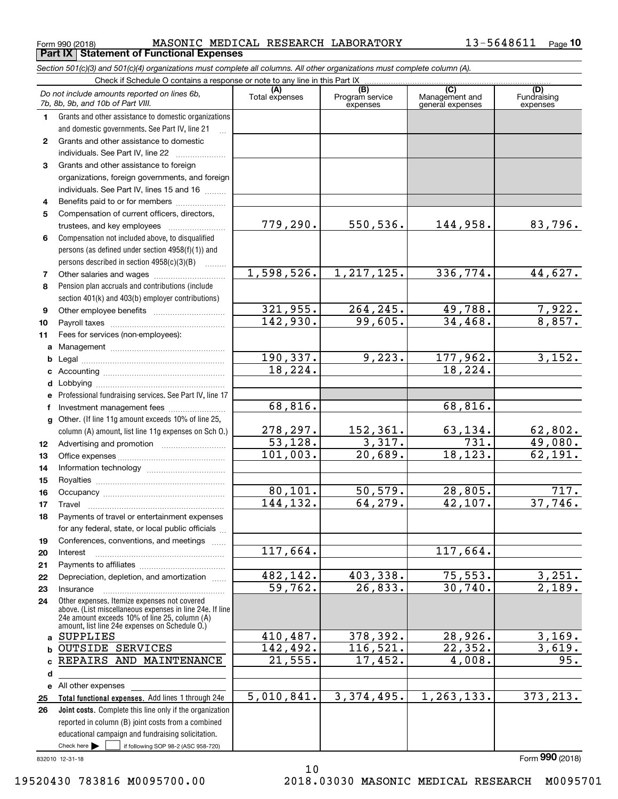$_{\rm Form}$  990 (2018) <code>MASONIC</code> <code>MEDICAL</code> RESEARCH LABORATORY  $13$  –  $5648611$   $_{\rm Page}$ **Part IX Statement of Functional Expenses**

*Section 501(c)(3) and 501(c)(4) organizations must complete all columns. All other organizations must complete column (A).*

|              | Do not include amounts reported on lines 6b,<br>7b, 8b, 9b, and 10b of Part VIII.                                                                         | (A)<br>Total expenses             | (B)<br>Program service<br>expenses | (C)<br>Management and<br>general expenses | (D)<br>Fundraising<br>expenses |
|--------------|-----------------------------------------------------------------------------------------------------------------------------------------------------------|-----------------------------------|------------------------------------|-------------------------------------------|--------------------------------|
| 1.           | Grants and other assistance to domestic organizations                                                                                                     |                                   |                                    |                                           |                                |
|              | and domestic governments. See Part IV, line 21                                                                                                            |                                   |                                    |                                           |                                |
| $\mathbf{2}$ | Grants and other assistance to domestic                                                                                                                   |                                   |                                    |                                           |                                |
|              | individuals. See Part IV, line 22                                                                                                                         |                                   |                                    |                                           |                                |
| 3.           | Grants and other assistance to foreign                                                                                                                    |                                   |                                    |                                           |                                |
|              | organizations, foreign governments, and foreign                                                                                                           |                                   |                                    |                                           |                                |
|              | individuals. See Part IV, lines 15 and 16                                                                                                                 |                                   |                                    |                                           |                                |
| 4            | Benefits paid to or for members                                                                                                                           |                                   |                                    |                                           |                                |
| 5            | Compensation of current officers, directors,                                                                                                              |                                   |                                    |                                           |                                |
|              | trustees, and key employees                                                                                                                               | 779, 290.                         | 550, 536.                          | 144,958.                                  | 83,796.                        |
| 6            | Compensation not included above, to disqualified                                                                                                          |                                   |                                    |                                           |                                |
|              | persons (as defined under section 4958(f)(1)) and                                                                                                         |                                   |                                    |                                           |                                |
|              | persons described in section 4958(c)(3)(B)                                                                                                                |                                   |                                    |                                           |                                |
| 7            |                                                                                                                                                           | 1,598,526.                        | 1, 217, 125.                       | 336, 774.                                 | 44,627.                        |
| 8            | Pension plan accruals and contributions (include                                                                                                          |                                   |                                    |                                           |                                |
|              | section 401(k) and 403(b) employer contributions)                                                                                                         |                                   |                                    |                                           |                                |
| 9            |                                                                                                                                                           | 321,955.                          | 264,245.                           | 49,788.                                   | 7,922.<br>8,857.               |
| 10           |                                                                                                                                                           | 142,930.                          | 99,605.                            | 34,468.                                   |                                |
| 11           | Fees for services (non-employees):                                                                                                                        |                                   |                                    |                                           |                                |
| a            |                                                                                                                                                           |                                   | 9,223.                             |                                           |                                |
| b            |                                                                                                                                                           | 190,337.<br>18, 224.              |                                    | 177,962.<br>18, 224.                      | 3,152.                         |
| c            |                                                                                                                                                           |                                   |                                    |                                           |                                |
| d            |                                                                                                                                                           |                                   |                                    |                                           |                                |
| е            | Professional fundraising services. See Part IV, line 17                                                                                                   | 68,816.                           |                                    | 68,816.                                   |                                |
| f            | Investment management fees<br>Other. (If line 11g amount exceeds 10% of line 25,                                                                          |                                   |                                    |                                           |                                |
| g            | column (A) amount, list line 11g expenses on Sch 0.)                                                                                                      | 278, 297.                         | 152,361.                           | 63,134.                                   | 62,802.                        |
| 12           |                                                                                                                                                           | $\overline{53,128}$ .             | 3,317.                             | $\overline{731}$ .                        | 19,080.                        |
| 13           |                                                                                                                                                           | 101,003.                          | 20,689.                            | 18, 123.                                  | 62,191.                        |
| 14           |                                                                                                                                                           |                                   |                                    |                                           |                                |
| 15           |                                                                                                                                                           |                                   |                                    |                                           |                                |
| 16           |                                                                                                                                                           | 80,101.                           | 50, 579.                           | 28,805.                                   | 717.                           |
| 17           |                                                                                                                                                           | 144, 132.                         | 64,279.                            | 42,107.                                   | 37,746.                        |
| 18           | Payments of travel or entertainment expenses                                                                                                              |                                   |                                    |                                           |                                |
|              | for any federal, state, or local public officials                                                                                                         |                                   |                                    |                                           |                                |
| 19           | Conferences, conventions, and meetings                                                                                                                    |                                   |                                    |                                           |                                |
| 20           | Interest                                                                                                                                                  | 117,664.                          |                                    | 117,664.                                  |                                |
| 21           |                                                                                                                                                           |                                   |                                    |                                           |                                |
| 22           | Depreciation, depletion, and amortization                                                                                                                 | 482, 142.                         | 403,338.                           | 75, 553.                                  | 3,251.                         |
| 23           | Insurance                                                                                                                                                 | 59,762.                           | 26,833.                            | 30,740.                                   | 2,189.                         |
| 24           | Other expenses. Itemize expenses not covered<br>above. (List miscellaneous expenses in line 24e. If line<br>24e amount exceeds 10% of line 25, column (A) |                                   |                                    |                                           |                                |
|              | amount, list line 24e expenses on Schedule 0.)                                                                                                            |                                   |                                    |                                           |                                |
| a            | <b>SUPPLIES</b>                                                                                                                                           | 410,487.                          | 378,392.                           | 28,926.                                   | 3,169.                         |
| b            | <b>OUTSIDE SERVICES</b>                                                                                                                                   | 142,492.<br>$\overline{21,555}$ . | 116,521.<br>17,452.                | 22, 352.<br>4,008.                        | 3,619.                         |
| c            | REPAIRS AND MAINTENANCE                                                                                                                                   |                                   |                                    |                                           | 95.                            |
| d            |                                                                                                                                                           |                                   |                                    |                                           |                                |
|              | e All other expenses                                                                                                                                      | 5,010,841.                        | 3,374,495.                         | 1,263,133.                                | 373, 213.                      |
| 25           | Total functional expenses. Add lines 1 through 24e<br>Joint costs. Complete this line only if the organization                                            |                                   |                                    |                                           |                                |
| 26           | reported in column (B) joint costs from a combined                                                                                                        |                                   |                                    |                                           |                                |
|              | educational campaign and fundraising solicitation.                                                                                                        |                                   |                                    |                                           |                                |
|              | Check here $\blacktriangleright$<br>if following SOP 98-2 (ASC 958-720)                                                                                   |                                   |                                    |                                           |                                |
|              |                                                                                                                                                           |                                   |                                    |                                           |                                |

832010 12-31-18

10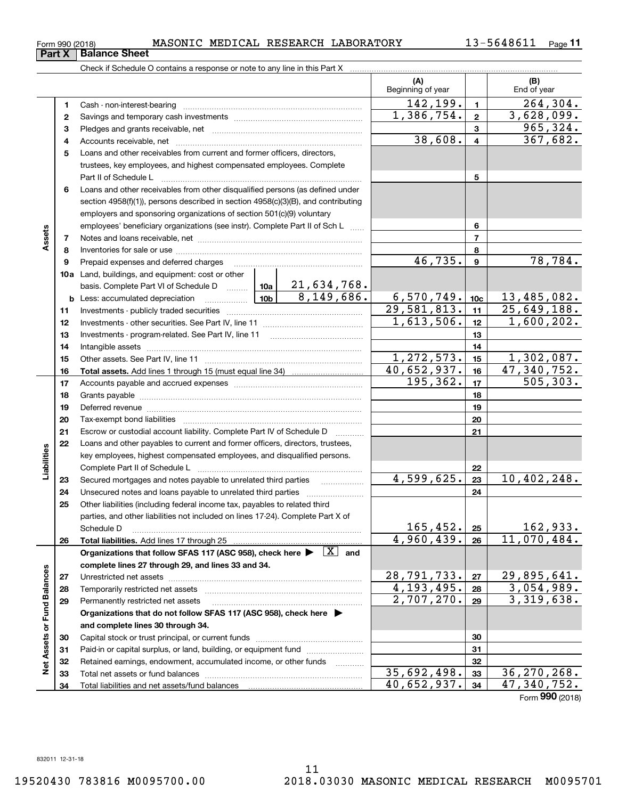| Form 990 (2018) |  |  |  | MASONIC MEDICAL RESEARCH LABORATORY | 13-5648611 | Page |
|-----------------|--|--|--|-------------------------------------|------------|------|
|-----------------|--|--|--|-------------------------------------|------------|------|

|                             |          | Check if Schedule O contains a response or note to any line in this Part X                                                                                                         |                           |                |                          |
|-----------------------------|----------|------------------------------------------------------------------------------------------------------------------------------------------------------------------------------------|---------------------------|----------------|--------------------------|
|                             |          |                                                                                                                                                                                    | (A)<br>Beginning of year  |                | (B)<br>End of year       |
|                             | 1        |                                                                                                                                                                                    | 142,199.                  | $\mathbf{1}$   | 264, 304.                |
|                             | 2        |                                                                                                                                                                                    | $\overline{1,386}, 754.$  | $\mathbf{2}$   | $\overline{3,628,099}$ . |
|                             | з        |                                                                                                                                                                                    |                           | 3              | 965,324.                 |
|                             | 4        |                                                                                                                                                                                    | 38,608.                   | $\overline{4}$ | 367,682.                 |
|                             | 5        | Loans and other receivables from current and former officers, directors,                                                                                                           |                           |                |                          |
|                             |          | trustees, key employees, and highest compensated employees. Complete                                                                                                               |                           |                |                          |
|                             |          | Part II of Schedule L                                                                                                                                                              |                           | 5              |                          |
|                             | 6        | Loans and other receivables from other disqualified persons (as defined under                                                                                                      |                           |                |                          |
|                             |          | section $4958(f)(1)$ , persons described in section $4958(c)(3)(B)$ , and contributing                                                                                             |                           |                |                          |
|                             |          | employers and sponsoring organizations of section 501(c)(9) voluntary                                                                                                              |                           |                |                          |
|                             |          | employees' beneficiary organizations (see instr). Complete Part II of Sch L                                                                                                        |                           | 6              |                          |
| Assets                      | 7        |                                                                                                                                                                                    |                           | 7              |                          |
|                             | 8        |                                                                                                                                                                                    |                           | 8              |                          |
|                             | 9        | Prepaid expenses and deferred charges [11] [11] prepaid expenses and deferred charges [11] [11] minimum materials                                                                  | 46,735.                   | 9              | 78,784.                  |
|                             |          | 10a Land, buildings, and equipment: cost or other                                                                                                                                  |                           |                |                          |
|                             |          | basis. Complete Part VI of Schedule D    10a   21,634,768.                                                                                                                         |                           |                |                          |
|                             |          | 8,149,686.                                                                                                                                                                         | 6,570,749.                | 10c            | 13,485,082.              |
|                             | 11       |                                                                                                                                                                                    | $\overline{29,581,813}$ . | 11             | 25,649,188.              |
|                             | 12       |                                                                                                                                                                                    | $\overline{1,613,506}$ .  | 12             | $\overline{1,600,202}$ . |
|                             | 13       |                                                                                                                                                                                    |                           | 13             |                          |
|                             | 14       |                                                                                                                                                                                    |                           | 14             |                          |
|                             | 15       |                                                                                                                                                                                    | 1,272,573.                | 15             | 1,302,087.               |
|                             |          |                                                                                                                                                                                    | 40,652,937.               | 16             | 47,340,752.              |
|                             | 16<br>17 |                                                                                                                                                                                    | 195,362.                  | 17             | $\overline{5}05, 303.$   |
|                             | 18       |                                                                                                                                                                                    |                           | 18             |                          |
|                             | 19       |                                                                                                                                                                                    |                           | 19             |                          |
|                             | 20       |                                                                                                                                                                                    |                           | 20             |                          |
|                             | 21       |                                                                                                                                                                                    |                           | 21             |                          |
|                             | 22       | Escrow or custodial account liability. Complete Part IV of Schedule D<br>$\overline{\phantom{a}}$<br>Loans and other payables to current and former officers, directors, trustees, |                           |                |                          |
| Liabilities                 |          | key employees, highest compensated employees, and disqualified persons.                                                                                                            |                           |                |                          |
|                             |          |                                                                                                                                                                                    |                           |                |                          |
|                             |          | Secured mortgages and notes payable to unrelated third parties                                                                                                                     | 4,599,625.                | 22<br>23       | 10,402,248.              |
|                             | 23<br>24 |                                                                                                                                                                                    |                           | 24             |                          |
|                             | 25       | Other liabilities (including federal income tax, payables to related third                                                                                                         |                           |                |                          |
|                             |          | parties, and other liabilities not included on lines 17-24). Complete Part X of                                                                                                    |                           |                |                          |
|                             |          | Schedule D                                                                                                                                                                         | 165,452.                  | 25             | 162,933.                 |
|                             | 26       | Total liabilities. Add lines 17 through 25                                                                                                                                         | 4,960,439.                | 26             | 11,070,484.              |
|                             |          | Organizations that follow SFAS 117 (ASC 958), check here $\blacktriangleright \begin{array}{c} \boxed{X} \end{array}$ and                                                          |                           |                |                          |
|                             |          | complete lines 27 through 29, and lines 33 and 34.                                                                                                                                 |                           |                |                          |
|                             | 27       |                                                                                                                                                                                    | 28, 791, 733.             | 27             | 29,895,641.              |
|                             | 28       |                                                                                                                                                                                    | $\overline{4,193,495}$ .  | 28             | 3,054,989.               |
|                             | 29       | Permanently restricted net assets                                                                                                                                                  | 2,707,270.                | 29             | 3,319,638.               |
|                             |          | Organizations that do not follow SFAS 117 (ASC 958), check here $\blacktriangleright$                                                                                              |                           |                |                          |
|                             |          | and complete lines 30 through 34.                                                                                                                                                  |                           |                |                          |
|                             | 30       |                                                                                                                                                                                    |                           | 30             |                          |
| Net Assets or Fund Balances | 31       | Paid-in or capital surplus, or land, building, or equipment fund                                                                                                                   |                           | 31             |                          |
|                             | 32       | Retained earnings, endowment, accumulated income, or other funds                                                                                                                   |                           | 32             |                          |
|                             | 33       |                                                                                                                                                                                    | 35,692,498.               | 33             | 36,270,268.              |
|                             | 34       | Total liabilities and net assets/fund balances                                                                                                                                     | 40,652,937.               | 34             | 47,340,752.              |
|                             |          |                                                                                                                                                                                    |                           |                | Form $990$ (2018)        |
|                             |          |                                                                                                                                                                                    |                           |                |                          |

**Part X Balance Sheet**

| -------------- |  |                                                                                             |  |
|----------------|--|---------------------------------------------------------------------------------------------|--|
|                |  | $\gamma$ la a de 30 $\alpha$ de a desde $\alpha$ a contable a concernancia en material a co |  |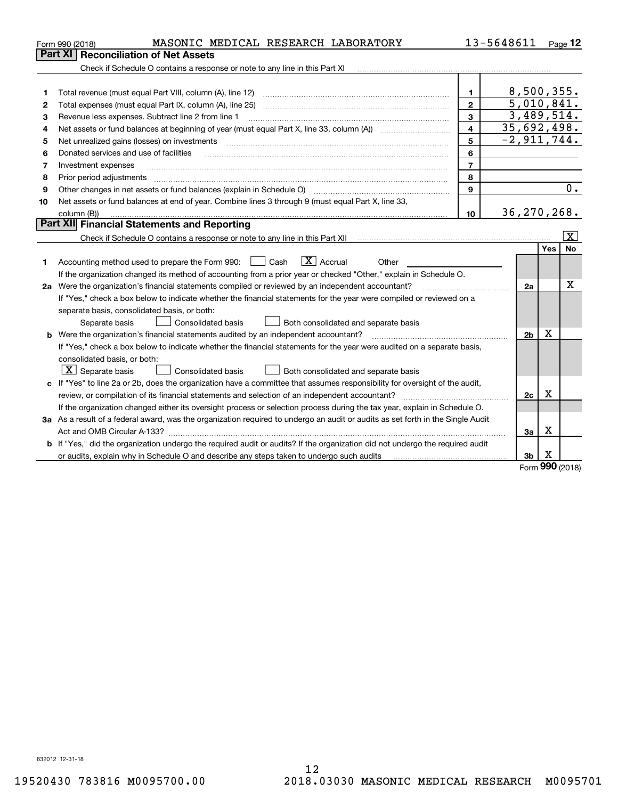| 13-5648611<br>MASONIC MEDICAL RESEARCH LABORATORY<br>Form 990 (2018)                                                                                                                   |                          |          | $Page$ 12               |
|----------------------------------------------------------------------------------------------------------------------------------------------------------------------------------------|--------------------------|----------|-------------------------|
| Reconciliation of Net Assets<br>Part XI                                                                                                                                                |                          |          |                         |
| Check if Schedule O contains a response or note to any line in this Part XI                                                                                                            |                          |          |                         |
|                                                                                                                                                                                        |                          |          |                         |
| Total revenue (must equal Part VIII, column (A), line 12)<br>1.<br>1                                                                                                                   | 8,500,355.               |          |                         |
| $\overline{2}$<br>Total expenses (must equal Part IX, column (A), line 25)<br>2                                                                                                        | $\overline{5,010,841}$ . |          |                         |
| 3<br>3<br>Revenue less expenses. Subtract line 2 from line 1                                                                                                                           | 3,489,514.               |          |                         |
| 4<br>4                                                                                                                                                                                 | 35,692,498.              |          |                         |
| 5<br>Net unrealized gains (losses) on investments<br>5                                                                                                                                 | $-2,911,744.$            |          |                         |
| 6<br>Donated services and use of facilities<br>6                                                                                                                                       |                          |          |                         |
| $\overline{7}$<br>Investment expenses<br>7                                                                                                                                             |                          |          |                         |
| 8<br>Prior period adjustments<br>8                                                                                                                                                     |                          |          |                         |
| 9<br>Other changes in net assets or fund balances (explain in Schedule O) [11] [12] contraction contraction of the changes in net assets or fund balances (explain in Schedule O)<br>9 |                          |          | 0.                      |
| Net assets or fund balances at end of year. Combine lines 3 through 9 (must equal Part X, line 33,<br>10                                                                               |                          |          |                         |
| 10<br>column (B))                                                                                                                                                                      | 36, 270, 268.            |          |                         |
| Part XII Financial Statements and Reporting                                                                                                                                            |                          |          |                         |
|                                                                                                                                                                                        |                          |          | $\overline{\mathbf{X}}$ |
|                                                                                                                                                                                        |                          | Yes      | No                      |
| $\boxed{\mathbf{X}}$ Accrual<br>Accounting method used to prepare the Form 990: [16] Cash<br>Other<br>1                                                                                |                          |          |                         |
| If the organization changed its method of accounting from a prior year or checked "Other," explain in Schedule O.                                                                      |                          |          |                         |
| 2a Were the organization's financial statements compiled or reviewed by an independent accountant?                                                                                     | 2a                       |          | x                       |
| If "Yes," check a box below to indicate whether the financial statements for the year were compiled or reviewed on a                                                                   |                          |          |                         |
| separate basis, consolidated basis, or both:                                                                                                                                           |                          |          |                         |
| Both consolidated and separate basis<br>Separate basis<br>Consolidated basis                                                                                                           |                          |          |                         |
| <b>b</b> Were the organization's financial statements audited by an independent accountant?                                                                                            | 2 <sub>b</sub>           | X        |                         |
| If "Yes," check a box below to indicate whether the financial statements for the year were audited on a separate basis,                                                                |                          |          |                         |
| consolidated basis, or both:                                                                                                                                                           |                          |          |                         |
| $\lfloor x \rfloor$ Separate basis<br>Both consolidated and separate basis<br>Consolidated basis                                                                                       |                          |          |                         |
| c If "Yes" to line 2a or 2b, does the organization have a committee that assumes responsibility for oversight of the audit,                                                            |                          |          |                         |
|                                                                                                                                                                                        | 2c                       | х        |                         |
| If the organization changed either its oversight process or selection process during the tax year, explain in Schedule O.                                                              |                          |          |                         |
| 3a As a result of a federal award, was the organization required to undergo an audit or audits as set forth in the Single Audit                                                        |                          |          |                         |
|                                                                                                                                                                                        | 3a                       | х        |                         |
| b If "Yes," did the organization undergo the required audit or audits? If the organization did not undergo the required audit                                                          |                          |          |                         |
| or audits, explain why in Schedule O and describe any steps taken to undergo such audits                                                                                               | 3b                       | х<br>nnn |                         |

Form (2018) **990**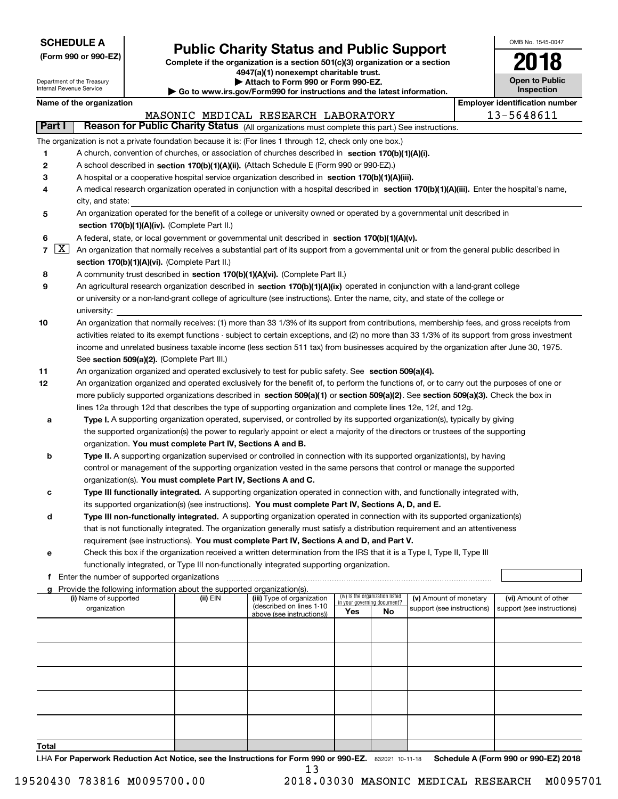|  | <b>SCHEDULE A</b> |  |
|--|-------------------|--|
|  |                   |  |

Department of the Treasury Internal Revenue Service

| (Form 990 or 990-EZ) |  |  |  |  |
|----------------------|--|--|--|--|
|----------------------|--|--|--|--|

### **Public Charity Status and Public Support**

**Complete if the organization is a section 501(c)(3) organization or a section 4947(a)(1) nonexempt charitable trust. | Attach to Form 990 or Form 990-EZ.** 

| ▶ Go to www.irs.gov/Form990 for instructions and the latest information. |
|--------------------------------------------------------------------------|

| OMB No. 1545-0047            |
|------------------------------|
| 2018                         |
| Open to Public<br>Inspection |

|                | Name of the organization                                                                                                                                         |          |                                                                                                                                                                                                                                                           |                                                                |                                  | <b>Employer identification number</b> |
|----------------|------------------------------------------------------------------------------------------------------------------------------------------------------------------|----------|-----------------------------------------------------------------------------------------------------------------------------------------------------------------------------------------------------------------------------------------------------------|----------------------------------------------------------------|----------------------------------|---------------------------------------|
|                |                                                                                                                                                                  |          | MASONIC MEDICAL RESEARCH LABORATORY                                                                                                                                                                                                                       |                                                                |                                  | 13-5648611                            |
| Part I         |                                                                                                                                                                  |          | Reason for Public Charity Status (All organizations must complete this part.) See instructions.                                                                                                                                                           |                                                                |                                  |                                       |
|                | The organization is not a private foundation because it is: (For lines 1 through 12, check only one box.)                                                        |          |                                                                                                                                                                                                                                                           |                                                                |                                  |                                       |
| 1              | A church, convention of churches, or association of churches described in section 170(b)(1)(A)(i).                                                               |          |                                                                                                                                                                                                                                                           |                                                                |                                  |                                       |
| 2              | A school described in section 170(b)(1)(A)(ii). (Attach Schedule E (Form 990 or 990-EZ).)                                                                        |          |                                                                                                                                                                                                                                                           |                                                                |                                  |                                       |
| 3              | A hospital or a cooperative hospital service organization described in section 170(b)(1)(A)(iii).                                                                |          |                                                                                                                                                                                                                                                           |                                                                |                                  |                                       |
| 4              | A medical research organization operated in conjunction with a hospital described in section 170(b)(1)(A)(iii). Enter the hospital's name,                       |          |                                                                                                                                                                                                                                                           |                                                                |                                  |                                       |
|                | city, and state:                                                                                                                                                 |          |                                                                                                                                                                                                                                                           |                                                                |                                  |                                       |
| 5              | An organization operated for the benefit of a college or university owned or operated by a governmental unit described in                                        |          |                                                                                                                                                                                                                                                           |                                                                |                                  |                                       |
|                | section 170(b)(1)(A)(iv). (Complete Part II.)                                                                                                                    |          |                                                                                                                                                                                                                                                           |                                                                |                                  |                                       |
| 6              | A federal, state, or local government or governmental unit described in section 170(b)(1)(A)(v).                                                                 |          |                                                                                                                                                                                                                                                           |                                                                |                                  |                                       |
| $\overline{7}$ | $\lfloor x \rfloor$<br>An organization that normally receives a substantial part of its support from a governmental unit or from the general public described in |          |                                                                                                                                                                                                                                                           |                                                                |                                  |                                       |
|                | section 170(b)(1)(A)(vi). (Complete Part II.)                                                                                                                    |          |                                                                                                                                                                                                                                                           |                                                                |                                  |                                       |
| 8              | A community trust described in section 170(b)(1)(A)(vi). (Complete Part II.)                                                                                     |          |                                                                                                                                                                                                                                                           |                                                                |                                  |                                       |
| 9              | An agricultural research organization described in section 170(b)(1)(A)(ix) operated in conjunction with a land-grant college                                    |          |                                                                                                                                                                                                                                                           |                                                                |                                  |                                       |
|                | or university or a non-land-grant college of agriculture (see instructions). Enter the name, city, and state of the college or                                   |          |                                                                                                                                                                                                                                                           |                                                                |                                  |                                       |
|                | university:                                                                                                                                                      |          |                                                                                                                                                                                                                                                           |                                                                |                                  |                                       |
| 10             | An organization that normally receives: (1) more than 33 1/3% of its support from contributions, membership fees, and gross receipts from                        |          |                                                                                                                                                                                                                                                           |                                                                |                                  |                                       |
|                | activities related to its exempt functions - subject to certain exceptions, and (2) no more than 33 1/3% of its support from gross investment                    |          |                                                                                                                                                                                                                                                           |                                                                |                                  |                                       |
|                | income and unrelated business taxable income (less section 511 tax) from businesses acquired by the organization after June 30, 1975.                            |          |                                                                                                                                                                                                                                                           |                                                                |                                  |                                       |
|                | See section 509(a)(2). (Complete Part III.)                                                                                                                      |          |                                                                                                                                                                                                                                                           |                                                                |                                  |                                       |
| 11             | An organization organized and operated exclusively to test for public safety. See section 509(a)(4).                                                             |          |                                                                                                                                                                                                                                                           |                                                                |                                  |                                       |
| 12             | An organization organized and operated exclusively for the benefit of, to perform the functions of, or to carry out the purposes of one or                       |          |                                                                                                                                                                                                                                                           |                                                                |                                  |                                       |
|                | more publicly supported organizations described in section 509(a)(1) or section 509(a)(2). See section 509(a)(3). Check the box in                               |          |                                                                                                                                                                                                                                                           |                                                                |                                  |                                       |
|                | lines 12a through 12d that describes the type of supporting organization and complete lines 12e, 12f, and 12g.                                                   |          |                                                                                                                                                                                                                                                           |                                                                |                                  |                                       |
| а              |                                                                                                                                                                  |          | Type I. A supporting organization operated, supervised, or controlled by its supported organization(s), typically by giving                                                                                                                               |                                                                |                                  |                                       |
|                |                                                                                                                                                                  |          | the supported organization(s) the power to regularly appoint or elect a majority of the directors or trustees of the supporting                                                                                                                           |                                                                |                                  |                                       |
|                | organization. You must complete Part IV, Sections A and B.                                                                                                       |          |                                                                                                                                                                                                                                                           |                                                                |                                  |                                       |
| b              |                                                                                                                                                                  |          | Type II. A supporting organization supervised or controlled in connection with its supported organization(s), by having                                                                                                                                   |                                                                |                                  |                                       |
|                |                                                                                                                                                                  |          | control or management of the supporting organization vested in the same persons that control or manage the supported                                                                                                                                      |                                                                |                                  |                                       |
|                | organization(s). You must complete Part IV, Sections A and C.                                                                                                    |          |                                                                                                                                                                                                                                                           |                                                                |                                  |                                       |
| с              |                                                                                                                                                                  |          | Type III functionally integrated. A supporting organization operated in connection with, and functionally integrated with,                                                                                                                                |                                                                |                                  |                                       |
|                |                                                                                                                                                                  |          | its supported organization(s) (see instructions). You must complete Part IV, Sections A, D, and E.                                                                                                                                                        |                                                                |                                  |                                       |
| d              |                                                                                                                                                                  |          | Type III non-functionally integrated. A supporting organization operated in connection with its supported organization(s)<br>that is not functionally integrated. The organization generally must satisfy a distribution requirement and an attentiveness |                                                                |                                  |                                       |
|                |                                                                                                                                                                  |          | requirement (see instructions). You must complete Part IV, Sections A and D, and Part V.                                                                                                                                                                  |                                                                |                                  |                                       |
| е              |                                                                                                                                                                  |          | Check this box if the organization received a written determination from the IRS that it is a Type I, Type II, Type III                                                                                                                                   |                                                                |                                  |                                       |
|                | functionally integrated, or Type III non-functionally integrated supporting organization.                                                                        |          |                                                                                                                                                                                                                                                           |                                                                |                                  |                                       |
|                | f Enter the number of supported organizations                                                                                                                    |          |                                                                                                                                                                                                                                                           |                                                                |                                  |                                       |
|                | g Provide the following information about the supported organization(s).                                                                                         |          |                                                                                                                                                                                                                                                           |                                                                |                                  |                                       |
|                | (i) Name of supported                                                                                                                                            | (ii) EIN | (iii) Type of organization                                                                                                                                                                                                                                | (iv) Is the organization listed<br>in your governing document? | (v) Amount of monetary           | (vi) Amount of other                  |
|                | organization                                                                                                                                                     |          | (described on lines 1-10<br>above (see instructions))                                                                                                                                                                                                     | Yes                                                            | support (see instructions)<br>No | support (see instructions)            |
|                |                                                                                                                                                                  |          |                                                                                                                                                                                                                                                           |                                                                |                                  |                                       |
|                |                                                                                                                                                                  |          |                                                                                                                                                                                                                                                           |                                                                |                                  |                                       |
|                |                                                                                                                                                                  |          |                                                                                                                                                                                                                                                           |                                                                |                                  |                                       |
|                |                                                                                                                                                                  |          |                                                                                                                                                                                                                                                           |                                                                |                                  |                                       |
|                |                                                                                                                                                                  |          |                                                                                                                                                                                                                                                           |                                                                |                                  |                                       |
|                |                                                                                                                                                                  |          |                                                                                                                                                                                                                                                           |                                                                |                                  |                                       |
|                |                                                                                                                                                                  |          |                                                                                                                                                                                                                                                           |                                                                |                                  |                                       |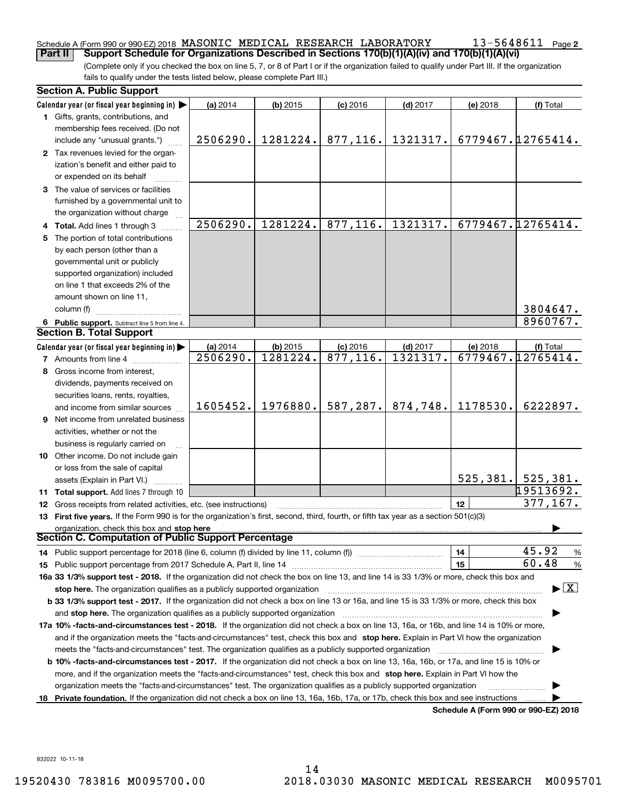### Schedule A (Form 990 or 990-EZ) 2018 MASONIC MEDICAL RESEARCH LABORATORY 13-5648611 page<br>Part II Support Schedule for Organizations Described in Sections 170(b)(1)(A)(v) and 170(b)(1)(A)(vi)

(Complete only if you checked the box on line 5, 7, or 8 of Part I or if the organization failed to qualify under Part III. If the organization **Part II** | Support Schedule for Organizations Described in Sections 170(b)(1)(A)(iv) and 170(b)(1)(A)(vi)

fails to qualify under the tests listed below, please complete Part III.)

|     | <b>Section A. Public Support</b>                                                                                                               |          |            |            |            |          |                                      |
|-----|------------------------------------------------------------------------------------------------------------------------------------------------|----------|------------|------------|------------|----------|--------------------------------------|
|     | Calendar year (or fiscal year beginning in)                                                                                                    | (a) 2014 | $(b)$ 2015 | $(c)$ 2016 | $(d)$ 2017 | (e) 2018 | (f) Total                            |
|     | 1 Gifts, grants, contributions, and                                                                                                            |          |            |            |            |          |                                      |
|     | membership fees received. (Do not                                                                                                              |          |            |            |            |          |                                      |
|     | include any "unusual grants.")                                                                                                                 | 2506290. | 1281224.   | 877,116.   | 1321317.   |          | 6779467.12765414.                    |
|     | 2 Tax revenues levied for the organ-                                                                                                           |          |            |            |            |          |                                      |
|     | ization's benefit and either paid to                                                                                                           |          |            |            |            |          |                                      |
|     | or expended on its behalf                                                                                                                      |          |            |            |            |          |                                      |
|     | 3 The value of services or facilities                                                                                                          |          |            |            |            |          |                                      |
|     | furnished by a governmental unit to                                                                                                            |          |            |            |            |          |                                      |
|     | the organization without charge                                                                                                                |          |            |            |            |          |                                      |
|     | <b>Total.</b> Add lines 1 through 3                                                                                                            | 2506290. | 1281224.   | 877,116.   | 1321317.   |          | 6779467.12765414.                    |
| 5   | The portion of total contributions                                                                                                             |          |            |            |            |          |                                      |
|     | by each person (other than a                                                                                                                   |          |            |            |            |          |                                      |
|     | governmental unit or publicly                                                                                                                  |          |            |            |            |          |                                      |
|     | supported organization) included                                                                                                               |          |            |            |            |          |                                      |
|     | on line 1 that exceeds 2% of the                                                                                                               |          |            |            |            |          |                                      |
|     | amount shown on line 11,                                                                                                                       |          |            |            |            |          |                                      |
|     | column (f)                                                                                                                                     |          |            |            |            |          | 3804647.                             |
|     | 6 Public support. Subtract line 5 from line 4.                                                                                                 |          |            |            |            |          | 8960767.                             |
|     | <b>Section B. Total Support</b>                                                                                                                |          |            |            |            |          |                                      |
|     | Calendar year (or fiscal year beginning in) $\blacktriangleright$                                                                              | (a) 2014 | (b) 2015   | $(c)$ 2016 | $(d)$ 2017 | (e) 2018 | (f) Total                            |
|     | <b>7</b> Amounts from line 4                                                                                                                   | 2506290. | 1281224.   | 877,116.   | 1321317.   |          | 6779467.12765414.                    |
| 8   | Gross income from interest,                                                                                                                    |          |            |            |            |          |                                      |
|     | dividends, payments received on                                                                                                                |          |            |            |            |          |                                      |
|     | securities loans, rents, royalties,                                                                                                            |          |            |            |            |          |                                      |
|     | and income from similar sources                                                                                                                | 1605452. | 1976880.   | 587,287.   | 874,748.   | 1178530. | 6222897.                             |
| 9   | Net income from unrelated business                                                                                                             |          |            |            |            |          |                                      |
|     | activities, whether or not the                                                                                                                 |          |            |            |            |          |                                      |
|     | business is regularly carried on                                                                                                               |          |            |            |            |          |                                      |
|     | 10 Other income. Do not include gain                                                                                                           |          |            |            |            |          |                                      |
|     | or loss from the sale of capital                                                                                                               |          |            |            |            |          |                                      |
|     | assets (Explain in Part VI.)                                                                                                                   |          |            |            |            |          | 525, 381. 525, 381.                  |
|     | <b>11 Total support.</b> Add lines 7 through 10                                                                                                |          |            |            |            |          | 19513692.                            |
| 12  | Gross receipts from related activities, etc. (see instructions)                                                                                |          |            |            |            | 12       | 377,167.                             |
|     | 13 First five years. If the Form 990 is for the organization's first, second, third, fourth, or fifth tax year as a section 501(c)(3)          |          |            |            |            |          |                                      |
|     | organization, check this box and stop here                                                                                                     |          |            |            |            |          |                                      |
|     | Section C. Computation of Public Support Percentage                                                                                            |          |            |            |            |          |                                      |
|     | 14 Public support percentage for 2018 (line 6, column (f) divided by line 11, column (f) <i>manumanomeron</i> enter-                           |          |            |            |            | 14       | 45.92<br>%                           |
|     |                                                                                                                                                |          |            |            |            | 15       | 60.48<br>%                           |
|     | 16a 33 1/3% support test - 2018. If the organization did not check the box on line 13, and line 14 is 33 1/3% or more, check this box and      |          |            |            |            |          |                                      |
|     | stop here. The organization qualifies as a publicly supported organization                                                                     |          |            |            |            |          | $\blacktriangleright$ $\mid$ X       |
|     | b 33 1/3% support test - 2017. If the organization did not check a box on line 13 or 16a, and line 15 is 33 1/3% or more, check this box       |          |            |            |            |          |                                      |
|     | and stop here. The organization qualifies as a publicly supported organization                                                                 |          |            |            |            |          |                                      |
|     | 17a 10% -facts-and-circumstances test - 2018. If the organization did not check a box on line 13, 16a, or 16b, and line 14 is 10% or more,     |          |            |            |            |          |                                      |
|     | and if the organization meets the "facts-and-circumstances" test, check this box and stop here. Explain in Part VI how the organization        |          |            |            |            |          |                                      |
|     | meets the "facts-and-circumstances" test. The organization qualifies as a publicly supported organization                                      |          |            |            |            |          |                                      |
|     | <b>b 10% -facts-and-circumstances test - 2017.</b> If the organization did not check a box on line 13, 16a, 16b, or 17a, and line 15 is 10% or |          |            |            |            |          |                                      |
|     | more, and if the organization meets the "facts-and-circumstances" test, check this box and stop here. Explain in Part VI how the               |          |            |            |            |          |                                      |
|     | organization meets the "facts-and-circumstances" test. The organization qualifies as a publicly supported organization                         |          |            |            |            |          |                                      |
| 18. | Private foundation. If the organization did not check a box on line 13, 16a, 16b, 17a, or 17b, check this box and see instructions             |          |            |            |            |          |                                      |
|     |                                                                                                                                                |          |            |            |            |          | Schedule A (Form 990 or 990-EZ) 2018 |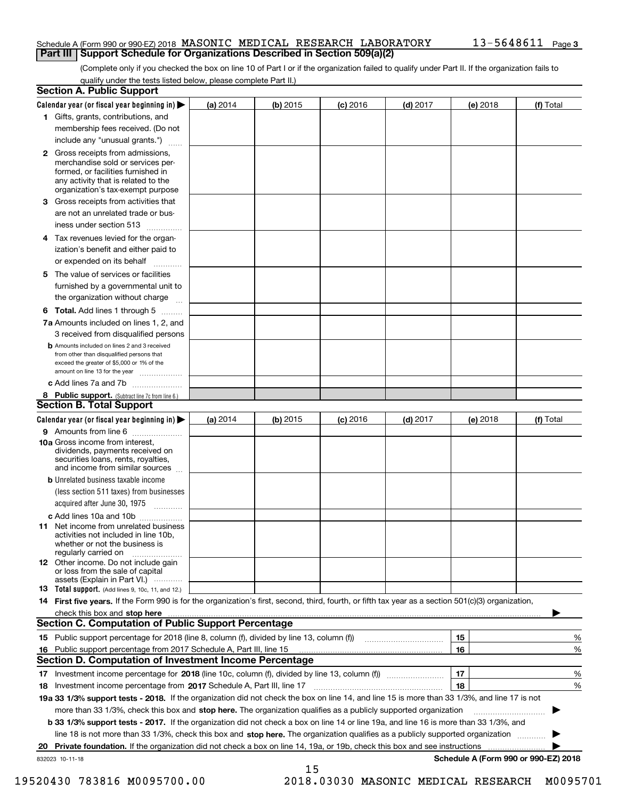#### Schedule A (Form 990 or 990-EZ) 2018 MASONIC MEDICAL RESEARCH LABORATORY 13–5648611 Page<br>| Part III | Support Schedule for Organizations Described in Section 509(a)(2) **Part III** | Support Schedule for Organizations Described in Section 509(a)(2)

(Complete only if you checked the box on line 10 of Part I or if the organization failed to qualify under Part II. If the organization fails to qualify under the tests listed below, please complete Part II.)

|    | <b>Section A. Public Support</b>                                                                                                                                                         |            |            |            |            |          |                                      |
|----|------------------------------------------------------------------------------------------------------------------------------------------------------------------------------------------|------------|------------|------------|------------|----------|--------------------------------------|
|    | Calendar year (or fiscal year beginning in) $\blacktriangleright$                                                                                                                        | (a) 2014   | $(b)$ 2015 | $(c)$ 2016 | $(d)$ 2017 | (e) 2018 | (f) Total                            |
|    | 1 Gifts, grants, contributions, and                                                                                                                                                      |            |            |            |            |          |                                      |
|    | membership fees received. (Do not                                                                                                                                                        |            |            |            |            |          |                                      |
|    | include any "unusual grants.")                                                                                                                                                           |            |            |            |            |          |                                      |
|    | 2 Gross receipts from admissions,<br>merchandise sold or services per-<br>formed, or facilities furnished in<br>any activity that is related to the<br>organization's tax-exempt purpose |            |            |            |            |          |                                      |
|    | 3 Gross receipts from activities that                                                                                                                                                    |            |            |            |            |          |                                      |
|    | are not an unrelated trade or bus-                                                                                                                                                       |            |            |            |            |          |                                      |
|    | iness under section 513                                                                                                                                                                  |            |            |            |            |          |                                      |
|    | 4 Tax revenues levied for the organ-                                                                                                                                                     |            |            |            |            |          |                                      |
|    | ization's benefit and either paid to<br>or expended on its behalf<br>.                                                                                                                   |            |            |            |            |          |                                      |
|    | 5 The value of services or facilities                                                                                                                                                    |            |            |            |            |          |                                      |
|    | furnished by a governmental unit to                                                                                                                                                      |            |            |            |            |          |                                      |
|    | the organization without charge                                                                                                                                                          |            |            |            |            |          |                                      |
|    | <b>6 Total.</b> Add lines 1 through 5                                                                                                                                                    |            |            |            |            |          |                                      |
|    | 7a Amounts included on lines 1, 2, and                                                                                                                                                   |            |            |            |            |          |                                      |
|    | 3 received from disqualified persons                                                                                                                                                     |            |            |            |            |          |                                      |
|    | <b>b</b> Amounts included on lines 2 and 3 received<br>from other than disqualified persons that<br>exceed the greater of \$5,000 or 1% of the<br>amount on line 13 for the year         |            |            |            |            |          |                                      |
|    | c Add lines 7a and 7b                                                                                                                                                                    |            |            |            |            |          |                                      |
|    | 8 Public support. (Subtract line 7c from line 6.)                                                                                                                                        |            |            |            |            |          |                                      |
|    | <b>Section B. Total Support</b>                                                                                                                                                          |            |            |            |            |          |                                      |
|    | Calendar year (or fiscal year beginning in) $\blacktriangleright$                                                                                                                        | (a) $2014$ | $(b)$ 2015 | $(c)$ 2016 | $(d)$ 2017 | (e) 2018 | (f) Total                            |
|    | 9 Amounts from line 6                                                                                                                                                                    |            |            |            |            |          |                                      |
|    | 10a Gross income from interest,<br>dividends, payments received on<br>securities loans, rents, royalties,<br>and income from similar sources                                             |            |            |            |            |          |                                      |
|    | <b>b</b> Unrelated business taxable income                                                                                                                                               |            |            |            |            |          |                                      |
|    | (less section 511 taxes) from businesses                                                                                                                                                 |            |            |            |            |          |                                      |
|    | acquired after June 30, 1975                                                                                                                                                             |            |            |            |            |          |                                      |
|    | c Add lines 10a and 10b                                                                                                                                                                  |            |            |            |            |          |                                      |
|    | 11 Net income from unrelated business<br>activities not included in line 10b,<br>whether or not the business is<br>regularly carried on                                                  |            |            |            |            |          |                                      |
|    | <b>12</b> Other income. Do not include gain<br>or loss from the sale of capital<br>assets (Explain in Part VI.)                                                                          |            |            |            |            |          |                                      |
|    | <b>13</b> Total support. (Add lines 9, 10c, 11, and 12.)                                                                                                                                 |            |            |            |            |          |                                      |
|    | 14 First five years. If the Form 990 is for the organization's first, second, third, fourth, or fifth tax year as a section 501(c)(3) organization,                                      |            |            |            |            |          |                                      |
|    | check this box and stop here measurements and stop here are constructed and the measurement of the state of the                                                                          |            |            |            |            |          |                                      |
|    | <b>Section C. Computation of Public Support Percentage</b>                                                                                                                               |            |            |            |            |          |                                      |
|    | 15 Public support percentage for 2018 (line 8, column (f), divided by line 13, column (f))                                                                                               |            |            |            |            | 15       | %                                    |
|    | 16 Public support percentage from 2017 Schedule A, Part III, line 15                                                                                                                     |            |            |            |            | 16       | %                                    |
|    | <b>Section D. Computation of Investment Income Percentage</b>                                                                                                                            |            |            |            |            |          |                                      |
|    | 17 Investment income percentage for 2018 (line 10c, column (f), divided by line 13, column (f))                                                                                          |            |            |            |            | 17       | %                                    |
|    | <b>18</b> Investment income percentage from <b>2017</b> Schedule A, Part III, line 17                                                                                                    |            |            |            |            | 18       | %                                    |
|    | 19a 33 1/3% support tests - 2018. If the organization did not check the box on line 14, and line 15 is more than 33 1/3%, and line 17 is not                                             |            |            |            |            |          |                                      |
|    | more than 33 1/3%, check this box and stop here. The organization qualifies as a publicly supported organization                                                                         |            |            |            |            |          |                                      |
|    | b 33 1/3% support tests - 2017. If the organization did not check a box on line 14 or line 19a, and line 16 is more than 33 1/3%, and                                                    |            |            |            |            |          |                                      |
|    | line 18 is not more than 33 1/3%, check this box and stop here. The organization qualifies as a publicly supported organization <i></i>                                                  |            |            |            |            |          |                                      |
| 20 |                                                                                                                                                                                          |            |            |            |            |          |                                      |
|    | 832023 10-11-18                                                                                                                                                                          |            | 15         |            |            |          | Schedule A (Form 990 or 990-EZ) 2018 |

 <sup>19520430 783816</sup> M0095700.00 2018.03030 MASONIC MEDICAL RESEARCH M0095701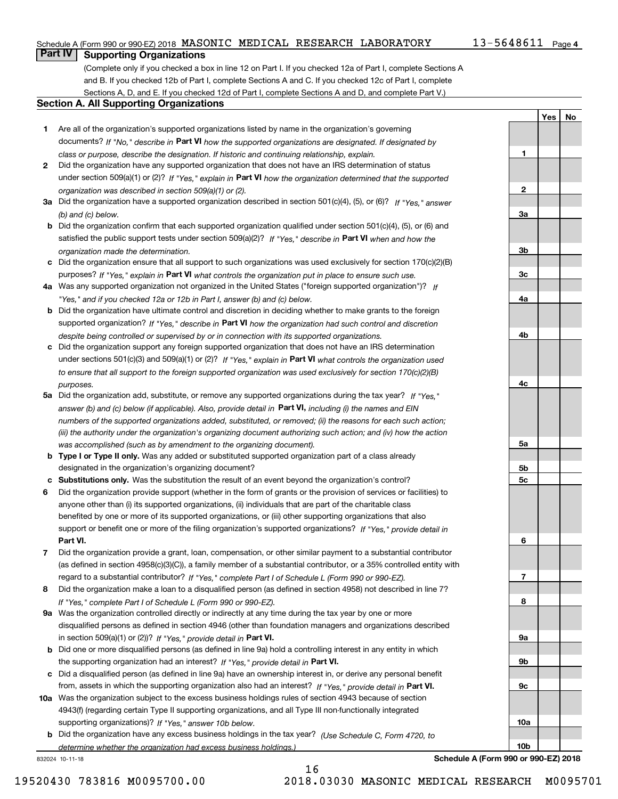### Schedule A (Form 990 or 990-EZ) 2018 MASONIC MEDICAL RESEARCH LABORATORY  $13$ –5648611 Page Page Deart IV | Supporting Organizations

**1**

**2**

**3a**

**3b**

**3c**

**4a**

**4b**

**4c**

**5a**

**5b5c**

**6**

**7**

**8**

**9a**

**9b**

**9c**

**10a**

**10b**

**Yes No**

### **Part IV Supporting Organizations**

(Complete only if you checked a box in line 12 on Part I. If you checked 12a of Part I, complete Sections A and B. If you checked 12b of Part I, complete Sections A and C. If you checked 12c of Part I, complete Sections A, D, and E. If you checked 12d of Part I, complete Sections A and D, and complete Part V.)

#### **Section A. All Supporting Organizations**

- **1** Are all of the organization's supported organizations listed by name in the organization's governing documents? If "No," describe in **Part VI** how the supported organizations are designated. If designated by *class or purpose, describe the designation. If historic and continuing relationship, explain.*
- **2** Did the organization have any supported organization that does not have an IRS determination of status under section 509(a)(1) or (2)? If "Yes," explain in Part VI how the organization determined that the supported *organization was described in section 509(a)(1) or (2).*
- **3a** Did the organization have a supported organization described in section 501(c)(4), (5), or (6)? If "Yes," answer *(b) and (c) below.*
- **b** Did the organization confirm that each supported organization qualified under section 501(c)(4), (5), or (6) and satisfied the public support tests under section 509(a)(2)? If "Yes," describe in **Part VI** when and how the *organization made the determination.*
- **c**Did the organization ensure that all support to such organizations was used exclusively for section 170(c)(2)(B) purposes? If "Yes," explain in **Part VI** what controls the organization put in place to ensure such use.
- **4a***If* Was any supported organization not organized in the United States ("foreign supported organization")? *"Yes," and if you checked 12a or 12b in Part I, answer (b) and (c) below.*
- **b** Did the organization have ultimate control and discretion in deciding whether to make grants to the foreign supported organization? If "Yes," describe in **Part VI** how the organization had such control and discretion *despite being controlled or supervised by or in connection with its supported organizations.*
- **c** Did the organization support any foreign supported organization that does not have an IRS determination under sections 501(c)(3) and 509(a)(1) or (2)? If "Yes," explain in **Part VI** what controls the organization used *to ensure that all support to the foreign supported organization was used exclusively for section 170(c)(2)(B) purposes.*
- **5a** Did the organization add, substitute, or remove any supported organizations during the tax year? If "Yes," answer (b) and (c) below (if applicable). Also, provide detail in **Part VI,** including (i) the names and EIN *numbers of the supported organizations added, substituted, or removed; (ii) the reasons for each such action; (iii) the authority under the organization's organizing document authorizing such action; and (iv) how the action was accomplished (such as by amendment to the organizing document).*
- **b** Type I or Type II only. Was any added or substituted supported organization part of a class already designated in the organization's organizing document?
- **cSubstitutions only.**  Was the substitution the result of an event beyond the organization's control?
- **6** Did the organization provide support (whether in the form of grants or the provision of services or facilities) to **Part VI.** *If "Yes," provide detail in* support or benefit one or more of the filing organization's supported organizations? anyone other than (i) its supported organizations, (ii) individuals that are part of the charitable class benefited by one or more of its supported organizations, or (iii) other supporting organizations that also
- **7**Did the organization provide a grant, loan, compensation, or other similar payment to a substantial contributor *If "Yes," complete Part I of Schedule L (Form 990 or 990-EZ).* regard to a substantial contributor? (as defined in section 4958(c)(3)(C)), a family member of a substantial contributor, or a 35% controlled entity with
- **8** Did the organization make a loan to a disqualified person (as defined in section 4958) not described in line 7? *If "Yes," complete Part I of Schedule L (Form 990 or 990-EZ).*
- **9a** Was the organization controlled directly or indirectly at any time during the tax year by one or more in section 509(a)(1) or (2))? If "Yes," *provide detail in* <code>Part VI.</code> disqualified persons as defined in section 4946 (other than foundation managers and organizations described
- **b** Did one or more disqualified persons (as defined in line 9a) hold a controlling interest in any entity in which the supporting organization had an interest? If "Yes," provide detail in P**art VI**.
- **c**Did a disqualified person (as defined in line 9a) have an ownership interest in, or derive any personal benefit from, assets in which the supporting organization also had an interest? If "Yes," provide detail in P**art VI.**
- **10a** Was the organization subject to the excess business holdings rules of section 4943 because of section supporting organizations)? If "Yes," answer 10b below. 4943(f) (regarding certain Type II supporting organizations, and all Type III non-functionally integrated
- **b** Did the organization have any excess business holdings in the tax year? (Use Schedule C, Form 4720, to *determine whether the organization had excess business holdings.)*

16

832024 10-11-18

**Schedule A (Form 990 or 990-EZ) 2018**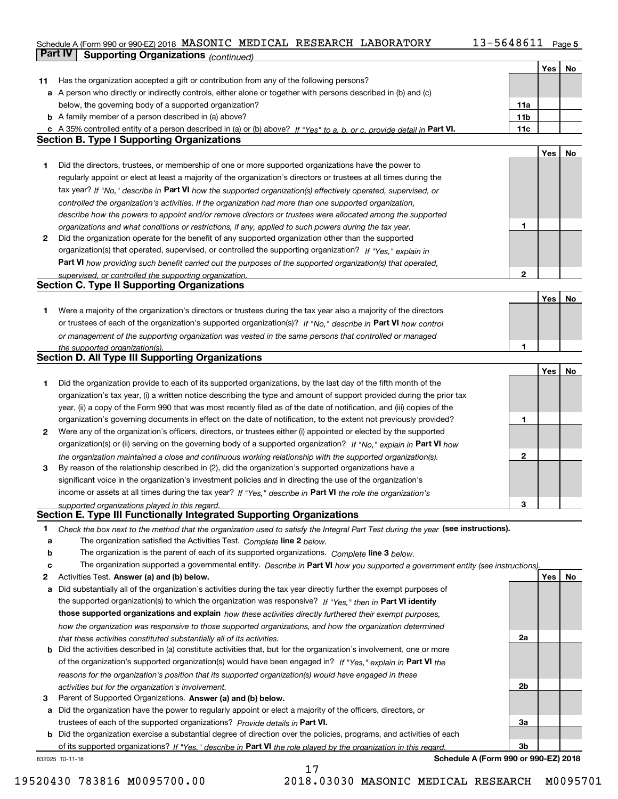### Schedule A (Form 990 or 990-EZ) 2018 MASONIC MEDICAL RESEARCH LABORATORY I 3-56486II Page 5 **Part IV Supporting Organizations** *(continued)* MASONIC MEDICAL RESEARCH LABORATORY 13-5648611

|    |                                                                                                                                                                                                                      |                 | Yes | No |
|----|----------------------------------------------------------------------------------------------------------------------------------------------------------------------------------------------------------------------|-----------------|-----|----|
| 11 | Has the organization accepted a gift or contribution from any of the following persons?                                                                                                                              |                 |     |    |
|    | a A person who directly or indirectly controls, either alone or together with persons described in (b) and (c)                                                                                                       |                 |     |    |
|    | below, the governing body of a supported organization?                                                                                                                                                               | 11a             |     |    |
|    | <b>b</b> A family member of a person described in (a) above?                                                                                                                                                         | 11 <sub>b</sub> |     |    |
|    | c A 35% controlled entity of a person described in (a) or (b) above? If "Yes" to a, b, or c, provide detail in Part VI.                                                                                              | 11c             |     |    |
|    | <b>Section B. Type I Supporting Organizations</b>                                                                                                                                                                    |                 |     |    |
|    |                                                                                                                                                                                                                      |                 | Yes | No |
| 1  | Did the directors, trustees, or membership of one or more supported organizations have the power to                                                                                                                  |                 |     |    |
|    | regularly appoint or elect at least a majority of the organization's directors or trustees at all times during the                                                                                                   |                 |     |    |
|    | tax year? If "No," describe in Part VI how the supported organization(s) effectively operated, supervised, or                                                                                                        |                 |     |    |
|    | controlled the organization's activities. If the organization had more than one supported organization,                                                                                                              |                 |     |    |
|    | describe how the powers to appoint and/or remove directors or trustees were allocated among the supported                                                                                                            |                 |     |    |
|    | organizations and what conditions or restrictions, if any, applied to such powers during the tax year.                                                                                                               | 1               |     |    |
| 2  | Did the organization operate for the benefit of any supported organization other than the supported                                                                                                                  |                 |     |    |
|    | organization(s) that operated, supervised, or controlled the supporting organization? If "Yes," explain in                                                                                                           |                 |     |    |
|    | Part VI how providing such benefit carried out the purposes of the supported organization(s) that operated,                                                                                                          |                 |     |    |
|    | supervised, or controlled the supporting organization.                                                                                                                                                               | $\mathbf{2}$    |     |    |
|    | <b>Section C. Type II Supporting Organizations</b>                                                                                                                                                                   |                 |     |    |
|    |                                                                                                                                                                                                                      |                 | Yes | No |
| 1. | Were a majority of the organization's directors or trustees during the tax year also a majority of the directors                                                                                                     |                 |     |    |
|    | or trustees of each of the organization's supported organization(s)? If "No," describe in Part VI how control                                                                                                        |                 |     |    |
|    | or management of the supporting organization was vested in the same persons that controlled or managed                                                                                                               |                 |     |    |
|    | the supported organization(s).                                                                                                                                                                                       | 1               |     |    |
|    | <b>Section D. All Type III Supporting Organizations</b>                                                                                                                                                              |                 |     |    |
|    |                                                                                                                                                                                                                      |                 | Yes | No |
| 1  | Did the organization provide to each of its supported organizations, by the last day of the fifth month of the                                                                                                       |                 |     |    |
|    | organization's tax year, (i) a written notice describing the type and amount of support provided during the prior tax                                                                                                |                 |     |    |
|    | year, (ii) a copy of the Form 990 that was most recently filed as of the date of notification, and (iii) copies of the                                                                                               |                 |     |    |
|    | organization's governing documents in effect on the date of notification, to the extent not previously provided?                                                                                                     | 1               |     |    |
| 2  | Were any of the organization's officers, directors, or trustees either (i) appointed or elected by the supported                                                                                                     |                 |     |    |
|    | organization(s) or (ii) serving on the governing body of a supported organization? If "No," explain in Part VI how                                                                                                   | $\mathbf{2}$    |     |    |
|    | the organization maintained a close and continuous working relationship with the supported organization(s).<br>By reason of the relationship described in (2), did the organization's supported organizations have a |                 |     |    |
| 3  | significant voice in the organization's investment policies and in directing the use of the organization's                                                                                                           |                 |     |    |
|    | income or assets at all times during the tax year? If "Yes," describe in Part VI the role the organization's                                                                                                         |                 |     |    |
|    | supported organizations played in this regard.                                                                                                                                                                       | з               |     |    |
|    | <b>Section E. Type III Functionally Integrated Supporting Organizations</b>                                                                                                                                          |                 |     |    |
| 1  | Check the box next to the method that the organization used to satisfy the Integral Part Test during the year (see instructions).                                                                                    |                 |     |    |
| а  | The organization satisfied the Activities Test. Complete line 2 below.                                                                                                                                               |                 |     |    |
| b  | The organization is the parent of each of its supported organizations. Complete line 3 below.                                                                                                                        |                 |     |    |
| c  | The organization supported a governmental entity. Describe in Part VI how you supported a government entity (see instructions),                                                                                      |                 |     |    |
| 2  | Activities Test. Answer (a) and (b) below.                                                                                                                                                                           |                 | Yes | No |
| а  | Did substantially all of the organization's activities during the tax year directly further the exempt purposes of                                                                                                   |                 |     |    |
|    | the supported organization(s) to which the organization was responsive? If "Yes," then in Part VI identify                                                                                                           |                 |     |    |
|    | those supported organizations and explain how these activities directly furthered their exempt purposes,                                                                                                             |                 |     |    |
|    | how the organization was responsive to those supported organizations, and how the organization determined                                                                                                            |                 |     |    |
|    | that these activities constituted substantially all of its activities.                                                                                                                                               | 2a              |     |    |
|    | <b>b</b> Did the activities described in (a) constitute activities that, but for the organization's involvement, one or more                                                                                         |                 |     |    |
|    | of the organization's supported organization(s) would have been engaged in? If "Yes," explain in Part VI the                                                                                                         |                 |     |    |
|    | reasons for the organization's position that its supported organization(s) would have engaged in these                                                                                                               |                 |     |    |
|    | activities but for the organization's involvement.                                                                                                                                                                   | 2b              |     |    |
| з  | Parent of Supported Organizations. Answer (a) and (b) below.                                                                                                                                                         |                 |     |    |
|    | a Did the organization have the power to regularly appoint or elect a majority of the officers, directors, or                                                                                                        |                 |     |    |
|    | trustees of each of the supported organizations? Provide details in Part VI.                                                                                                                                         | За              |     |    |
|    | <b>b</b> Did the organization exercise a substantial degree of direction over the policies, programs, and activities of each                                                                                         |                 |     |    |
|    | of its supported organizations? If "Yes." describe in Part VI the role played by the organization in this regard.                                                                                                    | 3b              |     |    |

17

832025 10-11-18

**Schedule A (Form 990 or 990-EZ) 2018**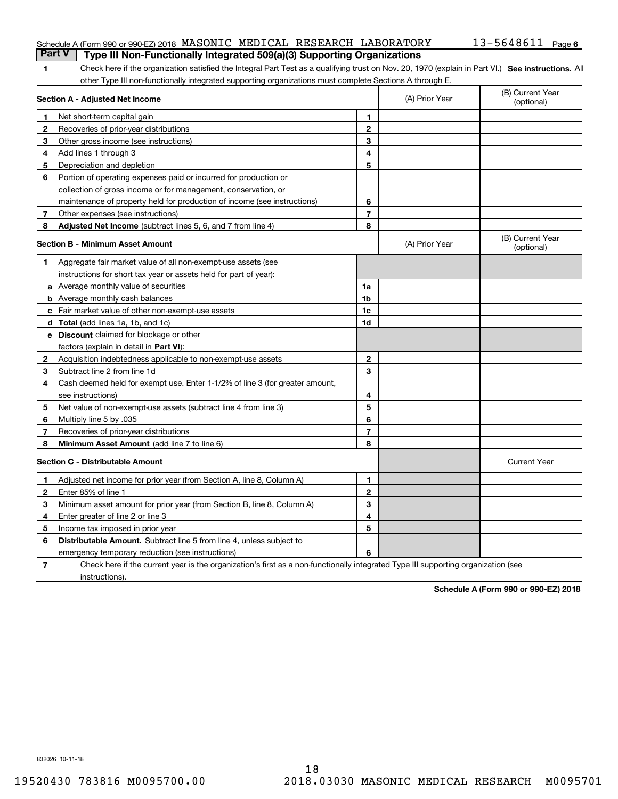### Schedule A (Form 990 or 990-EZ) 2018 MASONIC MEDICAL RESEARCH LABORATORY 13-5648611 Page<br>LPart V L. Type III Non, Eunetionally Integrated 509(a)(3) Supporting Organizations **Part V Type III Non-Functionally Integrated 509(a)(3) Supporting Organizations**

| Check here if the organization satisfied the Integral Part Test as a qualifying trust on Nov. 20, 1970 (explain in Part VI.) See instructions. All |
|----------------------------------------------------------------------------------------------------------------------------------------------------|
| other Type III non-functionally integrated supporting organizations must complete Sections A through E.                                            |

|              | Section A - Adjusted Net Income                                                                                                   | (A) Prior Year | (B) Current Year<br>(optional) |                                |
|--------------|-----------------------------------------------------------------------------------------------------------------------------------|----------------|--------------------------------|--------------------------------|
| 1            | Net short-term capital gain                                                                                                       | 1              |                                |                                |
| $\mathbf{2}$ | Recoveries of prior-year distributions                                                                                            | $\mathbf{2}$   |                                |                                |
| 3            | Other gross income (see instructions)                                                                                             | 3              |                                |                                |
| 4            | Add lines 1 through 3                                                                                                             | 4              |                                |                                |
| 5            | Depreciation and depletion                                                                                                        | 5              |                                |                                |
| 6            | Portion of operating expenses paid or incurred for production or                                                                  |                |                                |                                |
|              | collection of gross income or for management, conservation, or                                                                    |                |                                |                                |
|              | maintenance of property held for production of income (see instructions)                                                          | 6              |                                |                                |
| 7            | Other expenses (see instructions)                                                                                                 | $\overline{7}$ |                                |                                |
| 8            | Adjusted Net Income (subtract lines 5, 6, and 7 from line 4)                                                                      | 8              |                                |                                |
|              | <b>Section B - Minimum Asset Amount</b>                                                                                           |                | (A) Prior Year                 | (B) Current Year<br>(optional) |
| 1            | Aggregate fair market value of all non-exempt-use assets (see                                                                     |                |                                |                                |
|              | instructions for short tax year or assets held for part of year):                                                                 |                |                                |                                |
|              | a Average monthly value of securities                                                                                             | 1a             |                                |                                |
|              | <b>b</b> Average monthly cash balances                                                                                            | 1 <sub>b</sub> |                                |                                |
|              | c Fair market value of other non-exempt-use assets                                                                                | 1c             |                                |                                |
|              | d Total (add lines 1a, 1b, and 1c)                                                                                                | 1d             |                                |                                |
|              | e Discount claimed for blockage or other                                                                                          |                |                                |                                |
|              | factors (explain in detail in Part VI):                                                                                           |                |                                |                                |
| 2            | Acquisition indebtedness applicable to non-exempt-use assets                                                                      | $\mathbf{2}$   |                                |                                |
| 3            | Subtract line 2 from line 1d                                                                                                      | 3              |                                |                                |
| 4            | Cash deemed held for exempt use. Enter 1-1/2% of line 3 (for greater amount,                                                      |                |                                |                                |
|              | see instructions)                                                                                                                 | 4              |                                |                                |
| 5            | Net value of non-exempt-use assets (subtract line 4 from line 3)                                                                  | 5              |                                |                                |
| 6            | Multiply line 5 by .035                                                                                                           | 6              |                                |                                |
| 7            | Recoveries of prior-year distributions                                                                                            | $\overline{7}$ |                                |                                |
| 8            | Minimum Asset Amount (add line 7 to line 6)                                                                                       | 8              |                                |                                |
|              | <b>Section C - Distributable Amount</b>                                                                                           |                |                                | <b>Current Year</b>            |
| 1            | Adjusted net income for prior year (from Section A, line 8, Column A)                                                             | 1              |                                |                                |
| 2            | Enter 85% of line 1                                                                                                               | $\overline{2}$ |                                |                                |
| 3            | Minimum asset amount for prior year (from Section B, line 8, Column A)                                                            | 3              |                                |                                |
| 4            | Enter greater of line 2 or line 3                                                                                                 | 4              |                                |                                |
| 5            | Income tax imposed in prior year                                                                                                  | 5              |                                |                                |
| 6            | <b>Distributable Amount.</b> Subtract line 5 from line 4, unless subject to                                                       |                |                                |                                |
|              | emergency temporary reduction (see instructions)                                                                                  | 6              |                                |                                |
| 7            | Check here if the current year is the organization's first as a non-functionally integrated Type III supporting organization (see |                |                                |                                |

instructions).

**Schedule A (Form 990 or 990-EZ) 2018**

832026 10-11-18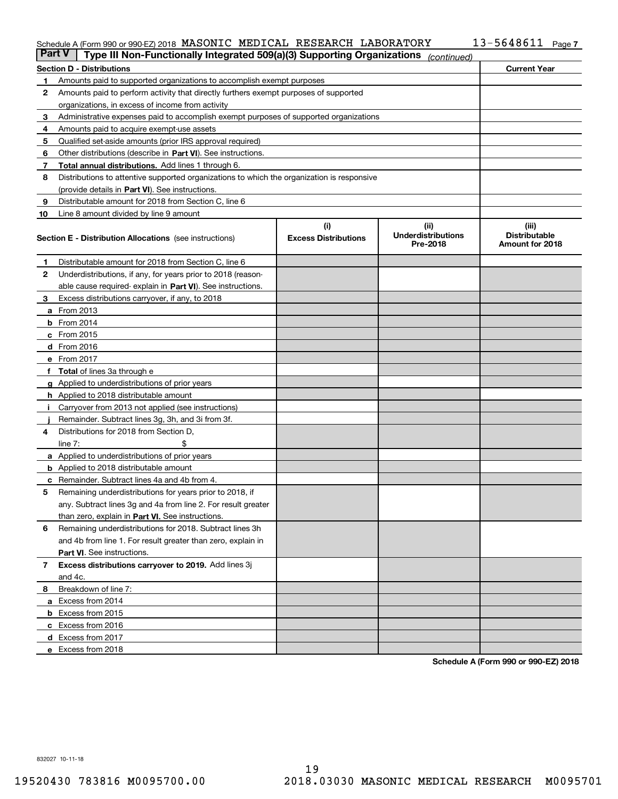### Schedule A (Form 990 or 990-EZ) 2018 MASONIC MEDICAL KESEARCH LABORATORY I3-56486II Page

|    | Schedule A (Form 990 or 990-EZ) 2018 MASONIC MEDICAL RESEARCH LABORATORY<br>$13 - 5648611$ Page 7<br><b>Part V</b><br>Type III Non-Functionally Integrated 509(a)(3) Supporting Organizations |                                    |                                               |                                                  |  |  |  |
|----|-----------------------------------------------------------------------------------------------------------------------------------------------------------------------------------------------|------------------------------------|-----------------------------------------------|--------------------------------------------------|--|--|--|
|    |                                                                                                                                                                                               |                                    | (continued)                                   |                                                  |  |  |  |
|    | <b>Section D - Distributions</b>                                                                                                                                                              | <b>Current Year</b>                |                                               |                                                  |  |  |  |
| 1  | Amounts paid to supported organizations to accomplish exempt purposes                                                                                                                         |                                    |                                               |                                                  |  |  |  |
| 2  | Amounts paid to perform activity that directly furthers exempt purposes of supported                                                                                                          |                                    |                                               |                                                  |  |  |  |
|    | organizations, in excess of income from activity                                                                                                                                              |                                    |                                               |                                                  |  |  |  |
| 3  | Administrative expenses paid to accomplish exempt purposes of supported organizations                                                                                                         |                                    |                                               |                                                  |  |  |  |
| 4  | Amounts paid to acquire exempt-use assets                                                                                                                                                     |                                    |                                               |                                                  |  |  |  |
| 5  | Qualified set-aside amounts (prior IRS approval required)                                                                                                                                     |                                    |                                               |                                                  |  |  |  |
| 6  | Other distributions (describe in Part VI). See instructions.                                                                                                                                  |                                    |                                               |                                                  |  |  |  |
| 7  | Total annual distributions. Add lines 1 through 6.                                                                                                                                            |                                    |                                               |                                                  |  |  |  |
| 8  | Distributions to attentive supported organizations to which the organization is responsive                                                                                                    |                                    |                                               |                                                  |  |  |  |
|    | (provide details in Part VI). See instructions.                                                                                                                                               |                                    |                                               |                                                  |  |  |  |
| 9  | Distributable amount for 2018 from Section C, line 6                                                                                                                                          |                                    |                                               |                                                  |  |  |  |
| 10 | Line 8 amount divided by line 9 amount                                                                                                                                                        |                                    |                                               |                                                  |  |  |  |
|    | <b>Section E - Distribution Allocations</b> (see instructions)                                                                                                                                | (i)<br><b>Excess Distributions</b> | (ii)<br><b>Underdistributions</b><br>Pre-2018 | (iii)<br><b>Distributable</b><br>Amount for 2018 |  |  |  |
| 1  | Distributable amount for 2018 from Section C, line 6                                                                                                                                          |                                    |                                               |                                                  |  |  |  |
| 2  | Underdistributions, if any, for years prior to 2018 (reason-                                                                                                                                  |                                    |                                               |                                                  |  |  |  |
|    | able cause required-explain in Part VI). See instructions.                                                                                                                                    |                                    |                                               |                                                  |  |  |  |
| 3  | Excess distributions carryover, if any, to 2018                                                                                                                                               |                                    |                                               |                                                  |  |  |  |
|    | <b>a</b> From 2013                                                                                                                                                                            |                                    |                                               |                                                  |  |  |  |
|    | $b$ From 2014                                                                                                                                                                                 |                                    |                                               |                                                  |  |  |  |
|    | $c$ From 2015                                                                                                                                                                                 |                                    |                                               |                                                  |  |  |  |
|    | d From 2016                                                                                                                                                                                   |                                    |                                               |                                                  |  |  |  |
|    | e From 2017                                                                                                                                                                                   |                                    |                                               |                                                  |  |  |  |
|    | f Total of lines 3a through e                                                                                                                                                                 |                                    |                                               |                                                  |  |  |  |
|    | g Applied to underdistributions of prior years                                                                                                                                                |                                    |                                               |                                                  |  |  |  |
|    | <b>h</b> Applied to 2018 distributable amount                                                                                                                                                 |                                    |                                               |                                                  |  |  |  |
|    | Carryover from 2013 not applied (see instructions)                                                                                                                                            |                                    |                                               |                                                  |  |  |  |
|    | Remainder. Subtract lines 3g, 3h, and 3i from 3f.                                                                                                                                             |                                    |                                               |                                                  |  |  |  |
| 4  | Distributions for 2018 from Section D.                                                                                                                                                        |                                    |                                               |                                                  |  |  |  |
|    | \$<br>line $7:$                                                                                                                                                                               |                                    |                                               |                                                  |  |  |  |
|    | <b>a</b> Applied to underdistributions of prior years                                                                                                                                         |                                    |                                               |                                                  |  |  |  |
|    | <b>b</b> Applied to 2018 distributable amount                                                                                                                                                 |                                    |                                               |                                                  |  |  |  |
|    | <b>c</b> Remainder. Subtract lines 4a and 4b from 4.                                                                                                                                          |                                    |                                               |                                                  |  |  |  |
|    | Remaining underdistributions for years prior to 2018, if                                                                                                                                      |                                    |                                               |                                                  |  |  |  |
|    | any. Subtract lines 3g and 4a from line 2. For result greater                                                                                                                                 |                                    |                                               |                                                  |  |  |  |
|    | than zero, explain in Part VI. See instructions.                                                                                                                                              |                                    |                                               |                                                  |  |  |  |
| 6  | Remaining underdistributions for 2018. Subtract lines 3h                                                                                                                                      |                                    |                                               |                                                  |  |  |  |
|    | and 4b from line 1. For result greater than zero, explain in                                                                                                                                  |                                    |                                               |                                                  |  |  |  |
|    | Part VI. See instructions.                                                                                                                                                                    |                                    |                                               |                                                  |  |  |  |
| 7  | Excess distributions carryover to 2019. Add lines 3j                                                                                                                                          |                                    |                                               |                                                  |  |  |  |
|    | and 4c.                                                                                                                                                                                       |                                    |                                               |                                                  |  |  |  |
| 8  | Breakdown of line 7:                                                                                                                                                                          |                                    |                                               |                                                  |  |  |  |
|    | a Excess from 2014                                                                                                                                                                            |                                    |                                               |                                                  |  |  |  |
|    | <b>b</b> Excess from 2015                                                                                                                                                                     |                                    |                                               |                                                  |  |  |  |
|    | c Excess from 2016                                                                                                                                                                            |                                    |                                               |                                                  |  |  |  |
|    | d Excess from 2017                                                                                                                                                                            |                                    |                                               |                                                  |  |  |  |
|    | e Excess from 2018                                                                                                                                                                            |                                    |                                               |                                                  |  |  |  |
|    |                                                                                                                                                                                               |                                    |                                               |                                                  |  |  |  |

**Schedule A (Form 990 or 990-EZ) 2018**

832027 10-11-18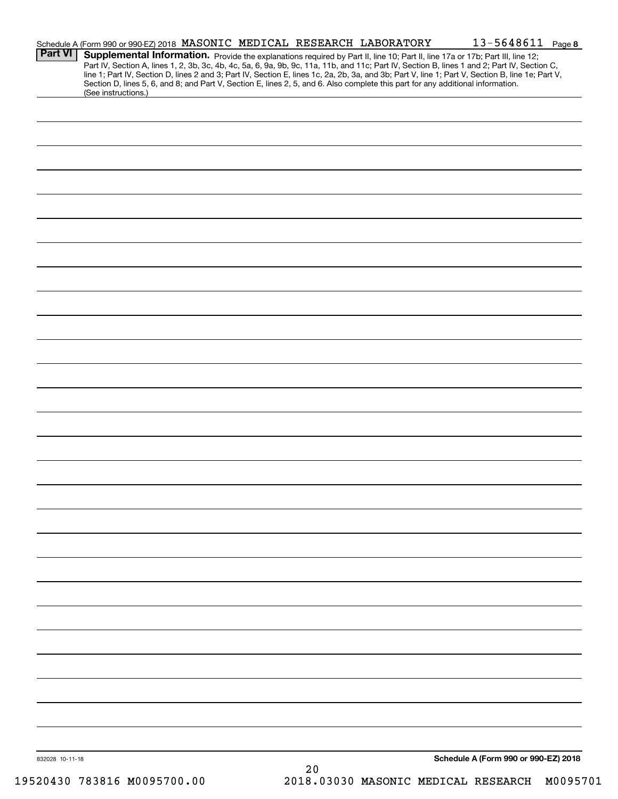|                 | Schedule A (Form 990 or 990-EZ) 2018 MASONIC MEDICAL RESEARCH LABORATORY                                                        |  |      | 13-5648611 Page 8                                                                                                                                                                                                                                                             |  |
|-----------------|---------------------------------------------------------------------------------------------------------------------------------|--|------|-------------------------------------------------------------------------------------------------------------------------------------------------------------------------------------------------------------------------------------------------------------------------------|--|
| <b>Part VI</b>  |                                                                                                                                 |  |      | Supplemental Information. Provide the explanations required by Part II, line 10; Part II, line 17a or 17b; Part III, line 12;<br>Part IV, Section A, lines 1, 2, 3b, 3c, 4b, 4c, 5a, 6, 9a, 9b, 9c, 11a, 11b, and 11c; Part IV, Section B, lines 1 and 2; Part IV, Section C, |  |
|                 | Section D, lines 5, 6, and 8; and Part V, Section E, lines 2, 5, and 6. Also complete this part for any additional information. |  |      | line 1; Part IV, Section D, lines 2 and 3; Part IV, Section E, lines 1c, 2a, 2b, 3a, and 3b; Part V, line 1; Part V, Section B, line 1e; Part V,                                                                                                                              |  |
|                 | (See instructions.)                                                                                                             |  |      |                                                                                                                                                                                                                                                                               |  |
|                 |                                                                                                                                 |  |      |                                                                                                                                                                                                                                                                               |  |
|                 |                                                                                                                                 |  |      |                                                                                                                                                                                                                                                                               |  |
|                 |                                                                                                                                 |  |      |                                                                                                                                                                                                                                                                               |  |
|                 |                                                                                                                                 |  |      |                                                                                                                                                                                                                                                                               |  |
|                 |                                                                                                                                 |  |      |                                                                                                                                                                                                                                                                               |  |
|                 |                                                                                                                                 |  |      |                                                                                                                                                                                                                                                                               |  |
|                 |                                                                                                                                 |  |      |                                                                                                                                                                                                                                                                               |  |
|                 |                                                                                                                                 |  |      |                                                                                                                                                                                                                                                                               |  |
|                 |                                                                                                                                 |  |      |                                                                                                                                                                                                                                                                               |  |
|                 |                                                                                                                                 |  |      |                                                                                                                                                                                                                                                                               |  |
|                 |                                                                                                                                 |  |      |                                                                                                                                                                                                                                                                               |  |
|                 |                                                                                                                                 |  |      |                                                                                                                                                                                                                                                                               |  |
|                 |                                                                                                                                 |  |      |                                                                                                                                                                                                                                                                               |  |
|                 |                                                                                                                                 |  |      |                                                                                                                                                                                                                                                                               |  |
|                 |                                                                                                                                 |  |      |                                                                                                                                                                                                                                                                               |  |
|                 |                                                                                                                                 |  |      |                                                                                                                                                                                                                                                                               |  |
|                 |                                                                                                                                 |  |      |                                                                                                                                                                                                                                                                               |  |
|                 |                                                                                                                                 |  |      |                                                                                                                                                                                                                                                                               |  |
|                 |                                                                                                                                 |  |      |                                                                                                                                                                                                                                                                               |  |
|                 |                                                                                                                                 |  |      |                                                                                                                                                                                                                                                                               |  |
|                 |                                                                                                                                 |  |      |                                                                                                                                                                                                                                                                               |  |
|                 |                                                                                                                                 |  |      |                                                                                                                                                                                                                                                                               |  |
|                 |                                                                                                                                 |  |      |                                                                                                                                                                                                                                                                               |  |
|                 |                                                                                                                                 |  |      |                                                                                                                                                                                                                                                                               |  |
|                 |                                                                                                                                 |  |      |                                                                                                                                                                                                                                                                               |  |
|                 |                                                                                                                                 |  |      |                                                                                                                                                                                                                                                                               |  |
|                 |                                                                                                                                 |  |      |                                                                                                                                                                                                                                                                               |  |
|                 |                                                                                                                                 |  |      |                                                                                                                                                                                                                                                                               |  |
|                 |                                                                                                                                 |  |      |                                                                                                                                                                                                                                                                               |  |
|                 |                                                                                                                                 |  |      |                                                                                                                                                                                                                                                                               |  |
|                 |                                                                                                                                 |  |      |                                                                                                                                                                                                                                                                               |  |
|                 |                                                                                                                                 |  |      |                                                                                                                                                                                                                                                                               |  |
|                 |                                                                                                                                 |  |      |                                                                                                                                                                                                                                                                               |  |
| 832028 10-11-18 |                                                                                                                                 |  | $20$ | Schedule A (Form 990 or 990-EZ) 2018                                                                                                                                                                                                                                          |  |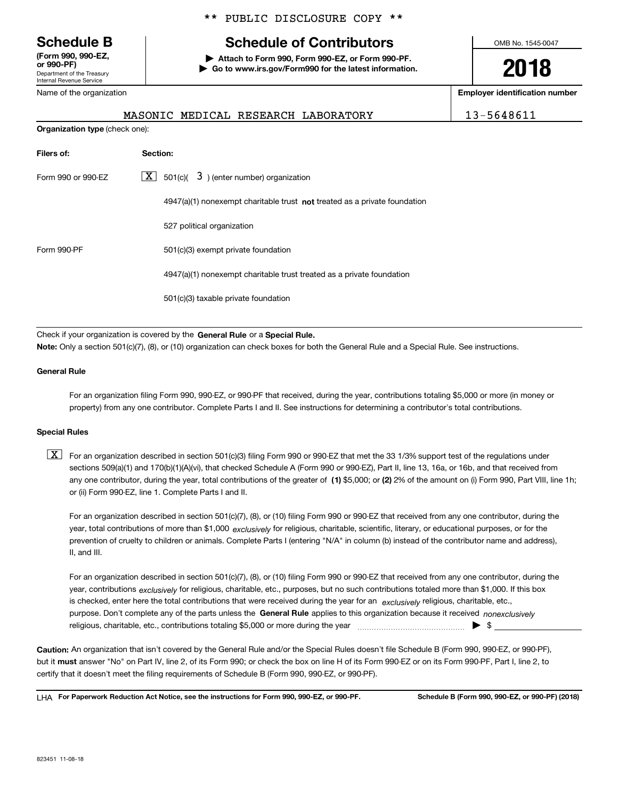Department of the Treasury Internal Revenue Service **(Form 990, 990-EZ, or 990-PF)** Name of the organization

**Organization type** (check one):

\*\* PUBLIC DISCLOSURE COPY \*\*

### **Schedule B Schedule of Contributors**

**| Attach to Form 990, Form 990-EZ, or Form 990-PF. | Go to www.irs.gov/Form990 for the latest information.** OMB No. 1545-0047

**2018**

**Employer identification number**

| MASONIC MEDICAL RESEARCH LABORATORY | 13-5648611 |
|-------------------------------------|------------|
|-------------------------------------|------------|

| Filers of:         | Section:                                                                           |
|--------------------|------------------------------------------------------------------------------------|
| Form 990 or 990-EZ | $\lfloor x \rfloor$ 501(c)( 3) (enter number) organization                         |
|                    | $4947(a)(1)$ nonexempt charitable trust <b>not</b> treated as a private foundation |
|                    | 527 political organization                                                         |
| Form 990-PF        | 501(c)(3) exempt private foundation                                                |
|                    | 4947(a)(1) nonexempt charitable trust treated as a private foundation              |
|                    | 501(c)(3) taxable private foundation                                               |

Check if your organization is covered by the **General Rule** or a **Special Rule.**<br>Nota: Only a section 501(c)(7), (8), or (10) erganization can chock boxes for be **Note:**  Only a section 501(c)(7), (8), or (10) organization can check boxes for both the General Rule and a Special Rule. See instructions.

#### **General Rule**

For an organization filing Form 990, 990-EZ, or 990-PF that received, during the year, contributions totaling \$5,000 or more (in money or property) from any one contributor. Complete Parts I and II. See instructions for determining a contributor's total contributions.

#### **Special Rules**

any one contributor, during the year, total contributions of the greater of  $\,$  (1) \$5,000; or **(2)** 2% of the amount on (i) Form 990, Part VIII, line 1h;  $\boxed{\textbf{X}}$  For an organization described in section 501(c)(3) filing Form 990 or 990-EZ that met the 33 1/3% support test of the regulations under sections 509(a)(1) and 170(b)(1)(A)(vi), that checked Schedule A (Form 990 or 990-EZ), Part II, line 13, 16a, or 16b, and that received from or (ii) Form 990-EZ, line 1. Complete Parts I and II.

year, total contributions of more than \$1,000 *exclusively* for religious, charitable, scientific, literary, or educational purposes, or for the For an organization described in section 501(c)(7), (8), or (10) filing Form 990 or 990-EZ that received from any one contributor, during the prevention of cruelty to children or animals. Complete Parts I (entering "N/A" in column (b) instead of the contributor name and address), II, and III.

purpose. Don't complete any of the parts unless the **General Rule** applies to this organization because it received *nonexclusively* year, contributions <sub>exclusively</sub> for religious, charitable, etc., purposes, but no such contributions totaled more than \$1,000. If this box is checked, enter here the total contributions that were received during the year for an  $\;$ exclusively religious, charitable, etc., For an organization described in section 501(c)(7), (8), or (10) filing Form 990 or 990-EZ that received from any one contributor, during the religious, charitable, etc., contributions totaling \$5,000 or more during the year  $\Box$ — $\Box$   $\Box$ 

**Caution:**  An organization that isn't covered by the General Rule and/or the Special Rules doesn't file Schedule B (Form 990, 990-EZ, or 990-PF), but it **must** answer "No" on Part IV, line 2, of its Form 990; or check the box on line H of its Form 990-EZ or on its Form 990-PF, Part I, line 2, to<br>cortify that it doesn't meet the filipe requirements of Schodule B (Fer certify that it doesn't meet the filing requirements of Schedule B (Form 990, 990-EZ, or 990-PF).

**For Paperwork Reduction Act Notice, see the instructions for Form 990, 990-EZ, or 990-PF. Schedule B (Form 990, 990-EZ, or 990-PF) (2018)** LHA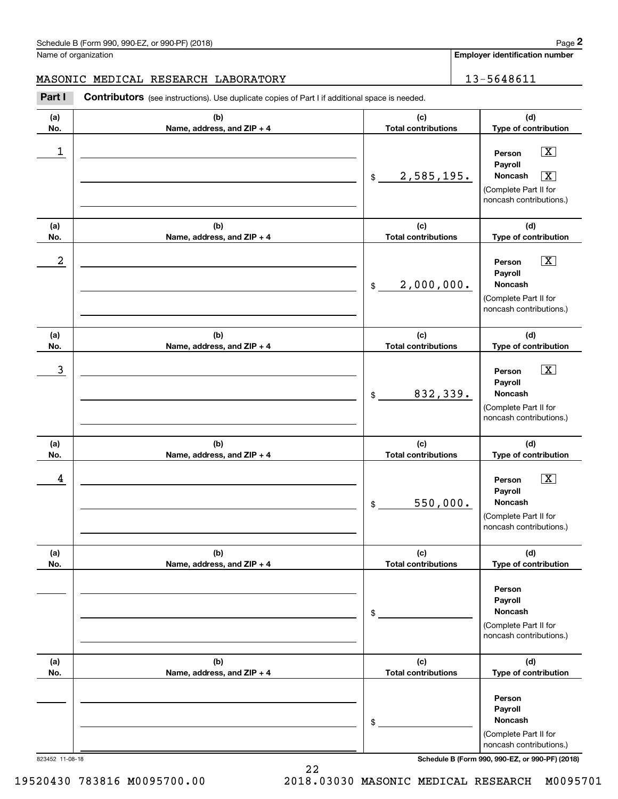**Employer identification number**

### MASONIC MEDICAL RESEARCH LABORATORY | 13-5648611

Contributors (see instructions). Use duplicate copies of Part I if additional space is needed. **2** Chedule B (Form 990, 990-EZ, or 990-PF) (2018)<br> **2Part I**<br> **2Part I Contributors** (see instructions). Use duplicate copies of Part I if additional space is needed.<br> **Part I Contributors** (see instructions). Use dup

| (a)<br>No. | (b)<br>Name, address, and ZIP + 4 | (c)<br><b>Total contributions</b> | (d)<br>Type of contribution                                                                                                  |
|------------|-----------------------------------|-----------------------------------|------------------------------------------------------------------------------------------------------------------------------|
| 1          |                                   | 2,585,195.<br>\$                  | $\boxed{\text{X}}$<br>Person<br>Payroll<br>Noncash<br>$\boxed{\text{X}}$<br>(Complete Part II for<br>noncash contributions.) |
| (a)<br>No. | (b)<br>Name, address, and ZIP + 4 | (c)<br><b>Total contributions</b> | (d)<br>Type of contribution                                                                                                  |
| 2          |                                   | 2,000,000.<br>\$                  | $\boxed{\text{X}}$<br>Person<br>Payroll<br>Noncash<br>(Complete Part II for<br>noncash contributions.)                       |
| (a)<br>No. | (b)<br>Name, address, and ZIP + 4 | (c)<br><b>Total contributions</b> | (d)<br>Type of contribution                                                                                                  |
| 3          |                                   | 832,339.<br>\$                    | $\boxed{\text{X}}$<br>Person<br>Payroll<br><b>Noncash</b><br>(Complete Part II for<br>noncash contributions.)                |
| (a)<br>No. | (b)<br>Name, address, and ZIP + 4 | (c)<br><b>Total contributions</b> | (d)<br>Type of contribution                                                                                                  |
| 4          |                                   | 550,000.<br>$\mathfrak{S}$        | $\boxed{\text{X}}$<br>Person<br>Payroll<br><b>Noncash</b><br>(Complete Part II for<br>noncash contributions.)                |
| (a)<br>No. | (b)<br>Name, address, and ZIP + 4 | (c)<br><b>Total contributions</b> | (d)<br>Type of contribution                                                                                                  |
|            |                                   | \$                                | Person<br>Payroll<br><b>Noncash</b><br>(Complete Part II for<br>noncash contributions.)                                      |
| (a)<br>No. | (b)<br>Name, address, and ZIP + 4 | (c)<br><b>Total contributions</b> | (d)<br>Type of contribution                                                                                                  |
|            |                                   | \$                                | Person<br>Payroll<br>Noncash<br>(Complete Part II for<br>noncash contributions.)                                             |

823452 11-08-18 **Schedule B (Form 990, 990-EZ, or 990-PF) (2018)**

19520430 783816 M0095700.00 2018.03030 MASONIC MEDICAL RESEARCH M0095701

22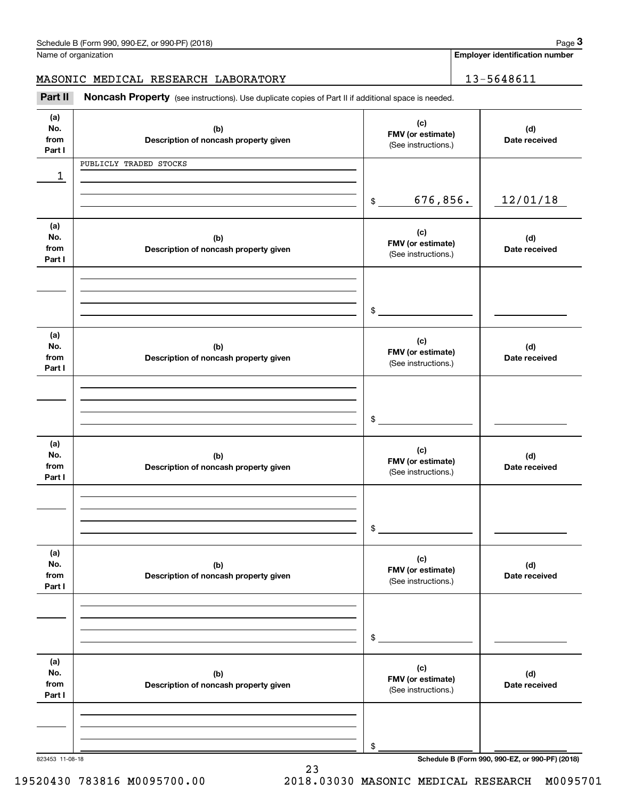|                              | Schedule B (Form 990, 990-EZ, or 990-PF) (2018)                                                     |                                                 | Page 3                                          |
|------------------------------|-----------------------------------------------------------------------------------------------------|-------------------------------------------------|-------------------------------------------------|
|                              | Name of organization                                                                                |                                                 | <b>Employer identification number</b>           |
|                              | MASONIC MEDICAL RESEARCH LABORATORY                                                                 |                                                 | 13-5648611                                      |
| Part II                      | Noncash Property (see instructions). Use duplicate copies of Part II if additional space is needed. |                                                 |                                                 |
| (a)<br>No.<br>from<br>Part I | (b)<br>Description of noncash property given                                                        | (c)<br>FMV (or estimate)<br>(See instructions.) | (d)<br>Date received                            |
|                              | PUBLICLY TRADED STOCKS                                                                              |                                                 |                                                 |
| 1                            |                                                                                                     |                                                 |                                                 |
|                              |                                                                                                     | 676,856.<br>$\mathfrak{S}$                      | 12/01/18                                        |
| (a)<br>No.<br>from<br>Part I | (b)<br>Description of noncash property given                                                        | (c)<br>FMV (or estimate)<br>(See instructions.) | (d)<br>Date received                            |
|                              |                                                                                                     |                                                 |                                                 |
|                              |                                                                                                     | \$                                              |                                                 |
| (a)<br>No.<br>from<br>Part I | (b)<br>Description of noncash property given                                                        | (c)<br>FMV (or estimate)<br>(See instructions.) | (d)<br>Date received                            |
|                              |                                                                                                     |                                                 |                                                 |
|                              |                                                                                                     | \$                                              |                                                 |
| (a)<br>No.<br>from<br>Part I | (b)<br>Description of noncash property given                                                        | (c)<br>FMV (or estimate)<br>(See instructions.) | (d)<br>Date received                            |
|                              |                                                                                                     |                                                 |                                                 |
|                              |                                                                                                     | \$                                              |                                                 |
| (a)<br>No.<br>from<br>Part I | (b)<br>Description of noncash property given                                                        | (c)<br>FMV (or estimate)<br>(See instructions.) | (d)<br>Date received                            |
|                              |                                                                                                     |                                                 |                                                 |
|                              |                                                                                                     | \$                                              |                                                 |
| (a)<br>No.<br>from<br>Part I | (b)<br>Description of noncash property given                                                        | (c)<br>FMV (or estimate)<br>(See instructions.) | (d)<br>Date received                            |
|                              |                                                                                                     |                                                 |                                                 |
|                              |                                                                                                     |                                                 |                                                 |
| 823453 11-08-18              |                                                                                                     | \$                                              | Schedule B (Form 990, 990-EZ, or 990-PF) (2018) |

23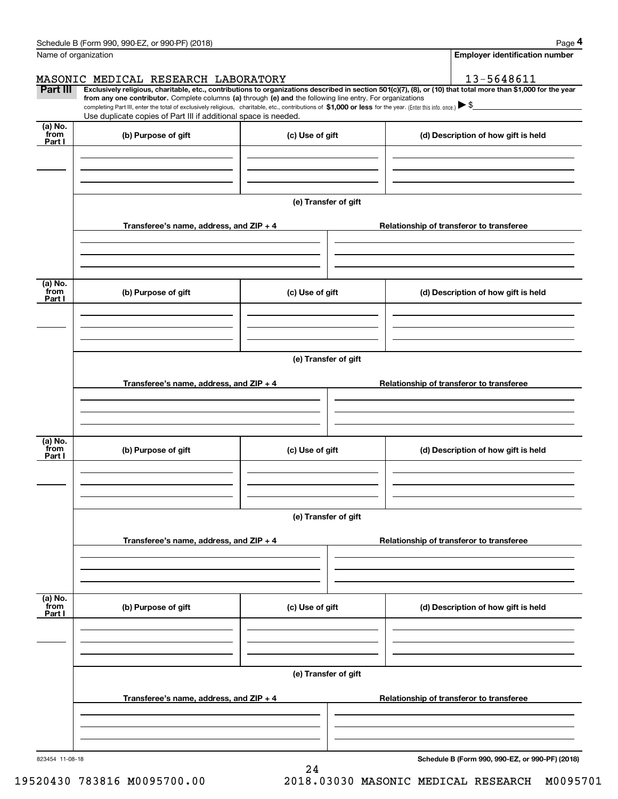|                           | Schedule B (Form 990, 990-EZ, or 990-PF) (2018)                                                                                                                                                                                                                                                 |                      |  |  | Page 4                                   |  |
|---------------------------|-------------------------------------------------------------------------------------------------------------------------------------------------------------------------------------------------------------------------------------------------------------------------------------------------|----------------------|--|--|------------------------------------------|--|
|                           | Name of organization                                                                                                                                                                                                                                                                            |                      |  |  | <b>Employer identification number</b>    |  |
|                           | MASONIC MEDICAL RESEARCH LABORATORY                                                                                                                                                                                                                                                             |                      |  |  | 13-5648611                               |  |
| Part III                  | Exclusively religious, charitable, etc., contributions to organizations described in section 501(c)(7), (8), or (10) that total more than \$1,000 for the year                                                                                                                                  |                      |  |  |                                          |  |
|                           | from any one contributor. Complete columns (a) through (e) and the following line entry. For organizations<br>completing Part III, enter the total of exclusively religious, charitable, etc., contributions of \$1,000 or less for the year. (Enter this info. once.) $\blacktriangleright$ \$ |                      |  |  |                                          |  |
|                           | Use duplicate copies of Part III if additional space is needed.                                                                                                                                                                                                                                 |                      |  |  |                                          |  |
| (a) No.<br>from<br>Part I | (b) Purpose of gift                                                                                                                                                                                                                                                                             | (c) Use of gift      |  |  | (d) Description of how gift is held      |  |
|                           |                                                                                                                                                                                                                                                                                                 |                      |  |  |                                          |  |
|                           |                                                                                                                                                                                                                                                                                                 |                      |  |  |                                          |  |
|                           |                                                                                                                                                                                                                                                                                                 |                      |  |  |                                          |  |
|                           |                                                                                                                                                                                                                                                                                                 | (e) Transfer of gift |  |  |                                          |  |
|                           |                                                                                                                                                                                                                                                                                                 |                      |  |  |                                          |  |
|                           | Transferee's name, address, and ZIP + 4                                                                                                                                                                                                                                                         |                      |  |  | Relationship of transferor to transferee |  |
|                           |                                                                                                                                                                                                                                                                                                 |                      |  |  |                                          |  |
|                           |                                                                                                                                                                                                                                                                                                 |                      |  |  |                                          |  |
|                           |                                                                                                                                                                                                                                                                                                 |                      |  |  |                                          |  |
| (a) No.<br>from           | (b) Purpose of gift                                                                                                                                                                                                                                                                             | (c) Use of gift      |  |  | (d) Description of how gift is held      |  |
| Part I                    |                                                                                                                                                                                                                                                                                                 |                      |  |  |                                          |  |
|                           |                                                                                                                                                                                                                                                                                                 |                      |  |  |                                          |  |
|                           |                                                                                                                                                                                                                                                                                                 |                      |  |  |                                          |  |
|                           |                                                                                                                                                                                                                                                                                                 |                      |  |  |                                          |  |
|                           | (e) Transfer of gift                                                                                                                                                                                                                                                                            |                      |  |  |                                          |  |
|                           | Transferee's name, address, and ZIP + 4                                                                                                                                                                                                                                                         |                      |  |  | Relationship of transferor to transferee |  |
|                           |                                                                                                                                                                                                                                                                                                 |                      |  |  |                                          |  |
|                           |                                                                                                                                                                                                                                                                                                 |                      |  |  |                                          |  |
|                           |                                                                                                                                                                                                                                                                                                 |                      |  |  |                                          |  |
| (a) No.                   |                                                                                                                                                                                                                                                                                                 |                      |  |  |                                          |  |
| from<br>Part I            | (b) Purpose of gift                                                                                                                                                                                                                                                                             | (c) Use of gift      |  |  | (d) Description of how gift is held      |  |
|                           |                                                                                                                                                                                                                                                                                                 |                      |  |  |                                          |  |
|                           |                                                                                                                                                                                                                                                                                                 |                      |  |  |                                          |  |
|                           |                                                                                                                                                                                                                                                                                                 |                      |  |  |                                          |  |
|                           |                                                                                                                                                                                                                                                                                                 |                      |  |  |                                          |  |
|                           | (e) Transfer of gift                                                                                                                                                                                                                                                                            |                      |  |  |                                          |  |
|                           | Transferee's name, address, and $ZIP + 4$                                                                                                                                                                                                                                                       |                      |  |  | Relationship of transferor to transferee |  |
|                           |                                                                                                                                                                                                                                                                                                 |                      |  |  |                                          |  |
|                           |                                                                                                                                                                                                                                                                                                 |                      |  |  |                                          |  |
|                           |                                                                                                                                                                                                                                                                                                 |                      |  |  |                                          |  |
| (a) No.<br>`from          |                                                                                                                                                                                                                                                                                                 |                      |  |  |                                          |  |
| Part I                    | (b) Purpose of gift                                                                                                                                                                                                                                                                             | (c) Use of gift      |  |  | (d) Description of how gift is held      |  |
|                           |                                                                                                                                                                                                                                                                                                 |                      |  |  |                                          |  |
|                           |                                                                                                                                                                                                                                                                                                 |                      |  |  |                                          |  |
|                           |                                                                                                                                                                                                                                                                                                 |                      |  |  |                                          |  |
|                           | (e) Transfer of gift                                                                                                                                                                                                                                                                            |                      |  |  |                                          |  |
|                           |                                                                                                                                                                                                                                                                                                 |                      |  |  |                                          |  |
|                           | Transferee's name, address, and $ZIP + 4$                                                                                                                                                                                                                                                       |                      |  |  | Relationship of transferor to transferee |  |
|                           |                                                                                                                                                                                                                                                                                                 |                      |  |  |                                          |  |
|                           |                                                                                                                                                                                                                                                                                                 |                      |  |  |                                          |  |
|                           |                                                                                                                                                                                                                                                                                                 |                      |  |  |                                          |  |
|                           |                                                                                                                                                                                                                                                                                                 |                      |  |  |                                          |  |

24

823454 11-08-18

**Schedule B (Form 990, 990-EZ, or 990-PF) (2018)**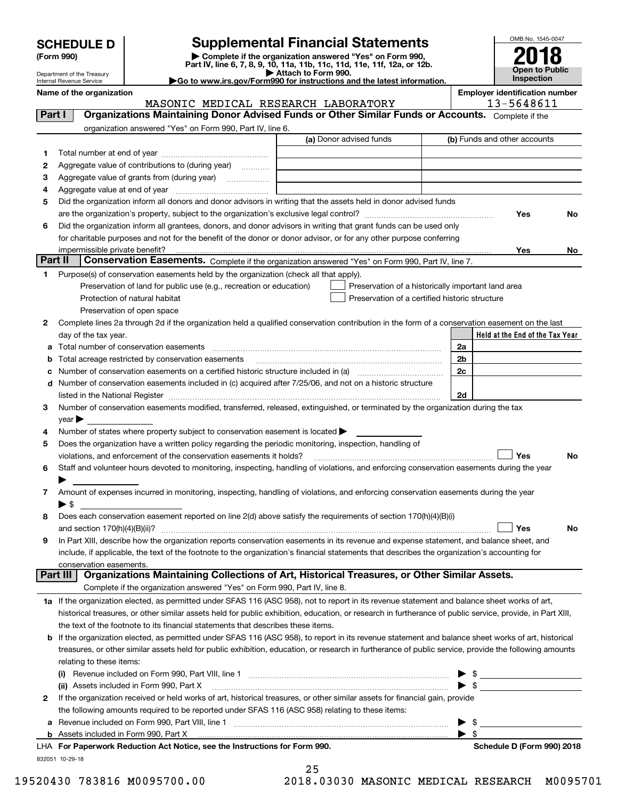| <b>SCHEDULE D</b> |  |
|-------------------|--|
|-------------------|--|

Department of the Treasury

| (Form 990) |  |
|------------|--|
|------------|--|

### **SCHEDULE D Supplemental Financial Statements**

(Form 990)<br>
Pepartment of the Treasury<br>
Department of the Treasury<br>
Department of the Treasury<br>
Department of the Treasury<br> **Co to www.irs.gov/Form990 for instructions and the latest information.**<br> **Co to www.irs.gov/Form9** 

| Go to www.irs.gov/Form990 for instructions and the latest informat |  |
|--------------------------------------------------------------------|--|
|                                                                    |  |



|         | Internal Revenue Service                                                                                                                                        | Go to www.irs.gov/Form990 for instructions and the latest information. |                                | <b>Inspection</b>                                   |     |
|---------|-----------------------------------------------------------------------------------------------------------------------------------------------------------------|------------------------------------------------------------------------|--------------------------------|-----------------------------------------------------|-----|
|         | Name of the organization                                                                                                                                        | MASONIC MEDICAL RESEARCH LABORATORY                                    |                                | <b>Employer identification number</b><br>13-5648611 |     |
| Part I  | Organizations Maintaining Donor Advised Funds or Other Similar Funds or Accounts. Complete if the                                                               |                                                                        |                                |                                                     |     |
|         | organization answered "Yes" on Form 990, Part IV, line 6.                                                                                                       |                                                                        |                                |                                                     |     |
|         |                                                                                                                                                                 | (a) Donor advised funds                                                |                                | (b) Funds and other accounts                        |     |
| 1       |                                                                                                                                                                 |                                                                        |                                |                                                     |     |
| 2       | Aggregate value of contributions to (during year)                                                                                                               |                                                                        |                                |                                                     |     |
| з       |                                                                                                                                                                 |                                                                        |                                |                                                     |     |
| 4       |                                                                                                                                                                 |                                                                        |                                |                                                     |     |
| 5       | Did the organization inform all donors and donor advisors in writing that the assets held in donor advised funds                                                |                                                                        |                                |                                                     |     |
|         |                                                                                                                                                                 |                                                                        |                                | Yes                                                 | No  |
| 6       | Did the organization inform all grantees, donors, and donor advisors in writing that grant funds can be used only                                               |                                                                        |                                |                                                     |     |
|         | for charitable purposes and not for the benefit of the donor or donor advisor, or for any other purpose conferring                                              |                                                                        |                                |                                                     |     |
| Part II | Conservation Easements. Complete if the organization answered "Yes" on Form 990, Part IV, line 7.                                                               |                                                                        |                                | Yes                                                 | No. |
| 1       | Purpose(s) of conservation easements held by the organization (check all that apply).                                                                           |                                                                        |                                |                                                     |     |
|         | Preservation of land for public use (e.g., recreation or education)                                                                                             | Preservation of a historically important land area                     |                                |                                                     |     |
|         | Protection of natural habitat                                                                                                                                   | Preservation of a certified historic structure                         |                                |                                                     |     |
|         | Preservation of open space                                                                                                                                      |                                                                        |                                |                                                     |     |
| 2       | Complete lines 2a through 2d if the organization held a qualified conservation contribution in the form of a conservation easement on the last                  |                                                                        |                                |                                                     |     |
|         | day of the tax year.                                                                                                                                            |                                                                        |                                | Held at the End of the Tax Year                     |     |
| а       | Total number of conservation easements                                                                                                                          |                                                                        | 2a                             |                                                     |     |
| b       | Total acreage restricted by conservation easements                                                                                                              |                                                                        | 2b                             |                                                     |     |
| с       |                                                                                                                                                                 |                                                                        | 2c                             |                                                     |     |
| d       | Number of conservation easements included in (c) acquired after 7/25/06, and not on a historic structure                                                        |                                                                        |                                |                                                     |     |
|         |                                                                                                                                                                 |                                                                        | 2d                             |                                                     |     |
| 3       | Number of conservation easements modified, transferred, released, extinguished, or terminated by the organization during the tax                                |                                                                        |                                |                                                     |     |
|         | $year \rightarrow$                                                                                                                                              |                                                                        |                                |                                                     |     |
| 4       | Number of states where property subject to conservation easement is located >                                                                                   |                                                                        |                                |                                                     |     |
| 5       | Does the organization have a written policy regarding the periodic monitoring, inspection, handling of                                                          |                                                                        |                                |                                                     |     |
|         | violations, and enforcement of the conservation easements it holds?                                                                                             |                                                                        |                                | Yes                                                 | No  |
| 6       | Staff and volunteer hours devoted to monitoring, inspecting, handling of violations, and enforcing conservation easements during the year                       |                                                                        |                                |                                                     |     |
|         |                                                                                                                                                                 |                                                                        |                                |                                                     |     |
| 7       | Amount of expenses incurred in monitoring, inspecting, handling of violations, and enforcing conservation easements during the year<br>$\blacktriangleright$ \$ |                                                                        |                                |                                                     |     |
| 8       | Does each conservation easement reported on line 2(d) above satisfy the requirements of section 170(h)(4)(B)(i)                                                 |                                                                        |                                |                                                     |     |
|         |                                                                                                                                                                 |                                                                        |                                | Yes                                                 | Nο  |
| 9       | In Part XIII, describe how the organization reports conservation easements in its revenue and expense statement, and balance sheet, and                         |                                                                        |                                |                                                     |     |
|         | include, if applicable, the text of the footnote to the organization's financial statements that describes the organization's accounting for                    |                                                                        |                                |                                                     |     |
|         | conservation easements.                                                                                                                                         |                                                                        |                                |                                                     |     |
|         | Organizations Maintaining Collections of Art, Historical Treasures, or Other Similar Assets.<br>Part III                                                        |                                                                        |                                |                                                     |     |
|         | Complete if the organization answered "Yes" on Form 990, Part IV, line 8.                                                                                       |                                                                        |                                |                                                     |     |
|         | 1a If the organization elected, as permitted under SFAS 116 (ASC 958), not to report in its revenue statement and balance sheet works of art,                   |                                                                        |                                |                                                     |     |
|         | historical treasures, or other similar assets held for public exhibition, education, or research in furtherance of public service, provide, in Part XIII,       |                                                                        |                                |                                                     |     |
|         | the text of the footnote to its financial statements that describes these items.                                                                                |                                                                        |                                |                                                     |     |
| b       | If the organization elected, as permitted under SFAS 116 (ASC 958), to report in its revenue statement and balance sheet works of art, historical               |                                                                        |                                |                                                     |     |
|         | treasures, or other similar assets held for public exhibition, education, or research in furtherance of public service, provide the following amounts           |                                                                        |                                |                                                     |     |
|         | relating to these items:                                                                                                                                        |                                                                        |                                |                                                     |     |
|         |                                                                                                                                                                 |                                                                        |                                | $\sim$ 5                                            |     |
|         | (ii) Assets included in Form 990, Part X                                                                                                                        |                                                                        | $\blacktriangleright$ \$       |                                                     |     |
| 2       | If the organization received or held works of art, historical treasures, or other similar assets for financial gain, provide                                    |                                                                        |                                |                                                     |     |
|         | the following amounts required to be reported under SFAS 116 (ASC 958) relating to these items:                                                                 |                                                                        |                                |                                                     |     |
| а       |                                                                                                                                                                 |                                                                        | -\$<br>$\blacktriangleright$ s |                                                     |     |
|         | LHA For Paperwork Reduction Act Notice, see the Instructions for Form 990.                                                                                      |                                                                        |                                | Schedule D (Form 990) 2018                          |     |
|         |                                                                                                                                                                 |                                                                        |                                |                                                     |     |

832051 10-29-18

25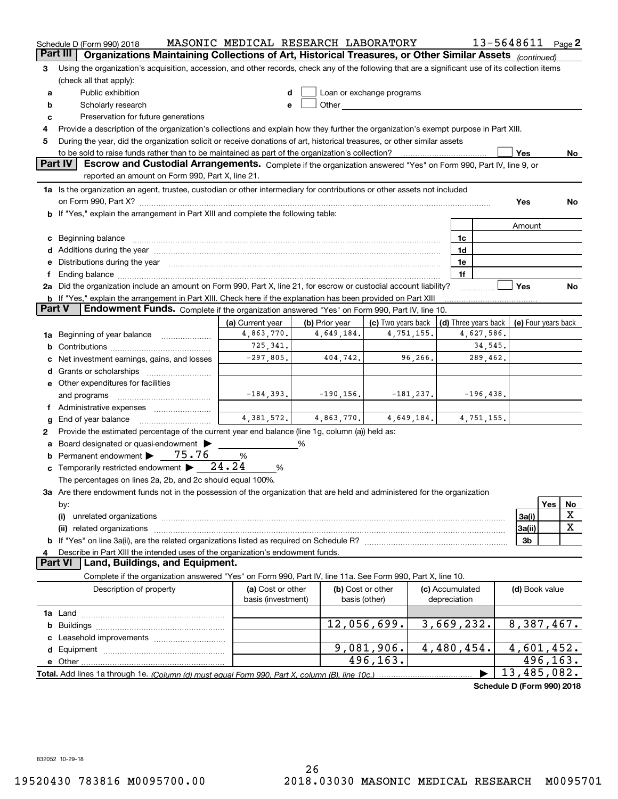|          | Schedule D (Form 990) 2018                                                                                                                                                                                                     | MASONIC MEDICAL RESEARCH LABORATORY |                |                                                                                                                                                                                                                               |                                            |             | 13-5648611 Page 2          |                  |
|----------|--------------------------------------------------------------------------------------------------------------------------------------------------------------------------------------------------------------------------------|-------------------------------------|----------------|-------------------------------------------------------------------------------------------------------------------------------------------------------------------------------------------------------------------------------|--------------------------------------------|-------------|----------------------------|------------------|
| Part III | Organizations Maintaining Collections of Art, Historical Treasures, or Other Similar Assets (continued)                                                                                                                        |                                     |                |                                                                                                                                                                                                                               |                                            |             |                            |                  |
| з        | Using the organization's acquisition, accession, and other records, check any of the following that are a significant use of its collection items                                                                              |                                     |                |                                                                                                                                                                                                                               |                                            |             |                            |                  |
|          | (check all that apply):                                                                                                                                                                                                        |                                     |                |                                                                                                                                                                                                                               |                                            |             |                            |                  |
| a        | Public exhibition                                                                                                                                                                                                              |                                     |                | Loan or exchange programs                                                                                                                                                                                                     |                                            |             |                            |                  |
| b        | Scholarly research                                                                                                                                                                                                             |                                     |                | Other and the contract of the contract of the contract of the contract of the contract of the contract of the contract of the contract of the contract of the contract of the contract of the contract of the contract of the |                                            |             |                            |                  |
| c        | Preservation for future generations                                                                                                                                                                                            |                                     |                |                                                                                                                                                                                                                               |                                            |             |                            |                  |
| 4        | Provide a description of the organization's collections and explain how they further the organization's exempt purpose in Part XIII.                                                                                           |                                     |                |                                                                                                                                                                                                                               |                                            |             |                            |                  |
| 5        | During the year, did the organization solicit or receive donations of art, historical treasures, or other similar assets                                                                                                       |                                     |                |                                                                                                                                                                                                                               |                                            |             |                            |                  |
|          | to be sold to raise funds rather than to be maintained as part of the organization's collection?                                                                                                                               |                                     |                |                                                                                                                                                                                                                               |                                            |             | Yes                        | No.              |
|          | <b>Part IV</b><br>Escrow and Custodial Arrangements. Complete if the organization answered "Yes" on Form 990, Part IV, line 9, or                                                                                              |                                     |                |                                                                                                                                                                                                                               |                                            |             |                            |                  |
|          | reported an amount on Form 990, Part X, line 21.                                                                                                                                                                               |                                     |                |                                                                                                                                                                                                                               |                                            |             |                            |                  |
|          | 1a Is the organization an agent, trustee, custodian or other intermediary for contributions or other assets not included                                                                                                       |                                     |                |                                                                                                                                                                                                                               |                                            |             |                            |                  |
|          |                                                                                                                                                                                                                                |                                     |                |                                                                                                                                                                                                                               |                                            |             | Yes                        | No               |
|          | b If "Yes," explain the arrangement in Part XIII and complete the following table:                                                                                                                                             |                                     |                |                                                                                                                                                                                                                               |                                            |             |                            |                  |
|          |                                                                                                                                                                                                                                |                                     |                |                                                                                                                                                                                                                               |                                            |             | Amount                     |                  |
| c        | Beginning balance measurements and the contract measurement of the contract measurement of the contract measurement                                                                                                            |                                     |                |                                                                                                                                                                                                                               | 1c                                         |             |                            |                  |
|          |                                                                                                                                                                                                                                |                                     |                |                                                                                                                                                                                                                               | 1d                                         |             |                            |                  |
|          | e Distributions during the year manufactured and continuum and contained and the year manufactured and contained and the year manufactured and contained and contained and contained and contained and contained and contained |                                     |                |                                                                                                                                                                                                                               | 1e                                         |             |                            |                  |
| f.       | 2a Did the organization include an amount on Form 990, Part X, line 21, for escrow or custodial account liability?                                                                                                             |                                     |                |                                                                                                                                                                                                                               | 1f                                         |             | Yes                        | No               |
|          | <b>b</b> If "Yes," explain the arrangement in Part XIII. Check here if the explanation has been provided on Part XIII                                                                                                          |                                     |                |                                                                                                                                                                                                                               |                                            |             |                            |                  |
| Part V   | Endowment Funds. Complete if the organization answered "Yes" on Form 990, Part IV, line 10.                                                                                                                                    |                                     |                |                                                                                                                                                                                                                               |                                            |             |                            |                  |
|          |                                                                                                                                                                                                                                | (a) Current year                    | (b) Prior year | (c) Two years back                                                                                                                                                                                                            | (d) Three years back   (e) Four years back |             |                            |                  |
|          | 1a Beginning of year balance                                                                                                                                                                                                   | 4,863,770.                          | 4,649,184.     | 4,751,155.                                                                                                                                                                                                                    |                                            | 4,627,586.  |                            |                  |
|          |                                                                                                                                                                                                                                | 725, 341.                           |                |                                                                                                                                                                                                                               |                                            | 34,545.     |                            |                  |
|          | Net investment earnings, gains, and losses                                                                                                                                                                                     | $-297,805.$                         | 404,742.       | 96,266.                                                                                                                                                                                                                       |                                            | 289,462.    |                            |                  |
|          |                                                                                                                                                                                                                                |                                     |                |                                                                                                                                                                                                                               |                                            |             |                            |                  |
|          | e Other expenditures for facilities                                                                                                                                                                                            |                                     |                |                                                                                                                                                                                                                               |                                            |             |                            |                  |
|          | and programs                                                                                                                                                                                                                   | $-184, 393.$                        | $-190, 156.$   | $-181, 237.$                                                                                                                                                                                                                  |                                            | $-196,438.$ |                            |                  |
|          |                                                                                                                                                                                                                                |                                     |                |                                                                                                                                                                                                                               |                                            |             |                            |                  |
| g        | End of year balance                                                                                                                                                                                                            | 4,381,572.                          | 4,863,770.     | 4,649,184.                                                                                                                                                                                                                    |                                            | 4,751,155.  |                            |                  |
| 2        | Provide the estimated percentage of the current year end balance (line 1g, column (a)) held as:                                                                                                                                |                                     |                |                                                                                                                                                                                                                               |                                            |             |                            |                  |
| а        | Board designated or quasi-endowment                                                                                                                                                                                            |                                     | %              |                                                                                                                                                                                                                               |                                            |             |                            |                  |
| b        | Permanent endowment > 75.76                                                                                                                                                                                                    | %                                   |                |                                                                                                                                                                                                                               |                                            |             |                            |                  |
|          | c Temporarily restricted endowment $\blacktriangleright$ 24.24                                                                                                                                                                 | %                                   |                |                                                                                                                                                                                                                               |                                            |             |                            |                  |
|          | The percentages on lines 2a, 2b, and 2c should equal 100%.                                                                                                                                                                     |                                     |                |                                                                                                                                                                                                                               |                                            |             |                            |                  |
|          | 3a Are there endowment funds not in the possession of the organization that are held and administered for the organization                                                                                                     |                                     |                |                                                                                                                                                                                                                               |                                            |             |                            |                  |
|          | by:                                                                                                                                                                                                                            |                                     |                |                                                                                                                                                                                                                               |                                            |             |                            | <b>Yes</b><br>No |
|          | (i)                                                                                                                                                                                                                            |                                     |                |                                                                                                                                                                                                                               |                                            |             | 3a(i)                      | х                |
|          | (ii) related organizations                                                                                                                                                                                                     |                                     |                |                                                                                                                                                                                                                               |                                            |             | 3a(ii)                     | $\mathbf X$      |
|          |                                                                                                                                                                                                                                |                                     |                |                                                                                                                                                                                                                               |                                            |             | 3b                         |                  |
| 4        | Describe in Part XIII the intended uses of the organization's endowment funds.                                                                                                                                                 |                                     |                |                                                                                                                                                                                                                               |                                            |             |                            |                  |
|          | Land, Buildings, and Equipment.<br>Part VI                                                                                                                                                                                     |                                     |                |                                                                                                                                                                                                                               |                                            |             |                            |                  |
|          | Complete if the organization answered "Yes" on Form 990, Part IV, line 11a. See Form 990, Part X, line 10.                                                                                                                     |                                     |                |                                                                                                                                                                                                                               |                                            |             |                            |                  |
|          | Description of property                                                                                                                                                                                                        | (a) Cost or other                   |                | (b) Cost or other                                                                                                                                                                                                             | (c) Accumulated                            |             | (d) Book value             |                  |
|          |                                                                                                                                                                                                                                | basis (investment)                  |                | basis (other)                                                                                                                                                                                                                 | depreciation                               |             |                            |                  |
|          |                                                                                                                                                                                                                                |                                     |                | 12,056,699.                                                                                                                                                                                                                   | 3,669,232.                                 |             | 8,387,467.                 |                  |
| b        |                                                                                                                                                                                                                                |                                     |                |                                                                                                                                                                                                                               |                                            |             |                            |                  |
|          |                                                                                                                                                                                                                                |                                     |                | 9,081,906.                                                                                                                                                                                                                    | 4,480,454.                                 |             | 4,601,452.                 |                  |
|          |                                                                                                                                                                                                                                |                                     |                | 496,163.                                                                                                                                                                                                                      |                                            |             |                            | 496,163.         |
|          |                                                                                                                                                                                                                                |                                     |                |                                                                                                                                                                                                                               |                                            |             | 13,485,082.                |                  |
|          |                                                                                                                                                                                                                                |                                     |                |                                                                                                                                                                                                                               |                                            |             | Schedule D (Form 990) 2018 |                  |
|          |                                                                                                                                                                                                                                |                                     |                |                                                                                                                                                                                                                               |                                            |             |                            |                  |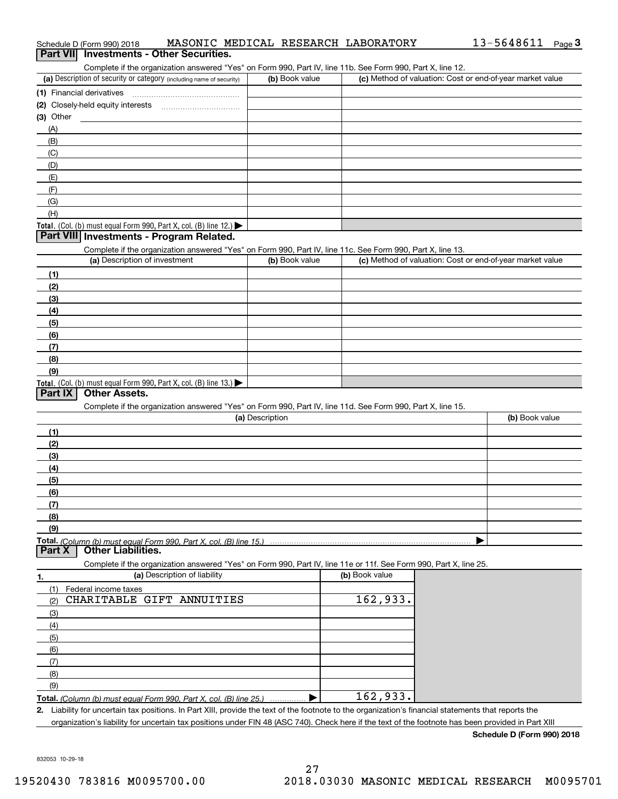| Part VII Investments - Other Securities.<br>Complete if the organization answered "Yes" on Form 990, Part IV, line 11b. See Form 990, Part X, line 12.<br>(c) Method of valuation: Cost or end-of-year market value<br>(a) Description of security or category (including name of security)<br>(b) Book value<br>(1) Financial derivatives<br>$(3)$ Other<br>(A)<br>(B)<br>(C)<br>(D)<br>(E)<br>(F)<br>(G)<br>(H)<br>Total. (Col. (b) must equal Form 990, Part X, col. (B) line 12.)<br>Part VIII Investments - Program Related.<br>Complete if the organization answered "Yes" on Form 990, Part IV, line 11c. See Form 990, Part X, line 13.<br>(a) Description of investment<br>(c) Method of valuation: Cost or end-of-year market value<br>(b) Book value<br>(1)<br>(2)<br>(3)<br>(4)<br>(5)<br>(6)<br>(7)<br>(8)<br>(9)<br>Total. (Col. (b) must equal Form 990, Part X, col. (B) line 13.)<br>Part IX<br><b>Other Assets.</b><br>Complete if the organization answered "Yes" on Form 990, Part IV, line 11d. See Form 990, Part X, line 15.<br>(a) Description<br>(b) Book value<br>(1)<br>(2)<br>(3)<br>(4)<br>(5)<br>(6)<br>(7)<br>(8)<br>(9)<br>Total. (Column (b) must equal Form 990. Part X. col. (B) line 15.)<br><b>Other Liabilities.</b><br>Part X<br>Complete if the organization answered "Yes" on Form 990, Part IV, line 11e or 11f. See Form 990, Part X, line 25.<br>(a) Description of liability<br>(b) Book value<br>1.<br>Federal income taxes<br>(1)<br>162,933.<br>CHARITABLE GIFT ANNUITIES<br>(2)<br>(3)<br>(4)<br>(5)<br>(6)<br>(7)<br>(8)<br>(9) | Schedule D (Form 990) 2018 | MASONIC MEDICAL RESEARCH LABORATORY |  |  | 13-5648611 Page 3 |  |
|-----------------------------------------------------------------------------------------------------------------------------------------------------------------------------------------------------------------------------------------------------------------------------------------------------------------------------------------------------------------------------------------------------------------------------------------------------------------------------------------------------------------------------------------------------------------------------------------------------------------------------------------------------------------------------------------------------------------------------------------------------------------------------------------------------------------------------------------------------------------------------------------------------------------------------------------------------------------------------------------------------------------------------------------------------------------------------------------------------------------------------------------------------------------------------------------------------------------------------------------------------------------------------------------------------------------------------------------------------------------------------------------------------------------------------------------------------------------------------------------------------------------------------------------------------------------------------------|----------------------------|-------------------------------------|--|--|-------------------|--|
|                                                                                                                                                                                                                                                                                                                                                                                                                                                                                                                                                                                                                                                                                                                                                                                                                                                                                                                                                                                                                                                                                                                                                                                                                                                                                                                                                                                                                                                                                                                                                                                   |                            |                                     |  |  |                   |  |
|                                                                                                                                                                                                                                                                                                                                                                                                                                                                                                                                                                                                                                                                                                                                                                                                                                                                                                                                                                                                                                                                                                                                                                                                                                                                                                                                                                                                                                                                                                                                                                                   |                            |                                     |  |  |                   |  |
|                                                                                                                                                                                                                                                                                                                                                                                                                                                                                                                                                                                                                                                                                                                                                                                                                                                                                                                                                                                                                                                                                                                                                                                                                                                                                                                                                                                                                                                                                                                                                                                   |                            |                                     |  |  |                   |  |
|                                                                                                                                                                                                                                                                                                                                                                                                                                                                                                                                                                                                                                                                                                                                                                                                                                                                                                                                                                                                                                                                                                                                                                                                                                                                                                                                                                                                                                                                                                                                                                                   |                            |                                     |  |  |                   |  |
|                                                                                                                                                                                                                                                                                                                                                                                                                                                                                                                                                                                                                                                                                                                                                                                                                                                                                                                                                                                                                                                                                                                                                                                                                                                                                                                                                                                                                                                                                                                                                                                   |                            |                                     |  |  |                   |  |
|                                                                                                                                                                                                                                                                                                                                                                                                                                                                                                                                                                                                                                                                                                                                                                                                                                                                                                                                                                                                                                                                                                                                                                                                                                                                                                                                                                                                                                                                                                                                                                                   |                            |                                     |  |  |                   |  |
|                                                                                                                                                                                                                                                                                                                                                                                                                                                                                                                                                                                                                                                                                                                                                                                                                                                                                                                                                                                                                                                                                                                                                                                                                                                                                                                                                                                                                                                                                                                                                                                   |                            |                                     |  |  |                   |  |
|                                                                                                                                                                                                                                                                                                                                                                                                                                                                                                                                                                                                                                                                                                                                                                                                                                                                                                                                                                                                                                                                                                                                                                                                                                                                                                                                                                                                                                                                                                                                                                                   |                            |                                     |  |  |                   |  |
|                                                                                                                                                                                                                                                                                                                                                                                                                                                                                                                                                                                                                                                                                                                                                                                                                                                                                                                                                                                                                                                                                                                                                                                                                                                                                                                                                                                                                                                                                                                                                                                   |                            |                                     |  |  |                   |  |
|                                                                                                                                                                                                                                                                                                                                                                                                                                                                                                                                                                                                                                                                                                                                                                                                                                                                                                                                                                                                                                                                                                                                                                                                                                                                                                                                                                                                                                                                                                                                                                                   |                            |                                     |  |  |                   |  |
|                                                                                                                                                                                                                                                                                                                                                                                                                                                                                                                                                                                                                                                                                                                                                                                                                                                                                                                                                                                                                                                                                                                                                                                                                                                                                                                                                                                                                                                                                                                                                                                   |                            |                                     |  |  |                   |  |
|                                                                                                                                                                                                                                                                                                                                                                                                                                                                                                                                                                                                                                                                                                                                                                                                                                                                                                                                                                                                                                                                                                                                                                                                                                                                                                                                                                                                                                                                                                                                                                                   |                            |                                     |  |  |                   |  |
|                                                                                                                                                                                                                                                                                                                                                                                                                                                                                                                                                                                                                                                                                                                                                                                                                                                                                                                                                                                                                                                                                                                                                                                                                                                                                                                                                                                                                                                                                                                                                                                   |                            |                                     |  |  |                   |  |
|                                                                                                                                                                                                                                                                                                                                                                                                                                                                                                                                                                                                                                                                                                                                                                                                                                                                                                                                                                                                                                                                                                                                                                                                                                                                                                                                                                                                                                                                                                                                                                                   |                            |                                     |  |  |                   |  |
|                                                                                                                                                                                                                                                                                                                                                                                                                                                                                                                                                                                                                                                                                                                                                                                                                                                                                                                                                                                                                                                                                                                                                                                                                                                                                                                                                                                                                                                                                                                                                                                   |                            |                                     |  |  |                   |  |
|                                                                                                                                                                                                                                                                                                                                                                                                                                                                                                                                                                                                                                                                                                                                                                                                                                                                                                                                                                                                                                                                                                                                                                                                                                                                                                                                                                                                                                                                                                                                                                                   |                            |                                     |  |  |                   |  |
|                                                                                                                                                                                                                                                                                                                                                                                                                                                                                                                                                                                                                                                                                                                                                                                                                                                                                                                                                                                                                                                                                                                                                                                                                                                                                                                                                                                                                                                                                                                                                                                   |                            |                                     |  |  |                   |  |
|                                                                                                                                                                                                                                                                                                                                                                                                                                                                                                                                                                                                                                                                                                                                                                                                                                                                                                                                                                                                                                                                                                                                                                                                                                                                                                                                                                                                                                                                                                                                                                                   |                            |                                     |  |  |                   |  |
|                                                                                                                                                                                                                                                                                                                                                                                                                                                                                                                                                                                                                                                                                                                                                                                                                                                                                                                                                                                                                                                                                                                                                                                                                                                                                                                                                                                                                                                                                                                                                                                   |                            |                                     |  |  |                   |  |
|                                                                                                                                                                                                                                                                                                                                                                                                                                                                                                                                                                                                                                                                                                                                                                                                                                                                                                                                                                                                                                                                                                                                                                                                                                                                                                                                                                                                                                                                                                                                                                                   |                            |                                     |  |  |                   |  |
|                                                                                                                                                                                                                                                                                                                                                                                                                                                                                                                                                                                                                                                                                                                                                                                                                                                                                                                                                                                                                                                                                                                                                                                                                                                                                                                                                                                                                                                                                                                                                                                   |                            |                                     |  |  |                   |  |
|                                                                                                                                                                                                                                                                                                                                                                                                                                                                                                                                                                                                                                                                                                                                                                                                                                                                                                                                                                                                                                                                                                                                                                                                                                                                                                                                                                                                                                                                                                                                                                                   |                            |                                     |  |  |                   |  |
|                                                                                                                                                                                                                                                                                                                                                                                                                                                                                                                                                                                                                                                                                                                                                                                                                                                                                                                                                                                                                                                                                                                                                                                                                                                                                                                                                                                                                                                                                                                                                                                   |                            |                                     |  |  |                   |  |
|                                                                                                                                                                                                                                                                                                                                                                                                                                                                                                                                                                                                                                                                                                                                                                                                                                                                                                                                                                                                                                                                                                                                                                                                                                                                                                                                                                                                                                                                                                                                                                                   |                            |                                     |  |  |                   |  |
|                                                                                                                                                                                                                                                                                                                                                                                                                                                                                                                                                                                                                                                                                                                                                                                                                                                                                                                                                                                                                                                                                                                                                                                                                                                                                                                                                                                                                                                                                                                                                                                   |                            |                                     |  |  |                   |  |
|                                                                                                                                                                                                                                                                                                                                                                                                                                                                                                                                                                                                                                                                                                                                                                                                                                                                                                                                                                                                                                                                                                                                                                                                                                                                                                                                                                                                                                                                                                                                                                                   |                            |                                     |  |  |                   |  |
|                                                                                                                                                                                                                                                                                                                                                                                                                                                                                                                                                                                                                                                                                                                                                                                                                                                                                                                                                                                                                                                                                                                                                                                                                                                                                                                                                                                                                                                                                                                                                                                   |                            |                                     |  |  |                   |  |
|                                                                                                                                                                                                                                                                                                                                                                                                                                                                                                                                                                                                                                                                                                                                                                                                                                                                                                                                                                                                                                                                                                                                                                                                                                                                                                                                                                                                                                                                                                                                                                                   |                            |                                     |  |  |                   |  |
|                                                                                                                                                                                                                                                                                                                                                                                                                                                                                                                                                                                                                                                                                                                                                                                                                                                                                                                                                                                                                                                                                                                                                                                                                                                                                                                                                                                                                                                                                                                                                                                   |                            |                                     |  |  |                   |  |
|                                                                                                                                                                                                                                                                                                                                                                                                                                                                                                                                                                                                                                                                                                                                                                                                                                                                                                                                                                                                                                                                                                                                                                                                                                                                                                                                                                                                                                                                                                                                                                                   |                            |                                     |  |  |                   |  |
|                                                                                                                                                                                                                                                                                                                                                                                                                                                                                                                                                                                                                                                                                                                                                                                                                                                                                                                                                                                                                                                                                                                                                                                                                                                                                                                                                                                                                                                                                                                                                                                   |                            |                                     |  |  |                   |  |
|                                                                                                                                                                                                                                                                                                                                                                                                                                                                                                                                                                                                                                                                                                                                                                                                                                                                                                                                                                                                                                                                                                                                                                                                                                                                                                                                                                                                                                                                                                                                                                                   |                            |                                     |  |  |                   |  |
|                                                                                                                                                                                                                                                                                                                                                                                                                                                                                                                                                                                                                                                                                                                                                                                                                                                                                                                                                                                                                                                                                                                                                                                                                                                                                                                                                                                                                                                                                                                                                                                   |                            |                                     |  |  |                   |  |
|                                                                                                                                                                                                                                                                                                                                                                                                                                                                                                                                                                                                                                                                                                                                                                                                                                                                                                                                                                                                                                                                                                                                                                                                                                                                                                                                                                                                                                                                                                                                                                                   |                            |                                     |  |  |                   |  |
|                                                                                                                                                                                                                                                                                                                                                                                                                                                                                                                                                                                                                                                                                                                                                                                                                                                                                                                                                                                                                                                                                                                                                                                                                                                                                                                                                                                                                                                                                                                                                                                   |                            |                                     |  |  |                   |  |
|                                                                                                                                                                                                                                                                                                                                                                                                                                                                                                                                                                                                                                                                                                                                                                                                                                                                                                                                                                                                                                                                                                                                                                                                                                                                                                                                                                                                                                                                                                                                                                                   |                            |                                     |  |  |                   |  |
|                                                                                                                                                                                                                                                                                                                                                                                                                                                                                                                                                                                                                                                                                                                                                                                                                                                                                                                                                                                                                                                                                                                                                                                                                                                                                                                                                                                                                                                                                                                                                                                   |                            |                                     |  |  |                   |  |
|                                                                                                                                                                                                                                                                                                                                                                                                                                                                                                                                                                                                                                                                                                                                                                                                                                                                                                                                                                                                                                                                                                                                                                                                                                                                                                                                                                                                                                                                                                                                                                                   |                            |                                     |  |  |                   |  |
|                                                                                                                                                                                                                                                                                                                                                                                                                                                                                                                                                                                                                                                                                                                                                                                                                                                                                                                                                                                                                                                                                                                                                                                                                                                                                                                                                                                                                                                                                                                                                                                   |                            |                                     |  |  |                   |  |
|                                                                                                                                                                                                                                                                                                                                                                                                                                                                                                                                                                                                                                                                                                                                                                                                                                                                                                                                                                                                                                                                                                                                                                                                                                                                                                                                                                                                                                                                                                                                                                                   |                            |                                     |  |  |                   |  |
|                                                                                                                                                                                                                                                                                                                                                                                                                                                                                                                                                                                                                                                                                                                                                                                                                                                                                                                                                                                                                                                                                                                                                                                                                                                                                                                                                                                                                                                                                                                                                                                   |                            |                                     |  |  |                   |  |
|                                                                                                                                                                                                                                                                                                                                                                                                                                                                                                                                                                                                                                                                                                                                                                                                                                                                                                                                                                                                                                                                                                                                                                                                                                                                                                                                                                                                                                                                                                                                                                                   |                            |                                     |  |  |                   |  |
|                                                                                                                                                                                                                                                                                                                                                                                                                                                                                                                                                                                                                                                                                                                                                                                                                                                                                                                                                                                                                                                                                                                                                                                                                                                                                                                                                                                                                                                                                                                                                                                   |                            |                                     |  |  |                   |  |
|                                                                                                                                                                                                                                                                                                                                                                                                                                                                                                                                                                                                                                                                                                                                                                                                                                                                                                                                                                                                                                                                                                                                                                                                                                                                                                                                                                                                                                                                                                                                                                                   |                            |                                     |  |  |                   |  |
|                                                                                                                                                                                                                                                                                                                                                                                                                                                                                                                                                                                                                                                                                                                                                                                                                                                                                                                                                                                                                                                                                                                                                                                                                                                                                                                                                                                                                                                                                                                                                                                   |                            |                                     |  |  |                   |  |
|                                                                                                                                                                                                                                                                                                                                                                                                                                                                                                                                                                                                                                                                                                                                                                                                                                                                                                                                                                                                                                                                                                                                                                                                                                                                                                                                                                                                                                                                                                                                                                                   |                            |                                     |  |  |                   |  |
|                                                                                                                                                                                                                                                                                                                                                                                                                                                                                                                                                                                                                                                                                                                                                                                                                                                                                                                                                                                                                                                                                                                                                                                                                                                                                                                                                                                                                                                                                                                                                                                   |                            |                                     |  |  |                   |  |
|                                                                                                                                                                                                                                                                                                                                                                                                                                                                                                                                                                                                                                                                                                                                                                                                                                                                                                                                                                                                                                                                                                                                                                                                                                                                                                                                                                                                                                                                                                                                                                                   |                            |                                     |  |  |                   |  |
|                                                                                                                                                                                                                                                                                                                                                                                                                                                                                                                                                                                                                                                                                                                                                                                                                                                                                                                                                                                                                                                                                                                                                                                                                                                                                                                                                                                                                                                                                                                                                                                   |                            |                                     |  |  |                   |  |
|                                                                                                                                                                                                                                                                                                                                                                                                                                                                                                                                                                                                                                                                                                                                                                                                                                                                                                                                                                                                                                                                                                                                                                                                                                                                                                                                                                                                                                                                                                                                                                                   |                            |                                     |  |  |                   |  |
|                                                                                                                                                                                                                                                                                                                                                                                                                                                                                                                                                                                                                                                                                                                                                                                                                                                                                                                                                                                                                                                                                                                                                                                                                                                                                                                                                                                                                                                                                                                                                                                   |                            |                                     |  |  |                   |  |
|                                                                                                                                                                                                                                                                                                                                                                                                                                                                                                                                                                                                                                                                                                                                                                                                                                                                                                                                                                                                                                                                                                                                                                                                                                                                                                                                                                                                                                                                                                                                                                                   |                            |                                     |  |  |                   |  |
|                                                                                                                                                                                                                                                                                                                                                                                                                                                                                                                                                                                                                                                                                                                                                                                                                                                                                                                                                                                                                                                                                                                                                                                                                                                                                                                                                                                                                                                                                                                                                                                   |                            |                                     |  |  |                   |  |
|                                                                                                                                                                                                                                                                                                                                                                                                                                                                                                                                                                                                                                                                                                                                                                                                                                                                                                                                                                                                                                                                                                                                                                                                                                                                                                                                                                                                                                                                                                                                                                                   |                            |                                     |  |  |                   |  |
| 162,933.<br>Total. (Column (b) must equal Form 990, Part X, col. (B) line 25.)<br>2. Liability for uncertain tax positions. In Part XIII, provide the text of the footnote to the organization's financial statements that reports the                                                                                                                                                                                                                                                                                                                                                                                                                                                                                                                                                                                                                                                                                                                                                                                                                                                                                                                                                                                                                                                                                                                                                                                                                                                                                                                                            |                            |                                     |  |  |                   |  |

organization's liability for uncertain tax positions under FIN 48 (ASC 740). Check here if the text of the footnote has been provided in Part XIII

832053 10-29-18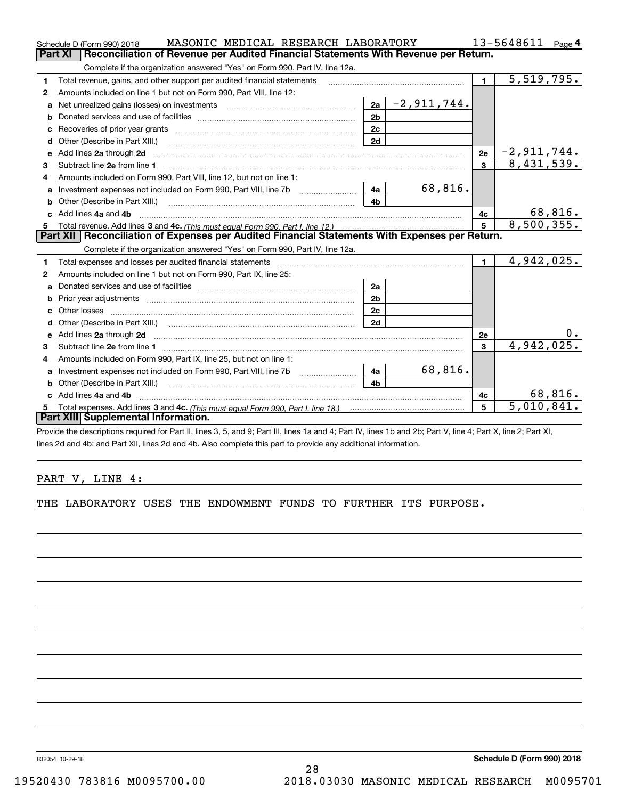|    | MASONIC MEDICAL RESEARCH LABORATORY<br>Schedule D (Form 990) 2018                                                                                                                                                                   |                | 13-5648611<br>Page $4$ |                |                          |
|----|-------------------------------------------------------------------------------------------------------------------------------------------------------------------------------------------------------------------------------------|----------------|------------------------|----------------|--------------------------|
|    | Reconciliation of Revenue per Audited Financial Statements With Revenue per Return.<br>Part XI                                                                                                                                      |                |                        |                |                          |
|    | Complete if the organization answered "Yes" on Form 990, Part IV, line 12a.                                                                                                                                                         |                |                        |                |                          |
| 1  | Total revenue, gains, and other support per audited financial statements                                                                                                                                                            |                |                        | $\mathbf{1}$   | 5,519,795.               |
| 2  | Amounts included on line 1 but not on Form 990, Part VIII, line 12:                                                                                                                                                                 |                |                        |                |                          |
| a  | Net unrealized gains (losses) on investments [11] matter contracts and the unrealized gains (losses) on investments                                                                                                                 |                | $ 2a $ - 2, 911, 744.  |                |                          |
| b  |                                                                                                                                                                                                                                     | 2 <sub>b</sub> |                        |                |                          |
| c  |                                                                                                                                                                                                                                     | 2c             |                        |                |                          |
|    |                                                                                                                                                                                                                                     | 2d             |                        |                |                          |
| e  | Add lines 2a through 2d <b>contained a contained a contained a contained a</b> contained a contained a contained a contained a contained a contained a contained a contained a contained a contained a contained a contained a cont |                |                        | 2e             | $-2,911,744.$            |
| 3  | Subtract line 2e from line 1 <b>Manual Community and Community</b> and Table 1 and Table 1 and Table 1 and Table 1 and Table 1 and Table 1 and Table 1 and Table 1 and Table 1 and Table 1 and Table 1 and Table 1 and Table 1 and  |                |                        | 3              | 8,431,539.               |
| 4  | Amounts included on Form 990, Part VIII, line 12, but not on line 1:                                                                                                                                                                |                |                        |                |                          |
| а  | Investment expenses not included on Form 990, Part VIII, line 7b [1000000000000000000000000000000000                                                                                                                                | 4a             | 68,816.                |                |                          |
| b  | Other (Describe in Part XIII.) <b>Construction Contract Construction</b> Chemistry Chemistry Chemistry Chemistry Chemistry                                                                                                          | 4 <sub>b</sub> |                        |                |                          |
| c. | Add lines 4a and 4b                                                                                                                                                                                                                 |                |                        | 4c             | 68,816.                  |
| 5  |                                                                                                                                                                                                                                     |                |                        | 5              | 8,500,355.               |
|    | Part XII   Reconciliation of Expenses per Audited Financial Statements With Expenses per Return.                                                                                                                                    |                |                        |                |                          |
|    | Complete if the organization answered "Yes" on Form 990, Part IV, line 12a.                                                                                                                                                         |                |                        |                |                          |
| 1  | Total expenses and losses per audited financial statements                                                                                                                                                                          |                |                        | $\blacksquare$ | 4,942,025.               |
| 2  | Amounts included on line 1 but not on Form 990, Part IX, line 25:                                                                                                                                                                   |                |                        |                |                          |
| a  |                                                                                                                                                                                                                                     | 2a             |                        |                |                          |
| b  |                                                                                                                                                                                                                                     | 2 <sub>b</sub> |                        |                |                          |
|    |                                                                                                                                                                                                                                     | 2 <sub>c</sub> |                        |                |                          |
| d  | Other (Describe in Part XIII.) (2000) (2000) (2000) (2000) (2000) (2000) (2000) (2000) (2000) (2000) (2000) (2000) (2000) (2000) (2000) (2000) (2000) (2000) (2000) (2000) (2000) (2000) (2000) (2000) (2000) (2000) (2000) (2      | 2d             |                        |                |                          |
| e  | Add lines 2a through 2d <b>contained a contained a contained a contained a</b> contained a contained a contained a contained a contained a contained a contained a contained a contained a contained a contained a contained a cont |                |                        | <b>2e</b>      |                          |
| 3  |                                                                                                                                                                                                                                     |                |                        | 3              | 4,942,025.               |
| 4  | Amounts included on Form 990, Part IX, line 25, but not on line 1:                                                                                                                                                                  |                |                        |                |                          |
| a  | Investment expenses not included on Form 990, Part VIII, line 7b [1000000000000000000000000000000000                                                                                                                                | 4a             | 68,816.                |                |                          |
| b  |                                                                                                                                                                                                                                     | 4 <sub>h</sub> |                        |                |                          |
|    | Add lines 4a and 4b                                                                                                                                                                                                                 |                |                        | 4с             | 68,816.                  |
| 5. |                                                                                                                                                                                                                                     |                |                        | 5              | $\overline{5,010,841}$ . |
|    | Part XIII Supplemental Information.                                                                                                                                                                                                 |                |                        |                |                          |
|    | Provide the descriptions required for Part II, lines 3, 5, and 9; Part III, lines 1a and 4; Part IV, lines 1b and 2b; Part V, line 4; Part X, line 2; Part XI,                                                                      |                |                        |                |                          |

lines 2d and 4b; and Part XII, lines 2d and 4b. Also complete this part to provide any additional information.

### PART V, LINE 4:

THE LABORATORY USES THE ENDOWMENT FUNDS TO FURTHER ITS PURPOSE.

832054 10-29-18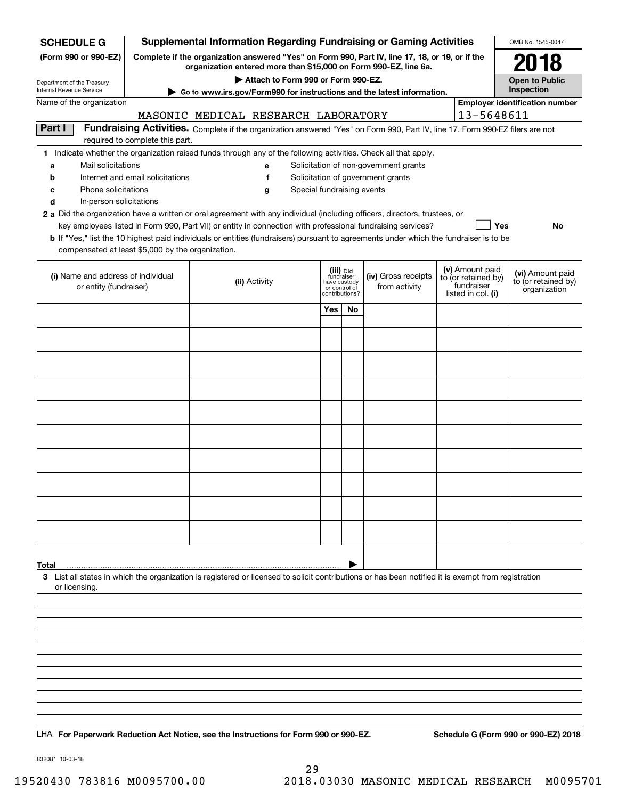| <b>Supplemental Information Regarding Fundraising or Gaming Activities</b><br><b>SCHEDULE G</b>                                      |                                                                                                 |                                                                                                                                                                                                                                           |                                                          |    |                                       |  |                                                      | OMB No. 1545-0047                       |
|--------------------------------------------------------------------------------------------------------------------------------------|-------------------------------------------------------------------------------------------------|-------------------------------------------------------------------------------------------------------------------------------------------------------------------------------------------------------------------------------------------|----------------------------------------------------------|----|---------------------------------------|--|------------------------------------------------------|-----------------------------------------|
| (Form 990 or 990-EZ)                                                                                                                 | Complete if the organization answered "Yes" on Form 990, Part IV, line 17, 18, or 19, or if the |                                                                                                                                                                                                                                           |                                                          |    |                                       |  |                                                      |                                         |
| organization entered more than \$15,000 on Form 990-EZ, line 6a.<br>Attach to Form 990 or Form 990-EZ.<br>Department of the Treasury |                                                                                                 |                                                                                                                                                                                                                                           |                                                          |    |                                       |  |                                                      | <b>Open to Public</b>                   |
| Internal Revenue Service                                                                                                             |                                                                                                 | Inspection                                                                                                                                                                                                                                |                                                          |    |                                       |  |                                                      |                                         |
| Name of the organization                                                                                                             |                                                                                                 | MASONIC MEDICAL RESEARCH LABORATORY                                                                                                                                                                                                       |                                                          |    |                                       |  | 13-5648611                                           | <b>Employer identification number</b>   |
| Part I                                                                                                                               |                                                                                                 | Fundraising Activities. Complete if the organization answered "Yes" on Form 990, Part IV, line 17. Form 990-EZ filers are not                                                                                                             |                                                          |    |                                       |  |                                                      |                                         |
|                                                                                                                                      | required to complete this part.                                                                 | 1 Indicate whether the organization raised funds through any of the following activities. Check all that apply.                                                                                                                           |                                                          |    |                                       |  |                                                      |                                         |
| Mail solicitations<br>a                                                                                                              |                                                                                                 | е                                                                                                                                                                                                                                         |                                                          |    | Solicitation of non-government grants |  |                                                      |                                         |
| b                                                                                                                                    | Internet and email solicitations                                                                | f                                                                                                                                                                                                                                         |                                                          |    | Solicitation of government grants     |  |                                                      |                                         |
| Phone solicitations<br>с                                                                                                             |                                                                                                 | Special fundraising events<br>g                                                                                                                                                                                                           |                                                          |    |                                       |  |                                                      |                                         |
| d<br>In-person solicitations                                                                                                         |                                                                                                 |                                                                                                                                                                                                                                           |                                                          |    |                                       |  |                                                      |                                         |
|                                                                                                                                      |                                                                                                 | 2 a Did the organization have a written or oral agreement with any individual (including officers, directors, trustees, or<br>key employees listed in Form 990, Part VII) or entity in connection with professional fundraising services? |                                                          |    |                                       |  | Yes                                                  | No                                      |
|                                                                                                                                      |                                                                                                 | <b>b</b> If "Yes," list the 10 highest paid individuals or entities (fundraisers) pursuant to agreements under which the fundraiser is to be                                                                                              |                                                          |    |                                       |  |                                                      |                                         |
| compensated at least \$5,000 by the organization.                                                                                    |                                                                                                 |                                                                                                                                                                                                                                           |                                                          |    |                                       |  |                                                      |                                         |
| (i) Name and address of individual<br>or entity (fundraiser)                                                                         |                                                                                                 | (ii) Activity                                                                                                                                                                                                                             | (iii) Did<br>fundraiser<br>have custody<br>or control of |    | (iv) Gross receipts<br>from activity  |  | (v) Amount paid<br>to (or retained by)<br>fundraiser | (vi) Amount paid<br>to (or retained by) |
|                                                                                                                                      |                                                                                                 |                                                                                                                                                                                                                                           | contributions?                                           |    |                                       |  | listed in col. (i)                                   | organization                            |
|                                                                                                                                      |                                                                                                 |                                                                                                                                                                                                                                           | Yes                                                      | No |                                       |  |                                                      |                                         |
|                                                                                                                                      |                                                                                                 |                                                                                                                                                                                                                                           |                                                          |    |                                       |  |                                                      |                                         |
|                                                                                                                                      |                                                                                                 |                                                                                                                                                                                                                                           |                                                          |    |                                       |  |                                                      |                                         |
|                                                                                                                                      |                                                                                                 |                                                                                                                                                                                                                                           |                                                          |    |                                       |  |                                                      |                                         |
|                                                                                                                                      |                                                                                                 |                                                                                                                                                                                                                                           |                                                          |    |                                       |  |                                                      |                                         |
|                                                                                                                                      |                                                                                                 |                                                                                                                                                                                                                                           |                                                          |    |                                       |  |                                                      |                                         |
|                                                                                                                                      |                                                                                                 |                                                                                                                                                                                                                                           |                                                          |    |                                       |  |                                                      |                                         |
|                                                                                                                                      |                                                                                                 |                                                                                                                                                                                                                                           |                                                          |    |                                       |  |                                                      |                                         |
|                                                                                                                                      |                                                                                                 |                                                                                                                                                                                                                                           |                                                          |    |                                       |  |                                                      |                                         |
|                                                                                                                                      |                                                                                                 |                                                                                                                                                                                                                                           |                                                          |    |                                       |  |                                                      |                                         |
|                                                                                                                                      |                                                                                                 |                                                                                                                                                                                                                                           |                                                          |    |                                       |  |                                                      |                                         |
|                                                                                                                                      |                                                                                                 |                                                                                                                                                                                                                                           |                                                          |    |                                       |  |                                                      |                                         |
|                                                                                                                                      |                                                                                                 |                                                                                                                                                                                                                                           |                                                          |    |                                       |  |                                                      |                                         |
| Total                                                                                                                                |                                                                                                 | 3 List all states in which the organization is registered or licensed to solicit contributions or has been notified it is exempt from registration                                                                                        |                                                          |    |                                       |  |                                                      |                                         |
| or licensing.                                                                                                                        |                                                                                                 |                                                                                                                                                                                                                                           |                                                          |    |                                       |  |                                                      |                                         |
|                                                                                                                                      |                                                                                                 |                                                                                                                                                                                                                                           |                                                          |    |                                       |  |                                                      |                                         |
|                                                                                                                                      |                                                                                                 |                                                                                                                                                                                                                                           |                                                          |    |                                       |  |                                                      |                                         |
|                                                                                                                                      |                                                                                                 |                                                                                                                                                                                                                                           |                                                          |    |                                       |  |                                                      |                                         |
|                                                                                                                                      |                                                                                                 |                                                                                                                                                                                                                                           |                                                          |    |                                       |  |                                                      |                                         |
|                                                                                                                                      |                                                                                                 |                                                                                                                                                                                                                                           |                                                          |    |                                       |  |                                                      |                                         |
|                                                                                                                                      |                                                                                                 |                                                                                                                                                                                                                                           |                                                          |    |                                       |  |                                                      |                                         |
|                                                                                                                                      |                                                                                                 |                                                                                                                                                                                                                                           |                                                          |    |                                       |  |                                                      |                                         |
|                                                                                                                                      |                                                                                                 |                                                                                                                                                                                                                                           |                                                          |    |                                       |  |                                                      |                                         |
|                                                                                                                                      |                                                                                                 | LHA For Paperwork Reduction Act Notice, see the Instructions for Form 990 or 990-EZ.                                                                                                                                                      |                                                          |    |                                       |  |                                                      | Schedule G (Form 990 or 990-EZ) 2018    |

832081 10-03-18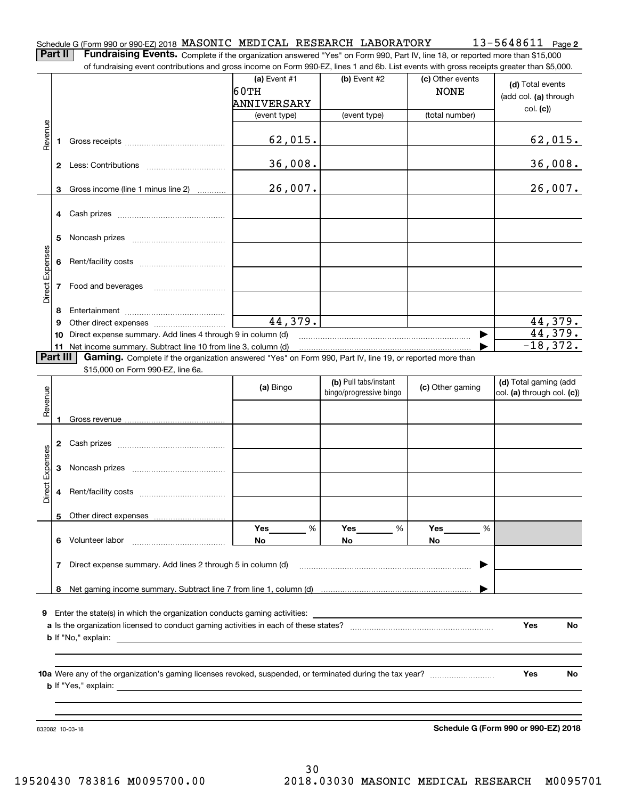**2** Schedule G (Form 990 or 990-EZ) 2018 MASONIC MEDICAL RESEARCH LABORATORY 13-5648611 page<br>Part II Fundraising Events, Complete it the appointing appurent lives at Esma 200, Dat IV line 19 compated mass than \$15,000.

**Part II Fundraising Events.** Complete if the organization answered "Yes" on Form 990, Part IV, line 18, or reported more than \$15,000<br>15.000 of fundraising event contributions and gross income on Form 990-EZ. lines 1 an of fundraising event contributions and gross income on Form 990-EZ, lines 1 and 6b. List events with gross receipts greater than \$5,000.

|                 |              | of fundraising event contributions and gross income on Form 990-EZ, lines T and 6D. List events with gross receipts greater than \$5,000.                                   |                |                                                  |                  |                                      |
|-----------------|--------------|-----------------------------------------------------------------------------------------------------------------------------------------------------------------------------|----------------|--------------------------------------------------|------------------|--------------------------------------|
|                 |              |                                                                                                                                                                             | (a) Event $#1$ | $(b)$ Event #2                                   | (c) Other events | (d) Total events                     |
|                 |              |                                                                                                                                                                             | 60TH           |                                                  | <b>NONE</b>      |                                      |
|                 |              |                                                                                                                                                                             | ANNIVERSARY    |                                                  |                  | (add col. (a) through                |
|                 |              |                                                                                                                                                                             | (event type)   | (event type)                                     | (total number)   | col. (c)                             |
|                 |              |                                                                                                                                                                             |                |                                                  |                  |                                      |
| Revenue         |              |                                                                                                                                                                             | 62,015.        |                                                  |                  | 62,015.                              |
|                 | 1            |                                                                                                                                                                             |                |                                                  |                  |                                      |
|                 |              |                                                                                                                                                                             | 36,008.        |                                                  |                  | 36,008.                              |
|                 |              |                                                                                                                                                                             |                |                                                  |                  |                                      |
|                 |              |                                                                                                                                                                             | 26,007.        |                                                  |                  | 26,007.                              |
|                 | 3            | Gross income (line 1 minus line 2)                                                                                                                                          |                |                                                  |                  |                                      |
|                 |              |                                                                                                                                                                             |                |                                                  |                  |                                      |
|                 | 4            |                                                                                                                                                                             |                |                                                  |                  |                                      |
|                 | 5            |                                                                                                                                                                             |                |                                                  |                  |                                      |
|                 |              |                                                                                                                                                                             |                |                                                  |                  |                                      |
| Direct Expenses | 6            |                                                                                                                                                                             |                |                                                  |                  |                                      |
|                 |              |                                                                                                                                                                             |                |                                                  |                  |                                      |
|                 |              |                                                                                                                                                                             |                |                                                  |                  |                                      |
|                 | 7            | Food and beverages                                                                                                                                                          |                |                                                  |                  |                                      |
|                 |              |                                                                                                                                                                             |                |                                                  |                  |                                      |
|                 | 8            |                                                                                                                                                                             | 44,379.        |                                                  |                  | 44,379.                              |
|                 | 9            |                                                                                                                                                                             |                |                                                  |                  | $\overline{44}$ , 379.               |
|                 | 10           | Direct expense summary. Add lines 4 through 9 in column (d)                                                                                                                 |                |                                                  | ▶                | $-18,372.$                           |
|                 | Part III     | 11 Net income summary. Subtract line 10 from line 3, column (d)<br>Gaming. Complete if the organization answered "Yes" on Form 990, Part IV, line 19, or reported more than |                |                                                  |                  |                                      |
|                 |              |                                                                                                                                                                             |                |                                                  |                  |                                      |
|                 |              | \$15,000 on Form 990-EZ, line 6a.                                                                                                                                           |                |                                                  |                  |                                      |
|                 |              |                                                                                                                                                                             | (a) Bingo      | (b) Pull tabs/instant<br>bingo/progressive bingo | (c) Other gaming | (d) Total gaming (add                |
| Revenue         |              |                                                                                                                                                                             |                |                                                  |                  | col. (a) through col. (c))           |
|                 |              |                                                                                                                                                                             |                |                                                  |                  |                                      |
|                 |              |                                                                                                                                                                             |                |                                                  |                  |                                      |
|                 |              |                                                                                                                                                                             |                |                                                  |                  |                                      |
|                 | $\mathbf{2}$ |                                                                                                                                                                             |                |                                                  |                  |                                      |
|                 |              |                                                                                                                                                                             |                |                                                  |                  |                                      |
|                 | 3            |                                                                                                                                                                             |                |                                                  |                  |                                      |
| Direct Expenses |              |                                                                                                                                                                             |                |                                                  |                  |                                      |
|                 | 4            |                                                                                                                                                                             |                |                                                  |                  |                                      |
|                 |              |                                                                                                                                                                             |                |                                                  |                  |                                      |
|                 | 5            | Other direct expenses                                                                                                                                                       |                |                                                  |                  |                                      |
|                 |              |                                                                                                                                                                             | Yes<br>%       | Yes<br>%                                         | Yes<br>%         |                                      |
|                 | 6            | Volunteer labor                                                                                                                                                             | No.            | No.                                              | No.              |                                      |
|                 |              |                                                                                                                                                                             |                |                                                  |                  |                                      |
|                 | 7            | Direct expense summary. Add lines 2 through 5 in column (d)                                                                                                                 |                |                                                  | ▶                |                                      |
|                 |              |                                                                                                                                                                             |                |                                                  |                  |                                      |
|                 | 8            |                                                                                                                                                                             |                |                                                  |                  |                                      |
|                 |              |                                                                                                                                                                             |                |                                                  |                  |                                      |
| 9               |              | Enter the state(s) in which the organization conducts gaming activities:                                                                                                    |                |                                                  |                  |                                      |
|                 |              |                                                                                                                                                                             |                |                                                  |                  | Yes<br>No.                           |
|                 |              |                                                                                                                                                                             |                |                                                  |                  |                                      |
|                 |              |                                                                                                                                                                             |                |                                                  |                  |                                      |
|                 |              |                                                                                                                                                                             |                |                                                  |                  |                                      |
|                 |              |                                                                                                                                                                             |                |                                                  |                  | Yes<br>No.                           |
|                 |              | <b>b</b> If "Yes," explain:                                                                                                                                                 |                |                                                  |                  |                                      |
|                 |              |                                                                                                                                                                             |                |                                                  |                  |                                      |
|                 |              |                                                                                                                                                                             |                |                                                  |                  |                                      |
|                 |              |                                                                                                                                                                             |                |                                                  |                  | Schedule G (Form 990 or 990-EZ) 2018 |
|                 |              | 832082 10-03-18                                                                                                                                                             |                |                                                  |                  |                                      |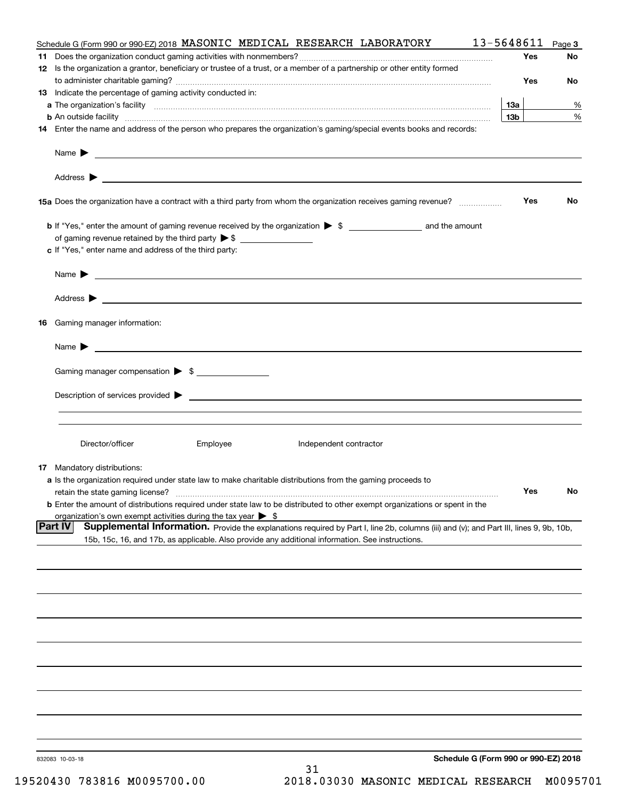| Schedule G (Form 990 or 990-EZ) 2018 MASONIC MEDICAL RESEARCH LABORATORY                                                                                                                                                                  | 13-5648611      | Page 3 |
|-------------------------------------------------------------------------------------------------------------------------------------------------------------------------------------------------------------------------------------------|-----------------|--------|
|                                                                                                                                                                                                                                           | Yes             | No     |
| 12 Is the organization a grantor, beneficiary or trustee of a trust, or a member of a partnership or other entity formed                                                                                                                  |                 |        |
|                                                                                                                                                                                                                                           | Yes             | No     |
| 13 Indicate the percentage of gaming activity conducted in:                                                                                                                                                                               |                 |        |
|                                                                                                                                                                                                                                           | 13a             | %      |
| <b>b</b> An outside facility <b>contained and the contract of the contract of the contract of the contract of the contract of the contract of the contract of the contract of the contract of the contract of the contract of the con</b> | 13 <sub>b</sub> | %      |
| 14 Enter the name and address of the person who prepares the organization's gaming/special events books and records:                                                                                                                      |                 |        |
|                                                                                                                                                                                                                                           |                 |        |
| Name $\blacktriangleright$<br><u> 1990 - John Harry Harry Harry Harry Harry Harry Harry Harry Harry Harry Harry Harry Harry Harry Harry Harry H</u>                                                                                       |                 |        |
|                                                                                                                                                                                                                                           |                 |        |
| 15a Does the organization have a contract with a third party from whom the organization receives gaming revenue?                                                                                                                          | Yes             | No     |
| <b>b</b> If "Yes," enter the amount of gaming revenue received by the organization $\triangleright$ \$                                                                                                                                    |                 |        |
| of gaming revenue retained by the third party $\triangleright$ \$ $\_\_\_\_\_\_\_\_\_\_\_\_\_\_\_\_\_\_\_\_\_\_\_\_\_\_\_$                                                                                                                |                 |        |
| c If "Yes," enter name and address of the third party:                                                                                                                                                                                    |                 |        |
|                                                                                                                                                                                                                                           |                 |        |
| Name $\blacktriangleright$                                                                                                                                                                                                                |                 |        |
|                                                                                                                                                                                                                                           |                 |        |
| 16 Gaming manager information:                                                                                                                                                                                                            |                 |        |
| Name $\sum_{n=1}^{\infty}$                                                                                                                                                                                                                |                 |        |
|                                                                                                                                                                                                                                           |                 |        |
| Gaming manager compensation > \$                                                                                                                                                                                                          |                 |        |
| Description of services provided $\blacktriangleright$ $\blacksquare$                                                                                                                                                                     |                 |        |
|                                                                                                                                                                                                                                           |                 |        |
| Director/officer<br>Employee<br>Independent contractor                                                                                                                                                                                    |                 |        |
| <b>17</b> Mandatory distributions:                                                                                                                                                                                                        |                 |        |
| a Is the organization required under state law to make charitable distributions from the gaming proceeds to                                                                                                                               |                 |        |
| retain the state gaming license?                                                                                                                                                                                                          | Yes             | No     |
| <b>b</b> Enter the amount of distributions required under state law to be distributed to other exempt organizations or spent in the                                                                                                       |                 |        |
| organization's own exempt activities during the tax year $\triangleright$ \$                                                                                                                                                              |                 |        |
| <b>Part IV</b><br>Supplemental Information. Provide the explanations required by Part I, line 2b, columns (iii) and (v); and Part III, lines 9, 9b, 10b,                                                                                  |                 |        |
| 15b, 15c, 16, and 17b, as applicable. Also provide any additional information. See instructions.                                                                                                                                          |                 |        |
|                                                                                                                                                                                                                                           |                 |        |
|                                                                                                                                                                                                                                           |                 |        |
|                                                                                                                                                                                                                                           |                 |        |
|                                                                                                                                                                                                                                           |                 |        |
|                                                                                                                                                                                                                                           |                 |        |
|                                                                                                                                                                                                                                           |                 |        |
|                                                                                                                                                                                                                                           |                 |        |
|                                                                                                                                                                                                                                           |                 |        |
|                                                                                                                                                                                                                                           |                 |        |
|                                                                                                                                                                                                                                           |                 |        |
| Schedule G (Form 990 or 990-EZ) 2018<br>832083 10-03-18<br>31                                                                                                                                                                             |                 |        |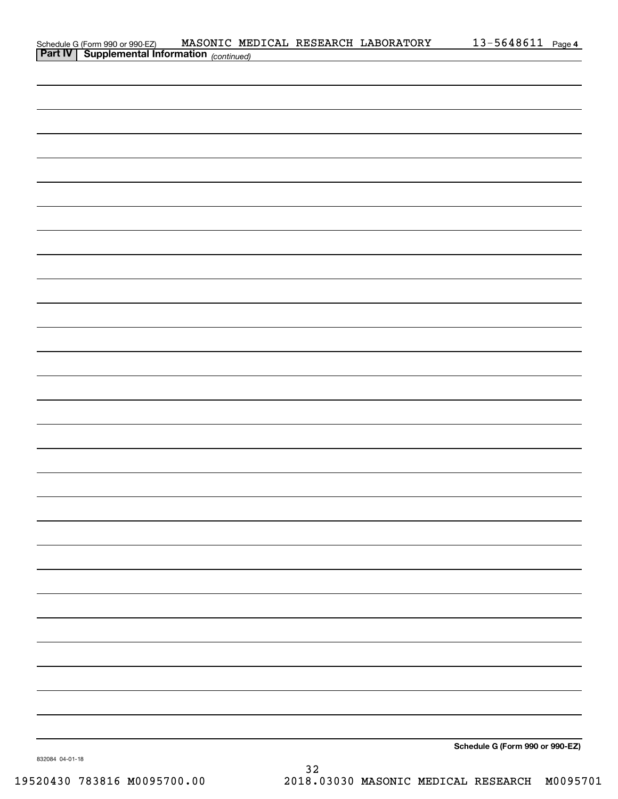|                                                                                                    |  | MASONIC MEDICAL RESEARCH LABORATORY | <u>13-5648611 Page 4</u>        |  |
|----------------------------------------------------------------------------------------------------|--|-------------------------------------|---------------------------------|--|
| Schedule G (Form 990 or 990 EZ) MASONIC ME.<br><b>Part IV</b> Supplemental Information (continued) |  |                                     |                                 |  |
|                                                                                                    |  |                                     |                                 |  |
|                                                                                                    |  |                                     |                                 |  |
|                                                                                                    |  |                                     |                                 |  |
|                                                                                                    |  |                                     |                                 |  |
|                                                                                                    |  |                                     |                                 |  |
|                                                                                                    |  |                                     |                                 |  |
|                                                                                                    |  |                                     |                                 |  |
|                                                                                                    |  |                                     |                                 |  |
|                                                                                                    |  |                                     |                                 |  |
|                                                                                                    |  |                                     |                                 |  |
|                                                                                                    |  |                                     |                                 |  |
|                                                                                                    |  |                                     |                                 |  |
|                                                                                                    |  |                                     |                                 |  |
|                                                                                                    |  |                                     |                                 |  |
|                                                                                                    |  |                                     |                                 |  |
|                                                                                                    |  |                                     |                                 |  |
|                                                                                                    |  |                                     |                                 |  |
|                                                                                                    |  |                                     |                                 |  |
|                                                                                                    |  |                                     |                                 |  |
|                                                                                                    |  |                                     |                                 |  |
|                                                                                                    |  |                                     |                                 |  |
|                                                                                                    |  |                                     |                                 |  |
|                                                                                                    |  |                                     |                                 |  |
|                                                                                                    |  |                                     |                                 |  |
|                                                                                                    |  |                                     |                                 |  |
|                                                                                                    |  |                                     |                                 |  |
|                                                                                                    |  |                                     |                                 |  |
|                                                                                                    |  |                                     |                                 |  |
|                                                                                                    |  |                                     |                                 |  |
|                                                                                                    |  |                                     |                                 |  |
|                                                                                                    |  |                                     |                                 |  |
|                                                                                                    |  |                                     |                                 |  |
|                                                                                                    |  |                                     |                                 |  |
|                                                                                                    |  |                                     |                                 |  |
|                                                                                                    |  |                                     |                                 |  |
|                                                                                                    |  |                                     |                                 |  |
|                                                                                                    |  |                                     |                                 |  |
|                                                                                                    |  |                                     |                                 |  |
|                                                                                                    |  |                                     |                                 |  |
|                                                                                                    |  |                                     |                                 |  |
|                                                                                                    |  |                                     |                                 |  |
|                                                                                                    |  |                                     |                                 |  |
|                                                                                                    |  |                                     |                                 |  |
|                                                                                                    |  |                                     |                                 |  |
|                                                                                                    |  |                                     |                                 |  |
|                                                                                                    |  |                                     |                                 |  |
|                                                                                                    |  |                                     |                                 |  |
|                                                                                                    |  |                                     |                                 |  |
|                                                                                                    |  |                                     |                                 |  |
|                                                                                                    |  |                                     |                                 |  |
|                                                                                                    |  |                                     |                                 |  |
|                                                                                                    |  |                                     |                                 |  |
|                                                                                                    |  |                                     |                                 |  |
|                                                                                                    |  |                                     |                                 |  |
|                                                                                                    |  |                                     |                                 |  |
|                                                                                                    |  |                                     |                                 |  |
|                                                                                                    |  |                                     |                                 |  |
|                                                                                                    |  |                                     |                                 |  |
|                                                                                                    |  |                                     |                                 |  |
|                                                                                                    |  |                                     |                                 |  |
|                                                                                                    |  |                                     | Schedule G (Form 990 or 990-EZ) |  |

832084 04-01-18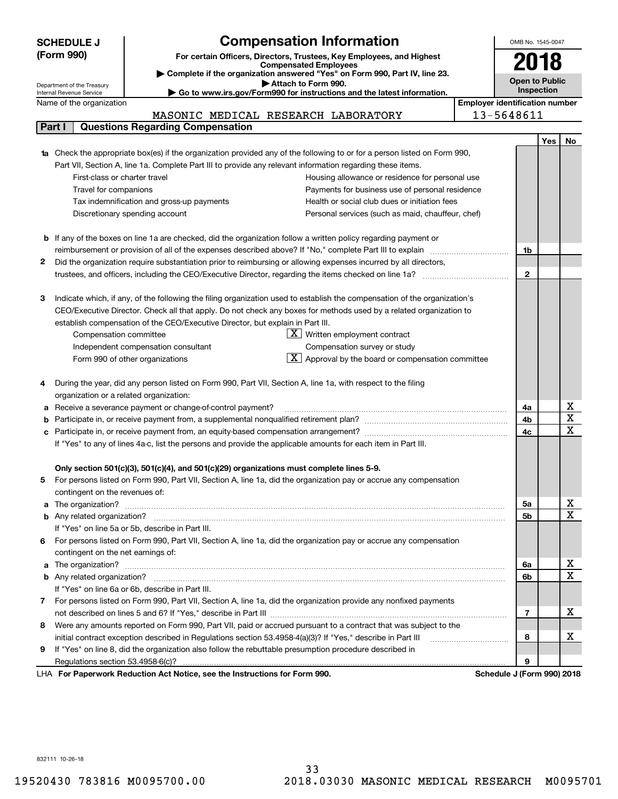|    | <b>SCHEDULE J</b>                                                                                                   | <b>Compensation Information</b>                                                                                                                                                                                                     |                                       | OMB No. 1545-0047                   |            |             |
|----|---------------------------------------------------------------------------------------------------------------------|-------------------------------------------------------------------------------------------------------------------------------------------------------------------------------------------------------------------------------------|---------------------------------------|-------------------------------------|------------|-------------|
|    | (Form 990)<br>For certain Officers, Directors, Trustees, Key Employees, and Highest<br><b>Compensated Employees</b> |                                                                                                                                                                                                                                     |                                       | 2018                                |            |             |
|    |                                                                                                                     |                                                                                                                                                                                                                                     |                                       |                                     |            |             |
|    | Department of the Treasury                                                                                          | Complete if the organization answered "Yes" on Form 990, Part IV, line 23.<br>Attach to Form 990.                                                                                                                                   |                                       | <b>Open to Public</b><br>Inspection |            |             |
|    | Internal Revenue Service<br>Name of the organization                                                                | Go to www.irs.gov/Form990 for instructions and the latest information.                                                                                                                                                              | <b>Employer identification number</b> |                                     |            |             |
|    |                                                                                                                     | MASONIC MEDICAL RESEARCH LABORATORY                                                                                                                                                                                                 | 13-5648611                            |                                     |            |             |
|    | Part I                                                                                                              | <b>Questions Regarding Compensation</b>                                                                                                                                                                                             |                                       |                                     |            |             |
|    |                                                                                                                     |                                                                                                                                                                                                                                     |                                       |                                     | <b>Yes</b> | No          |
|    |                                                                                                                     | <b>1a</b> Check the appropriate box(es) if the organization provided any of the following to or for a person listed on Form 990,                                                                                                    |                                       |                                     |            |             |
|    |                                                                                                                     | Part VII, Section A, line 1a. Complete Part III to provide any relevant information regarding these items.                                                                                                                          |                                       |                                     |            |             |
|    | First-class or charter travel                                                                                       | Housing allowance or residence for personal use                                                                                                                                                                                     |                                       |                                     |            |             |
|    | Travel for companions                                                                                               | Payments for business use of personal residence                                                                                                                                                                                     |                                       |                                     |            |             |
|    |                                                                                                                     | Tax indemnification and gross-up payments<br>Health or social club dues or initiation fees                                                                                                                                          |                                       |                                     |            |             |
|    |                                                                                                                     | Discretionary spending account<br>Personal services (such as maid, chauffeur, chef)                                                                                                                                                 |                                       |                                     |            |             |
|    |                                                                                                                     |                                                                                                                                                                                                                                     |                                       |                                     |            |             |
|    |                                                                                                                     | <b>b</b> If any of the boxes on line 1a are checked, did the organization follow a written policy regarding payment or                                                                                                              |                                       |                                     |            |             |
|    |                                                                                                                     |                                                                                                                                                                                                                                     |                                       | 1b                                  |            |             |
| 2  |                                                                                                                     | Did the organization require substantiation prior to reimbursing or allowing expenses incurred by all directors,                                                                                                                    |                                       |                                     |            |             |
|    |                                                                                                                     |                                                                                                                                                                                                                                     |                                       | $\mathbf{2}$                        |            |             |
|    |                                                                                                                     |                                                                                                                                                                                                                                     |                                       |                                     |            |             |
| 3  |                                                                                                                     | Indicate which, if any, of the following the filing organization used to establish the compensation of the organization's                                                                                                           |                                       |                                     |            |             |
|    |                                                                                                                     | CEO/Executive Director. Check all that apply. Do not check any boxes for methods used by a related organization to                                                                                                                  |                                       |                                     |            |             |
|    |                                                                                                                     | establish compensation of the CEO/Executive Director, but explain in Part III.<br>$\lfloor X \rfloor$ Written employment contract                                                                                                   |                                       |                                     |            |             |
|    | Compensation committee                                                                                              | Compensation survey or study                                                                                                                                                                                                        |                                       |                                     |            |             |
|    |                                                                                                                     | Independent compensation consultant<br>$X$ Approval by the board or compensation committee<br>Form 990 of other organizations                                                                                                       |                                       |                                     |            |             |
|    |                                                                                                                     |                                                                                                                                                                                                                                     |                                       |                                     |            |             |
| 4  |                                                                                                                     | During the year, did any person listed on Form 990, Part VII, Section A, line 1a, with respect to the filing                                                                                                                        |                                       |                                     |            |             |
|    | organization or a related organization:                                                                             |                                                                                                                                                                                                                                     |                                       |                                     |            |             |
| а  |                                                                                                                     | Receive a severance payment or change-of-control payment?                                                                                                                                                                           |                                       | 4a                                  |            | x           |
| b  |                                                                                                                     |                                                                                                                                                                                                                                     |                                       | 4b                                  |            | $\mathbf X$ |
| с  |                                                                                                                     |                                                                                                                                                                                                                                     |                                       | 4c                                  |            | $\mathbf X$ |
|    |                                                                                                                     | If "Yes" to any of lines 4a-c, list the persons and provide the applicable amounts for each item in Part III.                                                                                                                       |                                       |                                     |            |             |
|    |                                                                                                                     |                                                                                                                                                                                                                                     |                                       |                                     |            |             |
|    |                                                                                                                     | Only section 501(c)(3), 501(c)(4), and 501(c)(29) organizations must complete lines 5-9.                                                                                                                                            |                                       |                                     |            |             |
|    |                                                                                                                     | For persons listed on Form 990, Part VII, Section A, line 1a, did the organization pay or accrue any compensation                                                                                                                   |                                       |                                     |            |             |
|    | contingent on the revenues of:                                                                                      |                                                                                                                                                                                                                                     |                                       |                                     |            |             |
|    |                                                                                                                     | a The organization? <b>Example 2018</b> and 2019 and 2019 and 2019 and 2019 and 2019 and 2019 and 2019 and 2019 and 2019 and 2019 and 2019 and 2019 and 2019 and 2019 and 2019 and 2019 and 2019 and 2019 and 2019 and 2019 and 201 |                                       | 5a                                  |            | X           |
|    |                                                                                                                     |                                                                                                                                                                                                                                     |                                       | 5b                                  |            | х           |
|    |                                                                                                                     | If "Yes" on line 5a or 5b, describe in Part III.                                                                                                                                                                                    |                                       |                                     |            |             |
| 6. |                                                                                                                     | For persons listed on Form 990, Part VII, Section A, line 1a, did the organization pay or accrue any compensation                                                                                                                   |                                       |                                     |            |             |
|    | contingent on the net earnings of:                                                                                  |                                                                                                                                                                                                                                     |                                       |                                     |            |             |
|    |                                                                                                                     | a The organization? <b>Example 2018</b> and 2019 and 2019 and 2019 and 2019 and 2019 and 2019 and 2019 and 2019 and 2019 and 2019 and 2019 and 2019 and 2019 and 2019 and 2019 and 2019 and 2019 and 2019 and 2019 and 2019 and 201 |                                       | 6a                                  |            | х<br>х      |
|    |                                                                                                                     |                                                                                                                                                                                                                                     |                                       | 6b                                  |            |             |
|    |                                                                                                                     | If "Yes" on line 6a or 6b, describe in Part III.<br>7 For persons listed on Form 990, Part VII, Section A, line 1a, did the organization provide any nonfixed payments                                                              |                                       |                                     |            |             |
|    |                                                                                                                     |                                                                                                                                                                                                                                     |                                       | 7                                   |            | х           |
| 8  |                                                                                                                     | Were any amounts reported on Form 990, Part VII, paid or accrued pursuant to a contract that was subject to the                                                                                                                     |                                       |                                     |            |             |
|    |                                                                                                                     | initial contract exception described in Regulations section 53.4958-4(a)(3)? If "Yes," describe in Part III                                                                                                                         |                                       | 8                                   |            | х           |
| 9  |                                                                                                                     | If "Yes" on line 8, did the organization also follow the rebuttable presumption procedure described in                                                                                                                              |                                       |                                     |            |             |
|    | Regulations section 53.4958-6(c)?                                                                                   |                                                                                                                                                                                                                                     |                                       | 9                                   |            |             |
|    |                                                                                                                     | LHA For Paperwork Reduction Act Notice, see the Instructions for Form 990.                                                                                                                                                          | Schedule J (Form 990) 2018            |                                     |            |             |

832111 10-26-18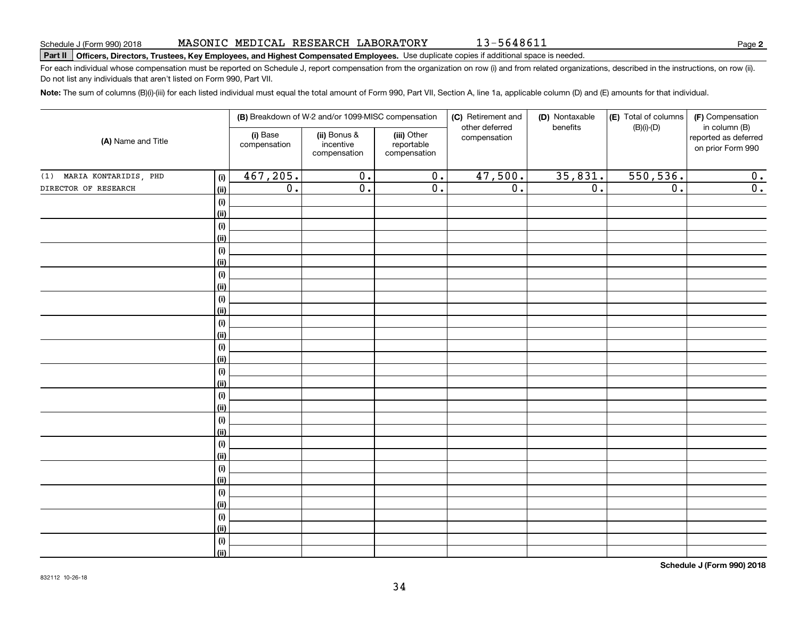### **Part II Officers, Directors, Trustees, Key Employees, and Highest Compensated Employees.**  Schedule J (Form 990) 2018 Page Use duplicate copies if additional space is needed.

For each individual whose compensation must be reported on Schedule J, report compensation from the organization on row (i) and from related organizations, described in the instructions, on row (ii). Do not list any individuals that aren't listed on Form 990, Part VII.

**Note:**  The sum of columns (B)(i)-(iii) for each listed individual must equal the total amount of Form 990, Part VII, Section A, line 1a, applicable column (D) and (E) amounts for that individual.

|                              |                              |                          | (B) Breakdown of W-2 and/or 1099-MISC compensation |                                           | (C) Retirement and             | (D) Nontaxable   | (E) Total of columns | (F) Compensation                                           |
|------------------------------|------------------------------|--------------------------|----------------------------------------------------|-------------------------------------------|--------------------------------|------------------|----------------------|------------------------------------------------------------|
| (A) Name and Title           |                              | (i) Base<br>compensation | (ii) Bonus &<br>incentive<br>compensation          | (iii) Other<br>reportable<br>compensation | other deferred<br>compensation | benefits         | $(B)(i)$ - $(D)$     | in column (B)<br>reported as deferred<br>on prior Form 990 |
| MARIA KONTARIDIS, PHD<br>(1) | (i)                          | 467,205.                 | $\overline{0}$ .                                   | $\overline{\mathbf{0}}$ .                 | 47,500.                        | 35,831.          | 550, 536.            | 0.                                                         |
| DIRECTOR OF RESEARCH         | (ii)                         | $\overline{0}$ .         | $\overline{0}$ .                                   | $\overline{0}$ .                          | $\overline{0}$ .               | $\overline{0}$ . | $\overline{0}$ .     | $\overline{0}$ .                                           |
|                              | $(\sf{i})$                   |                          |                                                    |                                           |                                |                  |                      |                                                            |
|                              | (ii)                         |                          |                                                    |                                           |                                |                  |                      |                                                            |
|                              | (i)                          |                          |                                                    |                                           |                                |                  |                      |                                                            |
|                              | (ii)                         |                          |                                                    |                                           |                                |                  |                      |                                                            |
|                              | $\qquad \qquad \textbf{(i)}$ |                          |                                                    |                                           |                                |                  |                      |                                                            |
|                              | (ii)                         |                          |                                                    |                                           |                                |                  |                      |                                                            |
|                              | $(\sf{i})$                   |                          |                                                    |                                           |                                |                  |                      |                                                            |
|                              | (ii)                         |                          |                                                    |                                           |                                |                  |                      |                                                            |
|                              | $(\sf{i})$                   |                          |                                                    |                                           |                                |                  |                      |                                                            |
|                              | (ii)                         |                          |                                                    |                                           |                                |                  |                      |                                                            |
|                              | $(\sf{i})$                   |                          |                                                    |                                           |                                |                  |                      |                                                            |
|                              | (ii)                         |                          |                                                    |                                           |                                |                  |                      |                                                            |
|                              | $(\sf{i})$                   |                          |                                                    |                                           |                                |                  |                      |                                                            |
|                              | (ii)                         |                          |                                                    |                                           |                                |                  |                      |                                                            |
|                              | (i)                          |                          |                                                    |                                           |                                |                  |                      |                                                            |
|                              | (ii)                         |                          |                                                    |                                           |                                |                  |                      |                                                            |
|                              | (i)<br>(ii)                  |                          |                                                    |                                           |                                |                  |                      |                                                            |
|                              | $(\sf{i})$                   |                          |                                                    |                                           |                                |                  |                      |                                                            |
|                              | (ii)                         |                          |                                                    |                                           |                                |                  |                      |                                                            |
|                              | $\qquad \qquad \textbf{(i)}$ |                          |                                                    |                                           |                                |                  |                      |                                                            |
|                              | (ii)                         |                          |                                                    |                                           |                                |                  |                      |                                                            |
|                              | $(\sf{i})$                   |                          |                                                    |                                           |                                |                  |                      |                                                            |
|                              | (ii)                         |                          |                                                    |                                           |                                |                  |                      |                                                            |
|                              | $(\sf{i})$                   |                          |                                                    |                                           |                                |                  |                      |                                                            |
|                              | (ii)                         |                          |                                                    |                                           |                                |                  |                      |                                                            |
|                              | (i)                          |                          |                                                    |                                           |                                |                  |                      |                                                            |
|                              | (ii)                         |                          |                                                    |                                           |                                |                  |                      |                                                            |
|                              | $\qquad \qquad \textbf{(i)}$ |                          |                                                    |                                           |                                |                  |                      |                                                            |
|                              | (ii)                         |                          |                                                    |                                           |                                |                  |                      |                                                            |

**Schedule J (Form 990) 2018**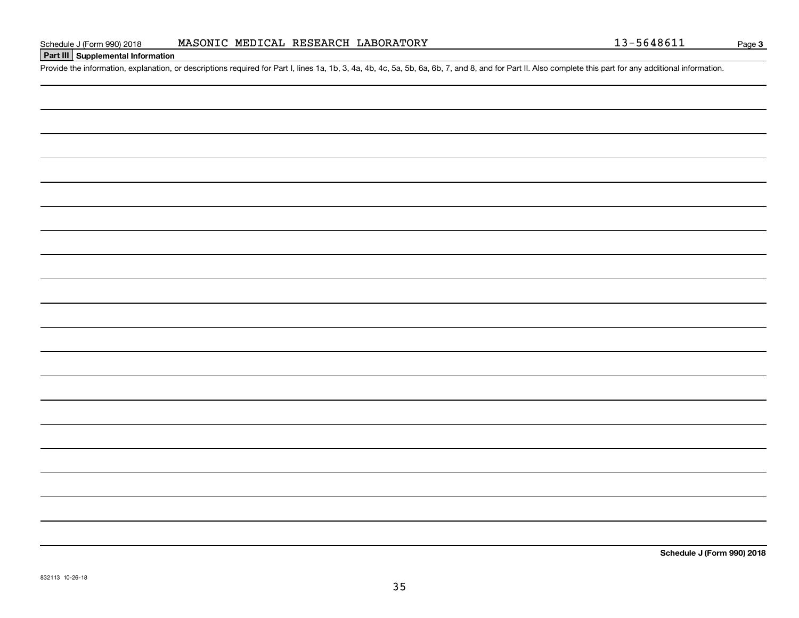### **Part III Supplemental Information**

Schedule J (Form 990) 2018 MASONIC MEDICAL RESEARCH LABORATORY<br>Part III Supplemental Information<br>Provide the information, explanation, or descriptions required for Part I, lines 1a, 1b, 3, 4a, 4b, 4c, 5a, 5b, 6a, 6b, 7, an

**Schedule J (Form 990) 2018**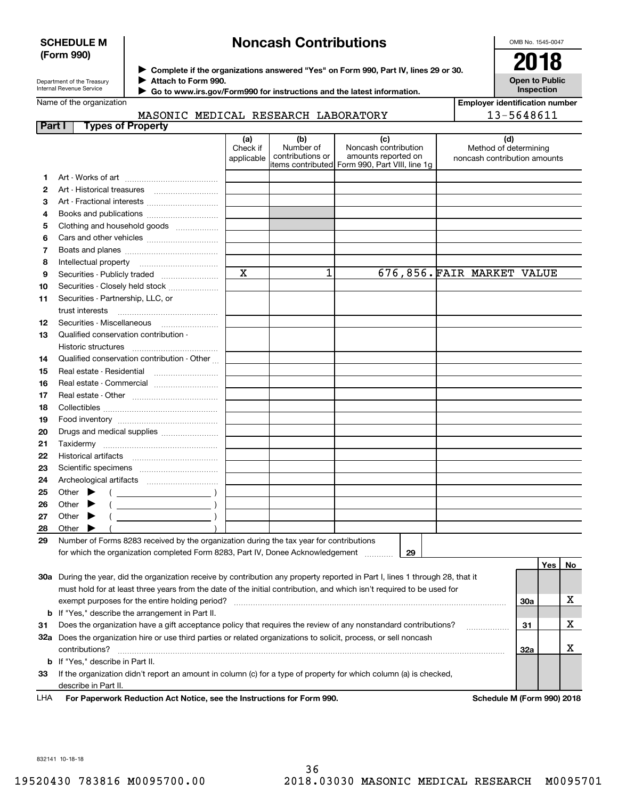### **SCHEDULE M (Form 990)**

### **Noncash Contributions**

OMB No. 1545-0047

**Open to Public Inspection**

Department of the Treasury Internal Revenue Service

**Complete if the organizations answered "Yes" on Form 990, Part IV, lines 29 or 30.** <sup>J</sup>**2018 Attach to Form 990.** J

 **Go to www.irs.gov/Form990 for instructions and the latest information.** J

Name of the organization

|  | _____________________________ |  |  |  |  |  |  |
|--|-------------------------------|--|--|--|--|--|--|

**Employer identification number** 13-5648611

|  |  | MASONIC MEDICAL RESEARCH LABORATORY |
|--|--|-------------------------------------|
|  |  |                                     |

| Part I |       |                 | <b>Types of Property</b>                                                                                                       |                               |                                      |                                                                                                      |                                                              |     |     |     |
|--------|-------|-----------------|--------------------------------------------------------------------------------------------------------------------------------|-------------------------------|--------------------------------------|------------------------------------------------------------------------------------------------------|--------------------------------------------------------------|-----|-----|-----|
|        |       |                 |                                                                                                                                | (a)<br>Check if<br>applicable | (b)<br>Number of<br>contributions or | (c)<br>Noncash contribution<br>amounts reported on<br>items contributed Form 990, Part VIII, line 1g | (d)<br>Method of determining<br>noncash contribution amounts |     |     |     |
| 1      |       |                 |                                                                                                                                |                               |                                      |                                                                                                      |                                                              |     |     |     |
| 2      |       |                 | Art - Historical treasures                                                                                                     |                               |                                      |                                                                                                      |                                                              |     |     |     |
| з      |       |                 |                                                                                                                                |                               |                                      |                                                                                                      |                                                              |     |     |     |
| 4      |       |                 | Books and publications                                                                                                         |                               |                                      |                                                                                                      |                                                              |     |     |     |
| 5      |       |                 | Clothing and household goods                                                                                                   |                               |                                      |                                                                                                      |                                                              |     |     |     |
| 6      |       |                 |                                                                                                                                |                               |                                      |                                                                                                      |                                                              |     |     |     |
| 7      |       |                 |                                                                                                                                |                               |                                      |                                                                                                      |                                                              |     |     |     |
| 8      |       |                 | Intellectual property                                                                                                          |                               |                                      |                                                                                                      |                                                              |     |     |     |
| 9      |       |                 | Securities - Publicly traded                                                                                                   | $\mathbf x$                   | 1                                    |                                                                                                      | 676,856. FAIR MARKET VALUE                                   |     |     |     |
| 10     |       |                 | Securities - Closely held stock                                                                                                |                               |                                      |                                                                                                      |                                                              |     |     |     |
| 11     |       |                 | Securities - Partnership, LLC, or                                                                                              |                               |                                      |                                                                                                      |                                                              |     |     |     |
|        |       | trust interests |                                                                                                                                |                               |                                      |                                                                                                      |                                                              |     |     |     |
| 12     |       |                 | Securities - Miscellaneous                                                                                                     |                               |                                      |                                                                                                      |                                                              |     |     |     |
| 13     |       |                 | Qualified conservation contribution -                                                                                          |                               |                                      |                                                                                                      |                                                              |     |     |     |
|        |       |                 |                                                                                                                                |                               |                                      |                                                                                                      |                                                              |     |     |     |
| 14     |       |                 | Qualified conservation contribution - Other                                                                                    |                               |                                      |                                                                                                      |                                                              |     |     |     |
| 15     |       |                 | Real estate - Residential                                                                                                      |                               |                                      |                                                                                                      |                                                              |     |     |     |
| 16     |       |                 | Real estate - Commercial                                                                                                       |                               |                                      |                                                                                                      |                                                              |     |     |     |
| 17     |       |                 |                                                                                                                                |                               |                                      |                                                                                                      |                                                              |     |     |     |
| 18     |       |                 |                                                                                                                                |                               |                                      |                                                                                                      |                                                              |     |     |     |
| 19     |       |                 |                                                                                                                                |                               |                                      |                                                                                                      |                                                              |     |     |     |
| 20     |       |                 | Drugs and medical supplies                                                                                                     |                               |                                      |                                                                                                      |                                                              |     |     |     |
| 21     |       |                 |                                                                                                                                |                               |                                      |                                                                                                      |                                                              |     |     |     |
| 22     |       |                 |                                                                                                                                |                               |                                      |                                                                                                      |                                                              |     |     |     |
| 23     |       |                 |                                                                                                                                |                               |                                      |                                                                                                      |                                                              |     |     |     |
| 24     |       |                 |                                                                                                                                |                               |                                      |                                                                                                      |                                                              |     |     |     |
| 25     | Other |                 |                                                                                                                                |                               |                                      |                                                                                                      |                                                              |     |     |     |
| 26     | Other |                 |                                                                                                                                |                               |                                      |                                                                                                      |                                                              |     |     |     |
| 27     | Other |                 |                                                                                                                                |                               |                                      |                                                                                                      |                                                              |     |     |     |
| 28     | Other |                 |                                                                                                                                |                               |                                      |                                                                                                      |                                                              |     |     |     |
| 29     |       |                 | Number of Forms 8283 received by the organization during the tax year for contributions                                        |                               |                                      |                                                                                                      |                                                              |     |     |     |
|        |       |                 | for which the organization completed Form 8283, Part IV, Donee Acknowledgement                                                 |                               |                                      | 29                                                                                                   |                                                              |     |     |     |
|        |       |                 |                                                                                                                                |                               |                                      |                                                                                                      |                                                              |     | Yes | No. |
|        |       |                 | 30a During the year, did the organization receive by contribution any property reported in Part I, lines 1 through 28, that it |                               |                                      |                                                                                                      |                                                              |     |     |     |
|        |       |                 | must hold for at least three years from the date of the initial contribution, and which isn't required to be used for          |                               |                                      |                                                                                                      |                                                              |     |     |     |
|        |       |                 | exempt purposes for the entire holding period?                                                                                 |                               |                                      |                                                                                                      |                                                              | 30a |     | х   |
|        |       |                 | <b>b</b> If "Yes," describe the arrangement in Part II.                                                                        |                               |                                      |                                                                                                      |                                                              |     |     |     |
| 31     |       |                 | Does the organization have a gift acceptance policy that requires the review of any nonstandard contributions?                 |                               |                                      |                                                                                                      |                                                              | 31  |     | х   |
|        |       |                 | 32a Does the organization hire or use third parties or related organizations to solicit, process, or sell noncash              |                               |                                      |                                                                                                      |                                                              |     |     |     |
|        |       | contributions?  |                                                                                                                                |                               |                                      |                                                                                                      |                                                              | 32a |     | х   |
|        |       |                 | <b>b</b> If "Yes," describe in Part II.                                                                                        |                               |                                      |                                                                                                      |                                                              |     |     |     |
| 33     |       |                 | If the organization didn't report an amount in column (c) for a type of property for which column (a) is checked,              |                               |                                      |                                                                                                      |                                                              |     |     |     |
|        |       |                 | describe in Part II.                                                                                                           |                               |                                      |                                                                                                      |                                                              |     |     |     |

**For Paperwork Reduction Act Notice, see the Instructions for Form 990. Schedule M (Form 990) 2018** LHA

832141 10-18-18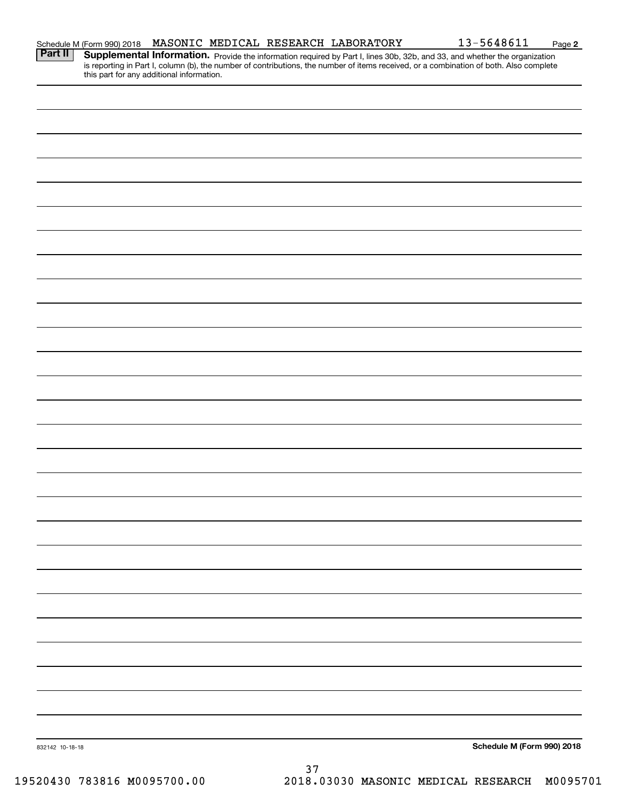| <b>Part II</b>  | <b>Supplemental Information.</b> Provide the information required by Part I, lines 30b, 32b, and 33, and whether the organization is reporting in Part I, column (b), the number of contributions, the number of items received, or |    |  |                                     |          |
|-----------------|-------------------------------------------------------------------------------------------------------------------------------------------------------------------------------------------------------------------------------------|----|--|-------------------------------------|----------|
|                 | this part for any additional information.                                                                                                                                                                                           |    |  |                                     |          |
|                 |                                                                                                                                                                                                                                     |    |  |                                     |          |
|                 |                                                                                                                                                                                                                                     |    |  |                                     |          |
|                 |                                                                                                                                                                                                                                     |    |  |                                     |          |
|                 |                                                                                                                                                                                                                                     |    |  |                                     |          |
|                 |                                                                                                                                                                                                                                     |    |  |                                     |          |
|                 |                                                                                                                                                                                                                                     |    |  |                                     |          |
|                 |                                                                                                                                                                                                                                     |    |  |                                     |          |
|                 |                                                                                                                                                                                                                                     |    |  |                                     |          |
|                 |                                                                                                                                                                                                                                     |    |  |                                     |          |
|                 |                                                                                                                                                                                                                                     |    |  |                                     |          |
|                 |                                                                                                                                                                                                                                     |    |  |                                     |          |
|                 |                                                                                                                                                                                                                                     |    |  |                                     |          |
|                 |                                                                                                                                                                                                                                     |    |  |                                     |          |
|                 |                                                                                                                                                                                                                                     |    |  |                                     |          |
|                 |                                                                                                                                                                                                                                     |    |  |                                     |          |
|                 |                                                                                                                                                                                                                                     |    |  |                                     |          |
|                 |                                                                                                                                                                                                                                     |    |  |                                     |          |
|                 |                                                                                                                                                                                                                                     |    |  |                                     |          |
|                 |                                                                                                                                                                                                                                     |    |  |                                     |          |
|                 |                                                                                                                                                                                                                                     |    |  |                                     |          |
|                 |                                                                                                                                                                                                                                     |    |  |                                     |          |
|                 |                                                                                                                                                                                                                                     |    |  |                                     |          |
|                 |                                                                                                                                                                                                                                     |    |  |                                     |          |
|                 |                                                                                                                                                                                                                                     |    |  |                                     |          |
|                 |                                                                                                                                                                                                                                     |    |  |                                     |          |
|                 |                                                                                                                                                                                                                                     |    |  |                                     |          |
|                 |                                                                                                                                                                                                                                     |    |  |                                     |          |
|                 |                                                                                                                                                                                                                                     |    |  |                                     |          |
|                 |                                                                                                                                                                                                                                     |    |  |                                     |          |
|                 |                                                                                                                                                                                                                                     |    |  |                                     |          |
|                 |                                                                                                                                                                                                                                     |    |  |                                     |          |
|                 |                                                                                                                                                                                                                                     |    |  |                                     |          |
|                 |                                                                                                                                                                                                                                     |    |  |                                     |          |
|                 |                                                                                                                                                                                                                                     |    |  |                                     |          |
|                 |                                                                                                                                                                                                                                     |    |  |                                     |          |
|                 |                                                                                                                                                                                                                                     |    |  |                                     |          |
|                 |                                                                                                                                                                                                                                     |    |  |                                     |          |
|                 |                                                                                                                                                                                                                                     |    |  |                                     |          |
|                 |                                                                                                                                                                                                                                     |    |  |                                     |          |
|                 |                                                                                                                                                                                                                                     |    |  |                                     |          |
|                 |                                                                                                                                                                                                                                     |    |  |                                     |          |
|                 |                                                                                                                                                                                                                                     |    |  |                                     |          |
|                 |                                                                                                                                                                                                                                     |    |  |                                     |          |
|                 |                                                                                                                                                                                                                                     |    |  |                                     |          |
|                 |                                                                                                                                                                                                                                     |    |  |                                     |          |
| 832142 10-18-18 |                                                                                                                                                                                                                                     |    |  | Schedule M (Form 990) 2018          |          |
|                 |                                                                                                                                                                                                                                     | 37 |  |                                     |          |
|                 | 19520430 783816 M0095700.00                                                                                                                                                                                                         |    |  | 2018.03030 MASONIC MEDICAL RESEARCH | M0095701 |
|                 |                                                                                                                                                                                                                                     |    |  |                                     |          |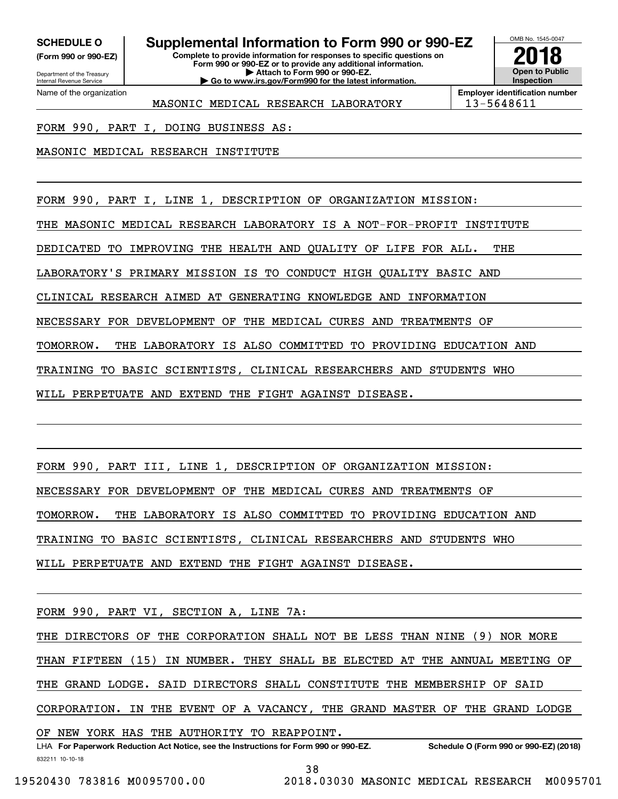**(Form 990 or 990-EZ)**

Department of the Treasury Internal Revenue Service Name of the organization

### **SCHEDULE O Supplemental Information to Form 990 or 990-EZ**

**Complete to provide information for responses to specific questions on Form 990 or 990-EZ or to provide any additional information. | Attach to Form 990 or 990-EZ. | Go to www.irs.gov/Form990 for the latest information.**



**Employer identification number** MASONIC MEDICAL RESEARCH LABORATORY | 13-5648611

FORM 990, PART I, DOING BUSINESS AS:

MASONIC MEDICAL RESEARCH INSTITUTE

FORM 990, PART I, LINE 1, DESCRIPTION OF ORGANIZATION MISSION:

THE MASONIC MEDICAL RESEARCH LABORATORY IS A NOT-FOR-PROFIT INSTITUTE

DEDICATED TO IMPROVING THE HEALTH AND QUALITY OF LIFE FOR ALL. THE

LABORATORY'S PRIMARY MISSION IS TO CONDUCT HIGH QUALITY BASIC AND

CLINICAL RESEARCH AIMED AT GENERATING KNOWLEDGE AND INFORMATION

NECESSARY FOR DEVELOPMENT OF THE MEDICAL CURES AND TREATMENTS OF

TOMORROW. THE LABORATORY IS ALSO COMMITTED TO PROVIDING EDUCATION AND

TRAINING TO BASIC SCIENTISTS, CLINICAL RESEARCHERS AND STUDENTS WHO

WILL PERPETUATE AND EXTEND THE FIGHT AGAINST DISEASE.

FORM 990, PART III, LINE 1, DESCRIPTION OF ORGANIZATION MISSION: NECESSARY FOR DEVELOPMENT OF THE MEDICAL CURES AND TREATMENTS OF TOMORROW. THE LABORATORY IS ALSO COMMITTED TO PROVIDING EDUCATION AND TRAINING TO BASIC SCIENTISTS, CLINICAL RESEARCHERS AND STUDENTS WHO WILL PERPETUATE AND EXTEND THE FIGHT AGAINST DISEASE.

FORM 990, PART VI, SECTION A, LINE 7A:

THE DIRECTORS OF THE CORPORATION SHALL NOT BE LESS THAN NINE (9) NOR MORE THAN FIFTEEN (15) IN NUMBER. THEY SHALL BE ELECTED AT THE ANNUAL MEETING OF THE GRAND LODGE. SAID DIRECTORS SHALL CONSTITUTE THE MEMBERSHIP OF SAID CORPORATION. IN THE EVENT OF A VACANCY, THE GRAND MASTER OF THE GRAND LODGE

OF NEW YORK HAS THE AUTHORITY TO REAPPOINT.

832211 10-10-18 LHA For Paperwork Reduction Act Notice, see the Instructions for Form 990 or 990-EZ. Schedule O (Form 990 or 990-EZ) (2018) 38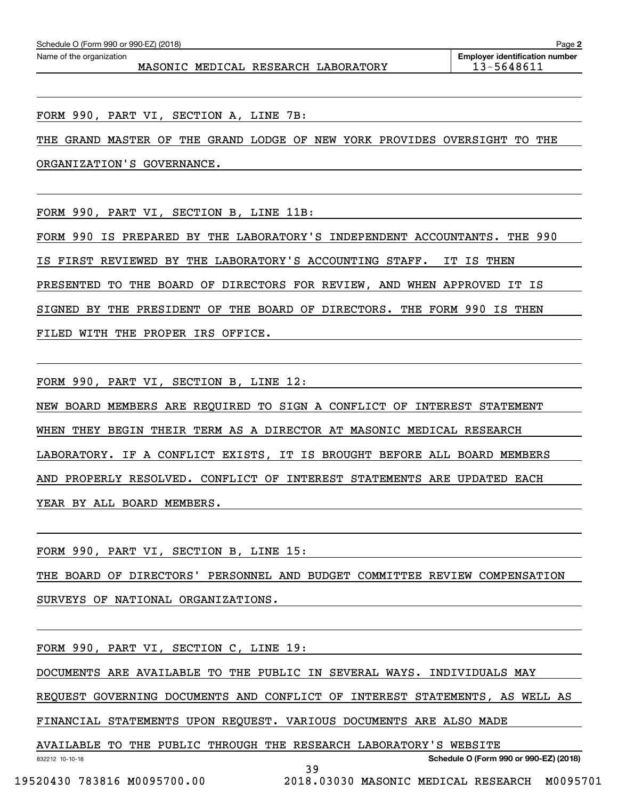FORM 990, PART VI, SECTION A, LINE 7B:

THE GRAND MASTER OF THE GRAND LODGE OF NEW YORK PROVIDES OVERSIGHT TO THE

ORGANIZATION'S GOVERNANCE.

FORM 990, PART VI, SECTION B, LINE 11B:

FORM 990 IS PREPARED BY THE LABORATORY'S INDEPENDENT ACCOUNTANTS. THE 990 IS FIRST REVIEWED BY THE LABORATORY'S ACCOUNTING STAFF. IT IS THEN PRESENTED TO THE BOARD OF DIRECTORS FOR REVIEW, AND WHEN APPROVED IT IS SIGNED BY THE PRESIDENT OF THE BOARD OF DIRECTORS. THE FORM 990 IS THEN FILED WITH THE PROPER IRS OFFICE.

FORM 990, PART VI, SECTION B, LINE 12:

NEW BOARD MEMBERS ARE REQUIRED TO SIGN A CONFLICT OF INTEREST STATEMENT WHEN THEY BEGIN THEIR TERM AS A DIRECTOR AT MASONIC MEDICAL RESEARCH LABORATORY. IF A CONFLICT EXISTS, IT IS BROUGHT BEFORE ALL BOARD MEMBERS AND PROPERLY RESOLVED. CONFLICT OF INTEREST STATEMENTS ARE UPDATED EACH YEAR BY ALL BOARD MEMBERS.

FORM 990, PART VI, SECTION B, LINE 15:

THE BOARD OF DIRECTORS' PERSONNEL AND BUDGET COMMITTEE REVIEW COMPENSATION

SURVEYS OF NATIONAL ORGANIZATIONS.

FORM 990, PART VI, SECTION C, LINE 19:

DOCUMENTS ARE AVAILABLE TO THE PUBLIC IN SEVERAL WAYS. INDIVIDUALS MAY

REQUEST GOVERNING DOCUMENTS AND CONFLICT OF INTEREST STATEMENTS, AS WELL AS

FINANCIAL STATEMENTS UPON REQUEST. VARIOUS DOCUMENTS ARE ALSO MADE

AVAILABLE TO THE PUBLIC THROUGH THE RESEARCH LABORATORY'S WEBSITE

**Schedule O (Form 990 or 990-EZ) (2018)**

832212 10-10-18

39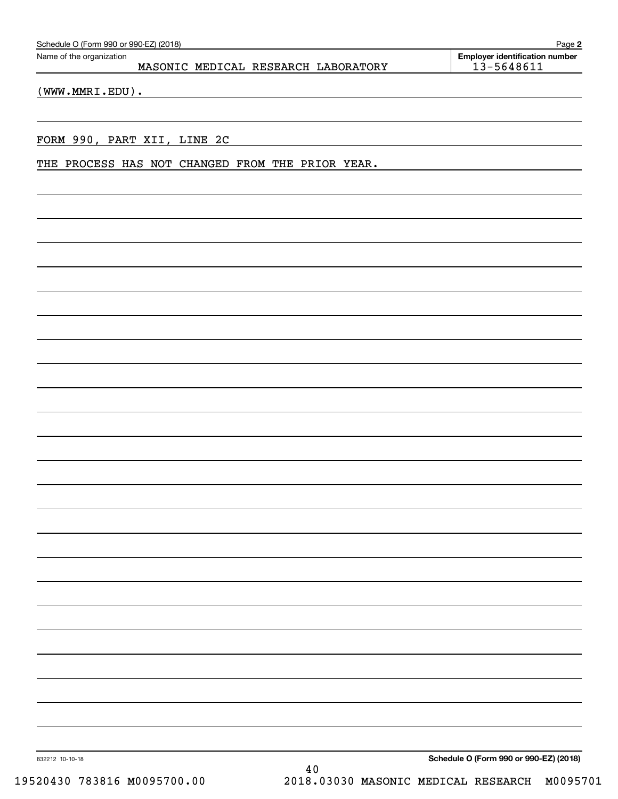| Schedule O (Form 990 or 990-EZ) (2018)<br>Page 2                |                                                     |  |  |  |  |  |  |  |
|-----------------------------------------------------------------|-----------------------------------------------------|--|--|--|--|--|--|--|
| Name of the organization<br>MASONIC MEDICAL RESEARCH LABORATORY | <b>Employer identification number</b><br>13-5648611 |  |  |  |  |  |  |  |
|                                                                 |                                                     |  |  |  |  |  |  |  |

(WWW.MMRI.EDU).

### FORM 990, PART XII, LINE 2C

THE PROCESS HAS NOT CHANGED FROM THE PRIOR YEAR.

**Schedule O (Form 990 or 990-EZ) (2018)**

832212 10-10-18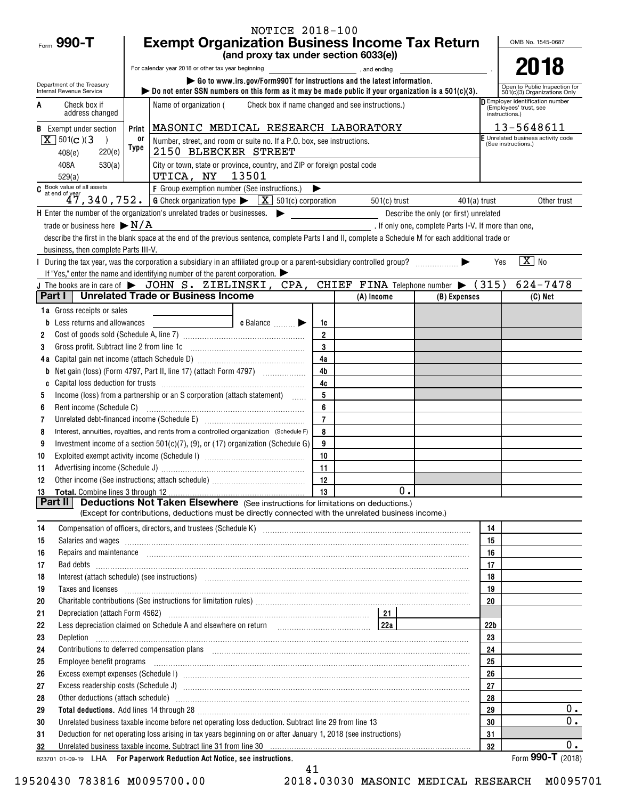|                                                                                                                                                                                                                                                                                                                                                                                                                                                                                                                                                                                                                                                                                                                                                                                                                                                                                                                                                                                                                                                                                                                                                                                                                                                                                                                                                                                                                                                                                                                                                                                                                                                                                                                                                                                                                                                                                                                                                                                                                                                                                                                                                                                                                                                                                                                                                                                                                                                                                                                                                                                                                                                                                                                                                                                                                                                                                                                                                                                                                                                                                                                                                                                                                                                                                                                                                                                                                                                                                                                                                                                                                                                                                                                                                                                                                                                                                                                                                                                                                                                                                                                                                                                                                                                                                                                                                                                                                                                                                                                                                                                                                                                                                                                                                                                                                                                                                                                                                                                                                                                                                                                                                                                                                                                                                                                                                                                                                                                                                                               |                                 |       |                        |                   |                |  |    | OMB No. 1545-0687                                             |
|---------------------------------------------------------------------------------------------------------------------------------------------------------------------------------------------------------------------------------------------------------------------------------------------------------------------------------------------------------------------------------------------------------------------------------------------------------------------------------------------------------------------------------------------------------------------------------------------------------------------------------------------------------------------------------------------------------------------------------------------------------------------------------------------------------------------------------------------------------------------------------------------------------------------------------------------------------------------------------------------------------------------------------------------------------------------------------------------------------------------------------------------------------------------------------------------------------------------------------------------------------------------------------------------------------------------------------------------------------------------------------------------------------------------------------------------------------------------------------------------------------------------------------------------------------------------------------------------------------------------------------------------------------------------------------------------------------------------------------------------------------------------------------------------------------------------------------------------------------------------------------------------------------------------------------------------------------------------------------------------------------------------------------------------------------------------------------------------------------------------------------------------------------------------------------------------------------------------------------------------------------------------------------------------------------------------------------------------------------------------------------------------------------------------------------------------------------------------------------------------------------------------------------------------------------------------------------------------------------------------------------------------------------------------------------------------------------------------------------------------------------------------------------------------------------------------------------------------------------------------------------------------------------------------------------------------------------------------------------------------------------------------------------------------------------------------------------------------------------------------------------------------------------------------------------------------------------------------------------------------------------------------------------------------------------------------------------------------------------------------------------------------------------------------------------------------------------------------------------------------------------------------------------------------------------------------------------------------------------------------------------------------------------------------------------------------------------------------------------------------------------------------------------------------------------------------------------------------------------------------------------------------------------------------------------------------------------------------------------------------------------------------------------------------------------------------------------------------------------------------------------------------------------------------------------------------------------------------------------------------------------------------------------------------------------------------------------------------------------------------------------------------------------------------------------------------------------------------------------------------------------------------------------------------------------------------------------------------------------------------------------------------------------------------------------------------------------------------------------------------------------------------------------------------------------------------------------------------------------------------------------------------------------------------------------------------------------------------------------------------------------------------------------------------------------------------------------------------------------------------------------------------------------------------------------------------------------------------------------------------------------------------------------------------------------------------------------------------------------------------------------------------------------------------------------------------------------------------------------------------------------------|---------------------------------|-------|------------------------|-------------------|----------------|--|----|---------------------------------------------------------------|
|                                                                                                                                                                                                                                                                                                                                                                                                                                                                                                                                                                                                                                                                                                                                                                                                                                                                                                                                                                                                                                                                                                                                                                                                                                                                                                                                                                                                                                                                                                                                                                                                                                                                                                                                                                                                                                                                                                                                                                                                                                                                                                                                                                                                                                                                                                                                                                                                                                                                                                                                                                                                                                                                                                                                                                                                                                                                                                                                                                                                                                                                                                                                                                                                                                                                                                                                                                                                                                                                                                                                                                                                                                                                                                                                                                                                                                                                                                                                                                                                                                                                                                                                                                                                                                                                                                                                                                                                                                                                                                                                                                                                                                                                                                                                                                                                                                                                                                                                                                                                                                                                                                                                                                                                                                                                                                                                                                                                                                                                                                               |                                 |       |                        |                   |                |  |    |                                                               |
|                                                                                                                                                                                                                                                                                                                                                                                                                                                                                                                                                                                                                                                                                                                                                                                                                                                                                                                                                                                                                                                                                                                                                                                                                                                                                                                                                                                                                                                                                                                                                                                                                                                                                                                                                                                                                                                                                                                                                                                                                                                                                                                                                                                                                                                                                                                                                                                                                                                                                                                                                                                                                                                                                                                                                                                                                                                                                                                                                                                                                                                                                                                                                                                                                                                                                                                                                                                                                                                                                                                                                                                                                                                                                                                                                                                                                                                                                                                                                                                                                                                                                                                                                                                                                                                                                                                                                                                                                                                                                                                                                                                                                                                                                                                                                                                                                                                                                                                                                                                                                                                                                                                                                                                                                                                                                                                                                                                                                                                                                                               |                                 |       |                        |                   |                |  |    |                                                               |
|                                                                                                                                                                                                                                                                                                                                                                                                                                                                                                                                                                                                                                                                                                                                                                                                                                                                                                                                                                                                                                                                                                                                                                                                                                                                                                                                                                                                                                                                                                                                                                                                                                                                                                                                                                                                                                                                                                                                                                                                                                                                                                                                                                                                                                                                                                                                                                                                                                                                                                                                                                                                                                                                                                                                                                                                                                                                                                                                                                                                                                                                                                                                                                                                                                                                                                                                                                                                                                                                                                                                                                                                                                                                                                                                                                                                                                                                                                                                                                                                                                                                                                                                                                                                                                                                                                                                                                                                                                                                                                                                                                                                                                                                                                                                                                                                                                                                                                                                                                                                                                                                                                                                                                                                                                                                                                                                                                                                                                                                                                               |                                 |       |                        |                   |                |  |    | Open to Public Inspection for<br>501(c)(3) Organizations Only |
| A                                                                                                                                                                                                                                                                                                                                                                                                                                                                                                                                                                                                                                                                                                                                                                                                                                                                                                                                                                                                                                                                                                                                                                                                                                                                                                                                                                                                                                                                                                                                                                                                                                                                                                                                                                                                                                                                                                                                                                                                                                                                                                                                                                                                                                                                                                                                                                                                                                                                                                                                                                                                                                                                                                                                                                                                                                                                                                                                                                                                                                                                                                                                                                                                                                                                                                                                                                                                                                                                                                                                                                                                                                                                                                                                                                                                                                                                                                                                                                                                                                                                                                                                                                                                                                                                                                                                                                                                                                                                                                                                                                                                                                                                                                                                                                                                                                                                                                                                                                                                                                                                                                                                                                                                                                                                                                                                                                                                                                                                                                             | Check box if<br>address changed |       | Name of organization ( |                   |                |  |    |                                                               |
| В                                                                                                                                                                                                                                                                                                                                                                                                                                                                                                                                                                                                                                                                                                                                                                                                                                                                                                                                                                                                                                                                                                                                                                                                                                                                                                                                                                                                                                                                                                                                                                                                                                                                                                                                                                                                                                                                                                                                                                                                                                                                                                                                                                                                                                                                                                                                                                                                                                                                                                                                                                                                                                                                                                                                                                                                                                                                                                                                                                                                                                                                                                                                                                                                                                                                                                                                                                                                                                                                                                                                                                                                                                                                                                                                                                                                                                                                                                                                                                                                                                                                                                                                                                                                                                                                                                                                                                                                                                                                                                                                                                                                                                                                                                                                                                                                                                                                                                                                                                                                                                                                                                                                                                                                                                                                                                                                                                                                                                                                                                             |                                 | Print |                        |                   |                |  |    |                                                               |
|                                                                                                                                                                                                                                                                                                                                                                                                                                                                                                                                                                                                                                                                                                                                                                                                                                                                                                                                                                                                                                                                                                                                                                                                                                                                                                                                                                                                                                                                                                                                                                                                                                                                                                                                                                                                                                                                                                                                                                                                                                                                                                                                                                                                                                                                                                                                                                                                                                                                                                                                                                                                                                                                                                                                                                                                                                                                                                                                                                                                                                                                                                                                                                                                                                                                                                                                                                                                                                                                                                                                                                                                                                                                                                                                                                                                                                                                                                                                                                                                                                                                                                                                                                                                                                                                                                                                                                                                                                                                                                                                                                                                                                                                                                                                                                                                                                                                                                                                                                                                                                                                                                                                                                                                                                                                                                                                                                                                                                                                                                               | $\rightarrow$                   | 0ľ    |                        |                   |                |  |    |                                                               |
|                                                                                                                                                                                                                                                                                                                                                                                                                                                                                                                                                                                                                                                                                                                                                                                                                                                                                                                                                                                                                                                                                                                                                                                                                                                                                                                                                                                                                                                                                                                                                                                                                                                                                                                                                                                                                                                                                                                                                                                                                                                                                                                                                                                                                                                                                                                                                                                                                                                                                                                                                                                                                                                                                                                                                                                                                                                                                                                                                                                                                                                                                                                                                                                                                                                                                                                                                                                                                                                                                                                                                                                                                                                                                                                                                                                                                                                                                                                                                                                                                                                                                                                                                                                                                                                                                                                                                                                                                                                                                                                                                                                                                                                                                                                                                                                                                                                                                                                                                                                                                                                                                                                                                                                                                                                                                                                                                                                                                                                                                                               | 220(e)<br>408(e)                |       |                        |                   |                |  |    |                                                               |
|                                                                                                                                                                                                                                                                                                                                                                                                                                                                                                                                                                                                                                                                                                                                                                                                                                                                                                                                                                                                                                                                                                                                                                                                                                                                                                                                                                                                                                                                                                                                                                                                                                                                                                                                                                                                                                                                                                                                                                                                                                                                                                                                                                                                                                                                                                                                                                                                                                                                                                                                                                                                                                                                                                                                                                                                                                                                                                                                                                                                                                                                                                                                                                                                                                                                                                                                                                                                                                                                                                                                                                                                                                                                                                                                                                                                                                                                                                                                                                                                                                                                                                                                                                                                                                                                                                                                                                                                                                                                                                                                                                                                                                                                                                                                                                                                                                                                                                                                                                                                                                                                                                                                                                                                                                                                                                                                                                                                                                                                                                               | 408A<br>530(a)<br>529(a)        |       |                        |                   |                |  |    |                                                               |
|                                                                                                                                                                                                                                                                                                                                                                                                                                                                                                                                                                                                                                                                                                                                                                                                                                                                                                                                                                                                                                                                                                                                                                                                                                                                                                                                                                                                                                                                                                                                                                                                                                                                                                                                                                                                                                                                                                                                                                                                                                                                                                                                                                                                                                                                                                                                                                                                                                                                                                                                                                                                                                                                                                                                                                                                                                                                                                                                                                                                                                                                                                                                                                                                                                                                                                                                                                                                                                                                                                                                                                                                                                                                                                                                                                                                                                                                                                                                                                                                                                                                                                                                                                                                                                                                                                                                                                                                                                                                                                                                                                                                                                                                                                                                                                                                                                                                                                                                                                                                                                                                                                                                                                                                                                                                                                                                                                                                                                                                                                               |                                 |       |                        |                   |                |  |    |                                                               |
|                                                                                                                                                                                                                                                                                                                                                                                                                                                                                                                                                                                                                                                                                                                                                                                                                                                                                                                                                                                                                                                                                                                                                                                                                                                                                                                                                                                                                                                                                                                                                                                                                                                                                                                                                                                                                                                                                                                                                                                                                                                                                                                                                                                                                                                                                                                                                                                                                                                                                                                                                                                                                                                                                                                                                                                                                                                                                                                                                                                                                                                                                                                                                                                                                                                                                                                                                                                                                                                                                                                                                                                                                                                                                                                                                                                                                                                                                                                                                                                                                                                                                                                                                                                                                                                                                                                                                                                                                                                                                                                                                                                                                                                                                                                                                                                                                                                                                                                                                                                                                                                                                                                                                                                                                                                                                                                                                                                                                                                                                                               |                                 |       |                        |                   |                |  |    | Other trust                                                   |
|                                                                                                                                                                                                                                                                                                                                                                                                                                                                                                                                                                                                                                                                                                                                                                                                                                                                                                                                                                                                                                                                                                                                                                                                                                                                                                                                                                                                                                                                                                                                                                                                                                                                                                                                                                                                                                                                                                                                                                                                                                                                                                                                                                                                                                                                                                                                                                                                                                                                                                                                                                                                                                                                                                                                                                                                                                                                                                                                                                                                                                                                                                                                                                                                                                                                                                                                                                                                                                                                                                                                                                                                                                                                                                                                                                                                                                                                                                                                                                                                                                                                                                                                                                                                                                                                                                                                                                                                                                                                                                                                                                                                                                                                                                                                                                                                                                                                                                                                                                                                                                                                                                                                                                                                                                                                                                                                                                                                                                                                                                               |                                 |       |                        |                   |                |  |    |                                                               |
|                                                                                                                                                                                                                                                                                                                                                                                                                                                                                                                                                                                                                                                                                                                                                                                                                                                                                                                                                                                                                                                                                                                                                                                                                                                                                                                                                                                                                                                                                                                                                                                                                                                                                                                                                                                                                                                                                                                                                                                                                                                                                                                                                                                                                                                                                                                                                                                                                                                                                                                                                                                                                                                                                                                                                                                                                                                                                                                                                                                                                                                                                                                                                                                                                                                                                                                                                                                                                                                                                                                                                                                                                                                                                                                                                                                                                                                                                                                                                                                                                                                                                                                                                                                                                                                                                                                                                                                                                                                                                                                                                                                                                                                                                                                                                                                                                                                                                                                                                                                                                                                                                                                                                                                                                                                                                                                                                                                                                                                                                                               |                                 |       |                        |                   |                |  |    |                                                               |
|                                                                                                                                                                                                                                                                                                                                                                                                                                                                                                                                                                                                                                                                                                                                                                                                                                                                                                                                                                                                                                                                                                                                                                                                                                                                                                                                                                                                                                                                                                                                                                                                                                                                                                                                                                                                                                                                                                                                                                                                                                                                                                                                                                                                                                                                                                                                                                                                                                                                                                                                                                                                                                                                                                                                                                                                                                                                                                                                                                                                                                                                                                                                                                                                                                                                                                                                                                                                                                                                                                                                                                                                                                                                                                                                                                                                                                                                                                                                                                                                                                                                                                                                                                                                                                                                                                                                                                                                                                                                                                                                                                                                                                                                                                                                                                                                                                                                                                                                                                                                                                                                                                                                                                                                                                                                                                                                                                                                                                                                                                               |                                 |       |                        |                   |                |  |    |                                                               |
|                                                                                                                                                                                                                                                                                                                                                                                                                                                                                                                                                                                                                                                                                                                                                                                                                                                                                                                                                                                                                                                                                                                                                                                                                                                                                                                                                                                                                                                                                                                                                                                                                                                                                                                                                                                                                                                                                                                                                                                                                                                                                                                                                                                                                                                                                                                                                                                                                                                                                                                                                                                                                                                                                                                                                                                                                                                                                                                                                                                                                                                                                                                                                                                                                                                                                                                                                                                                                                                                                                                                                                                                                                                                                                                                                                                                                                                                                                                                                                                                                                                                                                                                                                                                                                                                                                                                                                                                                                                                                                                                                                                                                                                                                                                                                                                                                                                                                                                                                                                                                                                                                                                                                                                                                                                                                                                                                                                                                                                                                                               |                                 |       |                        |                   |                |  |    |                                                               |
|                                                                                                                                                                                                                                                                                                                                                                                                                                                                                                                                                                                                                                                                                                                                                                                                                                                                                                                                                                                                                                                                                                                                                                                                                                                                                                                                                                                                                                                                                                                                                                                                                                                                                                                                                                                                                                                                                                                                                                                                                                                                                                                                                                                                                                                                                                                                                                                                                                                                                                                                                                                                                                                                                                                                                                                                                                                                                                                                                                                                                                                                                                                                                                                                                                                                                                                                                                                                                                                                                                                                                                                                                                                                                                                                                                                                                                                                                                                                                                                                                                                                                                                                                                                                                                                                                                                                                                                                                                                                                                                                                                                                                                                                                                                                                                                                                                                                                                                                                                                                                                                                                                                                                                                                                                                                                                                                                                                                                                                                                                               |                                 |       |                        |                   |                |  |    |                                                               |
|                                                                                                                                                                                                                                                                                                                                                                                                                                                                                                                                                                                                                                                                                                                                                                                                                                                                                                                                                                                                                                                                                                                                                                                                                                                                                                                                                                                                                                                                                                                                                                                                                                                                                                                                                                                                                                                                                                                                                                                                                                                                                                                                                                                                                                                                                                                                                                                                                                                                                                                                                                                                                                                                                                                                                                                                                                                                                                                                                                                                                                                                                                                                                                                                                                                                                                                                                                                                                                                                                                                                                                                                                                                                                                                                                                                                                                                                                                                                                                                                                                                                                                                                                                                                                                                                                                                                                                                                                                                                                                                                                                                                                                                                                                                                                                                                                                                                                                                                                                                                                                                                                                                                                                                                                                                                                                                                                                                                                                                                                                               |                                 |       |                        |                   |                |  |    |                                                               |
|                                                                                                                                                                                                                                                                                                                                                                                                                                                                                                                                                                                                                                                                                                                                                                                                                                                                                                                                                                                                                                                                                                                                                                                                                                                                                                                                                                                                                                                                                                                                                                                                                                                                                                                                                                                                                                                                                                                                                                                                                                                                                                                                                                                                                                                                                                                                                                                                                                                                                                                                                                                                                                                                                                                                                                                                                                                                                                                                                                                                                                                                                                                                                                                                                                                                                                                                                                                                                                                                                                                                                                                                                                                                                                                                                                                                                                                                                                                                                                                                                                                                                                                                                                                                                                                                                                                                                                                                                                                                                                                                                                                                                                                                                                                                                                                                                                                                                                                                                                                                                                                                                                                                                                                                                                                                                                                                                                                                                                                                                                               |                                 |       |                        |                   |                |  |    | (C) Net                                                       |
|                                                                                                                                                                                                                                                                                                                                                                                                                                                                                                                                                                                                                                                                                                                                                                                                                                                                                                                                                                                                                                                                                                                                                                                                                                                                                                                                                                                                                                                                                                                                                                                                                                                                                                                                                                                                                                                                                                                                                                                                                                                                                                                                                                                                                                                                                                                                                                                                                                                                                                                                                                                                                                                                                                                                                                                                                                                                                                                                                                                                                                                                                                                                                                                                                                                                                                                                                                                                                                                                                                                                                                                                                                                                                                                                                                                                                                                                                                                                                                                                                                                                                                                                                                                                                                                                                                                                                                                                                                                                                                                                                                                                                                                                                                                                                                                                                                                                                                                                                                                                                                                                                                                                                                                                                                                                                                                                                                                                                                                                                                               |                                 |       |                        |                   |                |  |    |                                                               |
| b                                                                                                                                                                                                                                                                                                                                                                                                                                                                                                                                                                                                                                                                                                                                                                                                                                                                                                                                                                                                                                                                                                                                                                                                                                                                                                                                                                                                                                                                                                                                                                                                                                                                                                                                                                                                                                                                                                                                                                                                                                                                                                                                                                                                                                                                                                                                                                                                                                                                                                                                                                                                                                                                                                                                                                                                                                                                                                                                                                                                                                                                                                                                                                                                                                                                                                                                                                                                                                                                                                                                                                                                                                                                                                                                                                                                                                                                                                                                                                                                                                                                                                                                                                                                                                                                                                                                                                                                                                                                                                                                                                                                                                                                                                                                                                                                                                                                                                                                                                                                                                                                                                                                                                                                                                                                                                                                                                                                                                                                                                             |                                 |       |                        | $\bullet$ Balance | 1c             |  |    |                                                               |
| 2                                                                                                                                                                                                                                                                                                                                                                                                                                                                                                                                                                                                                                                                                                                                                                                                                                                                                                                                                                                                                                                                                                                                                                                                                                                                                                                                                                                                                                                                                                                                                                                                                                                                                                                                                                                                                                                                                                                                                                                                                                                                                                                                                                                                                                                                                                                                                                                                                                                                                                                                                                                                                                                                                                                                                                                                                                                                                                                                                                                                                                                                                                                                                                                                                                                                                                                                                                                                                                                                                                                                                                                                                                                                                                                                                                                                                                                                                                                                                                                                                                                                                                                                                                                                                                                                                                                                                                                                                                                                                                                                                                                                                                                                                                                                                                                                                                                                                                                                                                                                                                                                                                                                                                                                                                                                                                                                                                                                                                                                                                             |                                 |       |                        |                   | $\overline{2}$ |  |    |                                                               |
| 3                                                                                                                                                                                                                                                                                                                                                                                                                                                                                                                                                                                                                                                                                                                                                                                                                                                                                                                                                                                                                                                                                                                                                                                                                                                                                                                                                                                                                                                                                                                                                                                                                                                                                                                                                                                                                                                                                                                                                                                                                                                                                                                                                                                                                                                                                                                                                                                                                                                                                                                                                                                                                                                                                                                                                                                                                                                                                                                                                                                                                                                                                                                                                                                                                                                                                                                                                                                                                                                                                                                                                                                                                                                                                                                                                                                                                                                                                                                                                                                                                                                                                                                                                                                                                                                                                                                                                                                                                                                                                                                                                                                                                                                                                                                                                                                                                                                                                                                                                                                                                                                                                                                                                                                                                                                                                                                                                                                                                                                                                                             |                                 |       |                        |                   | 3              |  |    |                                                               |
| 4 a                                                                                                                                                                                                                                                                                                                                                                                                                                                                                                                                                                                                                                                                                                                                                                                                                                                                                                                                                                                                                                                                                                                                                                                                                                                                                                                                                                                                                                                                                                                                                                                                                                                                                                                                                                                                                                                                                                                                                                                                                                                                                                                                                                                                                                                                                                                                                                                                                                                                                                                                                                                                                                                                                                                                                                                                                                                                                                                                                                                                                                                                                                                                                                                                                                                                                                                                                                                                                                                                                                                                                                                                                                                                                                                                                                                                                                                                                                                                                                                                                                                                                                                                                                                                                                                                                                                                                                                                                                                                                                                                                                                                                                                                                                                                                                                                                                                                                                                                                                                                                                                                                                                                                                                                                                                                                                                                                                                                                                                                                                           |                                 |       |                        |                   | 4a             |  |    |                                                               |
| b                                                                                                                                                                                                                                                                                                                                                                                                                                                                                                                                                                                                                                                                                                                                                                                                                                                                                                                                                                                                                                                                                                                                                                                                                                                                                                                                                                                                                                                                                                                                                                                                                                                                                                                                                                                                                                                                                                                                                                                                                                                                                                                                                                                                                                                                                                                                                                                                                                                                                                                                                                                                                                                                                                                                                                                                                                                                                                                                                                                                                                                                                                                                                                                                                                                                                                                                                                                                                                                                                                                                                                                                                                                                                                                                                                                                                                                                                                                                                                                                                                                                                                                                                                                                                                                                                                                                                                                                                                                                                                                                                                                                                                                                                                                                                                                                                                                                                                                                                                                                                                                                                                                                                                                                                                                                                                                                                                                                                                                                                                             |                                 |       |                        |                   | 4 <sub>b</sub> |  |    |                                                               |
| C                                                                                                                                                                                                                                                                                                                                                                                                                                                                                                                                                                                                                                                                                                                                                                                                                                                                                                                                                                                                                                                                                                                                                                                                                                                                                                                                                                                                                                                                                                                                                                                                                                                                                                                                                                                                                                                                                                                                                                                                                                                                                                                                                                                                                                                                                                                                                                                                                                                                                                                                                                                                                                                                                                                                                                                                                                                                                                                                                                                                                                                                                                                                                                                                                                                                                                                                                                                                                                                                                                                                                                                                                                                                                                                                                                                                                                                                                                                                                                                                                                                                                                                                                                                                                                                                                                                                                                                                                                                                                                                                                                                                                                                                                                                                                                                                                                                                                                                                                                                                                                                                                                                                                                                                                                                                                                                                                                                                                                                                                                             |                                 |       |                        |                   | 4c             |  |    |                                                               |
| 5                                                                                                                                                                                                                                                                                                                                                                                                                                                                                                                                                                                                                                                                                                                                                                                                                                                                                                                                                                                                                                                                                                                                                                                                                                                                                                                                                                                                                                                                                                                                                                                                                                                                                                                                                                                                                                                                                                                                                                                                                                                                                                                                                                                                                                                                                                                                                                                                                                                                                                                                                                                                                                                                                                                                                                                                                                                                                                                                                                                                                                                                                                                                                                                                                                                                                                                                                                                                                                                                                                                                                                                                                                                                                                                                                                                                                                                                                                                                                                                                                                                                                                                                                                                                                                                                                                                                                                                                                                                                                                                                                                                                                                                                                                                                                                                                                                                                                                                                                                                                                                                                                                                                                                                                                                                                                                                                                                                                                                                                                                             |                                 |       |                        |                   | 5              |  |    |                                                               |
| 6                                                                                                                                                                                                                                                                                                                                                                                                                                                                                                                                                                                                                                                                                                                                                                                                                                                                                                                                                                                                                                                                                                                                                                                                                                                                                                                                                                                                                                                                                                                                                                                                                                                                                                                                                                                                                                                                                                                                                                                                                                                                                                                                                                                                                                                                                                                                                                                                                                                                                                                                                                                                                                                                                                                                                                                                                                                                                                                                                                                                                                                                                                                                                                                                                                                                                                                                                                                                                                                                                                                                                                                                                                                                                                                                                                                                                                                                                                                                                                                                                                                                                                                                                                                                                                                                                                                                                                                                                                                                                                                                                                                                                                                                                                                                                                                                                                                                                                                                                                                                                                                                                                                                                                                                                                                                                                                                                                                                                                                                                                             |                                 |       |                        |                   | 6              |  |    |                                                               |
| 7                                                                                                                                                                                                                                                                                                                                                                                                                                                                                                                                                                                                                                                                                                                                                                                                                                                                                                                                                                                                                                                                                                                                                                                                                                                                                                                                                                                                                                                                                                                                                                                                                                                                                                                                                                                                                                                                                                                                                                                                                                                                                                                                                                                                                                                                                                                                                                                                                                                                                                                                                                                                                                                                                                                                                                                                                                                                                                                                                                                                                                                                                                                                                                                                                                                                                                                                                                                                                                                                                                                                                                                                                                                                                                                                                                                                                                                                                                                                                                                                                                                                                                                                                                                                                                                                                                                                                                                                                                                                                                                                                                                                                                                                                                                                                                                                                                                                                                                                                                                                                                                                                                                                                                                                                                                                                                                                                                                                                                                                                                             |                                 |       |                        |                   | $\overline{7}$ |  |    |                                                               |
| 8                                                                                                                                                                                                                                                                                                                                                                                                                                                                                                                                                                                                                                                                                                                                                                                                                                                                                                                                                                                                                                                                                                                                                                                                                                                                                                                                                                                                                                                                                                                                                                                                                                                                                                                                                                                                                                                                                                                                                                                                                                                                                                                                                                                                                                                                                                                                                                                                                                                                                                                                                                                                                                                                                                                                                                                                                                                                                                                                                                                                                                                                                                                                                                                                                                                                                                                                                                                                                                                                                                                                                                                                                                                                                                                                                                                                                                                                                                                                                                                                                                                                                                                                                                                                                                                                                                                                                                                                                                                                                                                                                                                                                                                                                                                                                                                                                                                                                                                                                                                                                                                                                                                                                                                                                                                                                                                                                                                                                                                                                                             |                                 |       |                        |                   | 8              |  |    |                                                               |
| 9                                                                                                                                                                                                                                                                                                                                                                                                                                                                                                                                                                                                                                                                                                                                                                                                                                                                                                                                                                                                                                                                                                                                                                                                                                                                                                                                                                                                                                                                                                                                                                                                                                                                                                                                                                                                                                                                                                                                                                                                                                                                                                                                                                                                                                                                                                                                                                                                                                                                                                                                                                                                                                                                                                                                                                                                                                                                                                                                                                                                                                                                                                                                                                                                                                                                                                                                                                                                                                                                                                                                                                                                                                                                                                                                                                                                                                                                                                                                                                                                                                                                                                                                                                                                                                                                                                                                                                                                                                                                                                                                                                                                                                                                                                                                                                                                                                                                                                                                                                                                                                                                                                                                                                                                                                                                                                                                                                                                                                                                                                             |                                 |       |                        |                   | 9              |  |    |                                                               |
| 10                                                                                                                                                                                                                                                                                                                                                                                                                                                                                                                                                                                                                                                                                                                                                                                                                                                                                                                                                                                                                                                                                                                                                                                                                                                                                                                                                                                                                                                                                                                                                                                                                                                                                                                                                                                                                                                                                                                                                                                                                                                                                                                                                                                                                                                                                                                                                                                                                                                                                                                                                                                                                                                                                                                                                                                                                                                                                                                                                                                                                                                                                                                                                                                                                                                                                                                                                                                                                                                                                                                                                                                                                                                                                                                                                                                                                                                                                                                                                                                                                                                                                                                                                                                                                                                                                                                                                                                                                                                                                                                                                                                                                                                                                                                                                                                                                                                                                                                                                                                                                                                                                                                                                                                                                                                                                                                                                                                                                                                                                                            |                                 |       |                        |                   |                |  |    |                                                               |
|                                                                                                                                                                                                                                                                                                                                                                                                                                                                                                                                                                                                                                                                                                                                                                                                                                                                                                                                                                                                                                                                                                                                                                                                                                                                                                                                                                                                                                                                                                                                                                                                                                                                                                                                                                                                                                                                                                                                                                                                                                                                                                                                                                                                                                                                                                                                                                                                                                                                                                                                                                                                                                                                                                                                                                                                                                                                                                                                                                                                                                                                                                                                                                                                                                                                                                                                                                                                                                                                                                                                                                                                                                                                                                                                                                                                                                                                                                                                                                                                                                                                                                                                                                                                                                                                                                                                                                                                                                                                                                                                                                                                                                                                                                                                                                                                                                                                                                                                                                                                                                                                                                                                                                                                                                                                                                                                                                                                                                                                                                               |                                 |       |                        |                   |                |  |    |                                                               |
|                                                                                                                                                                                                                                                                                                                                                                                                                                                                                                                                                                                                                                                                                                                                                                                                                                                                                                                                                                                                                                                                                                                                                                                                                                                                                                                                                                                                                                                                                                                                                                                                                                                                                                                                                                                                                                                                                                                                                                                                                                                                                                                                                                                                                                                                                                                                                                                                                                                                                                                                                                                                                                                                                                                                                                                                                                                                                                                                                                                                                                                                                                                                                                                                                                                                                                                                                                                                                                                                                                                                                                                                                                                                                                                                                                                                                                                                                                                                                                                                                                                                                                                                                                                                                                                                                                                                                                                                                                                                                                                                                                                                                                                                                                                                                                                                                                                                                                                                                                                                                                                                                                                                                                                                                                                                                                                                                                                                                                                                                                               |                                 |       |                        |                   |                |  |    |                                                               |
| 13.                                                                                                                                                                                                                                                                                                                                                                                                                                                                                                                                                                                                                                                                                                                                                                                                                                                                                                                                                                                                                                                                                                                                                                                                                                                                                                                                                                                                                                                                                                                                                                                                                                                                                                                                                                                                                                                                                                                                                                                                                                                                                                                                                                                                                                                                                                                                                                                                                                                                                                                                                                                                                                                                                                                                                                                                                                                                                                                                                                                                                                                                                                                                                                                                                                                                                                                                                                                                                                                                                                                                                                                                                                                                                                                                                                                                                                                                                                                                                                                                                                                                                                                                                                                                                                                                                                                                                                                                                                                                                                                                                                                                                                                                                                                                                                                                                                                                                                                                                                                                                                                                                                                                                                                                                                                                                                                                                                                                                                                                                                           |                                 |       |                        |                   |                |  |    |                                                               |
|                                                                                                                                                                                                                                                                                                                                                                                                                                                                                                                                                                                                                                                                                                                                                                                                                                                                                                                                                                                                                                                                                                                                                                                                                                                                                                                                                                                                                                                                                                                                                                                                                                                                                                                                                                                                                                                                                                                                                                                                                                                                                                                                                                                                                                                                                                                                                                                                                                                                                                                                                                                                                                                                                                                                                                                                                                                                                                                                                                                                                                                                                                                                                                                                                                                                                                                                                                                                                                                                                                                                                                                                                                                                                                                                                                                                                                                                                                                                                                                                                                                                                                                                                                                                                                                                                                                                                                                                                                                                                                                                                                                                                                                                                                                                                                                                                                                                                                                                                                                                                                                                                                                                                                                                                                                                                                                                                                                                                                                                                                               |                                 |       |                        |                   |                |  |    |                                                               |
| 14                                                                                                                                                                                                                                                                                                                                                                                                                                                                                                                                                                                                                                                                                                                                                                                                                                                                                                                                                                                                                                                                                                                                                                                                                                                                                                                                                                                                                                                                                                                                                                                                                                                                                                                                                                                                                                                                                                                                                                                                                                                                                                                                                                                                                                                                                                                                                                                                                                                                                                                                                                                                                                                                                                                                                                                                                                                                                                                                                                                                                                                                                                                                                                                                                                                                                                                                                                                                                                                                                                                                                                                                                                                                                                                                                                                                                                                                                                                                                                                                                                                                                                                                                                                                                                                                                                                                                                                                                                                                                                                                                                                                                                                                                                                                                                                                                                                                                                                                                                                                                                                                                                                                                                                                                                                                                                                                                                                                                                                                                                            |                                 |       |                        |                   |                |  | 14 |                                                               |
| 15                                                                                                                                                                                                                                                                                                                                                                                                                                                                                                                                                                                                                                                                                                                                                                                                                                                                                                                                                                                                                                                                                                                                                                                                                                                                                                                                                                                                                                                                                                                                                                                                                                                                                                                                                                                                                                                                                                                                                                                                                                                                                                                                                                                                                                                                                                                                                                                                                                                                                                                                                                                                                                                                                                                                                                                                                                                                                                                                                                                                                                                                                                                                                                                                                                                                                                                                                                                                                                                                                                                                                                                                                                                                                                                                                                                                                                                                                                                                                                                                                                                                                                                                                                                                                                                                                                                                                                                                                                                                                                                                                                                                                                                                                                                                                                                                                                                                                                                                                                                                                                                                                                                                                                                                                                                                                                                                                                                                                                                                                                            |                                 |       |                        |                   |                |  | 15 |                                                               |
| 16                                                                                                                                                                                                                                                                                                                                                                                                                                                                                                                                                                                                                                                                                                                                                                                                                                                                                                                                                                                                                                                                                                                                                                                                                                                                                                                                                                                                                                                                                                                                                                                                                                                                                                                                                                                                                                                                                                                                                                                                                                                                                                                                                                                                                                                                                                                                                                                                                                                                                                                                                                                                                                                                                                                                                                                                                                                                                                                                                                                                                                                                                                                                                                                                                                                                                                                                                                                                                                                                                                                                                                                                                                                                                                                                                                                                                                                                                                                                                                                                                                                                                                                                                                                                                                                                                                                                                                                                                                                                                                                                                                                                                                                                                                                                                                                                                                                                                                                                                                                                                                                                                                                                                                                                                                                                                                                                                                                                                                                                                                            |                                 |       |                        |                   |                |  | 16 |                                                               |
| 17                                                                                                                                                                                                                                                                                                                                                                                                                                                                                                                                                                                                                                                                                                                                                                                                                                                                                                                                                                                                                                                                                                                                                                                                                                                                                                                                                                                                                                                                                                                                                                                                                                                                                                                                                                                                                                                                                                                                                                                                                                                                                                                                                                                                                                                                                                                                                                                                                                                                                                                                                                                                                                                                                                                                                                                                                                                                                                                                                                                                                                                                                                                                                                                                                                                                                                                                                                                                                                                                                                                                                                                                                                                                                                                                                                                                                                                                                                                                                                                                                                                                                                                                                                                                                                                                                                                                                                                                                                                                                                                                                                                                                                                                                                                                                                                                                                                                                                                                                                                                                                                                                                                                                                                                                                                                                                                                                                                                                                                                                                            |                                 |       |                        |                   |                |  | 17 |                                                               |
| 18                                                                                                                                                                                                                                                                                                                                                                                                                                                                                                                                                                                                                                                                                                                                                                                                                                                                                                                                                                                                                                                                                                                                                                                                                                                                                                                                                                                                                                                                                                                                                                                                                                                                                                                                                                                                                                                                                                                                                                                                                                                                                                                                                                                                                                                                                                                                                                                                                                                                                                                                                                                                                                                                                                                                                                                                                                                                                                                                                                                                                                                                                                                                                                                                                                                                                                                                                                                                                                                                                                                                                                                                                                                                                                                                                                                                                                                                                                                                                                                                                                                                                                                                                                                                                                                                                                                                                                                                                                                                                                                                                                                                                                                                                                                                                                                                                                                                                                                                                                                                                                                                                                                                                                                                                                                                                                                                                                                                                                                                                                            |                                 |       |                        |                   |                |  | 18 |                                                               |
|                                                                                                                                                                                                                                                                                                                                                                                                                                                                                                                                                                                                                                                                                                                                                                                                                                                                                                                                                                                                                                                                                                                                                                                                                                                                                                                                                                                                                                                                                                                                                                                                                                                                                                                                                                                                                                                                                                                                                                                                                                                                                                                                                                                                                                                                                                                                                                                                                                                                                                                                                                                                                                                                                                                                                                                                                                                                                                                                                                                                                                                                                                                                                                                                                                                                                                                                                                                                                                                                                                                                                                                                                                                                                                                                                                                                                                                                                                                                                                                                                                                                                                                                                                                                                                                                                                                                                                                                                                                                                                                                                                                                                                                                                                                                                                                                                                                                                                                                                                                                                                                                                                                                                                                                                                                                                                                                                                                                                                                                                                               |                                 |       |                        |                   |                |  |    |                                                               |
| NOTICE 2018-100<br><b>Exempt Organization Business Income Tax Return</b><br>Form 990-T<br>(and proxy tax under section 6033(e))<br>2018<br>For calendar year 2018 or other tax year beginning<br>and ending<br>$\triangleright$ Go to www.irs.gov/Form990T for instructions and the latest information.<br>Department of the Treasury<br>Do not enter SSN numbers on this form as it may be made public if your organization is a $501(c)(3)$ .<br>Internal Revenue Service<br><b>D</b> Employer identification number<br>Check box if name changed and see instructions.)<br>(Employees' trust, see<br>instructions.)<br>13-5648611<br>MASONIC MEDICAL RESEARCH LABORATORY<br><b>Exempt under section</b><br>F Unrelated business activity code<br>$X \ 501(c)$ (3<br>Number, street, and room or suite no. If a P.O. box, see instructions.<br>(See instructions.)<br>Type<br>2150 BLEECKER STREET<br>City or town, state or province, country, and ZIP or foreign postal code<br>UTICA, NY 13501<br>$\begin{array}{l l l}\hline \textbf{G} & \textbf{Book value of all assets} \\\hline \textbf{G} & \textbf{at end of year} \\\hline \textbf{47, 340, 752.} & \textbf{G Check organization type} \\\hline \end{array} \hspace{1.2cm} \begin{array}{l} \textbf{F} & \textbf{Group examination number (See instructions.)} \\\hline \textbf{K} & \textbf{501(c) corporation} \\\hline \end{array}$<br>$501(c)$ trust<br>$401(a)$ trust<br>H Enter the number of the organization's unrelated trades or businesses.<br>Describe the only (or first) unrelated<br>trade or business here $\triangleright$ N/A<br>. If only one, complete Parts I-V. If more than one,<br>describe the first in the blank space at the end of the previous sentence, complete Parts I and II, complete a Schedule M for each additional trade or<br>business, then complete Parts III-V.<br>$\boxed{\text{X}}$ No<br>I During the tax year, was the corporation a subsidiary in an affiliated group or a parent-subsidiary controlled group?<br>Yes<br>If "Yes," enter the name and identifying number of the parent corporation.<br>$624 - 7478$<br>CHIEF FINA Telephone number > (315)<br><b>J</b> The books are in care of $\triangleright$ <b>JOHN</b> $S$ . ZIELINSKI,<br>CPA,<br><b>Unrelated Trade or Business Income</b><br>Part I<br>(A) Income<br>(B) Expenses<br>1a Gross receipts or sales<br>Less returns and allowances<br>Gross profit. Subtract line 2 from line 1c<br>Income (loss) from a partnership or an S corporation (attach statement)<br>Rent income (Schedule C)<br>Unrelated debt-financed income (Schedule E) [11] [2010] [2010] [2010] [2010] [2010] [2010] [2010] [2010] [2010<br>Interest, annuities, royalties, and rents from a controlled organization (Schedule F)<br>Investment income of a section $501(c)(7)$ , (9), or (17) organization (Schedule G)<br>10<br>11<br>11<br>0.<br>13<br><b>Deductions Not Taken Elsewhere</b> (See instructions for limitations on deductions.)<br>Part II<br>(Except for contributions, deductions must be directly connected with the unrelated business income.)<br>Compensation of officers, directors, and trustees (Schedule K)<br>Compensation of officers, directors, and trustees (Schedule K)<br>Repairs and maintenance <i>maintenance</i> and construction of the construction of the construction of the construction of the construction of the construction of the construction of the construction of the construction of the<br>Interest (attach schedule) (see instructions) www.communications.communications.communications.communications.<br>19<br>Taxes and licenses <b>constructed and construction of the construction</b> and construction of the construction of the<br>19<br>20<br>20<br>21<br>22 <sub>b</sub><br>22<br>23<br>23<br>Contributions to deferred compensation plans [11] manufactured contract to the contributions to deferred compensation plans [11] manufactured compensation plans [11] manufactured compensation plans [11] manufactured compen<br>24<br>24<br>25<br>Employee benefit programs with an accommodate contract the contract of the contract of the contract of the contract of the contract of the contract of the contract of the contract of the contract of the contract of the con<br>25<br>26<br>26<br>Excess readership costs (Schedule J) <b>www.community.community.community.community.com</b><br>27<br>27<br>Other deductions (attach schedule) manufactured and contract and contract and contract and contract and contract and contract and contract and contract and contract and contract and contract and contract and contract and c<br>28<br>28<br>Total deductions. Add lines 14 through 28 [11] manufactures and the contract of the contract of the contract of the contract of the contract of the contract of the contract of the contract of the contract of the contract o<br>29<br>29<br>Unrelated business taxable income before net operating loss deduction. Subtract line 29 from line 13<br>30<br>30<br>31<br>Deduction for net operating loss arising in tax years beginning on or after January 1, 2018 (see instructions)<br>31<br>Unrelated business taxable income. Subtract line 31 from line 30 manufactured contains and contained the state of the Unrelated business taxable income. Subtract line 31 from line 30 manufactured contains and the Unrelated<br>32<br>32<br>823701 01-09-19 LHA For Paperwork Reduction Act Notice, see instructions. |                                 |       |                        |                   |                |  |    |                                                               |
|                                                                                                                                                                                                                                                                                                                                                                                                                                                                                                                                                                                                                                                                                                                                                                                                                                                                                                                                                                                                                                                                                                                                                                                                                                                                                                                                                                                                                                                                                                                                                                                                                                                                                                                                                                                                                                                                                                                                                                                                                                                                                                                                                                                                                                                                                                                                                                                                                                                                                                                                                                                                                                                                                                                                                                                                                                                                                                                                                                                                                                                                                                                                                                                                                                                                                                                                                                                                                                                                                                                                                                                                                                                                                                                                                                                                                                                                                                                                                                                                                                                                                                                                                                                                                                                                                                                                                                                                                                                                                                                                                                                                                                                                                                                                                                                                                                                                                                                                                                                                                                                                                                                                                                                                                                                                                                                                                                                                                                                                                                               |                                 |       |                        |                   |                |  |    |                                                               |
|                                                                                                                                                                                                                                                                                                                                                                                                                                                                                                                                                                                                                                                                                                                                                                                                                                                                                                                                                                                                                                                                                                                                                                                                                                                                                                                                                                                                                                                                                                                                                                                                                                                                                                                                                                                                                                                                                                                                                                                                                                                                                                                                                                                                                                                                                                                                                                                                                                                                                                                                                                                                                                                                                                                                                                                                                                                                                                                                                                                                                                                                                                                                                                                                                                                                                                                                                                                                                                                                                                                                                                                                                                                                                                                                                                                                                                                                                                                                                                                                                                                                                                                                                                                                                                                                                                                                                                                                                                                                                                                                                                                                                                                                                                                                                                                                                                                                                                                                                                                                                                                                                                                                                                                                                                                                                                                                                                                                                                                                                                               |                                 |       |                        |                   |                |  |    |                                                               |
|                                                                                                                                                                                                                                                                                                                                                                                                                                                                                                                                                                                                                                                                                                                                                                                                                                                                                                                                                                                                                                                                                                                                                                                                                                                                                                                                                                                                                                                                                                                                                                                                                                                                                                                                                                                                                                                                                                                                                                                                                                                                                                                                                                                                                                                                                                                                                                                                                                                                                                                                                                                                                                                                                                                                                                                                                                                                                                                                                                                                                                                                                                                                                                                                                                                                                                                                                                                                                                                                                                                                                                                                                                                                                                                                                                                                                                                                                                                                                                                                                                                                                                                                                                                                                                                                                                                                                                                                                                                                                                                                                                                                                                                                                                                                                                                                                                                                                                                                                                                                                                                                                                                                                                                                                                                                                                                                                                                                                                                                                                               |                                 |       |                        |                   |                |  |    |                                                               |
|                                                                                                                                                                                                                                                                                                                                                                                                                                                                                                                                                                                                                                                                                                                                                                                                                                                                                                                                                                                                                                                                                                                                                                                                                                                                                                                                                                                                                                                                                                                                                                                                                                                                                                                                                                                                                                                                                                                                                                                                                                                                                                                                                                                                                                                                                                                                                                                                                                                                                                                                                                                                                                                                                                                                                                                                                                                                                                                                                                                                                                                                                                                                                                                                                                                                                                                                                                                                                                                                                                                                                                                                                                                                                                                                                                                                                                                                                                                                                                                                                                                                                                                                                                                                                                                                                                                                                                                                                                                                                                                                                                                                                                                                                                                                                                                                                                                                                                                                                                                                                                                                                                                                                                                                                                                                                                                                                                                                                                                                                                               |                                 |       |                        |                   |                |  |    |                                                               |
|                                                                                                                                                                                                                                                                                                                                                                                                                                                                                                                                                                                                                                                                                                                                                                                                                                                                                                                                                                                                                                                                                                                                                                                                                                                                                                                                                                                                                                                                                                                                                                                                                                                                                                                                                                                                                                                                                                                                                                                                                                                                                                                                                                                                                                                                                                                                                                                                                                                                                                                                                                                                                                                                                                                                                                                                                                                                                                                                                                                                                                                                                                                                                                                                                                                                                                                                                                                                                                                                                                                                                                                                                                                                                                                                                                                                                                                                                                                                                                                                                                                                                                                                                                                                                                                                                                                                                                                                                                                                                                                                                                                                                                                                                                                                                                                                                                                                                                                                                                                                                                                                                                                                                                                                                                                                                                                                                                                                                                                                                                               |                                 |       |                        |                   |                |  |    |                                                               |
|                                                                                                                                                                                                                                                                                                                                                                                                                                                                                                                                                                                                                                                                                                                                                                                                                                                                                                                                                                                                                                                                                                                                                                                                                                                                                                                                                                                                                                                                                                                                                                                                                                                                                                                                                                                                                                                                                                                                                                                                                                                                                                                                                                                                                                                                                                                                                                                                                                                                                                                                                                                                                                                                                                                                                                                                                                                                                                                                                                                                                                                                                                                                                                                                                                                                                                                                                                                                                                                                                                                                                                                                                                                                                                                                                                                                                                                                                                                                                                                                                                                                                                                                                                                                                                                                                                                                                                                                                                                                                                                                                                                                                                                                                                                                                                                                                                                                                                                                                                                                                                                                                                                                                                                                                                                                                                                                                                                                                                                                                                               |                                 |       |                        |                   |                |  |    |                                                               |
|                                                                                                                                                                                                                                                                                                                                                                                                                                                                                                                                                                                                                                                                                                                                                                                                                                                                                                                                                                                                                                                                                                                                                                                                                                                                                                                                                                                                                                                                                                                                                                                                                                                                                                                                                                                                                                                                                                                                                                                                                                                                                                                                                                                                                                                                                                                                                                                                                                                                                                                                                                                                                                                                                                                                                                                                                                                                                                                                                                                                                                                                                                                                                                                                                                                                                                                                                                                                                                                                                                                                                                                                                                                                                                                                                                                                                                                                                                                                                                                                                                                                                                                                                                                                                                                                                                                                                                                                                                                                                                                                                                                                                                                                                                                                                                                                                                                                                                                                                                                                                                                                                                                                                                                                                                                                                                                                                                                                                                                                                                               |                                 |       |                        |                   |                |  |    |                                                               |
|                                                                                                                                                                                                                                                                                                                                                                                                                                                                                                                                                                                                                                                                                                                                                                                                                                                                                                                                                                                                                                                                                                                                                                                                                                                                                                                                                                                                                                                                                                                                                                                                                                                                                                                                                                                                                                                                                                                                                                                                                                                                                                                                                                                                                                                                                                                                                                                                                                                                                                                                                                                                                                                                                                                                                                                                                                                                                                                                                                                                                                                                                                                                                                                                                                                                                                                                                                                                                                                                                                                                                                                                                                                                                                                                                                                                                                                                                                                                                                                                                                                                                                                                                                                                                                                                                                                                                                                                                                                                                                                                                                                                                                                                                                                                                                                                                                                                                                                                                                                                                                                                                                                                                                                                                                                                                                                                                                                                                                                                                                               |                                 |       |                        |                   |                |  |    | $0$ .                                                         |
|                                                                                                                                                                                                                                                                                                                                                                                                                                                                                                                                                                                                                                                                                                                                                                                                                                                                                                                                                                                                                                                                                                                                                                                                                                                                                                                                                                                                                                                                                                                                                                                                                                                                                                                                                                                                                                                                                                                                                                                                                                                                                                                                                                                                                                                                                                                                                                                                                                                                                                                                                                                                                                                                                                                                                                                                                                                                                                                                                                                                                                                                                                                                                                                                                                                                                                                                                                                                                                                                                                                                                                                                                                                                                                                                                                                                                                                                                                                                                                                                                                                                                                                                                                                                                                                                                                                                                                                                                                                                                                                                                                                                                                                                                                                                                                                                                                                                                                                                                                                                                                                                                                                                                                                                                                                                                                                                                                                                                                                                                                               |                                 |       |                        |                   |                |  |    | 0.                                                            |
|                                                                                                                                                                                                                                                                                                                                                                                                                                                                                                                                                                                                                                                                                                                                                                                                                                                                                                                                                                                                                                                                                                                                                                                                                                                                                                                                                                                                                                                                                                                                                                                                                                                                                                                                                                                                                                                                                                                                                                                                                                                                                                                                                                                                                                                                                                                                                                                                                                                                                                                                                                                                                                                                                                                                                                                                                                                                                                                                                                                                                                                                                                                                                                                                                                                                                                                                                                                                                                                                                                                                                                                                                                                                                                                                                                                                                                                                                                                                                                                                                                                                                                                                                                                                                                                                                                                                                                                                                                                                                                                                                                                                                                                                                                                                                                                                                                                                                                                                                                                                                                                                                                                                                                                                                                                                                                                                                                                                                                                                                                               |                                 |       |                        |                   |                |  |    |                                                               |
|                                                                                                                                                                                                                                                                                                                                                                                                                                                                                                                                                                                                                                                                                                                                                                                                                                                                                                                                                                                                                                                                                                                                                                                                                                                                                                                                                                                                                                                                                                                                                                                                                                                                                                                                                                                                                                                                                                                                                                                                                                                                                                                                                                                                                                                                                                                                                                                                                                                                                                                                                                                                                                                                                                                                                                                                                                                                                                                                                                                                                                                                                                                                                                                                                                                                                                                                                                                                                                                                                                                                                                                                                                                                                                                                                                                                                                                                                                                                                                                                                                                                                                                                                                                                                                                                                                                                                                                                                                                                                                                                                                                                                                                                                                                                                                                                                                                                                                                                                                                                                                                                                                                                                                                                                                                                                                                                                                                                                                                                                                               |                                 |       |                        |                   |                |  |    | $0$ .                                                         |
|                                                                                                                                                                                                                                                                                                                                                                                                                                                                                                                                                                                                                                                                                                                                                                                                                                                                                                                                                                                                                                                                                                                                                                                                                                                                                                                                                                                                                                                                                                                                                                                                                                                                                                                                                                                                                                                                                                                                                                                                                                                                                                                                                                                                                                                                                                                                                                                                                                                                                                                                                                                                                                                                                                                                                                                                                                                                                                                                                                                                                                                                                                                                                                                                                                                                                                                                                                                                                                                                                                                                                                                                                                                                                                                                                                                                                                                                                                                                                                                                                                                                                                                                                                                                                                                                                                                                                                                                                                                                                                                                                                                                                                                                                                                                                                                                                                                                                                                                                                                                                                                                                                                                                                                                                                                                                                                                                                                                                                                                                                               |                                 |       |                        |                   |                |  |    | Form 990-T $(2018)$                                           |

<sup>41</sup>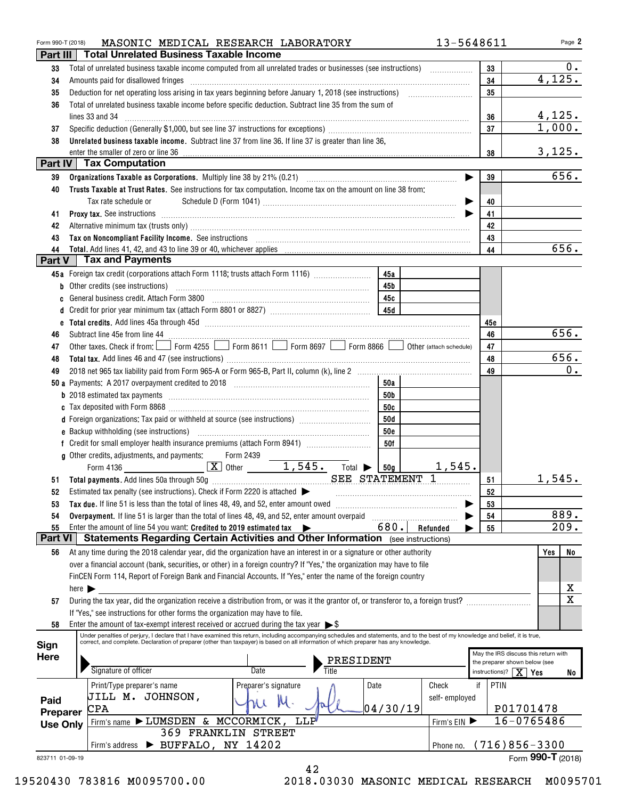| Form 990-T (2018)    | MASONIC MEDICAL RESEARCH LABORATORY                                                                                                                                                                                                                                                                                                              |            | 13-5648611    |                               | Page 2                               |
|----------------------|--------------------------------------------------------------------------------------------------------------------------------------------------------------------------------------------------------------------------------------------------------------------------------------------------------------------------------------------------|------------|---------------|-------------------------------|--------------------------------------|
| Part III             | <b>Total Unrelated Business Taxable Income</b>                                                                                                                                                                                                                                                                                                   |            |               |                               |                                      |
| 33                   |                                                                                                                                                                                                                                                                                                                                                  |            |               | 33                            | 0.                                   |
| 34                   | Amounts paid for disallowed fringes                                                                                                                                                                                                                                                                                                              |            |               | 34                            | 4,125.                               |
| 35                   |                                                                                                                                                                                                                                                                                                                                                  |            |               | 35                            |                                      |
| 36                   | Total of unrelated business taxable income before specific deduction. Subtract line 35 from the sum of                                                                                                                                                                                                                                           |            |               |                               |                                      |
|                      | lines 33 and 34                                                                                                                                                                                                                                                                                                                                  |            |               | 36                            | 4,125.                               |
| 37                   |                                                                                                                                                                                                                                                                                                                                                  |            |               | 37                            | 1,000.                               |
| 38                   | Unrelated business taxable income. Subtract line 37 from line 36. If line 37 is greater than line 36,                                                                                                                                                                                                                                            |            |               |                               |                                      |
|                      | enter the smaller of zero or line 36                                                                                                                                                                                                                                                                                                             |            |               | 38                            | 3,125.                               |
|                      | Part IV   Tax Computation                                                                                                                                                                                                                                                                                                                        |            |               |                               |                                      |
| 39                   |                                                                                                                                                                                                                                                                                                                                                  |            |               | 39                            | 656.                                 |
| 40                   | Trusts Taxable at Trust Rates. See instructions for tax computation. Income tax on the amount on line 38 from:                                                                                                                                                                                                                                   |            |               |                               |                                      |
|                      | Tax rate schedule or                                                                                                                                                                                                                                                                                                                             |            |               | 40                            |                                      |
| 41                   | Proxy tax. See instructions <i>machines and content and content and content and content and content and content and content and content and content and content and content and content and content and content and content and </i>                                                                                                             |            |               | 41                            |                                      |
| 42                   |                                                                                                                                                                                                                                                                                                                                                  |            |               | 42                            |                                      |
| 43                   | Tax on Noncompliant Facility Income. See instructions [11] The manufacture in the contract on Noncompliant Facility Income. See instructions [11] The manufacture income of the set of the set of the set of the set of the se                                                                                                                   |            |               | 43                            |                                      |
| 44                   |                                                                                                                                                                                                                                                                                                                                                  |            |               | 44                            | 656.                                 |
|                      | Part V Tax and Payments                                                                                                                                                                                                                                                                                                                          |            |               |                               |                                      |
|                      | 45a Foreign tax credit (corporations attach Form 1118; trusts attach Form 1116) [                                                                                                                                                                                                                                                                | 45a        |               |                               |                                      |
|                      | b Other credits (see instructions) manufactured contains and all other credits (see instructions)                                                                                                                                                                                                                                                | 45b        |               |                               |                                      |
|                      | c General business credit. Attach Form 3800 [11] [11] Contract Contract Contract Contract Contract Contract Co                                                                                                                                                                                                                                   | 45c        |               |                               |                                      |
| d                    |                                                                                                                                                                                                                                                                                                                                                  | 45d        |               |                               |                                      |
|                      |                                                                                                                                                                                                                                                                                                                                                  |            |               | 45e                           |                                      |
| 46                   |                                                                                                                                                                                                                                                                                                                                                  |            |               | 46                            | 656.                                 |
| 47                   | Subtract line 45e from line 44 <b>magazine and contract the set of the set of the set of the set of the set of the set of the set of the set of the set of the set of the set of the set of the set of the set of the set of the</b><br>Other taxes. Check if from: Form 4255 Form 8611 Form 8697 Form 8697 of Form 8866 Other (attach schedule) |            |               | 47                            |                                      |
|                      |                                                                                                                                                                                                                                                                                                                                                  |            |               | 48                            | 656.                                 |
| 48<br>49             |                                                                                                                                                                                                                                                                                                                                                  |            |               | 49                            | 0.                                   |
|                      |                                                                                                                                                                                                                                                                                                                                                  |            |               |                               |                                      |
|                      |                                                                                                                                                                                                                                                                                                                                                  | 50a        |               |                               |                                      |
|                      |                                                                                                                                                                                                                                                                                                                                                  | 50b        |               |                               |                                      |
|                      |                                                                                                                                                                                                                                                                                                                                                  | 50c        |               |                               |                                      |
|                      | d Foreign organizations: Tax paid or withheld at source (see instructions) [100011111111111111111111111111111                                                                                                                                                                                                                                    | 50d        |               |                               |                                      |
|                      |                                                                                                                                                                                                                                                                                                                                                  | <b>50e</b> |               |                               |                                      |
|                      |                                                                                                                                                                                                                                                                                                                                                  | 50f        |               |                               |                                      |
|                      | g Other credits, adjustments, and payments:<br>Form 2439<br>1,545.                                                                                                                                                                                                                                                                               |            |               |                               |                                      |
|                      | $\overline{\mathbf{X}}$ Other<br>Form 4136<br>Total $\blacktriangleright$                                                                                                                                                                                                                                                                        | 50g        | 1,545.<br>1   |                               |                                      |
|                      | SEE STATEMENT                                                                                                                                                                                                                                                                                                                                    |            |               | 51                            | 1,545.                               |
|                      | Estimated tax penalty (see instructions). Check if Form 2220 is attached $\blacktriangleright$                                                                                                                                                                                                                                                   |            |               | 52                            |                                      |
| 53                   | Tax due. If line 51 is less than the total of lines 48, 49, and 52, enter amount owed                                                                                                                                                                                                                                                            |            |               | 53                            |                                      |
| 54                   | Overpayment. If line 51 is larger than the total of lines 48, 49, and 52, enter amount overpaid                                                                                                                                                                                                                                                  |            |               | 54                            | 889.                                 |
| 55<br><b>Part VI</b> | Enter the amount of line 54 you want: Credited to 2019 estimated tax<br>Statements Regarding Certain Activities and Other Information (see instructions)                                                                                                                                                                                         | 680.       | Refunded      | 55                            | 209.                                 |
|                      |                                                                                                                                                                                                                                                                                                                                                  |            |               |                               |                                      |
| 56                   | At any time during the 2018 calendar year, did the organization have an interest in or a signature or other authority                                                                                                                                                                                                                            |            |               |                               | Yes<br>No                            |
|                      | over a financial account (bank, securities, or other) in a foreign country? If "Yes," the organization may have to file                                                                                                                                                                                                                          |            |               |                               |                                      |
|                      | FinCEN Form 114, Report of Foreign Bank and Financial Accounts. If "Yes," enter the name of the foreign country                                                                                                                                                                                                                                  |            |               |                               |                                      |
|                      | here $\blacktriangleright$                                                                                                                                                                                                                                                                                                                       |            |               |                               | x<br>$\overline{\mathbf{x}}$         |
| 57                   | During the tax year, did the organization receive a distribution from, or was it the grantor of, or transferor to, a foreign trust?                                                                                                                                                                                                              |            |               |                               |                                      |
|                      | If "Yes," see instructions for other forms the organization may have to file.                                                                                                                                                                                                                                                                    |            |               |                               |                                      |
| 58                   | Enter the amount of tax-exempt interest received or accrued during the tax year $\triangleright$ \$<br>Under penalties of perjury, I declare that I have examined this return, including accompanying schedules and statements, and to the best of my knowledge and belief, it is true,                                                          |            |               |                               |                                      |
| Sign                 | correct, and complete. Declaration of preparer (other than taxpayer) is based on all information of which preparer has any knowledge.                                                                                                                                                                                                            |            |               |                               |                                      |
| <b>Here</b>          |                                                                                                                                                                                                                                                                                                                                                  |            |               |                               | May the IRS discuss this return with |
|                      | PRESIDENT<br>Signature of officer<br>Date<br>Title                                                                                                                                                                                                                                                                                               |            |               | the preparer shown below (see |                                      |
|                      |                                                                                                                                                                                                                                                                                                                                                  |            |               | instructions)? $X$ Yes        | No                                   |
|                      | Date<br>Print/Type preparer's name<br>Preparer's signature                                                                                                                                                                                                                                                                                       |            | Check         | if<br>PTIN                    |                                      |
| Paid                 | JILL M. JOHNSON,<br>$M \cdot$                                                                                                                                                                                                                                                                                                                    |            | self-employed |                               |                                      |
| Preparer             | $\mathtt{CPA}$                                                                                                                                                                                                                                                                                                                                   | 04/30/19   |               |                               | P01701478                            |
| <b>Use Only</b>      | Firm's name > LUMSDEN & MCCORMICK,<br><b>LLP</b>                                                                                                                                                                                                                                                                                                 |            | Firm's EIN    |                               | 16-0765486                           |
|                      | 369 FRANKLIN STREET                                                                                                                                                                                                                                                                                                                              |            |               |                               |                                      |
|                      | Firm's address > BUFFALO, NY 14202                                                                                                                                                                                                                                                                                                               |            | Phone no.     |                               | $(716)856 - 3300$                    |
| 823711 01-09-19      |                                                                                                                                                                                                                                                                                                                                                  |            |               |                               | Form 990-T (2018)                    |
|                      | 42                                                                                                                                                                                                                                                                                                                                               |            |               |                               |                                      |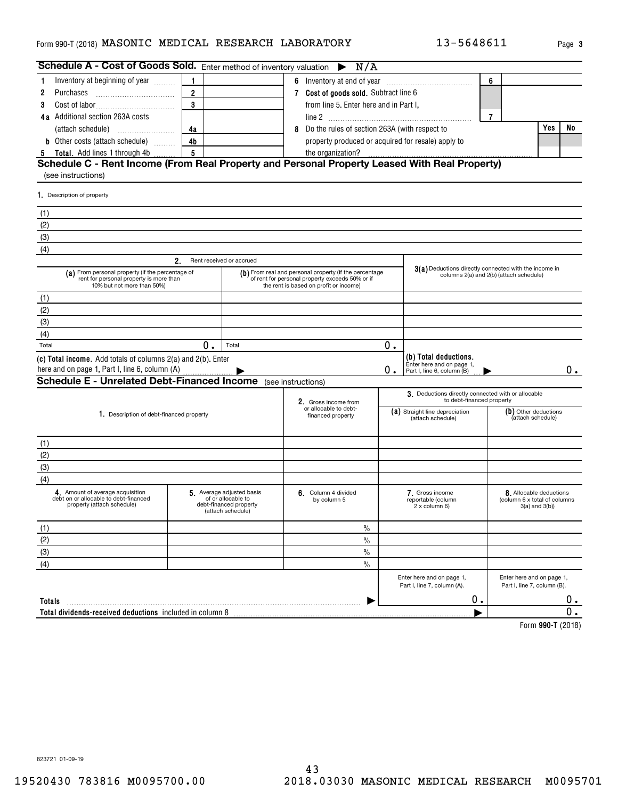#### <code>Form</code> 990-T (2018) <code>MASONIC MEDICAL RESEARCH LABORATORY  $13-5648611$  Page</code>

| Schedule A - Cost of Goods Sold. Enter method of inventory valuation                                                      |                |                                                                                                | N/A                                                                                                                                                 |    |                                                                                                  |                |                                                                                |    |
|---------------------------------------------------------------------------------------------------------------------------|----------------|------------------------------------------------------------------------------------------------|-----------------------------------------------------------------------------------------------------------------------------------------------------|----|--------------------------------------------------------------------------------------------------|----------------|--------------------------------------------------------------------------------|----|
| Inventory at beginning of year<br>1                                                                                       | 1              |                                                                                                |                                                                                                                                                     |    |                                                                                                  | 6              |                                                                                |    |
| 2<br>Purchases                                                                                                            | $\overline{2}$ |                                                                                                | 7 Cost of goods sold. Subtract line 6                                                                                                               |    |                                                                                                  |                |                                                                                |    |
| 3                                                                                                                         | 3              |                                                                                                | from line 5. Enter here and in Part I,                                                                                                              |    |                                                                                                  |                |                                                                                |    |
| 4a Additional section 263A costs                                                                                          |                |                                                                                                |                                                                                                                                                     |    |                                                                                                  | $\overline{7}$ |                                                                                |    |
|                                                                                                                           | 4a             |                                                                                                | 8 Do the rules of section 263A (with respect to                                                                                                     |    |                                                                                                  |                | Yes                                                                            | No |
| <b>b</b> Other costs (attach schedule)                                                                                    | 4 <sub>b</sub> |                                                                                                | property produced or acquired for resale) apply to                                                                                                  |    |                                                                                                  |                |                                                                                |    |
| Total. Add lines 1 through 4b<br>5                                                                                        | 5              |                                                                                                | the organization?                                                                                                                                   |    |                                                                                                  |                |                                                                                |    |
| Schedule C - Rent Income (From Real Property and Personal Property Leased With Real Property)<br>(see instructions)       |                |                                                                                                |                                                                                                                                                     |    |                                                                                                  |                |                                                                                |    |
| 1. Description of property                                                                                                |                |                                                                                                |                                                                                                                                                     |    |                                                                                                  |                |                                                                                |    |
| (1)                                                                                                                       |                |                                                                                                |                                                                                                                                                     |    |                                                                                                  |                |                                                                                |    |
| (2)                                                                                                                       |                |                                                                                                |                                                                                                                                                     |    |                                                                                                  |                |                                                                                |    |
| (3)                                                                                                                       |                |                                                                                                |                                                                                                                                                     |    |                                                                                                  |                |                                                                                |    |
| (4)                                                                                                                       |                |                                                                                                |                                                                                                                                                     |    |                                                                                                  |                |                                                                                |    |
|                                                                                                                           | 2.             | Rent received or accrued                                                                       |                                                                                                                                                     |    |                                                                                                  |                |                                                                                |    |
| (a) From personal property (if the percentage of<br>rent for personal property is more than<br>10% but not more than 50%) |                |                                                                                                | (b) From real and personal property (if the percentage<br>of rent for personal property exceeds 50% or if<br>the rent is based on profit or income) |    | 3(a) Deductions directly connected with the income in<br>columns 2(a) and 2(b) (attach schedule) |                |                                                                                |    |
| (1)                                                                                                                       |                |                                                                                                |                                                                                                                                                     |    |                                                                                                  |                |                                                                                |    |
| (2)                                                                                                                       |                |                                                                                                |                                                                                                                                                     |    |                                                                                                  |                |                                                                                |    |
| (3)                                                                                                                       |                |                                                                                                |                                                                                                                                                     |    |                                                                                                  |                |                                                                                |    |
| (4)                                                                                                                       |                |                                                                                                |                                                                                                                                                     |    |                                                                                                  |                |                                                                                |    |
| Total                                                                                                                     | 0.             | Total                                                                                          |                                                                                                                                                     | 0. |                                                                                                  |                |                                                                                |    |
| (c) Total income. Add totals of columns 2(a) and 2(b). Enter<br>here and on page 1, Part I, line 6, column (A)            |                |                                                                                                |                                                                                                                                                     | 0. | (b) Total deductions.<br>Enter here and on page 1,<br>Part I, line 6, column (B)                 |                |                                                                                | 0. |
| <b>Schedule E - Unrelated Debt-Financed Income</b> (see instructions)                                                     |                |                                                                                                |                                                                                                                                                     |    |                                                                                                  |                |                                                                                |    |
|                                                                                                                           |                |                                                                                                | 2. Gross income from                                                                                                                                |    | 3. Deductions directly connected with or allocable<br>to debt-financed property                  |                |                                                                                |    |
| 1. Description of debt-financed property                                                                                  |                |                                                                                                | or allocable to debt-<br>financed property                                                                                                          |    | (a) Straight line depreciation<br>(attach schedule)                                              |                | (b) Other deductions<br>(attach schedule)                                      |    |
| (1)                                                                                                                       |                |                                                                                                |                                                                                                                                                     |    |                                                                                                  |                |                                                                                |    |
| (2)                                                                                                                       |                |                                                                                                |                                                                                                                                                     |    |                                                                                                  |                |                                                                                |    |
| (3)                                                                                                                       |                |                                                                                                |                                                                                                                                                     |    |                                                                                                  |                |                                                                                |    |
| (4)                                                                                                                       |                |                                                                                                |                                                                                                                                                     |    |                                                                                                  |                |                                                                                |    |
| 4. Amount of average acquisition<br>debt on or allocable to debt-financed<br>property (attach schedule)                   |                | 5. Average adjusted basis<br>of or allocable to<br>debt-financed property<br>(attach schedule) | 6. Column 4 divided<br>by column 5                                                                                                                  |    | 7. Gross income<br>reportable (column<br>2 x column 6)                                           |                | 8. Allocable deductions<br>(column 6 x total of columns<br>$3(a)$ and $3(b)$ ) |    |
| (1)                                                                                                                       |                |                                                                                                | $\%$                                                                                                                                                |    |                                                                                                  |                |                                                                                |    |
| (2)                                                                                                                       |                |                                                                                                | $\%$                                                                                                                                                |    |                                                                                                  |                |                                                                                |    |
| (3)                                                                                                                       |                |                                                                                                | $\%$                                                                                                                                                |    |                                                                                                  |                |                                                                                |    |
| (4)                                                                                                                       |                |                                                                                                | $\frac{0}{0}$                                                                                                                                       |    |                                                                                                  |                |                                                                                |    |
|                                                                                                                           |                |                                                                                                |                                                                                                                                                     |    | Enter here and on page 1,<br>Part I, line 7, column (A).                                         |                | Enter here and on page 1,<br>Part I, line 7, column (B).                       |    |
| Totals                                                                                                                    |                |                                                                                                |                                                                                                                                                     |    | 0.                                                                                               |                |                                                                                | 0. |
| Total dividends-received deductions included in column 8                                                                  |                |                                                                                                |                                                                                                                                                     |    |                                                                                                  |                |                                                                                | 0. |
|                                                                                                                           |                |                                                                                                |                                                                                                                                                     |    |                                                                                                  |                | Form 000 T (0010)                                                              |    |

**990-T**  Form (2018)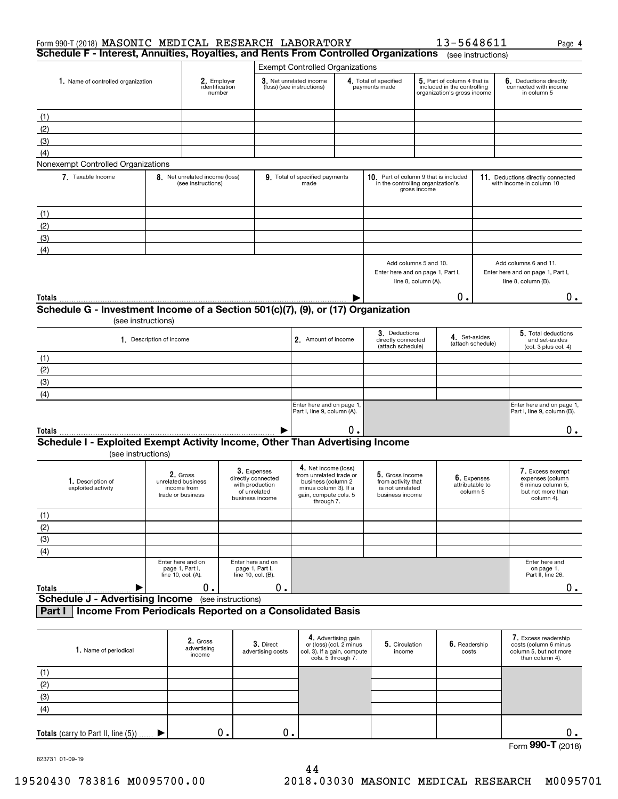| Form 990-T (2018) MASONIC MEDICAL RESEARCH LABORATORY<br>Schedule F - Interest, Annuities, Royalties, and Rents From Controlled Organizations |                                                                    |                                                                                         |                                                                                                                                       |                                                                      |                                                                              | 13-5648611                                                                                 | (see instructions)                         | Page 4                                                                                       |
|-----------------------------------------------------------------------------------------------------------------------------------------------|--------------------------------------------------------------------|-----------------------------------------------------------------------------------------|---------------------------------------------------------------------------------------------------------------------------------------|----------------------------------------------------------------------|------------------------------------------------------------------------------|--------------------------------------------------------------------------------------------|--------------------------------------------|----------------------------------------------------------------------------------------------|
|                                                                                                                                               |                                                                    |                                                                                         | <b>Exempt Controlled Organizations</b>                                                                                                |                                                                      |                                                                              |                                                                                            |                                            |                                                                                              |
| 1. Name of controlled organization                                                                                                            |                                                                    | 2. Employer<br>identification<br>number                                                 | 3. Net unrelated income<br>(loss) (see instructions)                                                                                  |                                                                      | 4. Total of specified<br>payments made                                       | 5. Part of column 4 that is<br>included in the controlling<br>organization's gross income  |                                            | 6. Deductions directly<br>connected with income<br>in column 5                               |
| (1)                                                                                                                                           |                                                                    |                                                                                         |                                                                                                                                       |                                                                      |                                                                              |                                                                                            |                                            |                                                                                              |
| (2)                                                                                                                                           |                                                                    |                                                                                         |                                                                                                                                       |                                                                      |                                                                              |                                                                                            |                                            |                                                                                              |
| (3)                                                                                                                                           |                                                                    |                                                                                         |                                                                                                                                       |                                                                      |                                                                              |                                                                                            |                                            |                                                                                              |
| (4)                                                                                                                                           |                                                                    |                                                                                         |                                                                                                                                       |                                                                      |                                                                              |                                                                                            |                                            |                                                                                              |
| Nonexempt Controlled Organizations                                                                                                            |                                                                    |                                                                                         |                                                                                                                                       |                                                                      |                                                                              |                                                                                            |                                            |                                                                                              |
| 7. Taxable Income                                                                                                                             | 8. Net unrelated income (loss)<br>(see instructions)               |                                                                                         | 9. Total of specified payments<br>made                                                                                                |                                                                      |                                                                              | 10. Part of column 9 that is included<br>in the controlling organization's<br>gross income |                                            | 11. Deductions directly connected<br>with income in column 10                                |
| (1)                                                                                                                                           |                                                                    |                                                                                         |                                                                                                                                       |                                                                      |                                                                              |                                                                                            |                                            |                                                                                              |
| (2)                                                                                                                                           |                                                                    |                                                                                         |                                                                                                                                       |                                                                      |                                                                              |                                                                                            |                                            |                                                                                              |
| (3)                                                                                                                                           |                                                                    |                                                                                         |                                                                                                                                       |                                                                      |                                                                              |                                                                                            |                                            |                                                                                              |
| (4)                                                                                                                                           |                                                                    |                                                                                         |                                                                                                                                       |                                                                      |                                                                              |                                                                                            |                                            |                                                                                              |
|                                                                                                                                               |                                                                    |                                                                                         |                                                                                                                                       |                                                                      |                                                                              | Add columns 5 and 10.<br>Enter here and on page 1, Part I,<br>line 8, column (A).          |                                            | Add columns 6 and 11.<br>Enter here and on page 1, Part I,<br>line 8, column (B).            |
| Totals                                                                                                                                        |                                                                    |                                                                                         |                                                                                                                                       |                                                                      |                                                                              | 0.                                                                                         |                                            | $0$ .                                                                                        |
| Schedule G - Investment Income of a Section 501(c)(7), (9), or (17) Organization                                                              |                                                                    |                                                                                         |                                                                                                                                       |                                                                      |                                                                              |                                                                                            |                                            |                                                                                              |
| (see instructions)                                                                                                                            |                                                                    |                                                                                         |                                                                                                                                       |                                                                      |                                                                              |                                                                                            |                                            |                                                                                              |
|                                                                                                                                               | 1. Description of income                                           |                                                                                         | 2. Amount of income                                                                                                                   |                                                                      | 3. Deductions<br>directly connected<br>(attach schedule)                     | 4. Set-asides                                                                              | (attach schedule)                          | 5. Total deductions<br>and set-asides<br>(col. 3 plus col. 4)                                |
| (1)                                                                                                                                           |                                                                    |                                                                                         |                                                                                                                                       |                                                                      |                                                                              |                                                                                            |                                            |                                                                                              |
| (2)                                                                                                                                           |                                                                    |                                                                                         |                                                                                                                                       |                                                                      |                                                                              |                                                                                            |                                            |                                                                                              |
| $\overline{3}$                                                                                                                                |                                                                    |                                                                                         |                                                                                                                                       |                                                                      |                                                                              |                                                                                            |                                            |                                                                                              |
|                                                                                                                                               |                                                                    |                                                                                         |                                                                                                                                       |                                                                      |                                                                              |                                                                                            |                                            |                                                                                              |
| (4)                                                                                                                                           |                                                                    |                                                                                         |                                                                                                                                       |                                                                      |                                                                              |                                                                                            |                                            |                                                                                              |
|                                                                                                                                               |                                                                    |                                                                                         | Enter here and on page 1,<br>Part I, line 9, column (A).                                                                              |                                                                      |                                                                              |                                                                                            |                                            | Enter here and on page 1,<br>Part I, line 9, column (B).                                     |
| Totals                                                                                                                                        |                                                                    |                                                                                         |                                                                                                                                       | О.                                                                   |                                                                              |                                                                                            |                                            | $0\cdot$                                                                                     |
| Schedule I - Exploited Exempt Activity Income, Other Than Advertising Income                                                                  |                                                                    |                                                                                         |                                                                                                                                       |                                                                      |                                                                              |                                                                                            |                                            |                                                                                              |
| (see instructions)                                                                                                                            |                                                                    |                                                                                         |                                                                                                                                       |                                                                      |                                                                              |                                                                                            |                                            |                                                                                              |
| 1. Description of<br>exploited activity                                                                                                       | 2. Gross<br>unrelated business<br>income from<br>trade or business | 3. Expenses<br>directly connected<br>with production<br>of unrelated<br>business income | 4. Net income (loss)<br>from unrelated trade or<br>business (column 2<br>minus column 3). If a<br>gain, compute cols. 5<br>through 7. |                                                                      | 5. Gross income<br>from activity that<br>is not unrelated<br>business income |                                                                                            | 6. Expenses<br>attributable to<br>column 5 | 7. Excess exempt<br>expenses (column<br>6 minus column 5.<br>but not more than<br>column 4). |
| (1)                                                                                                                                           |                                                                    |                                                                                         |                                                                                                                                       |                                                                      |                                                                              |                                                                                            |                                            |                                                                                              |
|                                                                                                                                               |                                                                    |                                                                                         |                                                                                                                                       |                                                                      |                                                                              |                                                                                            |                                            |                                                                                              |
| $\frac{(2)}{(3)}$                                                                                                                             |                                                                    |                                                                                         |                                                                                                                                       |                                                                      |                                                                              |                                                                                            |                                            |                                                                                              |
| $\overline{(4)}$                                                                                                                              |                                                                    |                                                                                         |                                                                                                                                       |                                                                      |                                                                              |                                                                                            |                                            |                                                                                              |
|                                                                                                                                               | Enter here and on<br>page 1, Part I,<br>line 10, col. (A).         | Enter here and on<br>page 1, Part I,<br>line 10, col. (B).                              |                                                                                                                                       |                                                                      |                                                                              |                                                                                            |                                            | Enter here and<br>on page 1,<br>Part II, line 26.                                            |
| Totals                                                                                                                                        | 0.                                                                 | 0.                                                                                      |                                                                                                                                       |                                                                      |                                                                              |                                                                                            |                                            | $0$ .                                                                                        |
| <b>Schedule J - Advertising Income</b> (see instructions)                                                                                     |                                                                    |                                                                                         |                                                                                                                                       |                                                                      |                                                                              |                                                                                            |                                            |                                                                                              |
| Income From Periodicals Reported on a Consolidated Basis<br>Part I                                                                            |                                                                    |                                                                                         |                                                                                                                                       |                                                                      |                                                                              |                                                                                            |                                            |                                                                                              |
| 1. Name of periodical                                                                                                                         | 2. Gross<br>advertising<br>income                                  | 3. Direct<br>advertising costs                                                          | col. 3). If a gain, compute                                                                                                           | 4. Advertising gain<br>or (loss) (col. 2 minus<br>cols. 5 through 7. | 5. Circulation<br>income                                                     | 6. Readership<br>costs                                                                     |                                            | 7. Excess readership<br>costs (column 6 minus<br>column 5, but not more<br>than column 4).   |

| I. Name of periodical                  | advertising<br>income | <b>J.</b> Direct<br>advertising costs | or (loss) (col. 2 minus<br>col. 3). If a gain, compute<br>cols. 5 through 7. | <b>D.</b> Circulation<br>income | <b>b.</b> Headership<br>costs | costs (column 6 minus<br>column 5, but not more<br>than column 4). |
|----------------------------------------|-----------------------|---------------------------------------|------------------------------------------------------------------------------|---------------------------------|-------------------------------|--------------------------------------------------------------------|
| (1)                                    |                       |                                       |                                                                              |                                 |                               |                                                                    |
| (2)                                    |                       |                                       |                                                                              |                                 |                               |                                                                    |
| (3)                                    |                       |                                       |                                                                              |                                 |                               |                                                                    |
| (4)                                    |                       |                                       |                                                                              |                                 |                               |                                                                    |
| Totals (carry to Part II, line $(5)$ ) | 0.                    | О.                                    |                                                                              |                                 |                               |                                                                    |
|                                        |                       |                                       |                                                                              |                                 |                               | $OMT \sim 1$<br>$\overline{\phantom{0}}$                           |

Form (2018) **990-T**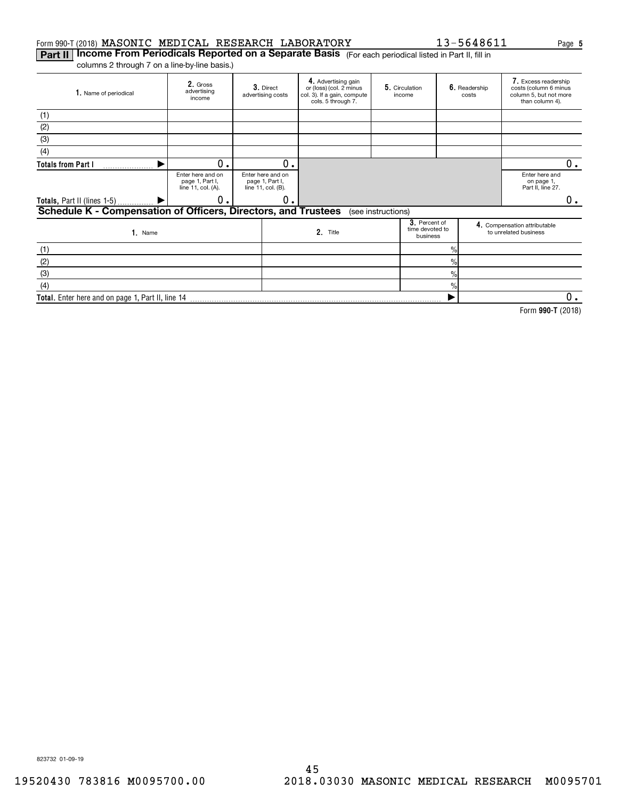#### Form 990-T (2018) <code>MASONIC MEDICAL</code> RESEARCH LABORATORY  $13-5648611$  Page

**Part II | Income From Periodicals Reported on a Separate Basis** (For each periodical listed in Part II, fill in columns 2 through 7 on a line-by-line basis.)

| 1. Name of periodical                                                 | 2. Gross<br>advertising<br>income                          |  | 3. Direct<br>advertising costs                             | 4. Advertising gain<br>or (loss) (col. 2 minus<br>col. 3). If a gain, compute<br>cols. 5 through 7. |                    | 5. Circulation<br>income                     |               | 6. Readership<br>costs | 7. Excess readership<br>costs (column 6 minus<br>column 5, but not more<br>than column 4). |    |
|-----------------------------------------------------------------------|------------------------------------------------------------|--|------------------------------------------------------------|-----------------------------------------------------------------------------------------------------|--------------------|----------------------------------------------|---------------|------------------------|--------------------------------------------------------------------------------------------|----|
| (1)                                                                   |                                                            |  |                                                            |                                                                                                     |                    |                                              |               |                        |                                                                                            |    |
| (2)                                                                   |                                                            |  |                                                            |                                                                                                     |                    |                                              |               |                        |                                                                                            |    |
| (3)                                                                   |                                                            |  |                                                            |                                                                                                     |                    |                                              |               |                        |                                                                                            |    |
| (4)                                                                   |                                                            |  |                                                            |                                                                                                     |                    |                                              |               |                        |                                                                                            |    |
| <b>Totals from Part I</b><br>.                                        | О.                                                         |  | 0.                                                         |                                                                                                     |                    |                                              |               |                        |                                                                                            |    |
|                                                                       | Enter here and on<br>page 1, Part I,<br>line 11, col. (A). |  | Enter here and on<br>page 1, Part I,<br>line 11, col. (B). |                                                                                                     |                    |                                              |               |                        | Enter here and<br>on page 1,<br>Part II, line 27.                                          |    |
| Totals, Part II (lines 1-5)  ▶                                        | О.                                                         |  | 0.                                                         |                                                                                                     |                    |                                              |               |                        |                                                                                            | 0. |
| <b>Schedule K - Compensation of Officers, Directors, and Trustees</b> |                                                            |  |                                                            |                                                                                                     | (see instructions) |                                              |               |                        |                                                                                            |    |
| 1. Name                                                               |                                                            |  |                                                            | 2. Title                                                                                            |                    | 3. Percent of<br>time devoted to<br>business |               |                        | 4. Compensation attributable<br>to unrelated business                                      |    |
| (1)                                                                   |                                                            |  |                                                            | $\frac{0}{0}$                                                                                       |                    |                                              |               |                        |                                                                                            |    |
| (2)                                                                   |                                                            |  |                                                            |                                                                                                     |                    |                                              | $\frac{0}{0}$ |                        |                                                                                            |    |
| (3)                                                                   |                                                            |  |                                                            |                                                                                                     |                    |                                              | $\frac{0}{0}$ |                        |                                                                                            |    |
| (4)                                                                   |                                                            |  |                                                            |                                                                                                     |                    |                                              | %             |                        |                                                                                            |    |

**Total.**  Enter here and on page 1, Part II, line 14  $\blacktriangleright$ 0.

**990-T**  Form (2018)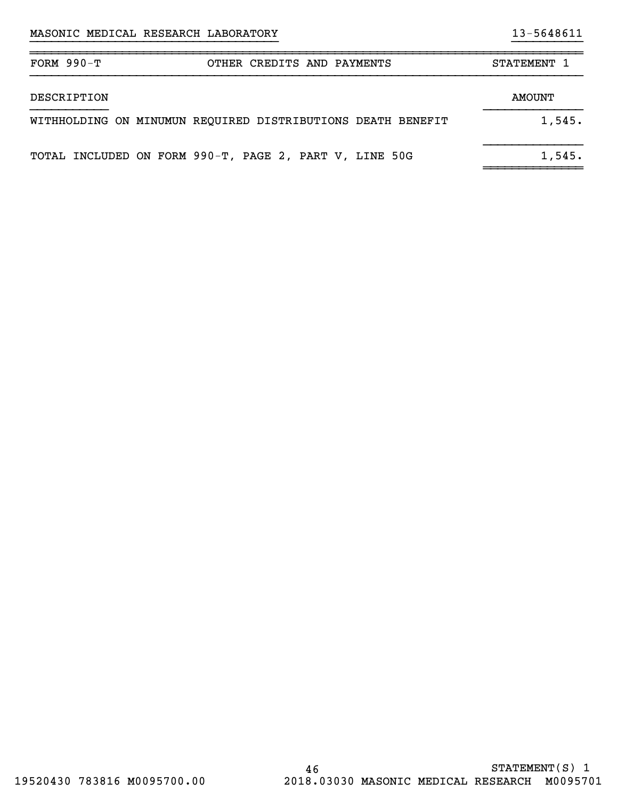| FORM $990-T$ | OTHER CREDITS AND PAYMENTS                                  | STATEMENT 1 |
|--------------|-------------------------------------------------------------|-------------|
| DESCRIPTION  |                                                             | AMOUNT      |
|              | WITHHOLDING ON MINUMUN REQUIRED DISTRIBUTIONS DEATH BENEFIT | 1,545.      |
|              | TOTAL INCLUDED ON FORM 990-T, PAGE 2, PART V, LINE 50G      | 1,545.      |

}}}}}}}}}}}}}}}}}}}}}}}}}}}}}}}}}}} }}}}}}}}}}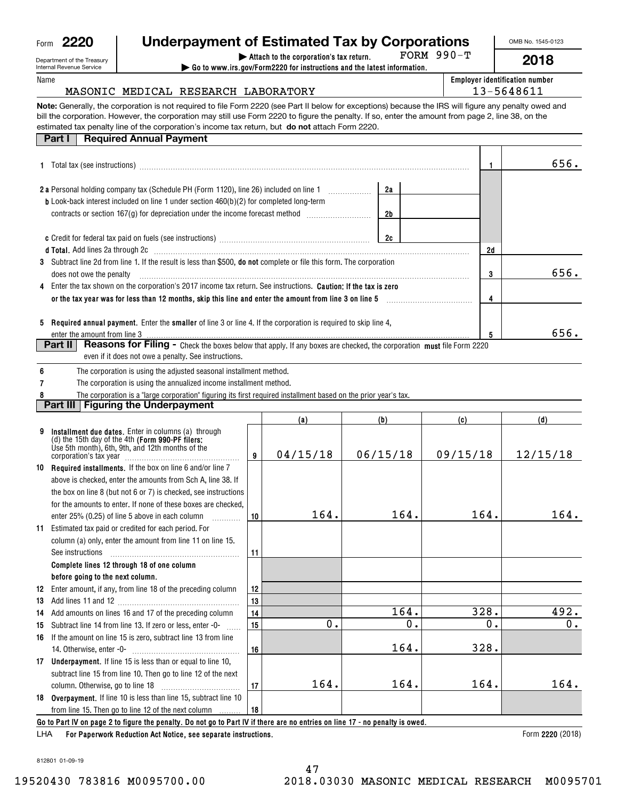| <sup>,</sup> 220 |
|------------------|
|                  |

### **Underpayment of Estimated Tax by Corporations**

990-T

OMB No. 1545-0123

**2018**

| Department of the Treasury |  |
|----------------------------|--|
| Internal Revenue Service   |  |
| Name                       |  |

| nt of the Treasury |  | Attach to the corporation's tax return.                                                                     | FORM |
|--------------------|--|-------------------------------------------------------------------------------------------------------------|------|
| evenue Service     |  | $\triangleright$ Go to www.irs.gov/Form2220 for instructions and the latest information.                    |      |
|                    |  |                                                                                                             |      |
|                    |  | MASONIC MEDICAL RESEARCH LABORATORY                                                                         |      |
|                    |  | Aenerally, the corporation is not required to file Form 2220 (see Part II below for exceptions) because the |      |

| <b>Employer identification number</b> |
|---------------------------------------|
| 13-5648611                            |

**Note:**Generally, the corporation is not required to file Form 2220 (see Part II below for exceptions) because the IRS will figure any penalty owed and estimated tax penalty line of the corporation's income tax return, but **do not** attach Form 2220. bill the corporation. However, the corporation may still use Form 2220 to figure the penalty. If so, enter the amount from page 2, line 38, on the

### **Part I** Required Annual Payment

| <b>1</b> Total tax (see instructions)                                                                                                                   |    | 656. |
|---------------------------------------------------------------------------------------------------------------------------------------------------------|----|------|
| 2a<br><b>2 a</b> Personal holding company tax (Schedule PH (Form 1120), line 26) included on line 1                                                     |    |      |
| <b>b</b> Look-back interest included on line 1 under section $460(b)(2)$ for completed long-term<br>2b                                                  |    |      |
| 2c                                                                                                                                                      |    |      |
|                                                                                                                                                         | 2d |      |
| 3 Subtract line 2d from line 1. If the result is less than \$500, <b>do not</b> complete or file this form. The corporation<br>does not owe the penalty | 3  | 656. |
| 4 Enter the tax shown on the corporation's 2017 income tax return. See instructions. <b>Caution: If the tax is zero</b>                                 |    |      |
| or the tax year was for less than 12 months, skip this line and enter the amount from line 3 on line 5                                                  |    |      |
| 5 Required annual payment. Enter the smaller of line 3 or line 4. If the corporation is required to skip line 4,                                        |    |      |
| enter the amount from line 3                                                                                                                            |    | 656. |
| Reasons for Filing - Check the boxes below that apply. If any boxes are checked, the corporation must file Form 2220<br><b>Part II</b>                  |    |      |

even if it does not owe a penalty. See instructions.

**6**The corporation is using the adjusted seasonal installment method.

**7**The corporation is using the annualized income installment method.

**8**The corporation is a "large corporation" figuring its first required installment based on the prior year's tax.

## **Part III** Figuring the Underpayment

|    |                                                                                                                                                                                       |    | (a)      | (b)           | (c)      | (d)      |
|----|---------------------------------------------------------------------------------------------------------------------------------------------------------------------------------------|----|----------|---------------|----------|----------|
| 9  | Installment due dates. Enter in columns (a) through<br>(d) the 15th day of the 4th (Form 990-PF filers:<br>Use 5th month), 6th, 9th, and 12th months of the<br>corporation's tax year | 9  | 04/15/18 | 06/15/18      | 09/15/18 | 12/15/18 |
| 10 | <b>Required installments.</b> If the box on line 6 and/or line 7                                                                                                                      |    |          |               |          |          |
|    | above is checked, enter the amounts from Sch A, line 38. If                                                                                                                           |    |          |               |          |          |
|    | the box on line 8 (but not 6 or 7) is checked, see instructions                                                                                                                       |    |          |               |          |          |
|    | for the amounts to enter. If none of these boxes are checked.                                                                                                                         |    |          |               |          |          |
|    | enter 25% (0.25) of line 5 above in each column                                                                                                                                       | 10 | 164.     | 164.          | 164.     | 164.     |
| 11 | Estimated tax paid or credited for each period. For                                                                                                                                   |    |          |               |          |          |
|    | column (a) only, enter the amount from line 11 on line 15.                                                                                                                            |    |          |               |          |          |
|    | See instructions                                                                                                                                                                      | 11 |          |               |          |          |
|    | Complete lines 12 through 18 of one column                                                                                                                                            |    |          |               |          |          |
|    | before going to the next column.                                                                                                                                                      |    |          |               |          |          |
| 12 | Enter amount, if any, from line 18 of the preceding column                                                                                                                            | 12 |          |               |          |          |
| 13 |                                                                                                                                                                                       | 13 |          |               |          |          |
| 14 | Add amounts on lines 16 and 17 of the preceding column                                                                                                                                | 14 |          | 164.          | 328.     | 492.     |
| 15 | Subtract line 14 from line 13. If zero or less, enter -0-                                                                                                                             | 15 | о.       | $\mathbf 0$ . | о.       | 0.       |
| 16 | If the amount on line 15 is zero, subtract line 13 from line                                                                                                                          |    |          |               |          |          |
|    | 14. Otherwise, enter -0-                                                                                                                                                              | 16 |          | 164.          | 328.     |          |
| 17 | <b>Underpayment.</b> If line 15 is less than or equal to line 10,                                                                                                                     |    |          |               |          |          |
|    | subtract line 15 from line 10. Then go to line 12 of the next                                                                                                                         |    |          |               |          |          |
|    | column. Otherwise, go to line 18                                                                                                                                                      | 17 | 164.     | 164.          | 164.     | 164.     |
|    | 18 Overpayment. If line 10 is less than line 15, subtract line 10                                                                                                                     |    |          |               |          |          |
|    | from line 15. Then go to line 12 of the next column<br>.                                                                                                                              | 18 |          |               |          |          |
|    | Go to Part IV on page 2 to figure the penalty. Do not go to Part IV if there are no entries on line 17 - no penalty is owed.                                                          |    |          |               |          |          |

**For Paperwork Reduction Act Notice, see separate instructions.** LHA

Form 2220 (2018)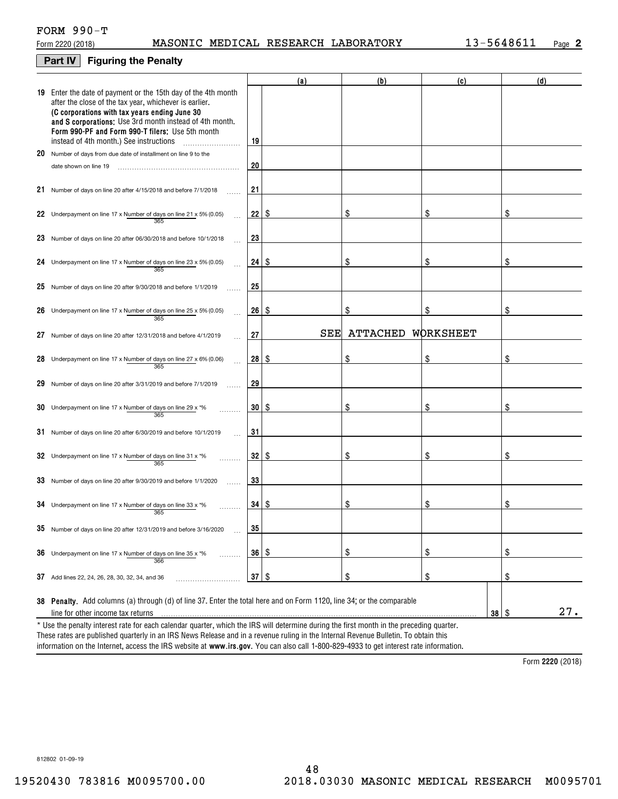### FORM 990-T

### **Part IV Figuring the Penalty**

|    |                                                                                                                                                                                                                                                                                                                                    |    | (a) | (b)      | (c)                     | (d) |
|----|------------------------------------------------------------------------------------------------------------------------------------------------------------------------------------------------------------------------------------------------------------------------------------------------------------------------------------|----|-----|----------|-------------------------|-----|
|    | 19 Enter the date of payment or the 15th day of the 4th month<br>after the close of the tax year, whichever is earlier.<br>(C corporations with tax years ending June 30<br>and S corporations: Use 3rd month instead of 4th month.<br>Form 990-PF and Form 990-T filers: Use 5th month<br>instead of 4th month.) See instructions | 19 |     |          |                         |     |
|    | 20 Number of days from due date of installment on line 9 to the                                                                                                                                                                                                                                                                    |    |     |          |                         |     |
|    | date shown on line 19                                                                                                                                                                                                                                                                                                              | 20 |     |          |                         |     |
|    | 21 Number of days on line 20 after 4/15/2018 and before 7/1/2018                                                                                                                                                                                                                                                                   | 21 |     |          |                         |     |
|    | 22 Underpayment on line 17 x Number of days on line 21 x 5% (0.05)<br>365                                                                                                                                                                                                                                                          | 22 | -S  | \$       | \$                      | \$  |
|    | 23 Number of days on line 20 after 06/30/2018 and before 10/1/2018                                                                                                                                                                                                                                                                 | 23 |     |          |                         |     |
|    | 24 Underpayment on line 17 x Number of days on line 23 x 5% (0.05)<br>365                                                                                                                                                                                                                                                          | 24 | -S  | \$       | \$                      | \$  |
|    | 25 Number of days on line 20 after $9/30/2018$ and before $1/1/2019$                                                                                                                                                                                                                                                               | 25 |     |          |                         |     |
|    | 26 Underpayment on line 17 x Number of days on line 25 x 5% (0.05)<br>365                                                                                                                                                                                                                                                          | 26 | -S  | \$       | \$                      | \$  |
| 27 | Number of days on line 20 after 12/31/2018 and before 4/1/2019                                                                                                                                                                                                                                                                     | 27 | SEE | ATTACHED | WORKSHEET               |     |
|    | 28 Underpayment on line 17 x Number of days on line 27 x 6% (0.06)<br>365                                                                                                                                                                                                                                                          | 28 | \$  | \$       | \$                      | \$  |
| 29 | Number of days on line 20 after 3/31/2019 and before 7/1/2019                                                                                                                                                                                                                                                                      | 29 |     |          |                         |     |
|    | 30 Underpayment on line 17 x Number of days on line 29 x $*$ %<br>365                                                                                                                                                                                                                                                              | 30 | -S  | \$       | \$                      | \$  |
|    | 31 Number of days on line 20 after 6/30/2019 and before 10/1/2019                                                                                                                                                                                                                                                                  | 31 |     |          |                         |     |
|    | 32 Underpayment on line 17 x Number of days on line 31 x *%<br>365                                                                                                                                                                                                                                                                 | 32 | \$  | \$       | \$                      | \$  |
|    | 33 Number of days on line 20 after 9/30/2019 and before 1/1/2020                                                                                                                                                                                                                                                                   | 33 |     |          |                         |     |
|    | 34 Underpayment on line 17 x Number of days on line 33 x $*$ %<br>365                                                                                                                                                                                                                                                              | 34 | \$  | \$       | \$                      | \$  |
|    | 35 Number of days on line 20 after 12/31/2019 and before 3/16/2020                                                                                                                                                                                                                                                                 | 35 |     |          |                         |     |
|    | <b>36</b> Underpayment on line 17 x Number of days on line 35 x $*$ %<br>.<br>366                                                                                                                                                                                                                                                  | 36 | -\$ | \$       | $\frac{1}{2}$           | \$  |
|    | 37 Add lines 22, 24, 26, 28, 30, 32, 34, and 36                                                                                                                                                                                                                                                                                    | 37 | \$  | \$       | $\frac{1}{2}$           | \$  |
|    |                                                                                                                                                                                                                                                                                                                                    |    |     |          |                         |     |
|    | 38 Penalty. Add columns (a) through (d) of line 37. Enter the total here and on Form 1120, line 34; or the comparable                                                                                                                                                                                                              |    |     |          |                         | 27. |
|    | line for other income tax returns                                                                                                                                                                                                                                                                                                  |    |     |          | $38 \mid$ $\frac{6}{3}$ |     |
|    | * Use the penalty interest rate for each calendar quarter, which the IRS will determine during the first month in the preceding quarter.                                                                                                                                                                                           |    |     |          |                         |     |

information on the Internet, access the IRS website at **www.irs.gov**. You can also call 1-800-829-4933 to get interest rate information. \* Use the penalty interest rate for each calendar quarter, which the IRS will determine during the first month in the preceding quarter.<br>These rates are published quarterly in an IRS News Release and in a revenue ruling in

**2220**  Form (2018)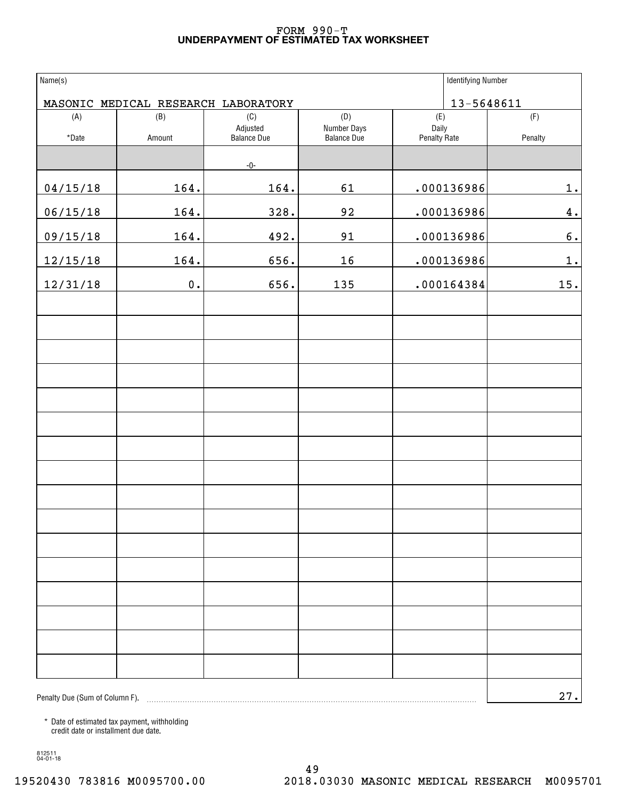### **UNDERPAYMENT OF ESTIMATED TAX WORKSHEET** FORM 990-T

| Name(s)                        | <b>Identifying Number</b> |                                                                                                                                                                                                                                                                                                                                       |                                   |                       |         |
|--------------------------------|---------------------------|---------------------------------------------------------------------------------------------------------------------------------------------------------------------------------------------------------------------------------------------------------------------------------------------------------------------------------------|-----------------------------------|-----------------------|---------|
|                                |                           | MASONIC MEDICAL RESEARCH LABORATORY                                                                                                                                                                                                                                                                                                   |                                   | 13-5648611            |         |
| (A)                            | (B)                       | (C)                                                                                                                                                                                                                                                                                                                                   | (D)                               | (E)                   | (F)     |
| $^\star$ Date                  | Amount                    | Adjusted<br><b>Balance Due</b>                                                                                                                                                                                                                                                                                                        | Number Days<br><b>Balance Due</b> | Daily<br>Penalty Rate | Penalty |
|                                |                           | $-0-$                                                                                                                                                                                                                                                                                                                                 |                                   |                       |         |
| 04/15/18                       | 164.                      | 164.                                                                                                                                                                                                                                                                                                                                  | 61                                | .000136986            | 1.      |
| 06/15/18                       | 164.                      | 328.                                                                                                                                                                                                                                                                                                                                  | 92                                | .000136986            | 4.      |
| 09/15/18                       | 164.                      | 492.                                                                                                                                                                                                                                                                                                                                  | 91                                | .000136986            | 6.      |
| 12/15/18                       | 164.                      | 656.                                                                                                                                                                                                                                                                                                                                  | 16                                | .000136986            | 1.      |
| 12/31/18                       | $\mathbf 0$ .             | 656.                                                                                                                                                                                                                                                                                                                                  | 135                               | .000164384            | 15.     |
|                                |                           |                                                                                                                                                                                                                                                                                                                                       |                                   |                       |         |
|                                |                           |                                                                                                                                                                                                                                                                                                                                       |                                   |                       |         |
|                                |                           |                                                                                                                                                                                                                                                                                                                                       |                                   |                       |         |
|                                |                           |                                                                                                                                                                                                                                                                                                                                       |                                   |                       |         |
|                                |                           |                                                                                                                                                                                                                                                                                                                                       |                                   |                       |         |
|                                |                           |                                                                                                                                                                                                                                                                                                                                       |                                   |                       |         |
|                                |                           |                                                                                                                                                                                                                                                                                                                                       |                                   |                       |         |
|                                |                           |                                                                                                                                                                                                                                                                                                                                       |                                   |                       |         |
|                                |                           |                                                                                                                                                                                                                                                                                                                                       |                                   |                       |         |
|                                |                           |                                                                                                                                                                                                                                                                                                                                       |                                   |                       |         |
|                                |                           |                                                                                                                                                                                                                                                                                                                                       |                                   |                       |         |
|                                |                           |                                                                                                                                                                                                                                                                                                                                       |                                   |                       |         |
|                                |                           |                                                                                                                                                                                                                                                                                                                                       |                                   |                       |         |
|                                |                           |                                                                                                                                                                                                                                                                                                                                       |                                   |                       |         |
|                                |                           |                                                                                                                                                                                                                                                                                                                                       |                                   |                       |         |
|                                |                           |                                                                                                                                                                                                                                                                                                                                       |                                   |                       |         |
| Penalty Due (Sum of Column F). |                           | $\begin{bmatrix} \begin{bmatrix} 0 & 0 & 0 & 0 \\ 0 & 0 & 0 & 0 \\ 0 & 0 & 0 & 0 \\ 0 & 0 & 0 & 0 \\ 0 & 0 & 0 & 0 \\ 0 & 0 & 0 & 0 \\ 0 & 0 & 0 & 0 \\ 0 & 0 & 0 & 0 & 0 \\ 0 & 0 & 0 & 0 & 0 \\ 0 & 0 & 0 & 0 & 0 \\ 0 & 0 & 0 & 0 & 0 \\ 0 & 0 & 0 & 0 & 0 \\ 0 & 0 & 0 & 0 & 0 \\ 0 & 0 & 0 & 0 & 0 \\ 0 & 0 & 0 & 0 & 0 \\ 0 & $ |                                   |                       | 27.     |

\* Date of estimated tax payment, withholding credit date or installment due date.

812511 04-01-18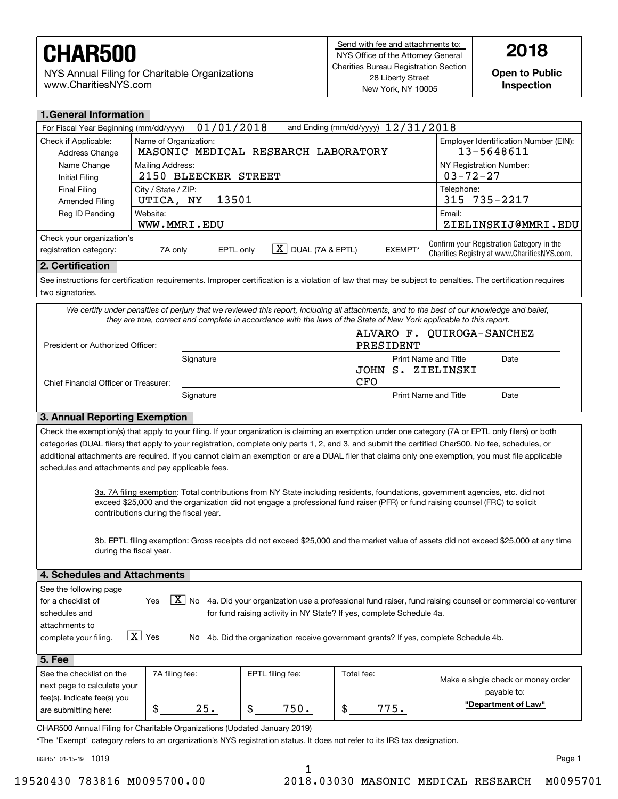NYS Annual Filing for Charitable Organizations www.CharitiesNYS.com

**Inspection**

| <b>1. General Information</b>                                                                                                                               |                                           |                                                                                                                     |                  |                                       |            |                             |                                                                                                                                                            |  |  |
|-------------------------------------------------------------------------------------------------------------------------------------------------------------|-------------------------------------------|---------------------------------------------------------------------------------------------------------------------|------------------|---------------------------------------|------------|-----------------------------|------------------------------------------------------------------------------------------------------------------------------------------------------------|--|--|
| and Ending (mm/dd/yyyy) 12/31/2018<br>01/01/2018<br>For Fiscal Year Beginning (mm/dd/yyyy)                                                                  |                                           |                                                                                                                     |                  |                                       |            |                             |                                                                                                                                                            |  |  |
| Check if Applicable:<br>Address Change                                                                                                                      |                                           | Employer Identification Number (EIN):<br>Name of Organization:<br>MASONIC MEDICAL RESEARCH LABORATORY<br>13-5648611 |                  |                                       |            |                             |                                                                                                                                                            |  |  |
| Name Change<br><b>Initial Filing</b>                                                                                                                        |                                           | NY Registration Number:<br>Mailing Address:<br>2150 BLEECKER STREET<br>$03 - 72 - 27$                               |                  |                                       |            |                             |                                                                                                                                                            |  |  |
| <b>Final Filing</b><br><b>Amended Filing</b>                                                                                                                |                                           | City / State / ZIP:<br>Telephone:<br>315 735-2217<br>13501<br>UTICA, NY                                             |                  |                                       |            |                             |                                                                                                                                                            |  |  |
| Reg ID Pending                                                                                                                                              | Website:                                  | Email:<br>ZIELINSKIJ@MMRI.EDU<br>WWW.MMRI.EDU                                                                       |                  |                                       |            |                             |                                                                                                                                                            |  |  |
| Check your organization's                                                                                                                                   |                                           |                                                                                                                     |                  |                                       |            |                             |                                                                                                                                                            |  |  |
| registration category:                                                                                                                                      |                                           | EPTL only<br>7A only                                                                                                |                  | $\boxed{\textbf{X}}$ DUAL (7A & EPTL) |            | <b>EXEMPT*</b>              | Confirm your Registration Category in the<br>Charities Registry at www.CharitiesNYS.com.                                                                   |  |  |
| 2. Certification                                                                                                                                            |                                           |                                                                                                                     |                  |                                       |            |                             |                                                                                                                                                            |  |  |
| two signatories.                                                                                                                                            |                                           |                                                                                                                     |                  |                                       |            |                             | See instructions for certification requirements. Improper certification is a violation of law that may be subject to penalties. The certification requires |  |  |
|                                                                                                                                                             |                                           |                                                                                                                     |                  |                                       |            |                             | We certify under penalties of perjury that we reviewed this report, including all attachments, and to the best of our knowledge and belief,                |  |  |
|                                                                                                                                                             |                                           |                                                                                                                     |                  |                                       |            |                             | they are true, correct and complete in accordance with the laws of the State of New York applicable to this report.                                        |  |  |
| President or Authorized Officer:                                                                                                                            |                                           |                                                                                                                     |                  |                                       |            | PRESIDENT                   | ALVARO F. QUIROGA-SANCHEZ                                                                                                                                  |  |  |
|                                                                                                                                                             |                                           | Signature                                                                                                           |                  |                                       |            | <b>Print Name and Title</b> | Date                                                                                                                                                       |  |  |
|                                                                                                                                                             |                                           |                                                                                                                     |                  |                                       | JOHN       |                             | S. ZIELINSKI                                                                                                                                               |  |  |
| Chief Financial Officer or Treasurer:                                                                                                                       |                                           |                                                                                                                     |                  |                                       | CFO        |                             |                                                                                                                                                            |  |  |
|                                                                                                                                                             | Print Name and Title<br>Date<br>Signature |                                                                                                                     |                  |                                       |            |                             |                                                                                                                                                            |  |  |
| 3. Annual Reporting Exemption                                                                                                                               |                                           |                                                                                                                     |                  |                                       |            |                             |                                                                                                                                                            |  |  |
|                                                                                                                                                             |                                           |                                                                                                                     |                  |                                       |            |                             | Check the exemption(s) that apply to your filing. If your organization is claiming an exemption under one category (7A or EPTL only filers) or both        |  |  |
|                                                                                                                                                             |                                           |                                                                                                                     |                  |                                       |            |                             | categories (DUAL filers) that apply to your registration, complete only parts 1, 2, and 3, and submit the certified Char500. No fee, schedules, or         |  |  |
|                                                                                                                                                             |                                           |                                                                                                                     |                  |                                       |            |                             | additional attachments are required. If you cannot claim an exemption or are a DUAL filer that claims only one exemption, you must file applicable         |  |  |
| schedules and attachments and pay applicable fees.                                                                                                          |                                           |                                                                                                                     |                  |                                       |            |                             |                                                                                                                                                            |  |  |
|                                                                                                                                                             |                                           |                                                                                                                     |                  |                                       |            |                             | 3a. 7A filing exemption: Total contributions from NY State including residents, foundations, government agencies, etc. did not                             |  |  |
|                                                                                                                                                             |                                           |                                                                                                                     |                  |                                       |            |                             | exceed \$25,000 and the organization did not engage a professional fund raiser (PFR) or fund raising counsel (FRC) to solicit                              |  |  |
|                                                                                                                                                             |                                           | contributions during the fiscal year.                                                                               |                  |                                       |            |                             |                                                                                                                                                            |  |  |
|                                                                                                                                                             |                                           |                                                                                                                     |                  |                                       |            |                             |                                                                                                                                                            |  |  |
|                                                                                                                                                             | during the fiscal year.                   |                                                                                                                     |                  |                                       |            |                             | 3b. EPTL filing exemption: Gross receipts did not exceed \$25,000 and the market value of assets did not exceed \$25,000 at any time                       |  |  |
|                                                                                                                                                             |                                           |                                                                                                                     |                  |                                       |            |                             |                                                                                                                                                            |  |  |
| 4. Schedules and Attachments                                                                                                                                |                                           |                                                                                                                     |                  |                                       |            |                             |                                                                                                                                                            |  |  |
| See the following page                                                                                                                                      |                                           |                                                                                                                     |                  |                                       |            |                             |                                                                                                                                                            |  |  |
| $\boxed{\text{X}}$ No 4a. Did your organization use a professional fund raiser, fund raising counsel or commercial co-venturer<br>Yes<br>for a checklist of |                                           |                                                                                                                     |                  |                                       |            |                             |                                                                                                                                                            |  |  |
| for fund raising activity in NY State? If yes, complete Schedule 4a.<br>schedules and                                                                       |                                           |                                                                                                                     |                  |                                       |            |                             |                                                                                                                                                            |  |  |
| attachments to                                                                                                                                              |                                           |                                                                                                                     |                  |                                       |            |                             |                                                                                                                                                            |  |  |
| $\boxed{\mathbf{X}}$ Yes<br>complete your filing.<br>4b. Did the organization receive government grants? If yes, complete Schedule 4b.<br>No.               |                                           |                                                                                                                     |                  |                                       |            |                             |                                                                                                                                                            |  |  |
| 5. Fee                                                                                                                                                      |                                           |                                                                                                                     |                  |                                       |            |                             |                                                                                                                                                            |  |  |
| See the checklist on the                                                                                                                                    |                                           | 7A filing fee:                                                                                                      | EPTL filing fee: |                                       | Total fee: |                             | Make a single check or money order                                                                                                                         |  |  |
| next page to calculate your                                                                                                                                 |                                           |                                                                                                                     |                  |                                       |            |                             | payable to:                                                                                                                                                |  |  |
| fee(s). Indicate fee(s) you                                                                                                                                 | \$                                        | 25.                                                                                                                 | \$               | 750.                                  | \$         | 775.                        | "Department of Law"                                                                                                                                        |  |  |
| are submitting here:                                                                                                                                        |                                           |                                                                                                                     |                  |                                       |            |                             |                                                                                                                                                            |  |  |

CHAR500 Annual Filing for Charitable Organizations (Updated January 2019)

\*The "Exempt" category refers to an organization's NYS registration status. It does not refer to its IRS tax designation.

868451 01-15-19 1019

1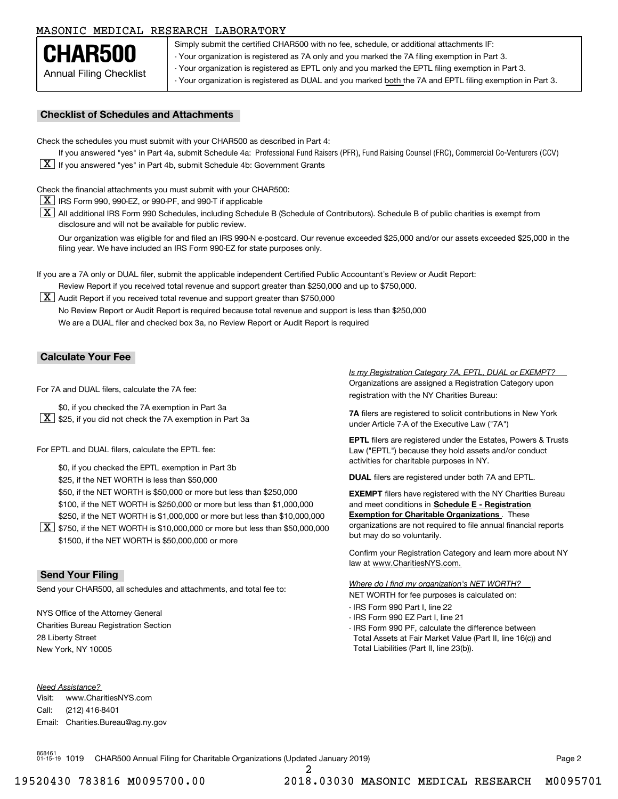### MASONIC MEDICAL RESEARCH LABORATORY

Annual Filing Checklist **CHAR500**

Simply submit the certified CHAR500 with no fee, schedule, or additional attachments IF: - Your organization is registered as 7A only and you marked the 7A filing exemption in Part 3.

- Your organization is registered as EPTL only and you marked the EPTL filing exemption in Part 3.

- Your organization is registered as DUAL and you marked both the 7A and EPTL filing exemption in Part 3.<br>-

#### **Checklist of Schedules and Attachments**

Check the schedules you must submit with your CHAR500 as described in Part 4:

If you answered "yes" in Part 4a, submit Schedule 4a: Professional Fund Raisers (PFR), Fund Raising Counsel (FRC), Commercial Co-Venturers (CCV)  $\boxed{\textbf{X}}$  If you answered "yes" in Part 4b, submit Schedule 4b: Government Grants

Check the financial attachments you must submit with your CHAR500:

- $\boxed{\textbf{X}}$  IRS Form 990, 990-EZ, or 990-PF, and 990-T if applicable
- $\boxed{\textbf{X}}$  All additional IRS Form 990 Schedules, including Schedule B (Schedule of Contributors). Schedule B of public charities is exempt from disclosure and will not be available for public review.

Our organization was eligible for and filed an IRS 990-N e-postcard. Our revenue exceeded \$25,000 and/or our assets exceeded \$25,000 in the filing year. We have included an IRS Form 990-EZ for state purposes only.

If you are a 7A only or DUAL filer, submit the applicable independent Certified Public Accountant's Review or Audit Report: Review Report if you received total revenue and support greater than \$250,000 and up to \$750,000.

 $\boxed{\textbf{X}}$  Audit Report if you received total revenue and support greater than \$750,000 No Review Report or Audit Report is required because total revenue and support is less than \$250,000 We are a DUAL filer and checked box 3a, no Review Report or Audit Report is required

### **Calculate Your Fee**

For 7A and DUAL filers, calculate the 7A fee:

- \$0, if you checked the 7A exemption in Part 3a
- $\boxed{\textbf{X}}$  \$25, if you did not check the 7A exemption in Part 3a

For EPTL and DUAL filers, calculate the EPTL fee:

\$0, if you checked the EPTL exemption in Part 3b

\$25, if the NET WORTH is less than \$50,000

\$50, if the NET WORTH is \$50,000 or more but less than \$250,000 **filers have registered with the NY** Charities Bureau

\$100, if the NET WORTH is \$250,000 or more but less than \$1,000,000

\$250, if the NET WORTH is \$1,000,000 or more but less than \$10,000,000

 $\boxed{\textbf{X}}$  \$750, if the NET WORTH is \$10,000,000 or more but less than \$50,000,000 \$1500, if the NET WORTH is \$50,000,000 or more

### **Send Your Filing**

Send your CHAR500, all schedules and attachments, and total fee to:

NYS Office of the Attorney General Charities Bureau Registration Section 28 Liberty Street New York, NY 10005

*Need Assistance?*

Visit:Call:Email:Charities.Bureau@ag.ny.gov www.CharitiesNYS.com(212) 416-8401

Organizations are assigned a Registration Category upon registration with the NY Charities Bureau: *Is my Registration Category 7A, EPTL, DUAL or EXEMPT?* 

**7A** filers are registered to solicit contributions in New York under Article 7-A of the Executive Law ("7A")

**EPTL** filers are registered under the Estates, Powers & Trusts Law ("EPTL") because they hold assets and/or conduct activities for charitable purposes in NY.

**DUAL** filers are registered under both 7A and EPTL.

and meet conditions in **Schedule E - Registration Exemption for Charitable Organizations** . These organizations are not required to file annual financial reports but may do so voluntarily.

Confirm your Registration Category and learn more about NY law at www.CharitiesNYS.com.

NET WORTH for fee purposes is calculated on: *Where do I find my organization's NET WORTH?*

- IRS Form 990 Part I. line 22
- IRS Form 990 Part I, line 22 IRS Form 990 EZ Part I, line 21
- IRS Form 990 PF, calculate the difference between Total Assets at Fair Market Value (Part II, line 16(c)) and Total Liabilities (Part II, line 23(b)).

868461 01-15-19 1019 CHAR500 Annual Filing for Charitable Organizations (Updated January 2019) Page 2

2